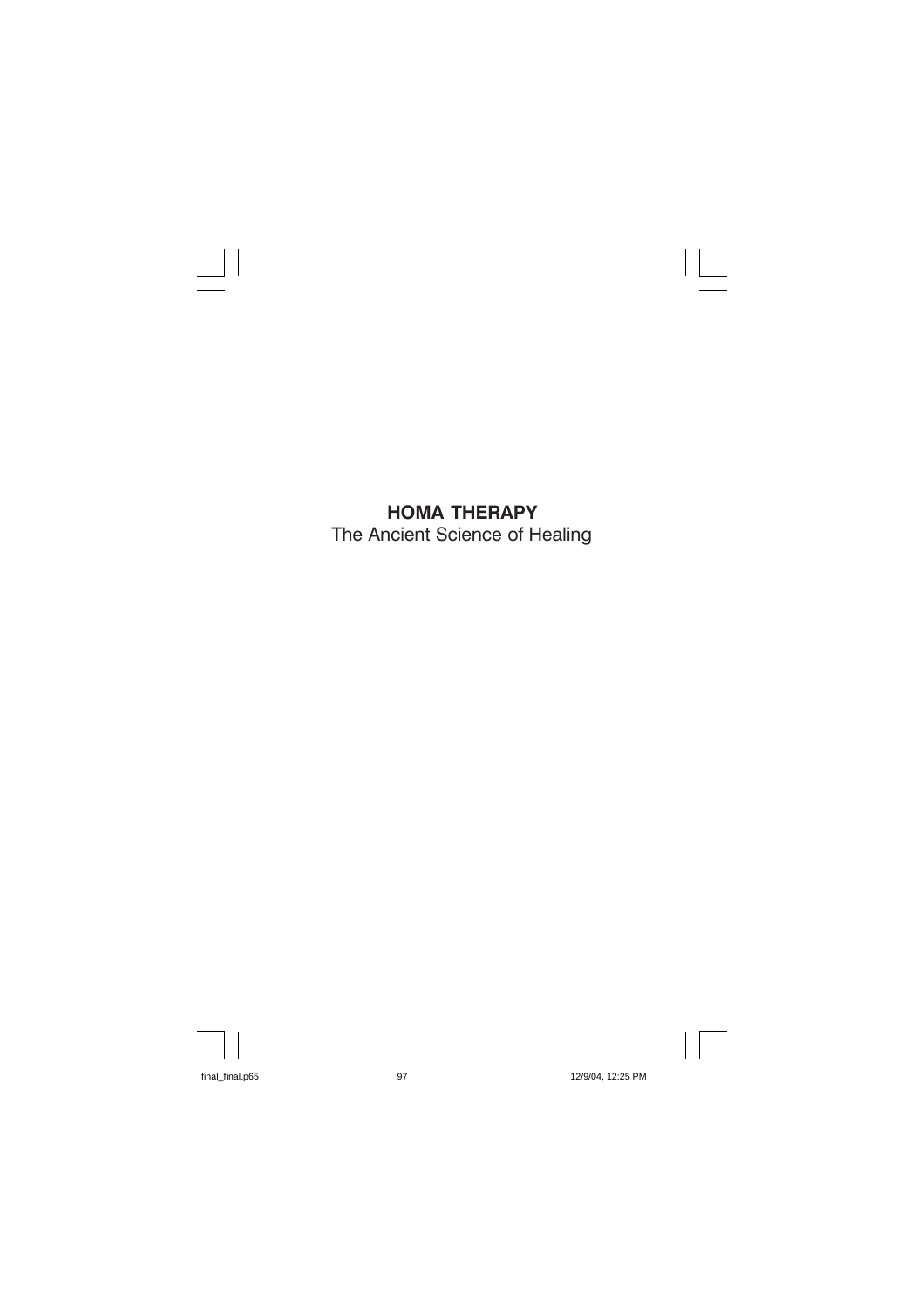## HOMA THERAPY The Ancient Science of Healing

л.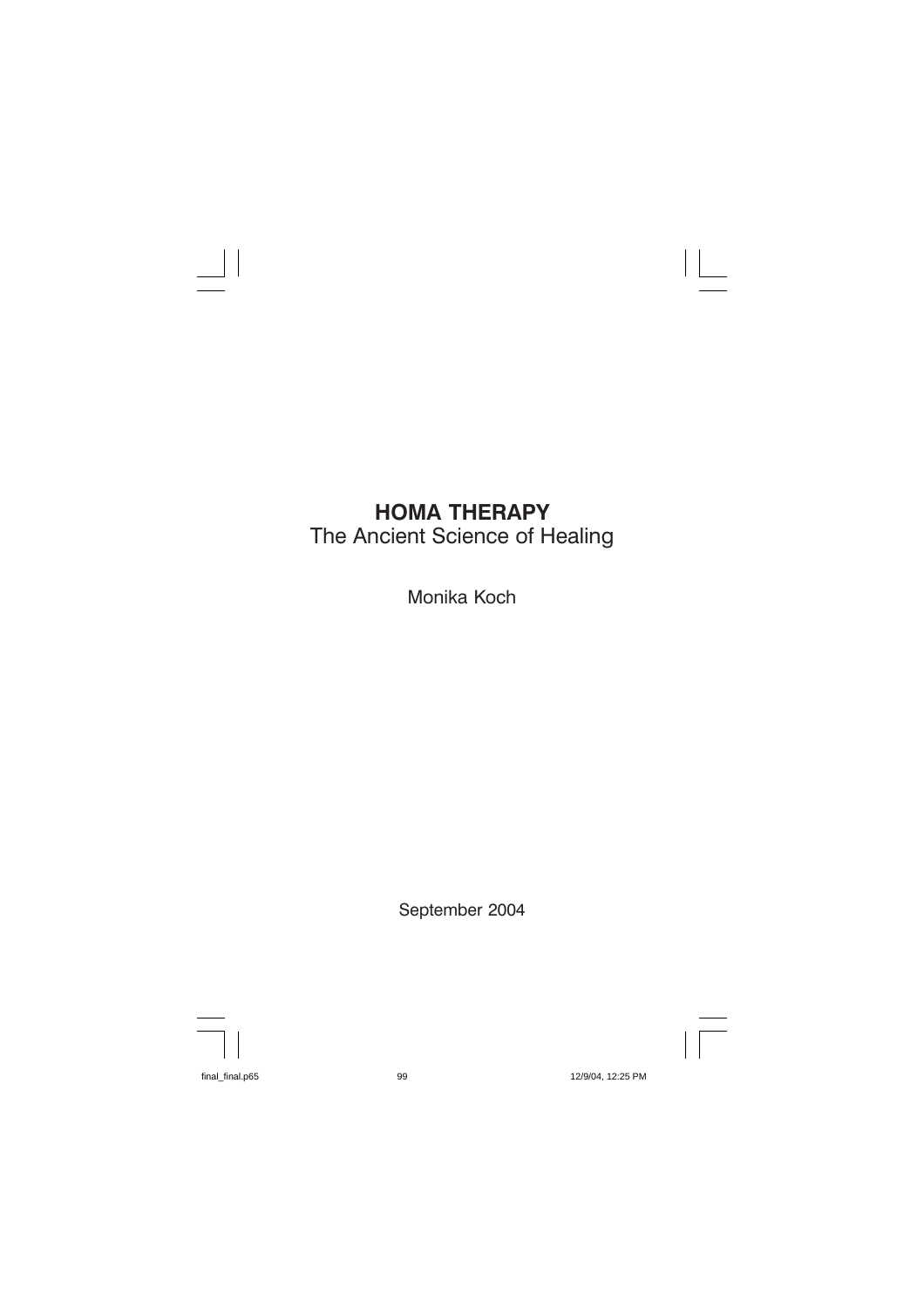# **HOMA THERAPY** The Ancient Science of Healing

Monika Koch

September 2004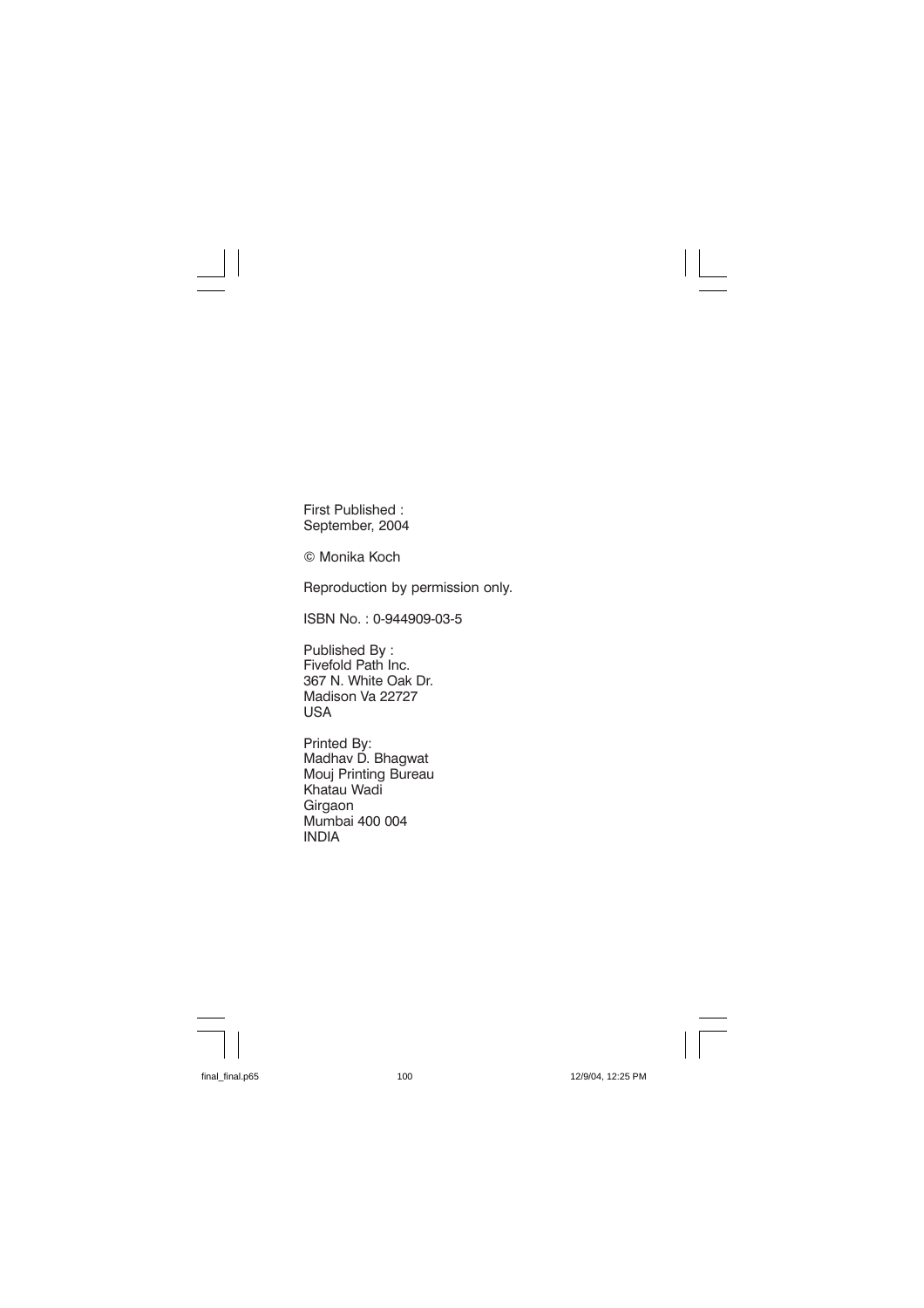First Published: September, 2004

© Monika Koch

Reproduction by permission only.

ISBN No.: 0-944909-03-5

Published By: Fivefold Path Inc. 367 N. White Oak Dr. Madison Va 22727 **USA** 

Printed By: Madhay D. Bhagwat Mouj Printing Bureau Khatau Wadi Girgaon Mumbai 400 004 **INDIA**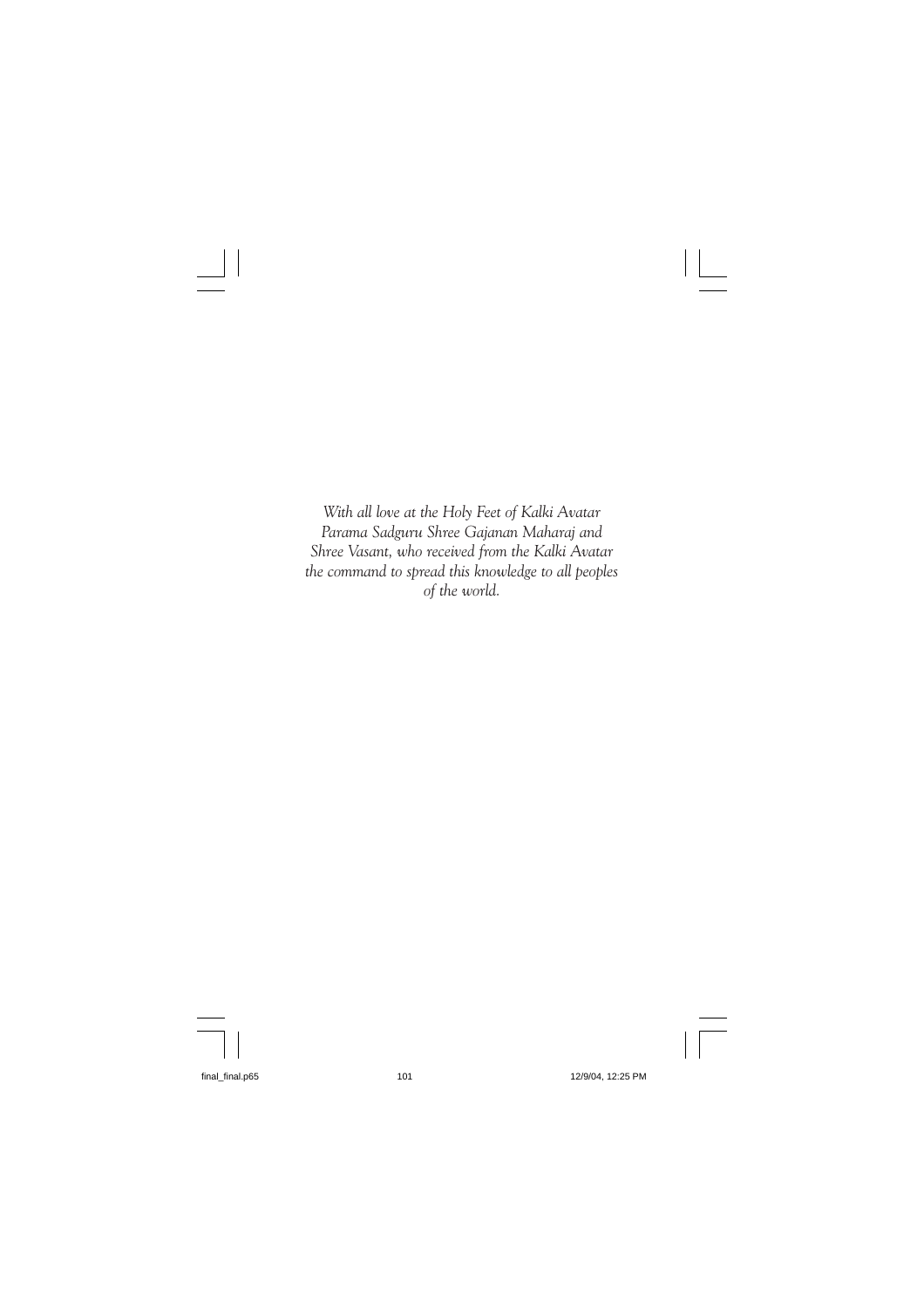With all love at the Holy Feet of Kalki Avatar Parama Sadguru Shree Gajanan Maharaj and Shree Vasant, who received from the Kalki Avatar the command to spread this knowledge to all peoples of the world.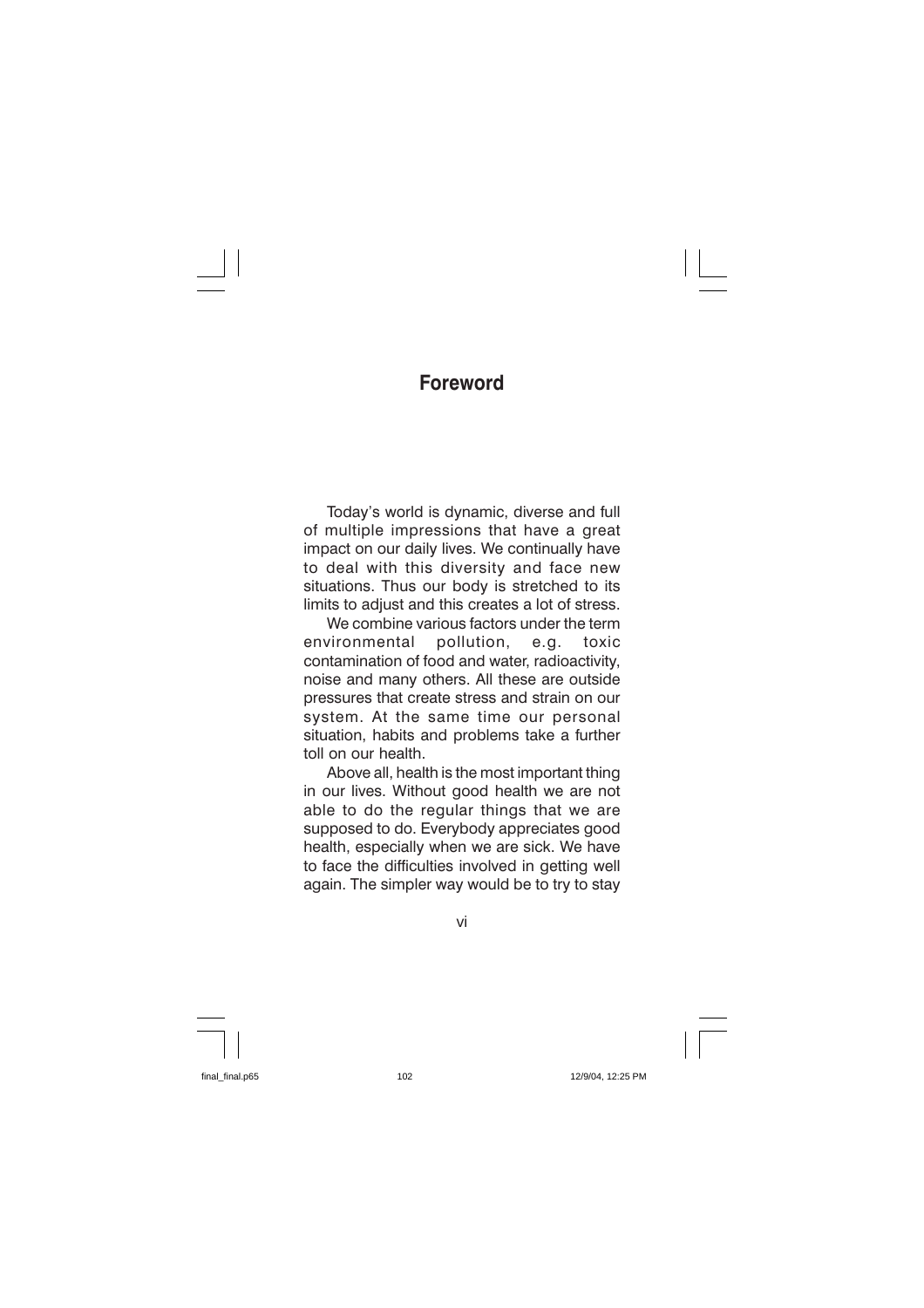## **Foreword**

Today's world is dynamic, diverse and full of multiple impressions that have a great impact on our daily lives. We continually have to deal with this diversity and face new situations. Thus our body is stretched to its limits to adiust and this creates a lot of stress.

We combine various factors under the term environmental pollution. e.a. toxic contamination of food and water, radioactivity, noise and many others. All these are outside pressures that create stress and strain on our system. At the same time our personal situation, habits and problems take a further toll on our health

Above all, health is the most important thing in our lives. Without good health we are not able to do the regular things that we are supposed to do. Everybody appreciates good health, especially when we are sick. We have to face the difficulties involved in getting well again. The simpler way would be to try to stay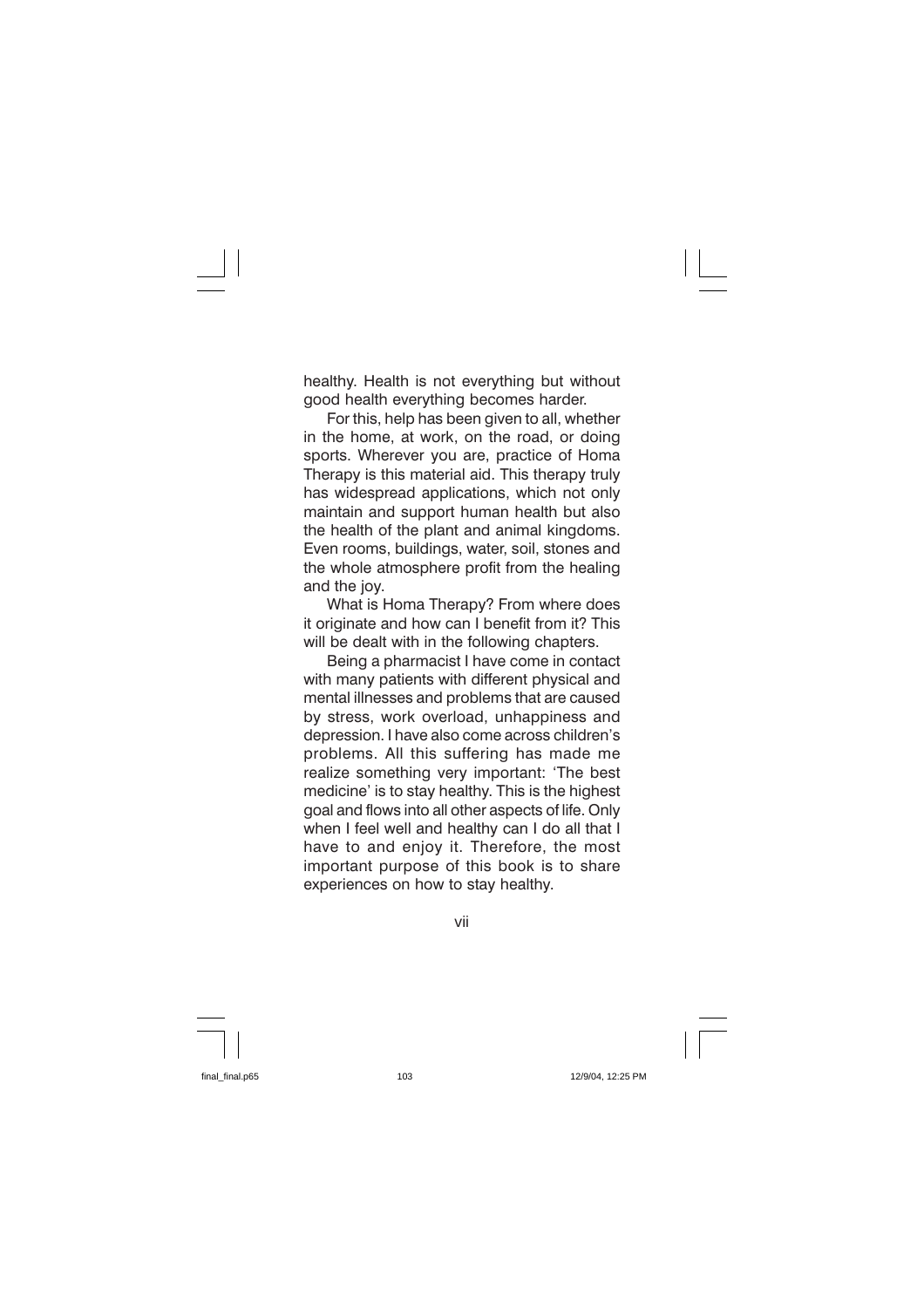healthy. Health is not everything but without good health everything becomes harder.

For this, help has been given to all, whether in the home, at work, on the road, or doing sports. Wherever you are, practice of Homa Therapy is this material aid. This therapy truly has widespread applications, which not only maintain and support human health but also the health of the plant and animal kingdoms. Even rooms, buildings, water, soil, stones and the whole atmosphere profit from the healing and the joy.

What is Homa Therapy? From where does it originate and how can I benefit from it? This will be dealt with in the following chapters.

Being a pharmacist I have come in contact with many patients with different physical and mental illnesses and problems that are caused by stress, work overload, unhappiness and depression. I have also come across children's problems. All this suffering has made me realize something very important: 'The best medicine' is to stay healthy. This is the highest goal and flows into all other aspects of life. Only when I feel well and healthy can I do all that I have to and enjoy it. Therefore, the most important purpose of this book is to share experiences on how to stay healthy.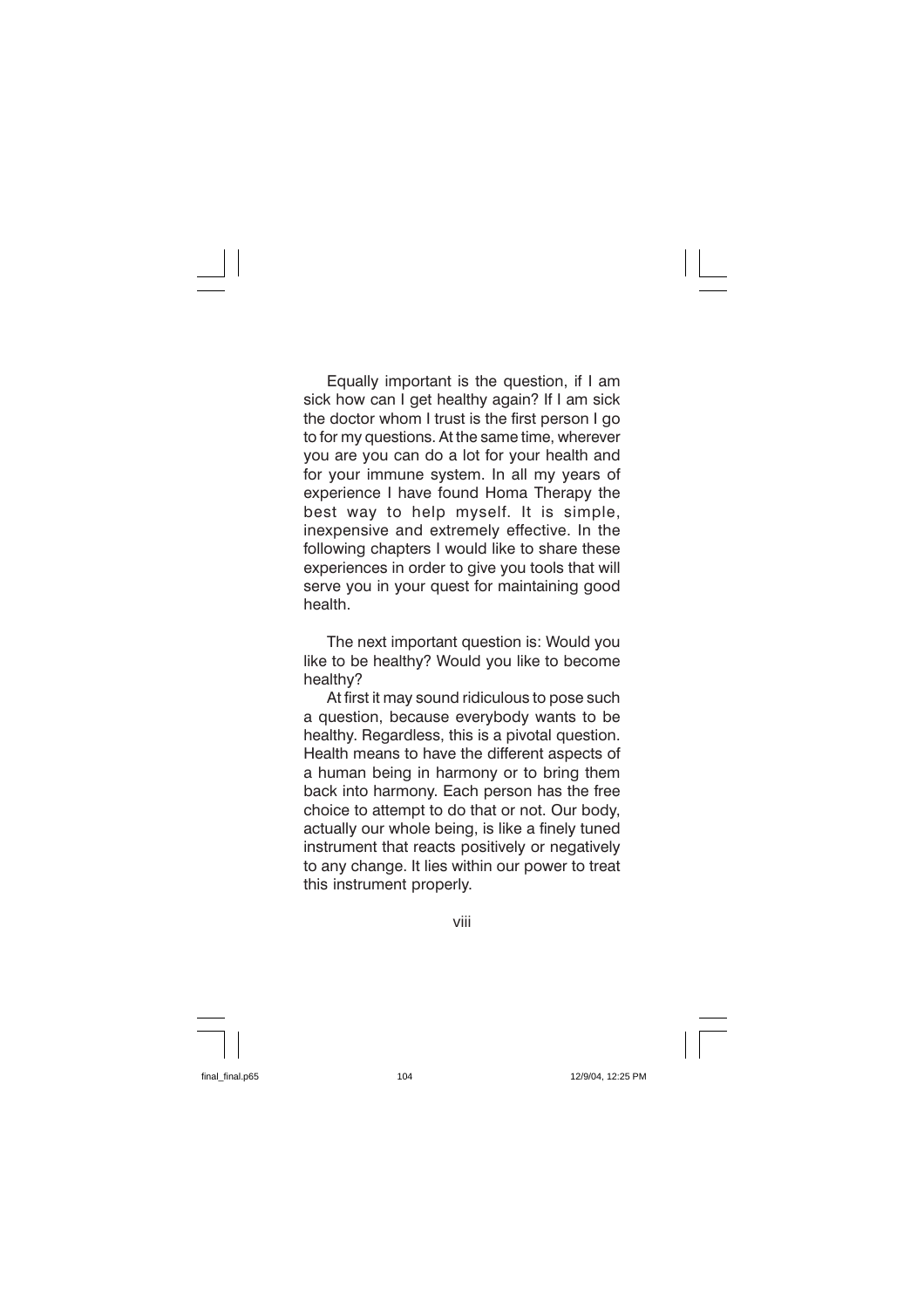Equally important is the question, if I am sick how can I get healthy again? If I am sick the doctor whom I trust is the first person I go to for my questions. At the same time, wherever you are you can do a lot for your health and for your immune system. In all my years of experience I have found Homa Therapy the best way to help myself. It is simple, inexpensive and extremely effective. In the following chapters I would like to share these experiences in order to give you tools that will serve you in your quest for maintaining good health

The next important question is: Would you like to be healthy? Would you like to become healthy?

At first it may sound ridiculous to pose such a question, because everybody wants to be healthy. Regardless, this is a pivotal question. Health means to have the different aspects of a human being in harmony or to bring them back into harmony. Each person has the free choice to attempt to do that or not. Our body, actually our whole being, is like a finely tuned instrument that reacts positively or negatively to any change. It lies within our power to treat this instrument properly.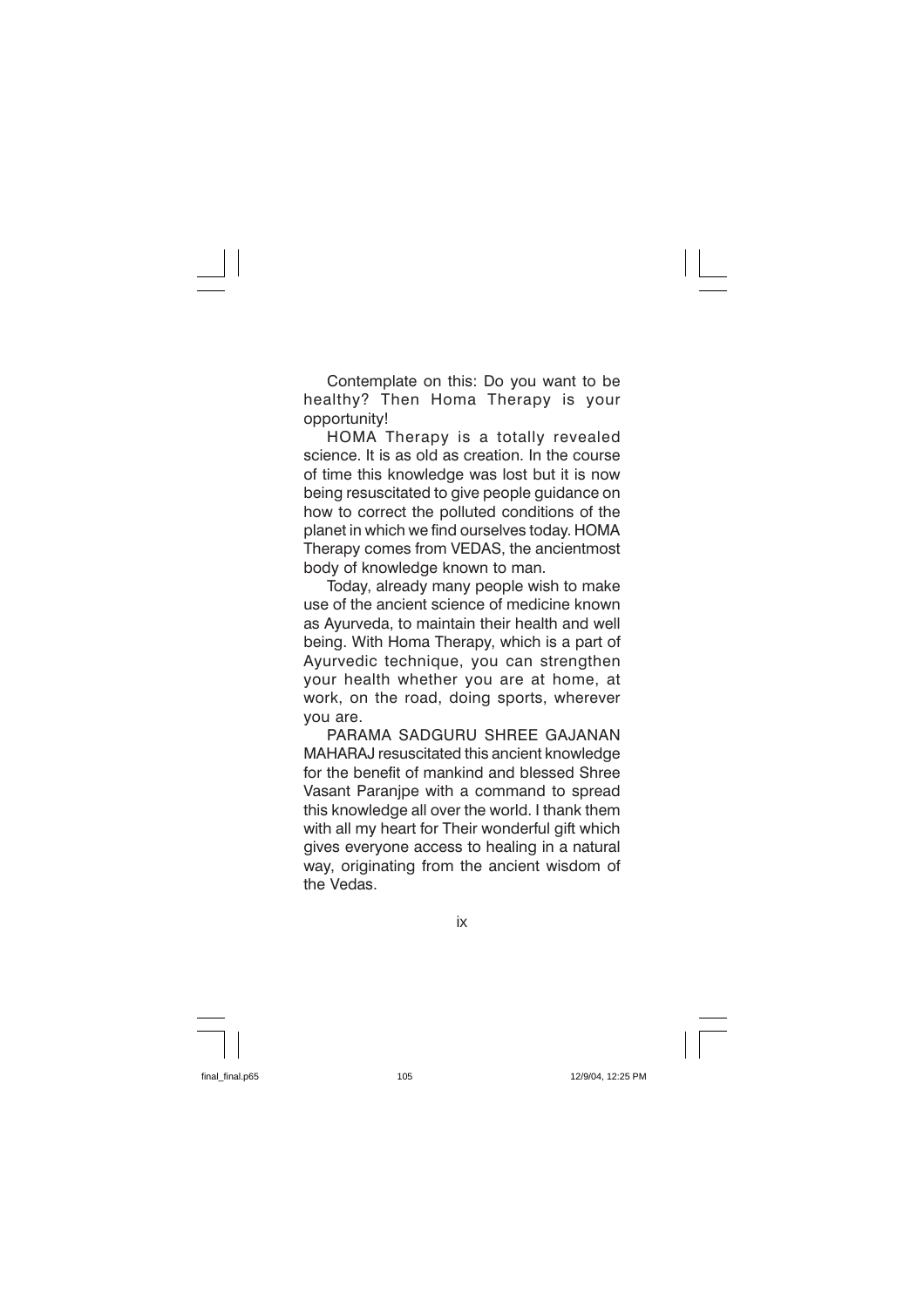Contemplate on this: Do you want to be healthy? Then Homa Therapy is your opportunity!

HOMA Therapy is a totally revealed science. It is as old as creation. In the course of time this knowledge was lost but it is now being resuscitated to give people guidance on how to correct the polluted conditions of the planet in which we find ourselves today. HOMA Therapy comes from VEDAS, the ancientmost body of knowledge known to man.

Today, already many people wish to make use of the ancient science of medicine known as Avurveda, to maintain their health and well being. With Homa Therapy, which is a part of Ayurvedic technique, you can strengthen your health whether you are at home, at work, on the road, doing sports, wherever vou are.

PARAMA SADGURU SHREE GAJANAN MAHARAJ resuscitated this ancient knowledge for the benefit of mankind and blessed Shree Vasant Paranipe with a command to spread this knowledge all over the world. I thank them with all my heart for Their wonderful gift which gives everyone access to healing in a natural way, originating from the ancient wisdom of the Vedas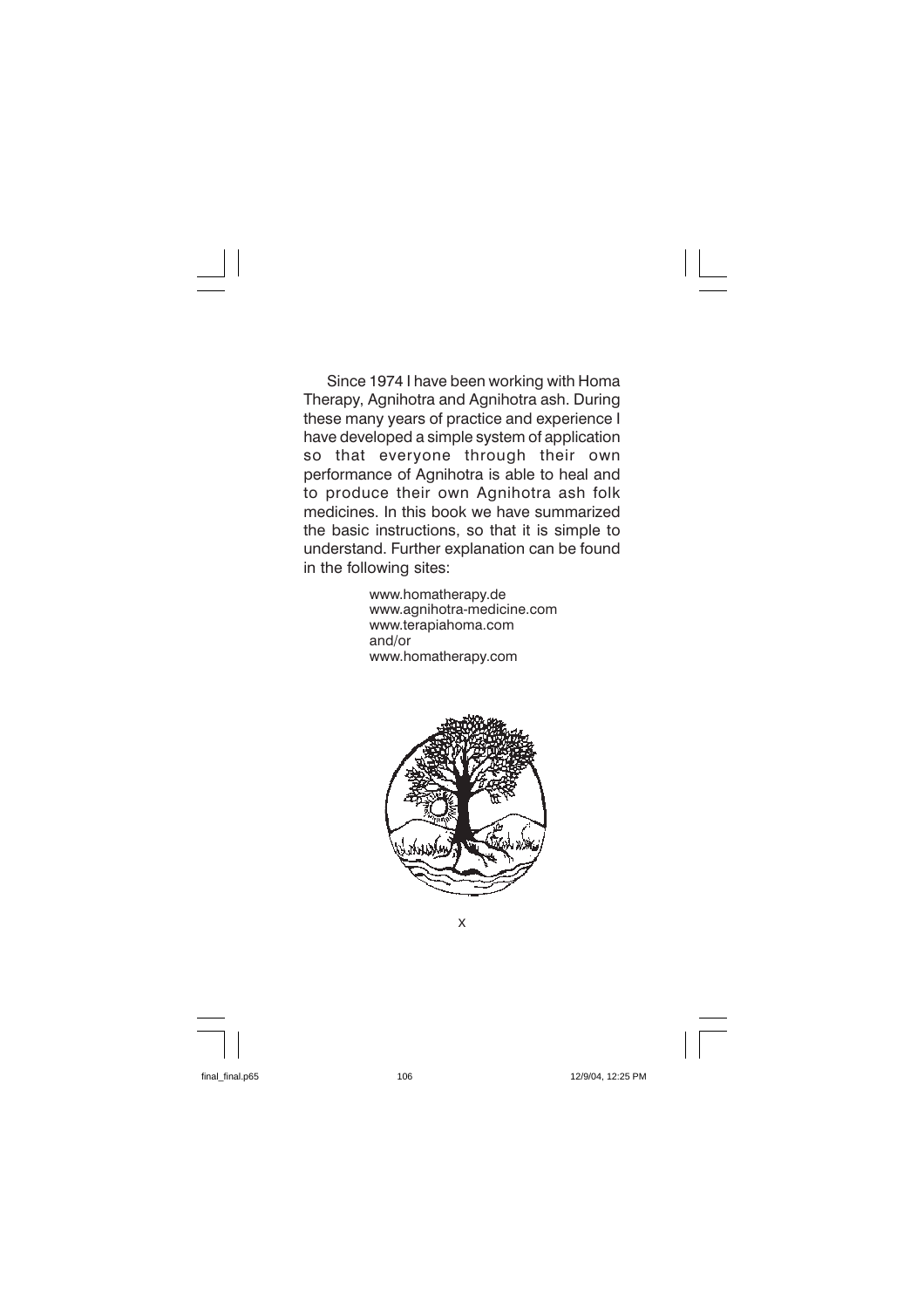Since 1974 I have been working with Homa Therapy, Agnihotra and Agnihotra ash. During these many years of practice and experience I have developed a simple system of application that everyone through their so own performance of Agnihotra is able to heal and to produce their own Agnihotra ash folk medicines. In this book we have summarized the basic instructions, so that it is simple to understand. Further explanation can be found in the following sites:

> www.homatherapy.de www.agnihotra-medicine.com www.terapiahoma.com  $and/or$ www.homatherapy.com

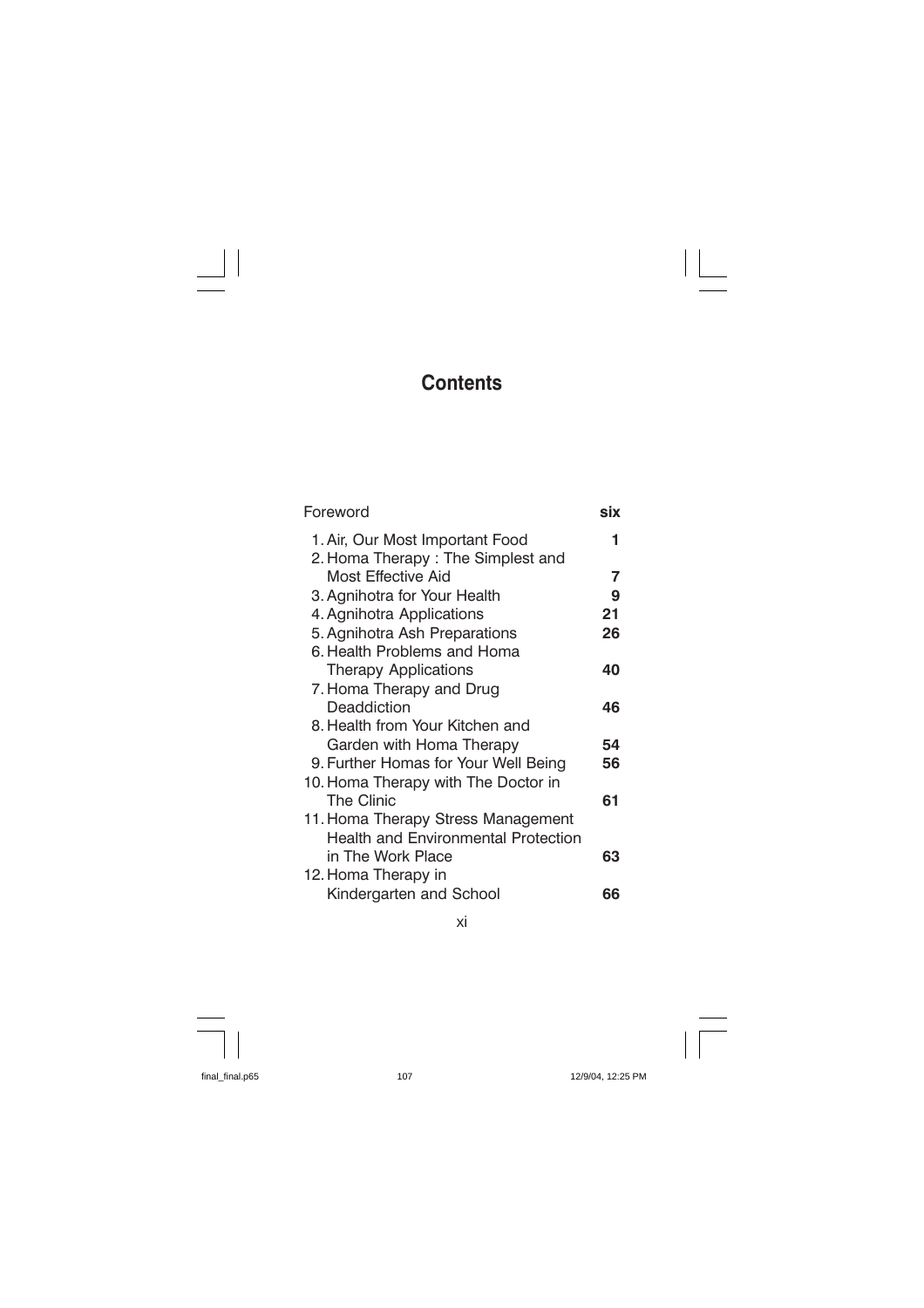# **Contents**

 $\mathbf{I}$ 

| Foreword                                                             | six |
|----------------------------------------------------------------------|-----|
| 1. Air, Our Most Important Food<br>2. Homa Therapy: The Simplest and | 1.  |
| Most Effective Aid                                                   | 7   |
| 3. Agnihotra for Your Health                                         | 9   |
| 4. Agnihotra Applications                                            | 21  |
| 5. Agnihotra Ash Preparations                                        | 26  |
| 6. Health Problems and Homa                                          |     |
| Therapy Applications                                                 | 40  |
| 7. Homa Therapy and Drug                                             |     |
| Deaddiction                                                          | 46  |
| 8. Health from Your Kitchen and                                      |     |
| Garden with Homa Therapy                                             | 54  |
| 9. Further Homas for Your Well Being                                 | 56  |
| 10. Homa Therapy with The Doctor in                                  |     |
| <b>The Clinic</b>                                                    | 61  |
| 11. Homa Therapy Stress Management                                   |     |
| <b>Health and Environmental Protection</b>                           |     |
| in The Work Place                                                    | 63  |
| 12. Homa Therapy in                                                  |     |
| Kindergarten and School                                              | 66  |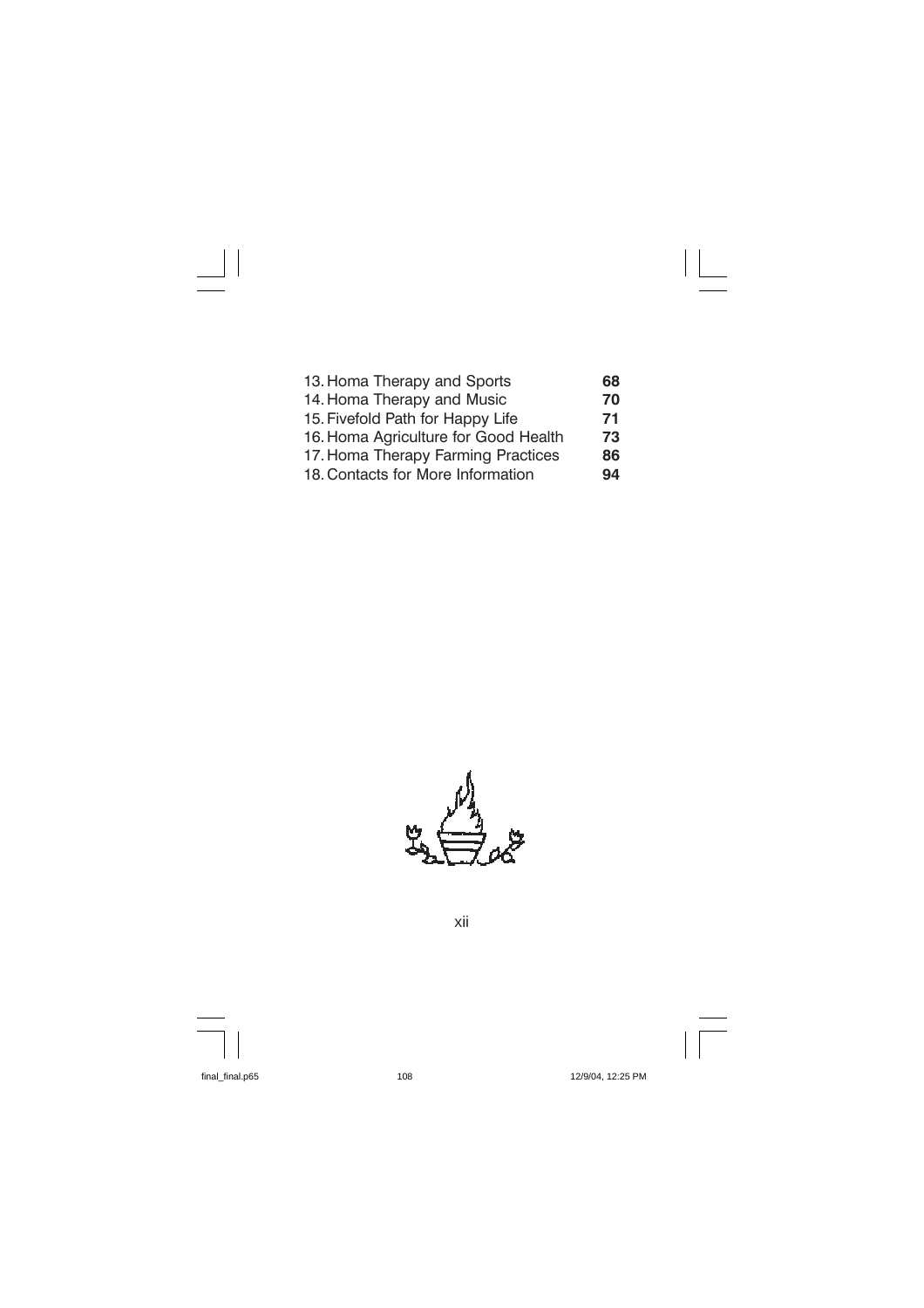| 13. Homa Therapy and Sports          | 68 |
|--------------------------------------|----|
| 14. Homa Therapy and Music           | 70 |
| 15. Fivefold Path for Happy Life     | 71 |
| 16. Homa Agriculture for Good Health | 73 |
| 17. Homa Therapy Farming Practices   | 86 |
| 18. Contacts for More Information    | 94 |

 $\mathbf{I}$ 

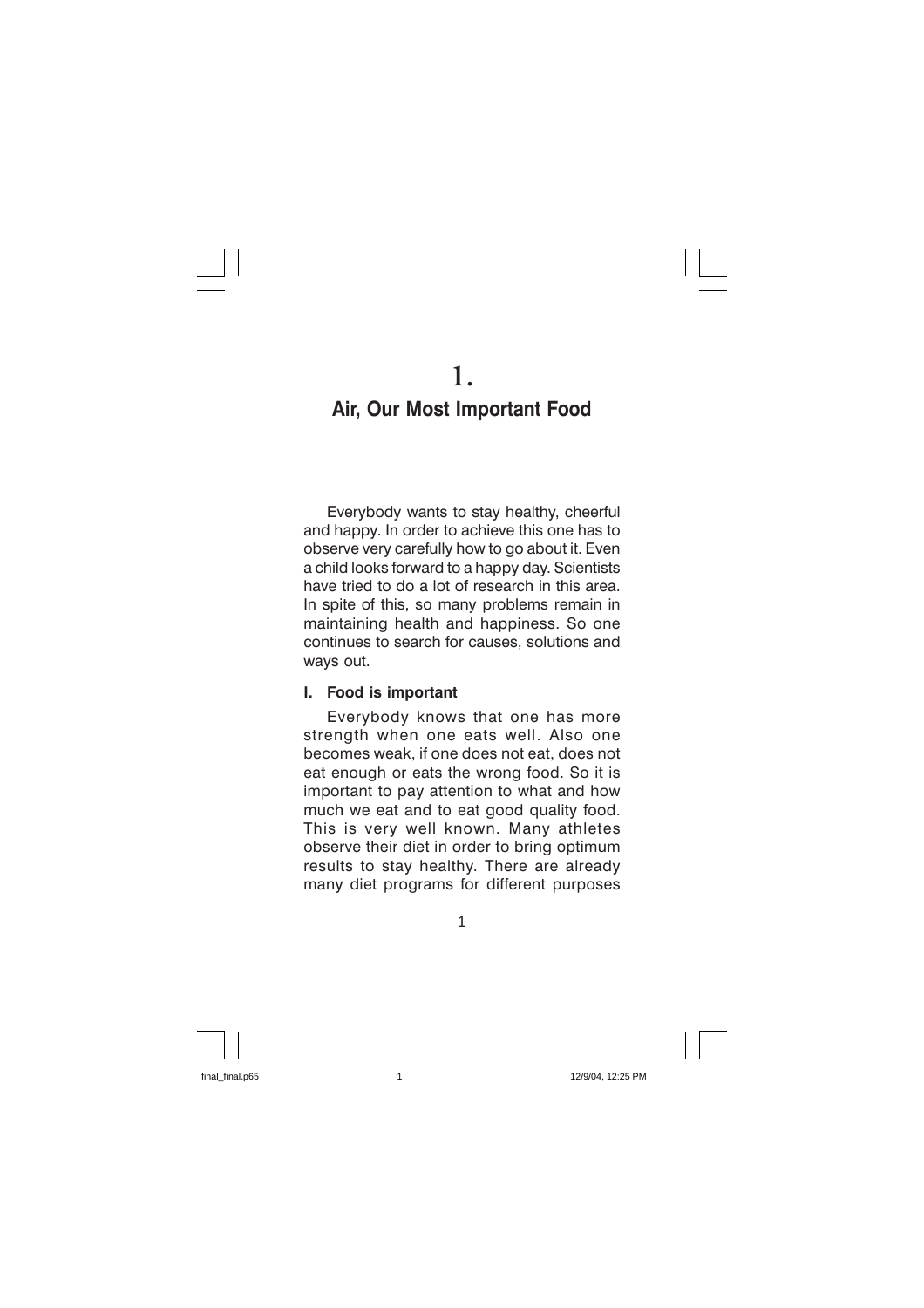1.

# Air, Our Most Important Food

Everybody wants to stay healthy, cheerful and happy. In order to achieve this one has to observe very carefully how to go about it. Even a child looks forward to a happy day. Scientists have tried to do a lot of research in this area. In spite of this, so many problems remain in maintaining health and happiness. So one continues to search for causes, solutions and ways out.

#### Food is important L.

Everybody knows that one has more strength when one eats well. Also one becomes weak, if one does not eat, does not eat enough or eats the wrong food. So it is important to pay attention to what and how much we eat and to eat good quality food. This is very well known. Many athletes observe their diet in order to bring optimum results to stay healthy. There are already many diet programs for different purposes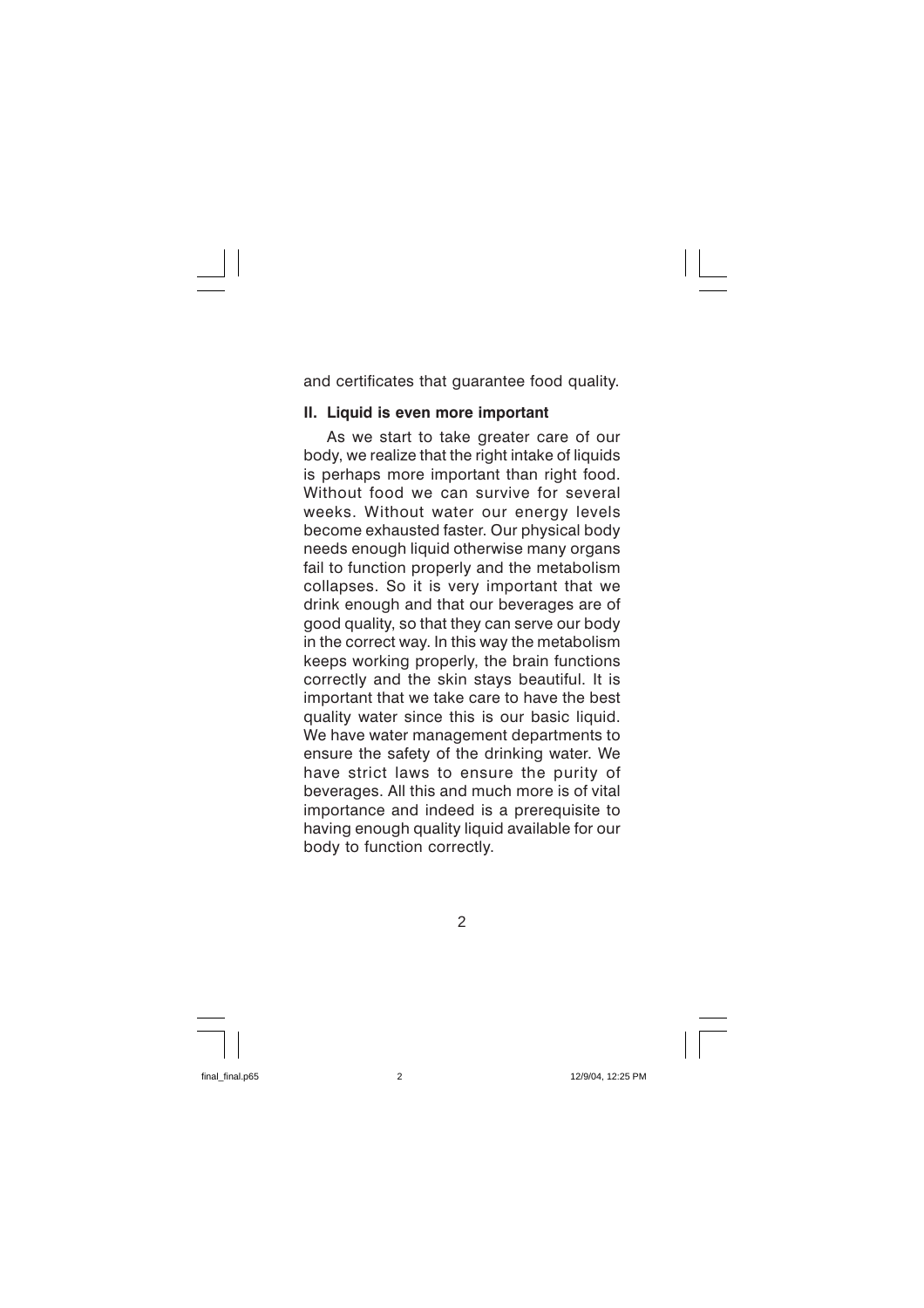and certificates that guarantee food quality.

#### II. Liquid is even more important

As we start to take greater care of our body, we realize that the right intake of liquids is perhaps more important than right food. Without food we can survive for several weeks. Without water our energy levels become exhausted faster. Our physical body needs enough liquid otherwise many organs fail to function properly and the metabolism collapses. So it is very important that we drink enough and that our beverages are of good quality, so that they can serve our body in the correct way. In this way the metabolism keeps working properly, the brain functions correctly and the skin stays beautiful. It is important that we take care to have the best quality water since this is our basic liquid. We have water management departments to ensure the safety of the drinking water. We have strict laws to ensure the purity of beverages. All this and much more is of vital importance and indeed is a prerequisite to having enough quality liquid available for our body to function correctly.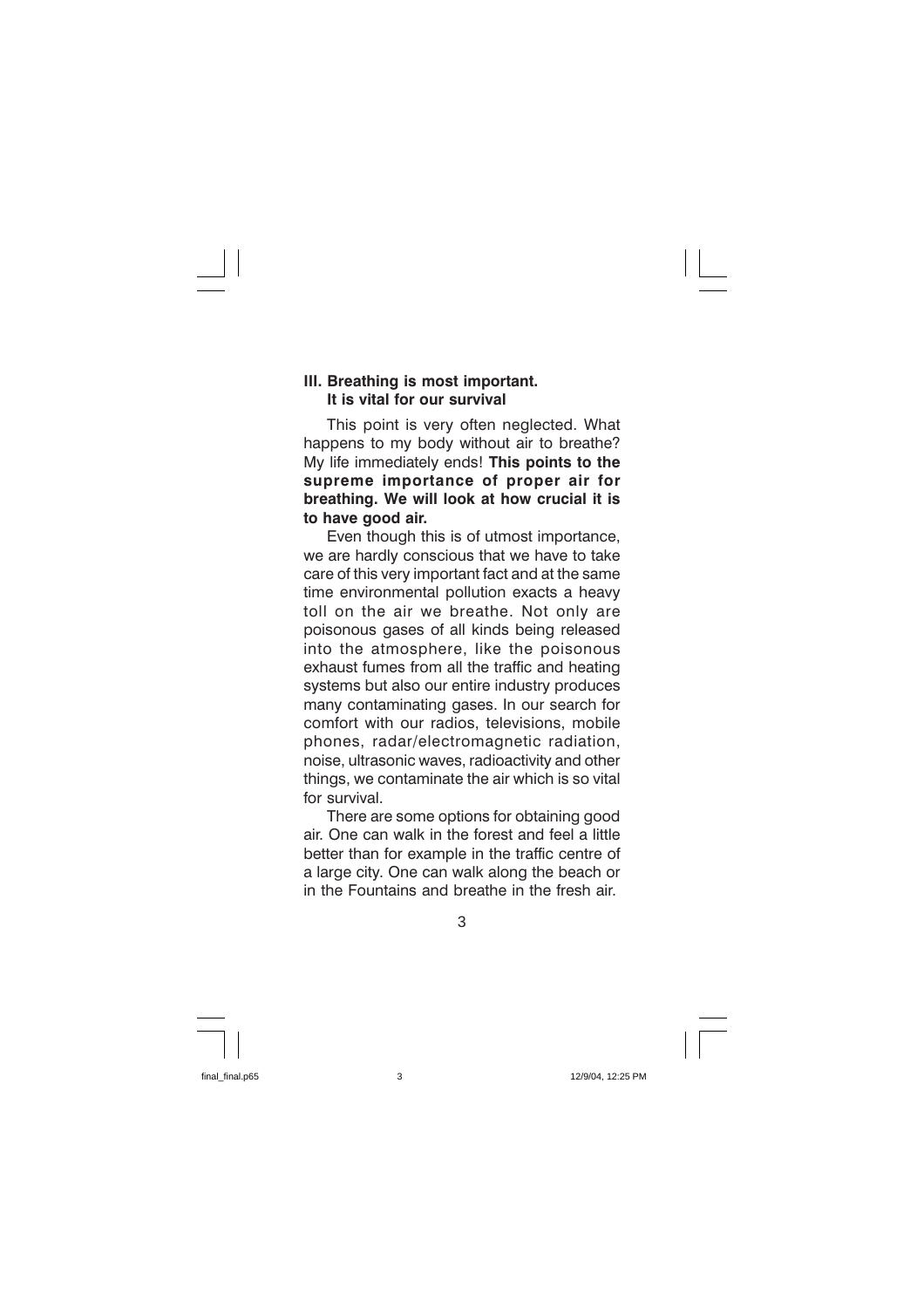#### III. Breathing is most important. It is vital for our survival

This point is very often neglected. What happens to my body without air to breathe? My life immediately ends! This points to the supreme importance of proper air for breathing. We will look at how crucial it is to have good air.

Even though this is of utmost importance, we are hardly conscious that we have to take care of this very important fact and at the same time environmental pollution exacts a heavy toll on the air we breathe. Not only are poisonous gases of all kinds being released into the atmosphere, like the poisonous exhaust fumes from all the traffic and heating systems but also our entire industry produces many contaminating gases. In our search for comfort with our radios, televisions, mobile phones, radar/electromagnetic radiation. noise, ultrasonic waves, radioactivity and other things, we contaminate the air which is so vital for survival

There are some options for obtaining good air. One can walk in the forest and feel a little better than for example in the traffic centre of a large city. One can walk along the beach or in the Fountains and breathe in the fresh air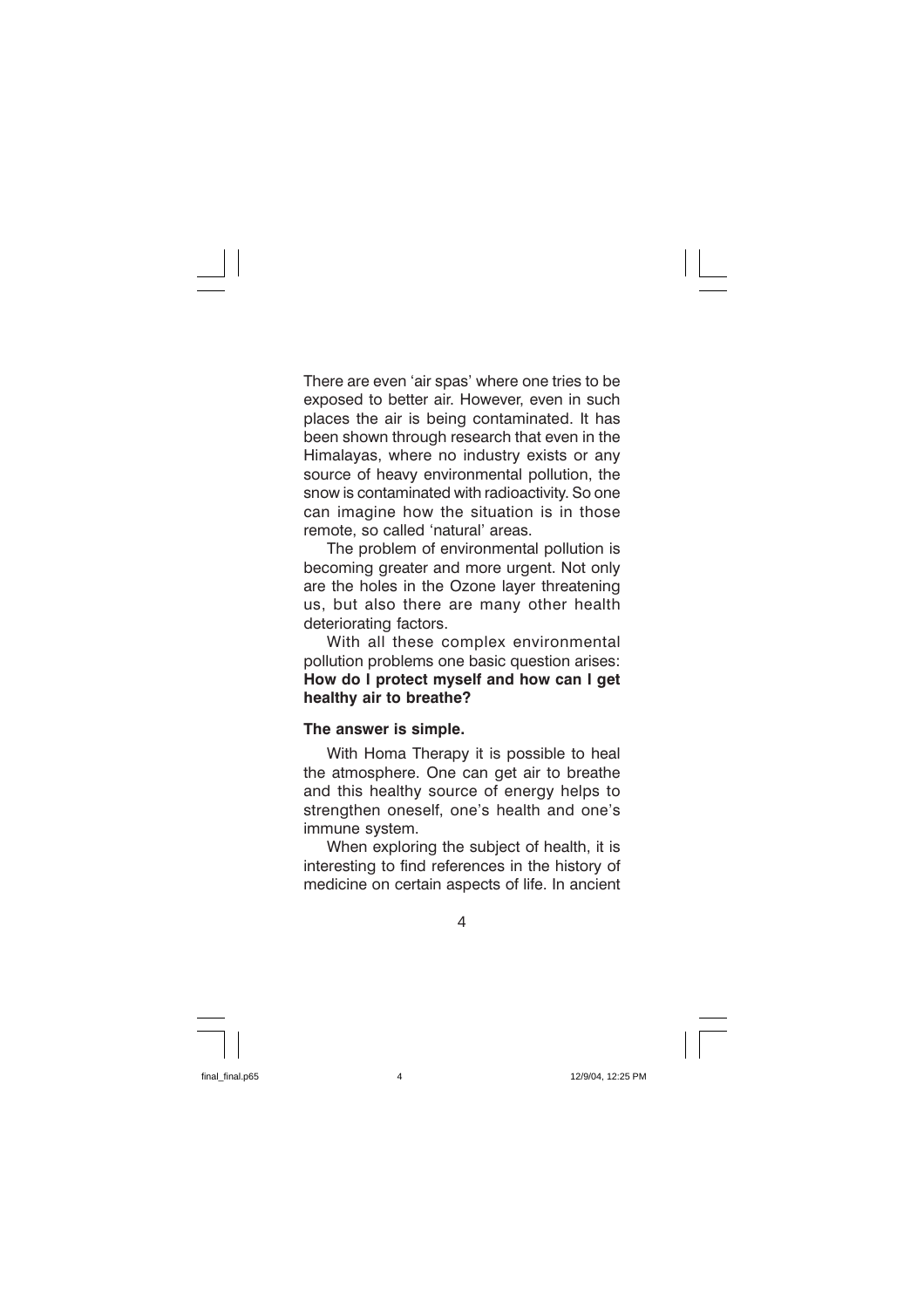There are even 'air spas' where one tries to be exposed to better air. However, even in such places the air is being contaminated. It has been shown through research that even in the Himalayas, where no industry exists or any source of heavy environmental pollution, the snow is contaminated with radioactivity. So one can imagine how the situation is in those remote, so called 'natural' areas.

The problem of environmental pollution is becoming greater and more urgent. Not only are the holes in the Ozone layer threatening us, but also there are many other health deteriorating factors.

With all these complex environmental pollution problems one basic question arises: How do I protect myself and how can I get healthy air to breathe?

#### The answer is simple.

With Homa Therapy it is possible to heal the atmosphere. One can get air to breathe and this healthy source of energy helps to strengthen oneself, one's health and one's immune system.

When exploring the subject of health, it is interesting to find references in the history of medicine on certain aspects of life. In ancient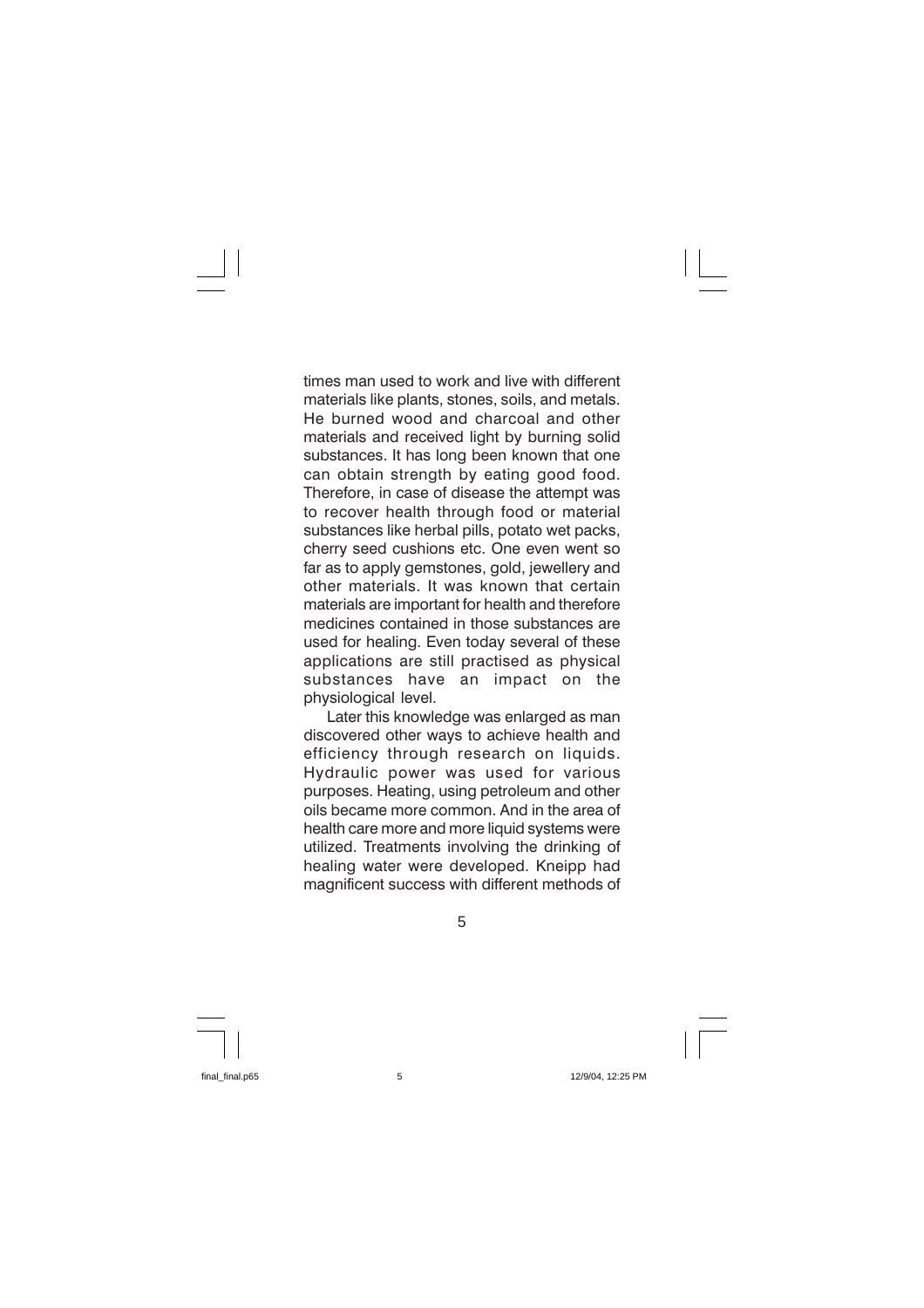times man used to work and live with different materials like plants, stones, soils, and metals. He burned wood and charcoal and other materials and received light by burning solid substances. It has long been known that one can obtain strength by eating good food. Therefore, in case of disease the attempt was to recover health through food or material substances like herbal pills, potato wet packs, cherry seed cushions etc. One even went so far as to apply gemstones, gold, jewellery and other materials. It was known that certain materials are important for health and therefore medicines contained in those substances are used for healing. Even today several of these applications are still practised as physical substances have an impact on the physiological level.

Later this knowledge was enlarged as man discovered other ways to achieve health and efficiency through research on liquids. Hydraulic power was used for various purposes. Heating, using petroleum and other oils became more common. And in the area of health care more and more liquid systems were utilized. Treatments involving the drinking of healing water were developed. Kneipp had magnificent success with different methods of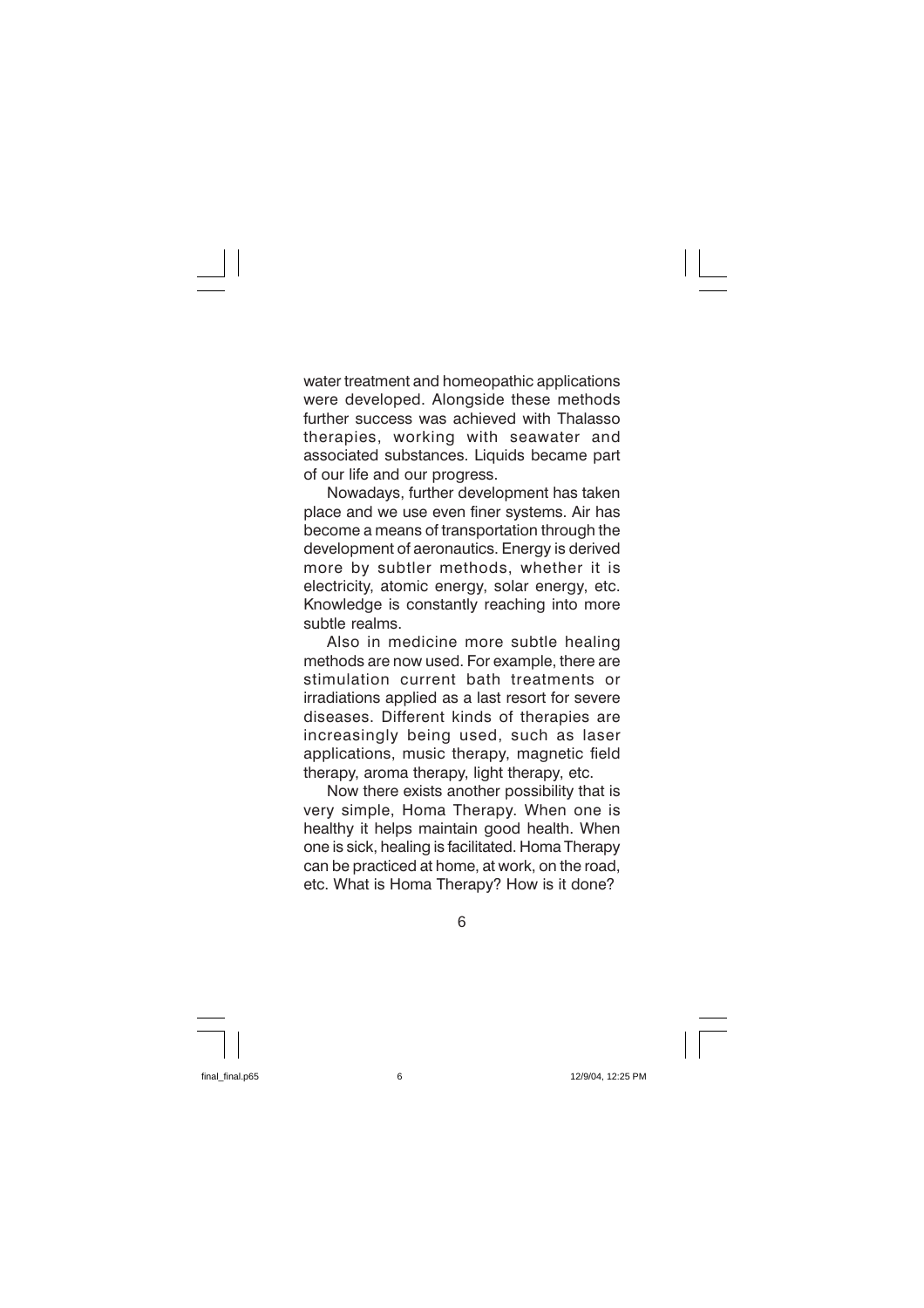water treatment and homeopathic applications were developed. Alongside these methods further success was achieved with Thalasso therapies, working with seawater and associated substances. Liquids became part of our life and our progress.

Nowadays, further development has taken place and we use even finer systems. Air has become a means of transportation through the development of aeronautics. Energy is derived more by subtler methods, whether it is electricity, atomic energy, solar energy, etc. Knowledge is constantly reaching into more subtle realms.

Also in medicine more subtle healing methods are now used. For example, there are stimulation current bath treatments or irradiations applied as a last resort for severe diseases. Different kinds of therapies are increasingly being used, such as laser applications, music therapy, magnetic field therapy, aroma therapy, light therapy, etc.

Now there exists another possibility that is very simple, Homa Therapy. When one is healthy it helps maintain good health. When one is sick, healing is facilitated. Homa Therapy can be practiced at home, at work, on the road. etc. What is Homa Therapy? How is it done?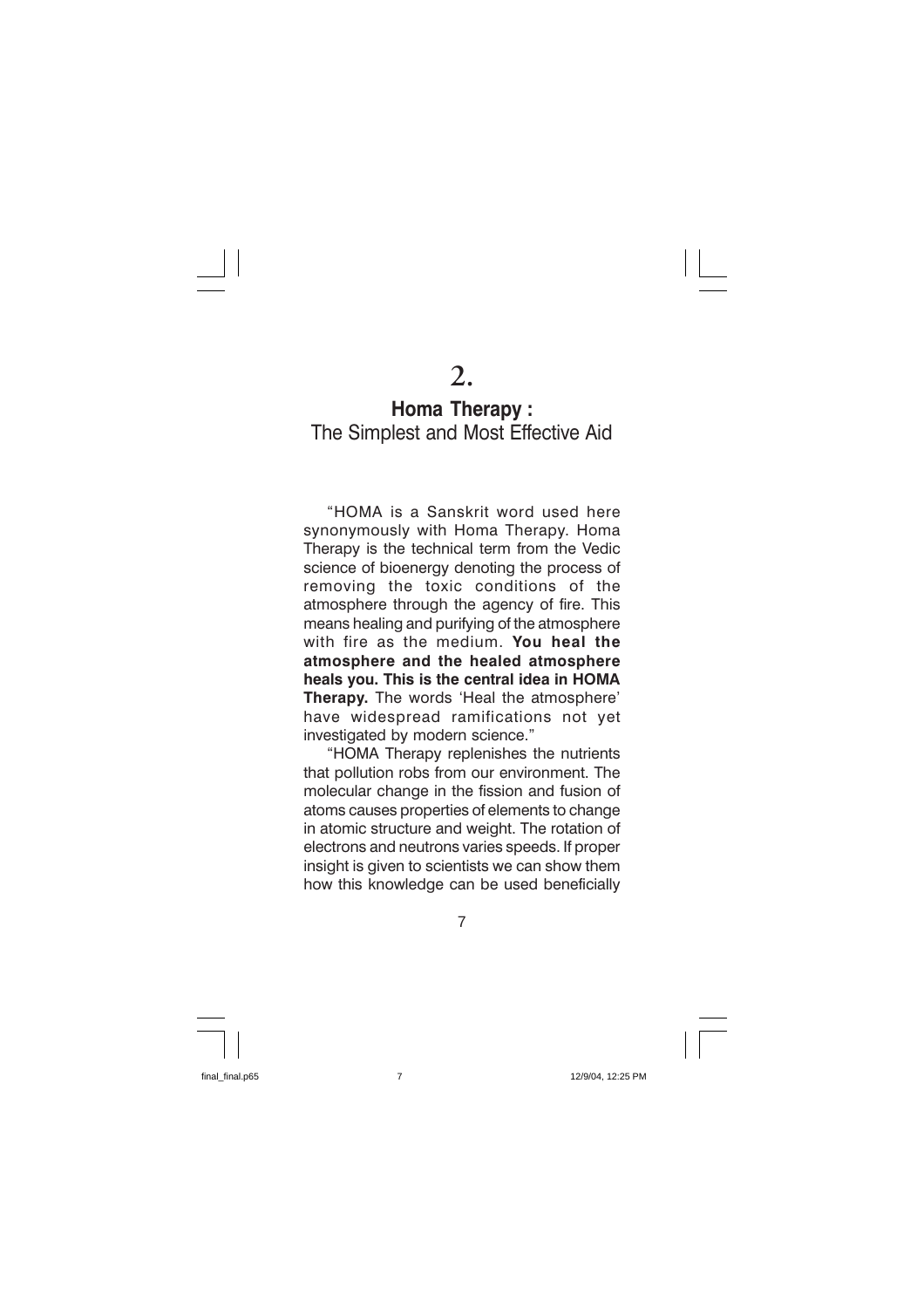# **Homa Therapy:** The Simplest and Most Effective Aid

"HOMA is a Sanskrit word used here synonymously with Homa Therapy. Homa Therapy is the technical term from the Vedic science of bioenergy denoting the process of removing the toxic conditions of the atmosphere through the agency of fire. This means healing and purifying of the atmosphere with fire as the medium. You heal the atmosphere and the healed atmosphere heals vou. This is the central idea in HOMA Therapy. The words 'Heal the atmosphere' have widespread ramifications not yet investigated by modern science."

"HOMA Therapy replenishes the nutrients that pollution robs from our environment. The molecular change in the fission and fusion of atoms causes properties of elements to change in atomic structure and weight. The rotation of electrons and neutrons varies speeds. If proper insight is given to scientists we can show them how this knowledge can be used beneficially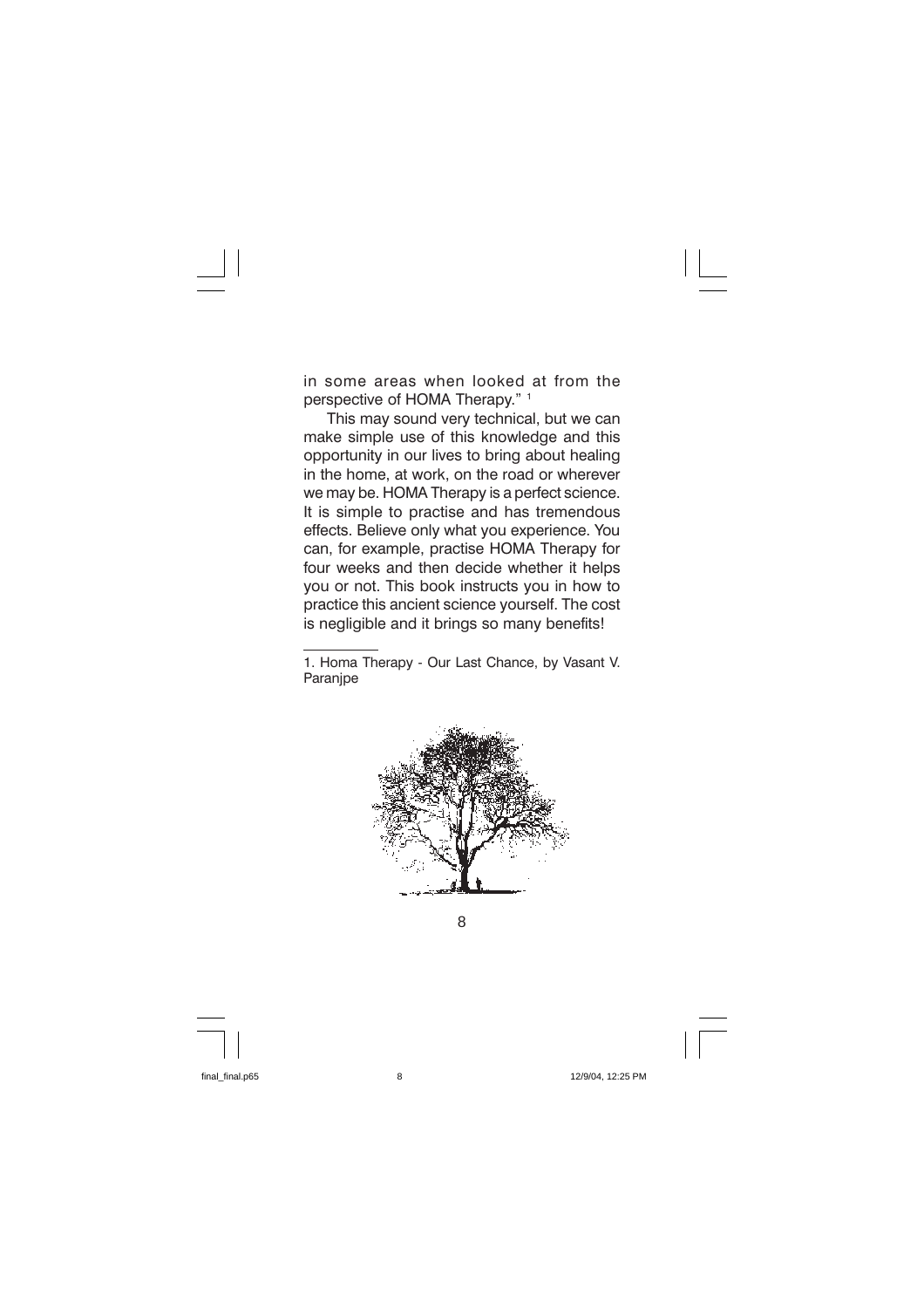in some areas when looked at from the perspective of HOMA Therapy." 1

This may sound very technical, but we can make simple use of this knowledge and this opportunity in our lives to bring about healing in the home, at work, on the road or wherever we may be. HOMA Therapy is a perfect science. It is simple to practise and has tremendous effects. Believe only what you experience. You can, for example, practise HOMA Therapy for four weeks and then decide whether it helps you or not. This book instructs you in how to practice this ancient science vourself. The cost is negligible and it brings so many benefits!

<sup>1.</sup> Homa Therapy - Our Last Chance, by Vasant V. Paranipe



8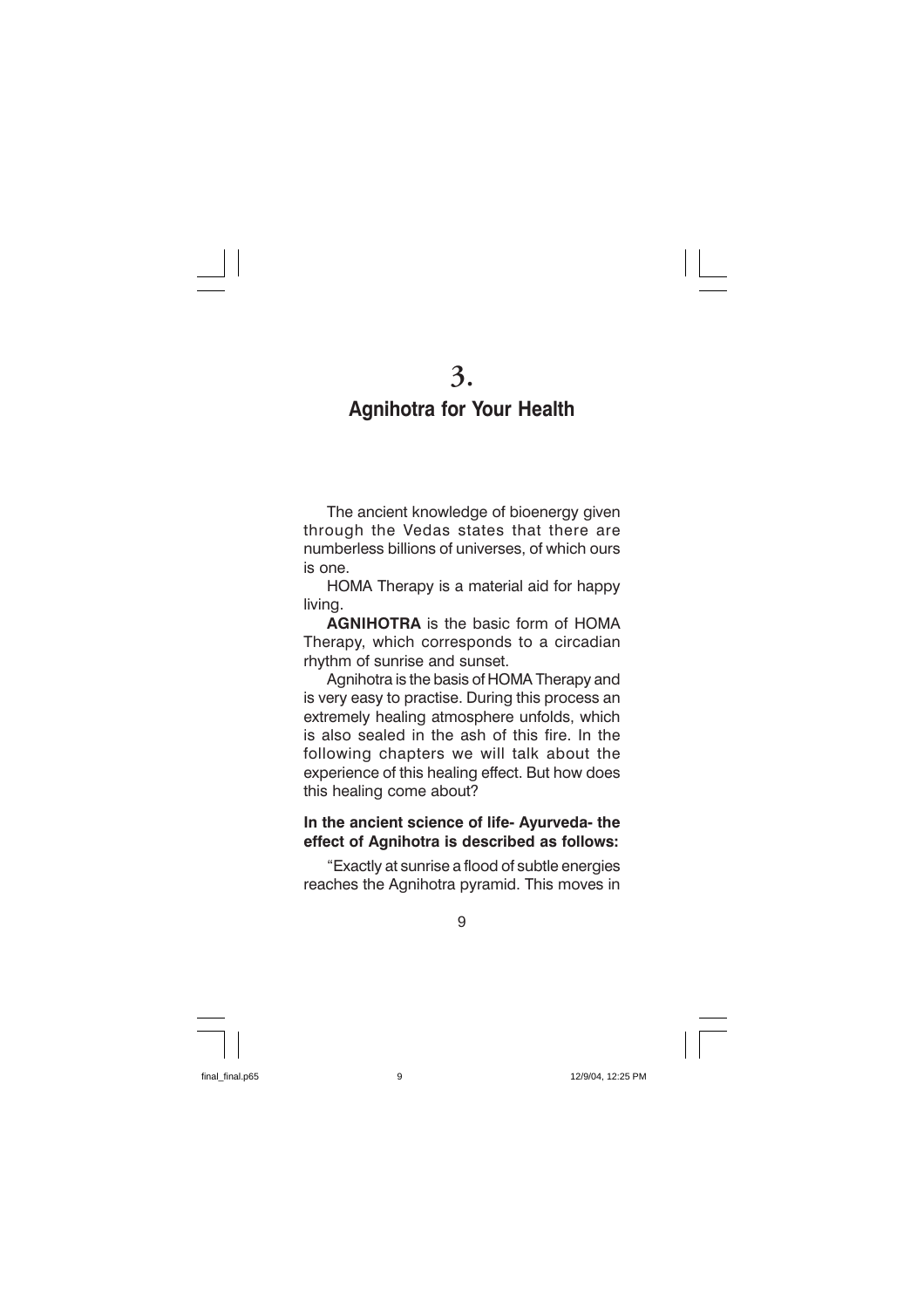# **Agnihotra for Your Health**

The ancient knowledge of bioenergy given through the Vedas states that there are numberless billions of universes, of which ours is one.

HOMA Therapy is a material aid for happy livina.

**AGNIHOTRA** is the basic form of HOMA Therapy, which corresponds to a circadian rhythm of sunrise and sunset.

Agnihotra is the basis of HOMA Therapy and is very easy to practise. During this process an extremely healing atmosphere unfolds, which is also sealed in the ash of this fire. In the following chapters we will talk about the experience of this healing effect. But how does this healing come about?

#### In the ancient science of life- Ayurveda- the effect of Agnihotra is described as follows:

"Exactly at sunrise a flood of subtle energies reaches the Agnihotra pyramid. This moves in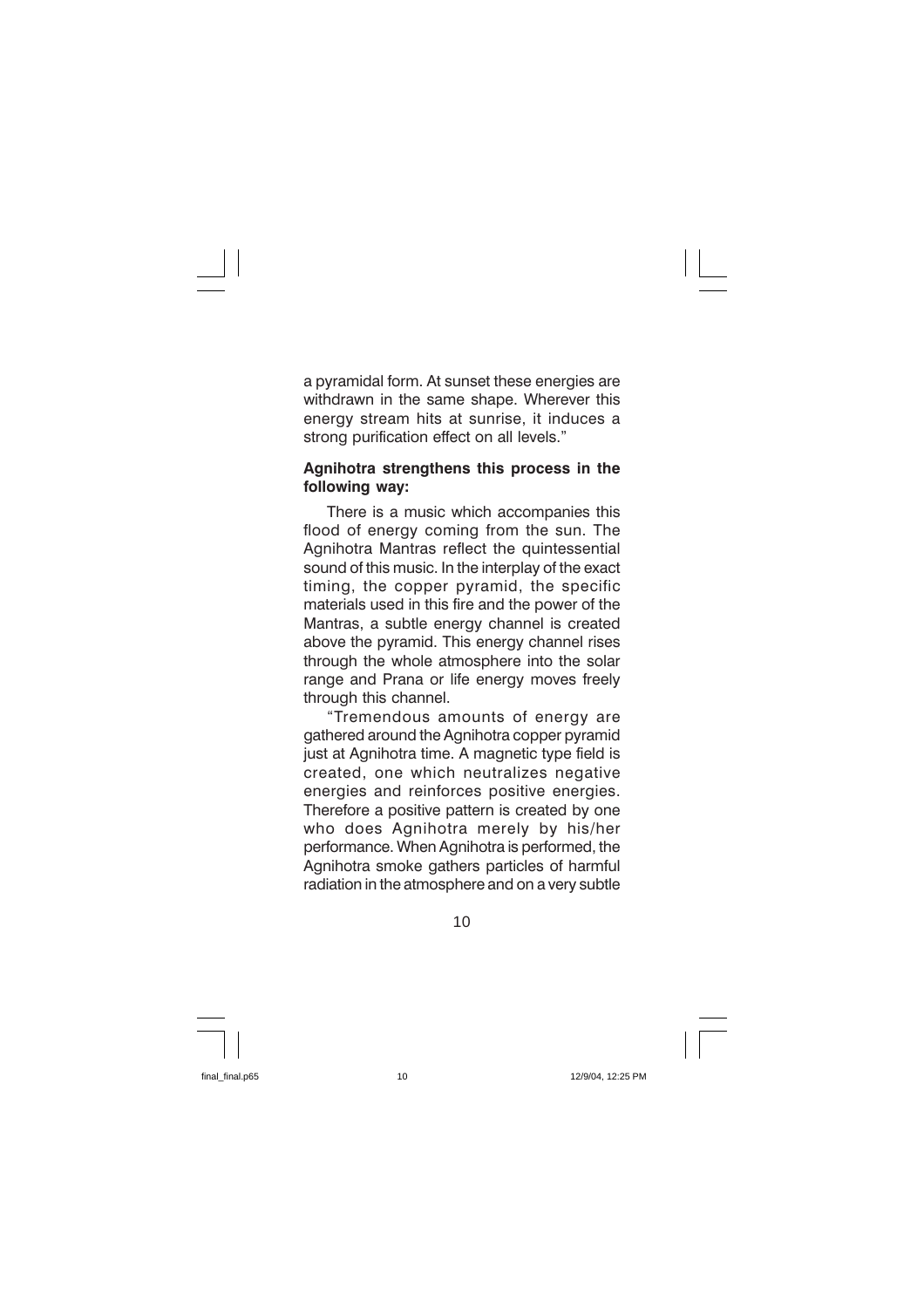a pyramidal form. At sunset these energies are withdrawn in the same shape. Wherever this energy stream hits at sunrise, it induces a strong purification effect on all levels."

#### Agnihotra strengthens this process in the following way:

There is a music which accompanies this flood of energy coming from the sun. The Agnihotra Mantras reflect the quintessential sound of this music. In the interplay of the exact timing, the copper pyramid, the specific materials used in this fire and the power of the Mantras, a subtle energy channel is created above the pyramid. This energy channel rises through the whole atmosphere into the solar range and Prana or life energy moves freely through this channel.

"Tremendous amounts of energy are gathered around the Agnihotra copper pyramid just at Agnihotra time. A magnetic type field is created, one which neutralizes negative energies and reinforces positive energies. Therefore a positive pattern is created by one who does Agnihotra merely by his/her performance. When Agnihotra is performed, the Agnihotra smoke gathers particles of harmful radiation in the atmosphere and on a very subtle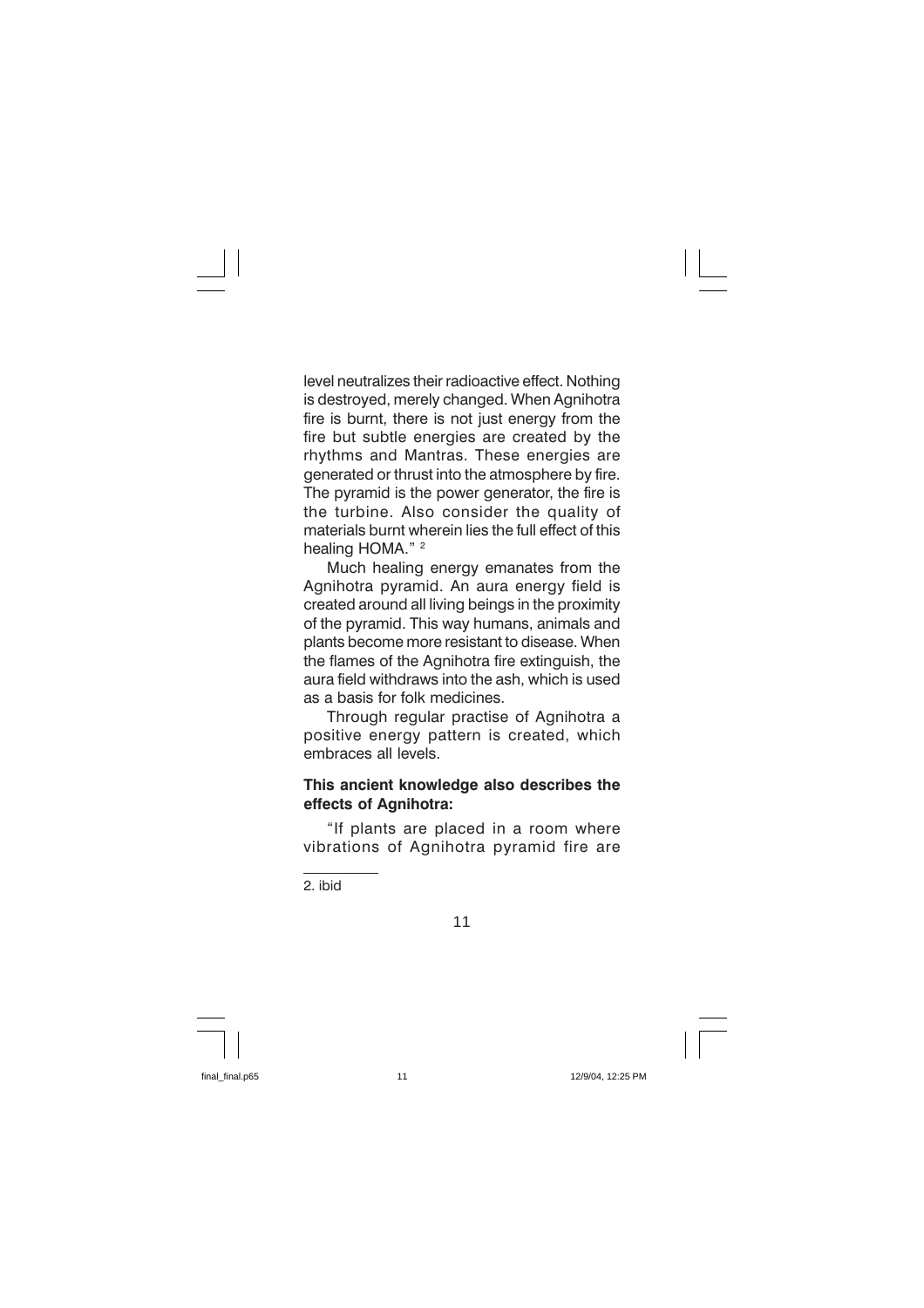level neutralizes their radioactive effect. Nothing is destroyed, merely changed. When Agnihotra fire is burnt, there is not just energy from the fire but subtle energies are created by the rhythms and Mantras. These energies are generated or thrust into the atmosphere by fire. The pyramid is the power generator, the fire is the turbine. Also consider the quality of materials burnt wherein lies the full effect of this healing HOMA." 2

Much healing energy emanates from the Agnihotra pyramid. An aura energy field is created around all living beings in the proximity of the pyramid. This way humans, animals and plants become more resistant to disease. When the flames of the Agnihotra fire extinguish, the aura field withdraws into the ash, which is used as a hasis for folk medicines

Through regular practise of Agnihotra a positive energy pattern is created, which embraces all levels

#### This ancient knowledge also describes the effects of Agnihotra:

"If plants are placed in a room where vibrations of Agnihotra pyramid fire are

2. ibid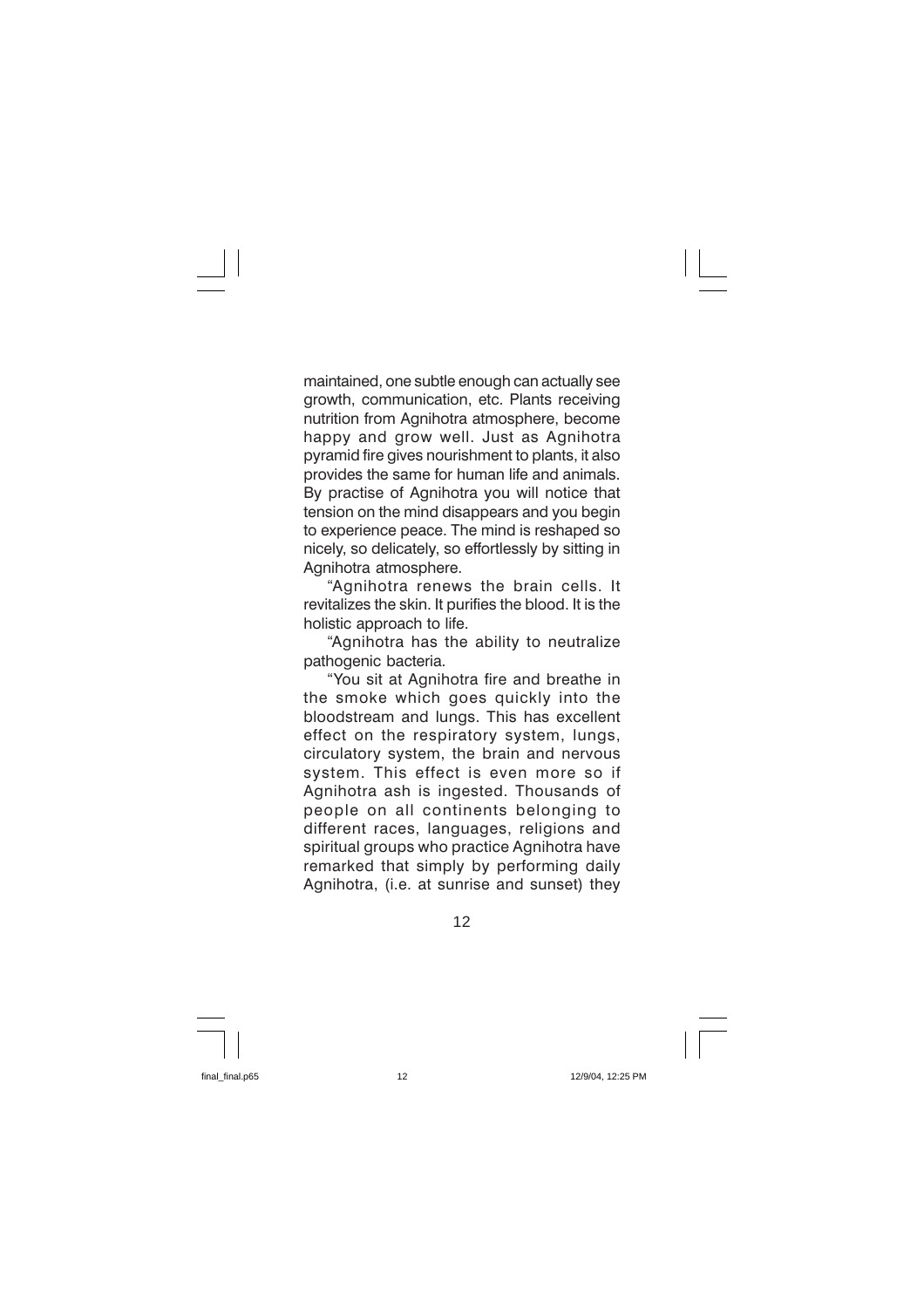maintained, one subtle enough can actually see growth, communication, etc. Plants receiving nutrition from Agnihotra atmosphere, become happy and grow well. Just as Agnihotra pyramid fire gives nourishment to plants, it also provides the same for human life and animals. By practise of Agnihotra you will notice that tension on the mind disappears and you begin to experience peace. The mind is reshaped so nicely, so delicately, so effortlessly by sitting in Agnihotra atmosphere.

"Agnihotra renews the brain cells. It revitalizes the skin. It purifies the blood. It is the holistic approach to life.

"Agnihotra has the ability to neutralize pathogenic bacteria.

"You sit at Agnihotra fire and breathe in the smoke which goes quickly into the bloodstream and lungs. This has excellent effect on the respiratory system, lungs, circulatory system, the brain and nervous system. This effect is even more so if Agnihotra ash is ingested. Thousands of people on all continents belonging to different races, languages, religions and spiritual groups who practice Agnihotra have remarked that simply by performing daily Agnihotra, (i.e. at sunrise and sunset) they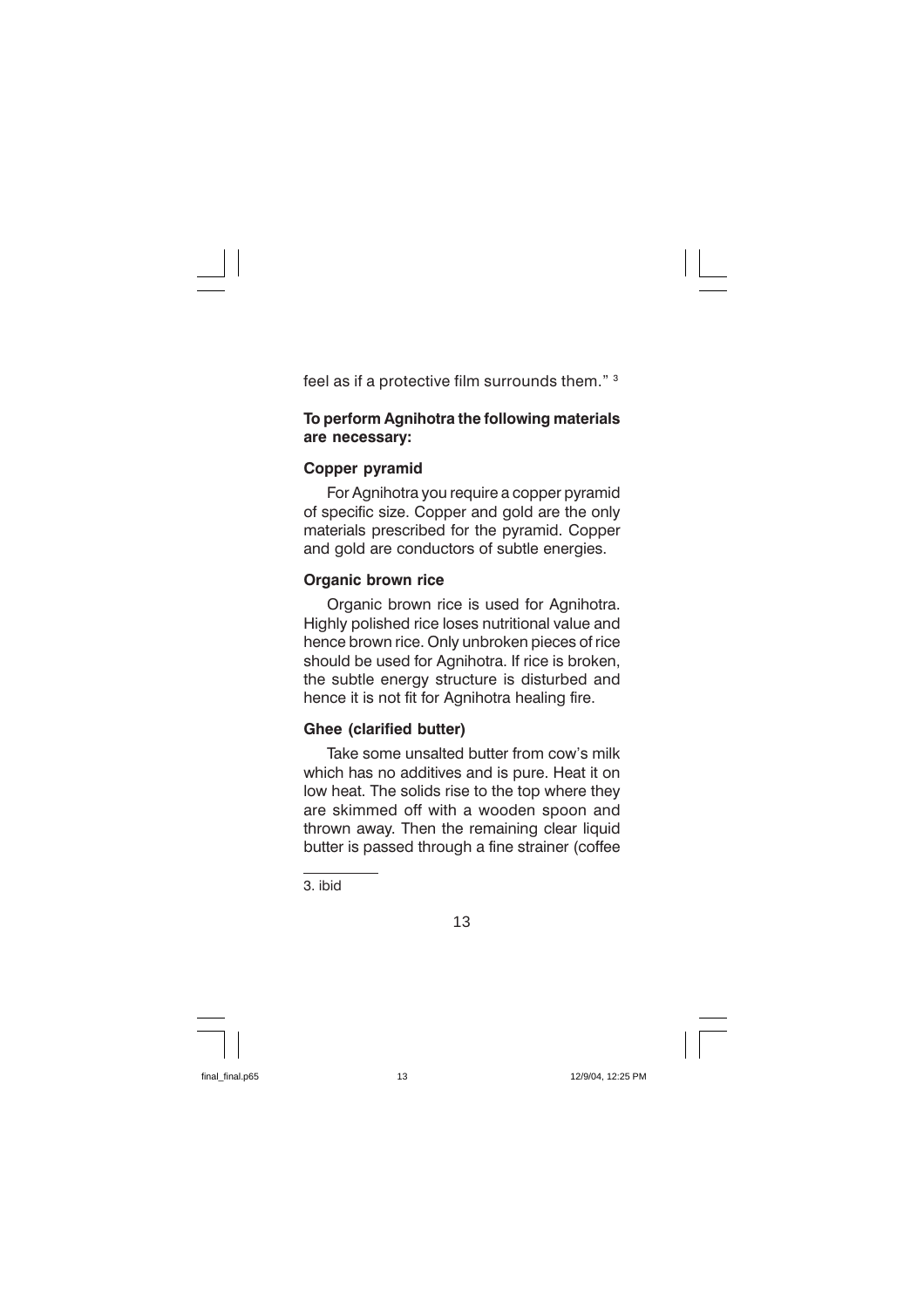feel as if a protective film surrounds them." 3

#### To perform Agnihotra the following materials are necessary:

#### **Copper pyramid**

For Agnihotra you require a copper pyramid of specific size. Copper and gold are the only materials prescribed for the pyramid. Copper and gold are conductors of subtle energies.

#### **Organic brown rice**

Organic brown rice is used for Agnihotra. Highly polished rice loses nutritional value and hence brown rice. Only unbroken pieces of rice should be used for Agnihotra. If rice is broken, the subtle energy structure is disturbed and hence it is not fit for Agnihotra healing fire.

### **Ghee (clarified butter)**

Take some unsalted butter from cow's milk which has no additives and is pure. Heat it on low heat. The solids rise to the top where they are skimmed off with a wooden spoon and thrown away. Then the remaining clear liquid butter is passed through a fine strainer (coffee

3. ibid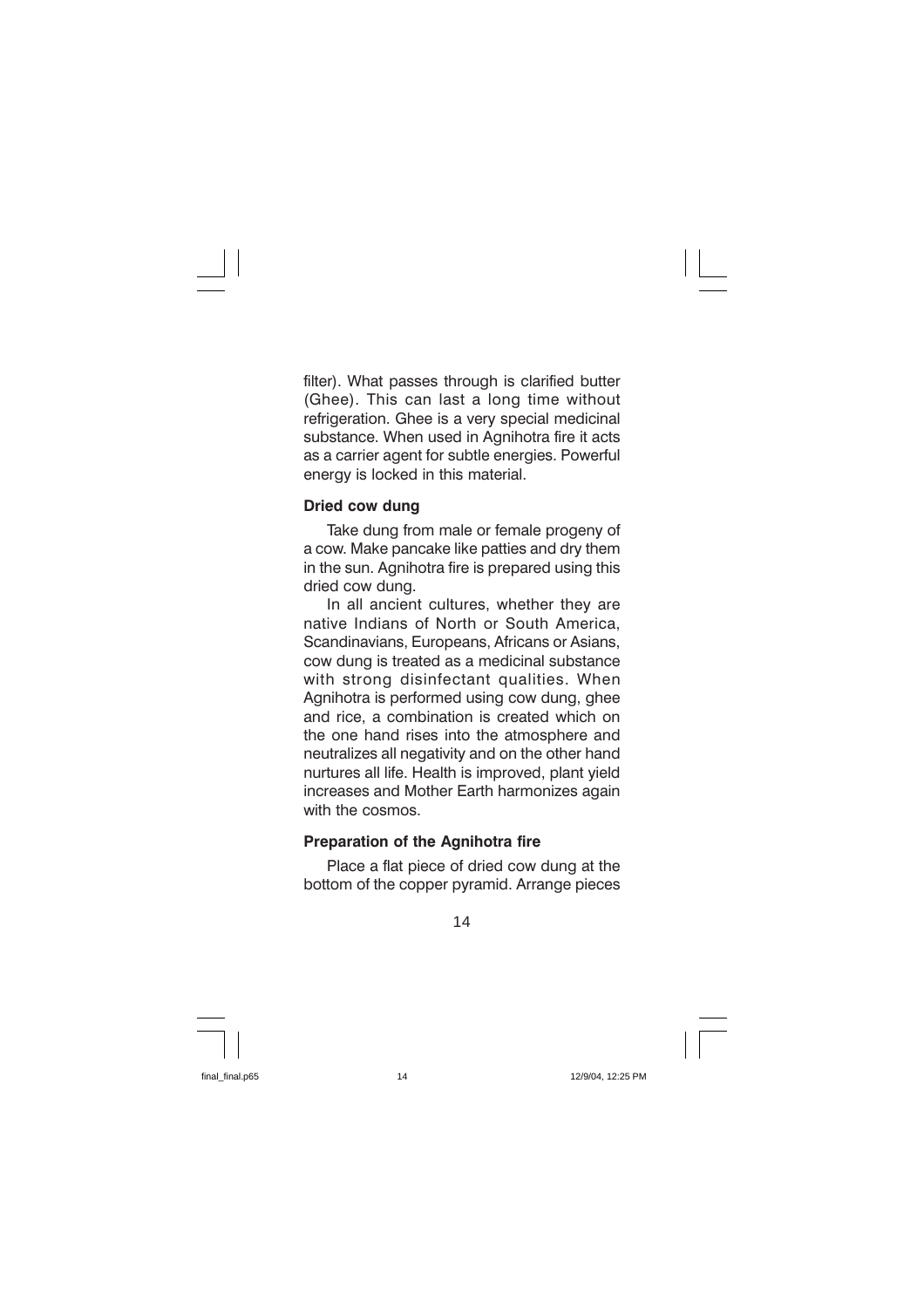filter). What passes through is clarified butter (Ghee). This can last a long time without refrigeration. Ghee is a very special medicinal substance. When used in Agnihotra fire it acts as a carrier agent for subtle energies. Powerful energy is locked in this material.

#### Dried cow dung

Take dung from male or female progeny of a cow. Make pancake like patties and dry them in the sun. Agnihotra fire is prepared using this dried cow dung.

In all ancient cultures, whether they are native Indians of North or South America. Scandinavians, Europeans, Africans or Asians, cow dung is treated as a medicinal substance with strong disinfectant qualities. When Agnihotra is performed using cow dung, ghee and rice, a combination is created which on the one hand rises into the atmosphere and neutralizes all negativity and on the other hand nurtures all life. Health is improved, plant vield increases and Mother Earth harmonizes again with the cosmos

#### **Preparation of the Agnihotra fire**

Place a flat piece of dried cow dung at the bottom of the copper pyramid. Arrange pieces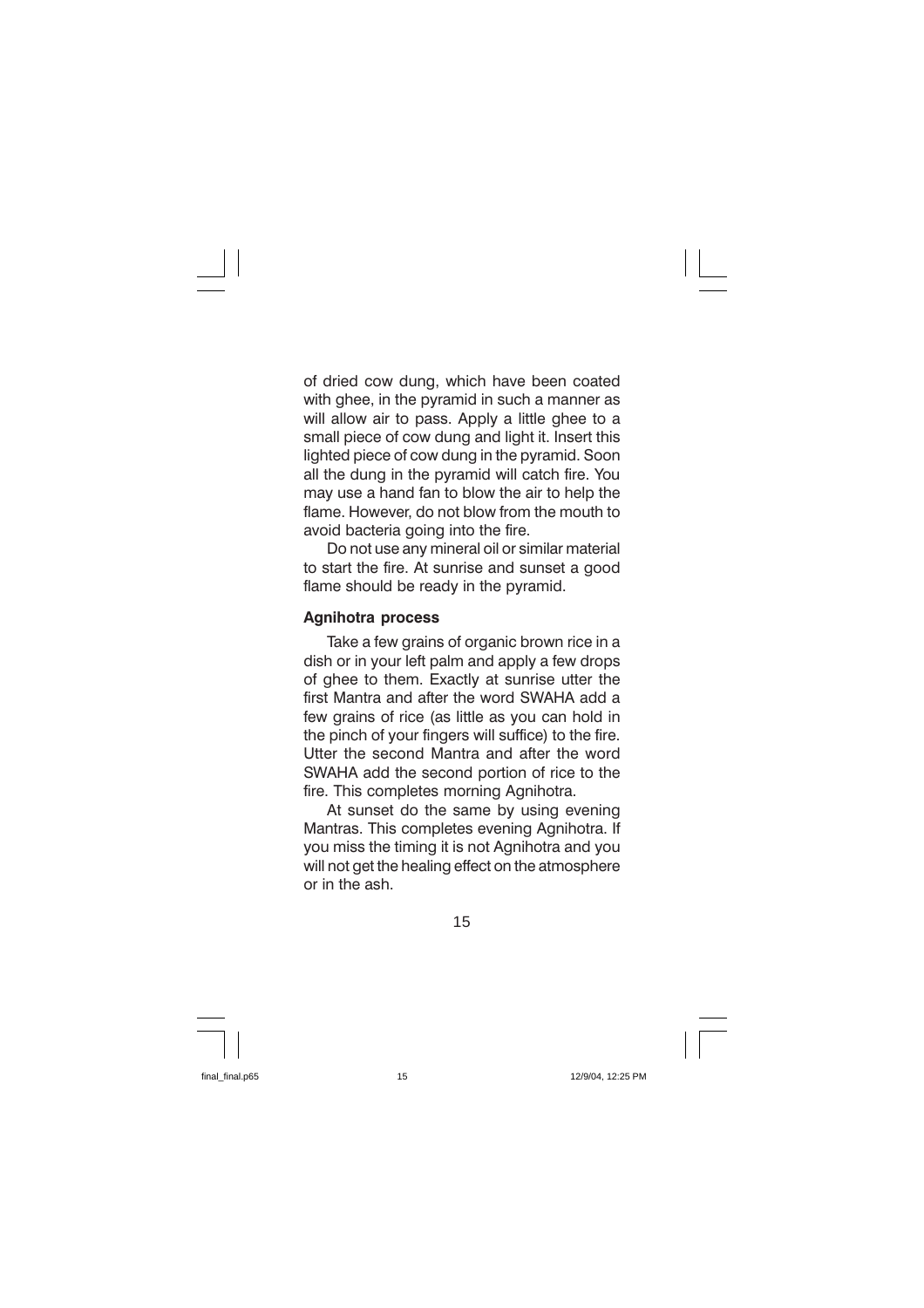of dried cow dung, which have been coated with ghee, in the pyramid in such a manner as will allow air to pass. Apply a little ghee to a small piece of cow dung and light it. Insert this lighted piece of cow dung in the pyramid. Soon all the dung in the pyramid will catch fire. You may use a hand fan to blow the air to help the flame. However, do not blow from the mouth to avoid bacteria going into the fire.

Do not use any mineral oil or similar material to start the fire. At sunrise and sunset a good flame should be ready in the pyramid.

#### **Agnihotra process**

Take a few grains of organic brown rice in a dish or in your left palm and apply a few drops of ghee to them. Exactly at sunrise utter the first Mantra and after the word SWAHA add a few grains of rice (as little as you can hold in the pinch of your fingers will suffice) to the fire. Utter the second Mantra and after the word SWAHA add the second portion of rice to the fire. This completes morning Agnihotra.

At sunset do the same by using evening Mantras. This completes evening Agnihotra. If you miss the timing it is not Agnihotra and you will not get the healing effect on the atmosphere or in the ash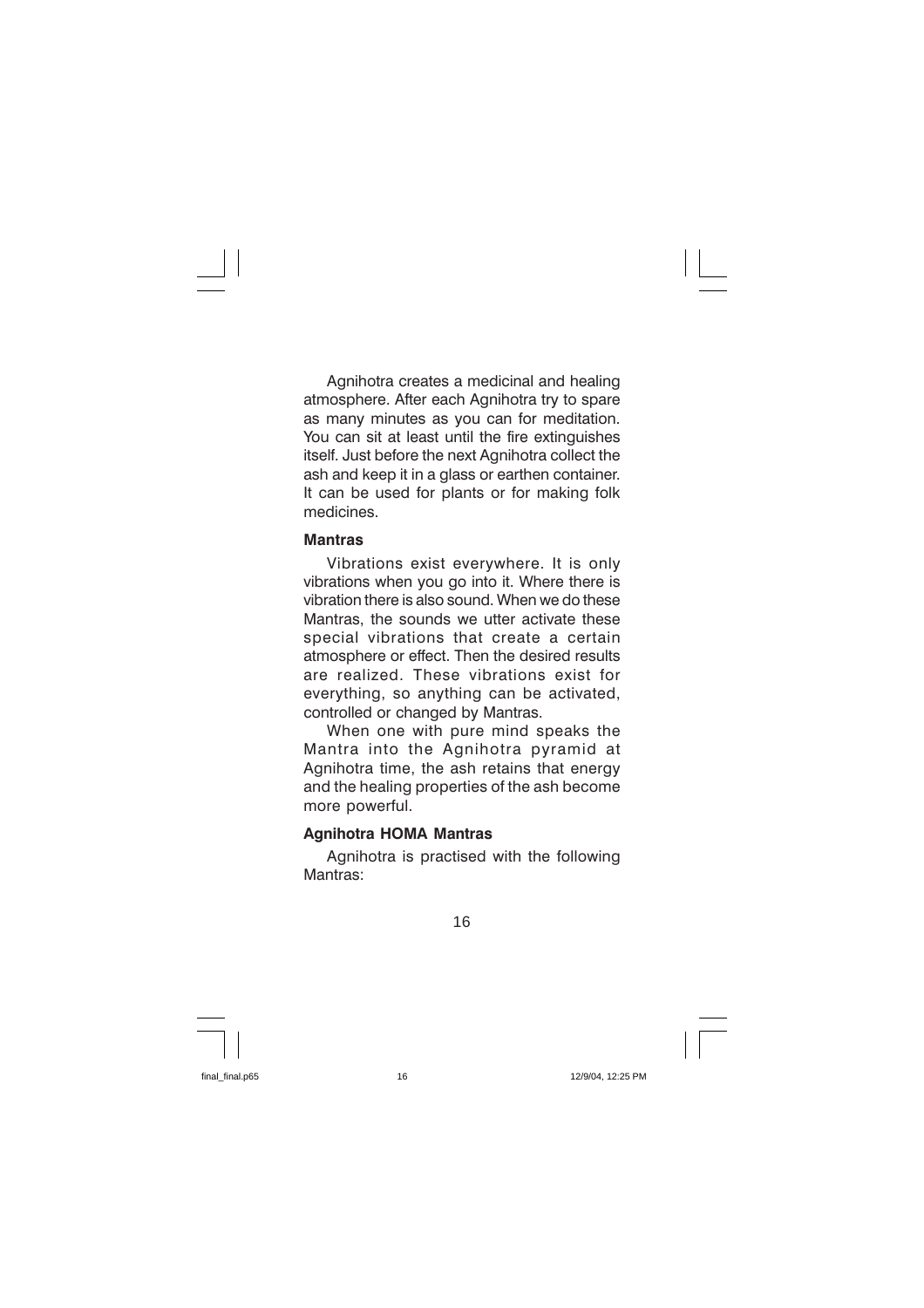Agnihotra creates a medicinal and healing atmosphere. After each Agnihotra try to spare as many minutes as you can for meditation. You can sit at least until the fire extinguishes itself. Just before the next Agnihotra collect the ash and keep it in a glass or earthen container. It can be used for plants or for making folk medicines

#### **Mantras**

Vibrations exist everywhere. It is only vibrations when you go into it. Where there is vibration there is also sound. When we do these Mantras, the sounds we utter activate these special vibrations that create a certain atmosphere or effect. Then the desired results are realized. These vibrations exist for everything, so anything can be activated, controlled or changed by Mantras.

When one with pure mind speaks the Mantra into the Agnihotra pyramid at Agnihotra time, the ash retains that energy and the healing properties of the ash become more powerful.

#### **Agnihotra HOMA Mantras**

Agnihotra is practised with the following Mantras<sup>.</sup>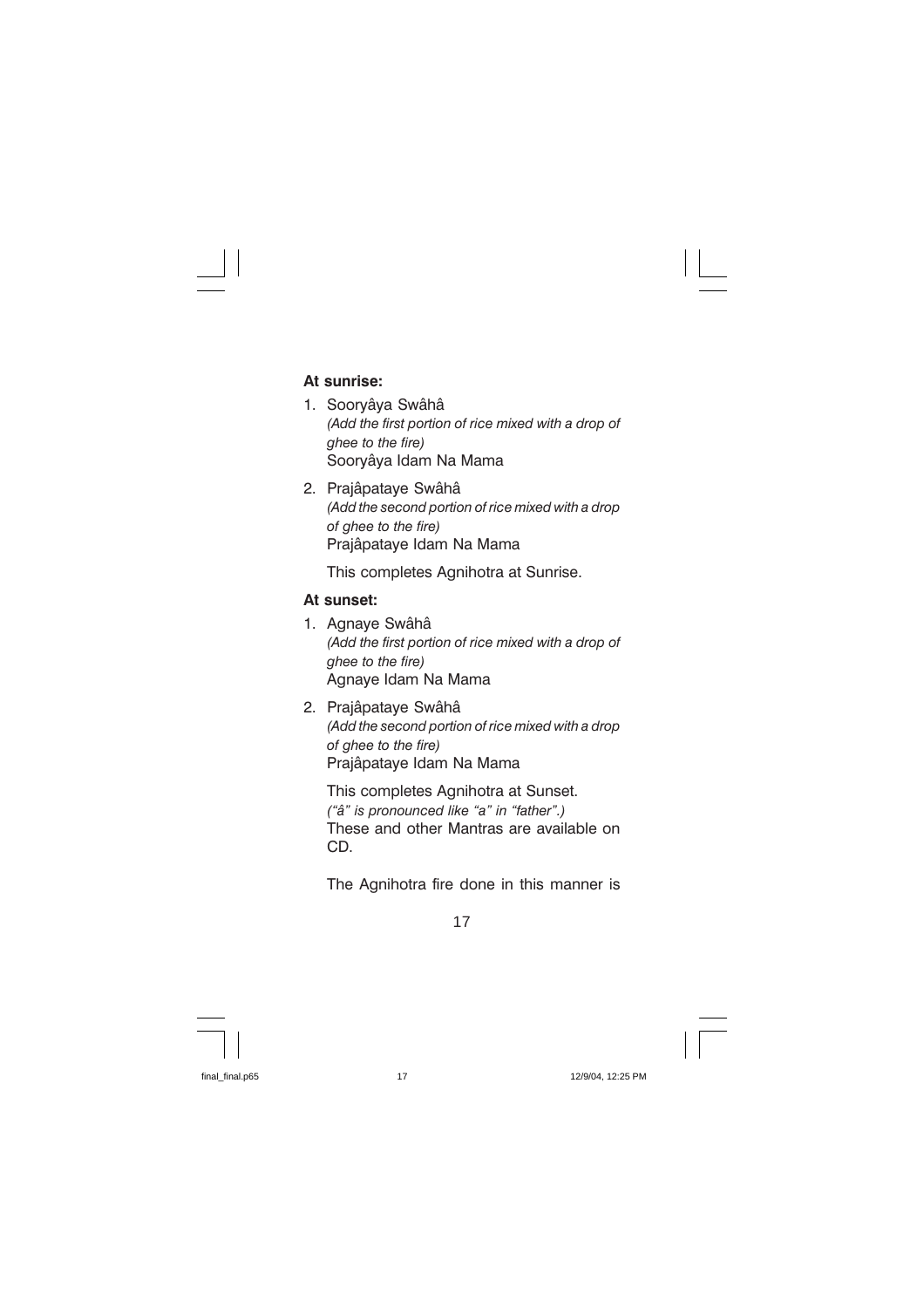### At sunrise:

- 1. Sooryâya Swâhâ (Add the first portion of rice mixed with a drop of ahee to the fire) Soorvâva Idam Na Mama
- 2. Prajâpatave Swâhâ (Add the second portion of rice mixed with a drop of ahee to the fire) Prajâpataye Idam Na Mama

This completes Agnihotra at Sunrise.

#### At sunset:

- 1. Agnaye Swâhâ (Add the first portion of rice mixed with a drop of ghee to the fire) Agnaye Idam Na Mama
- 2. Prajâpataye Swâhâ (Add the second portion of rice mixed with a drop of ghee to the fire) Prajâpataye Idam Na Mama

This completes Agnihotra at Sunset. ("â" is pronounced like "a" in "father".) These and other Mantras are available on CD.

The Agnihotra fire done in this manner is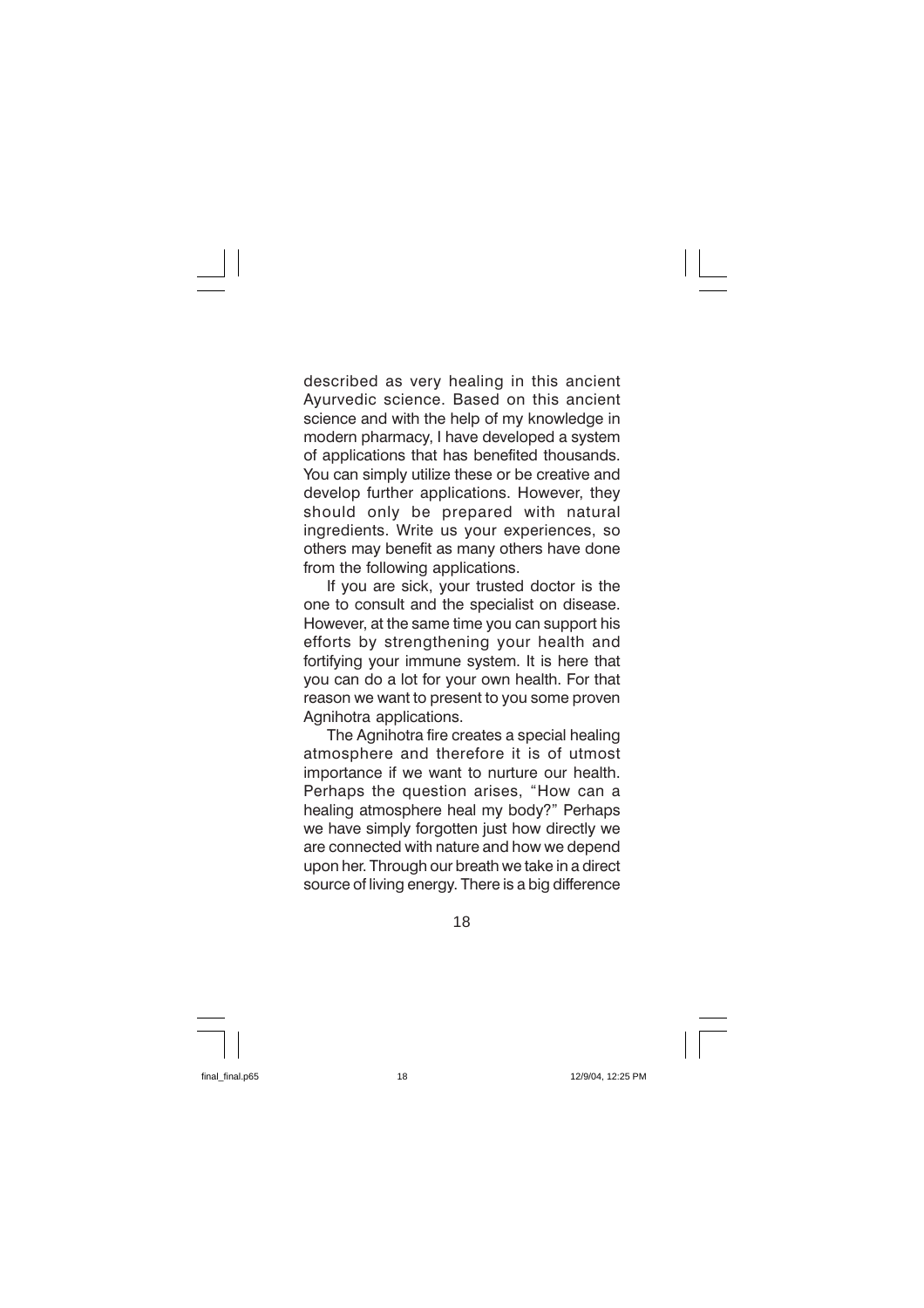described as very healing in this ancient Ayurvedic science. Based on this ancient science and with the help of my knowledge in modern pharmacy, I have developed a system of applications that has benefited thousands. You can simply utilize these or be creative and develop further applications. However, they should only be prepared with natural ingredients. Write us your experiences, so others may benefit as many others have done from the following applications.

If you are sick, your trusted doctor is the one to consult and the specialist on disease. However, at the same time you can support his efforts by strengthening your health and fortifying your immune system. It is here that you can do a lot for your own health. For that reason we want to present to you some proven Agnihotra applications.

The Agnihotra fire creates a special healing atmosphere and therefore it is of utmost importance if we want to nurture our health. Perhaps the question arises, "How can a healing atmosphere heal my body?" Perhaps we have simply forgotten just how directly we are connected with nature and how we depend upon her. Through our breath we take in a direct source of living energy. There is a big difference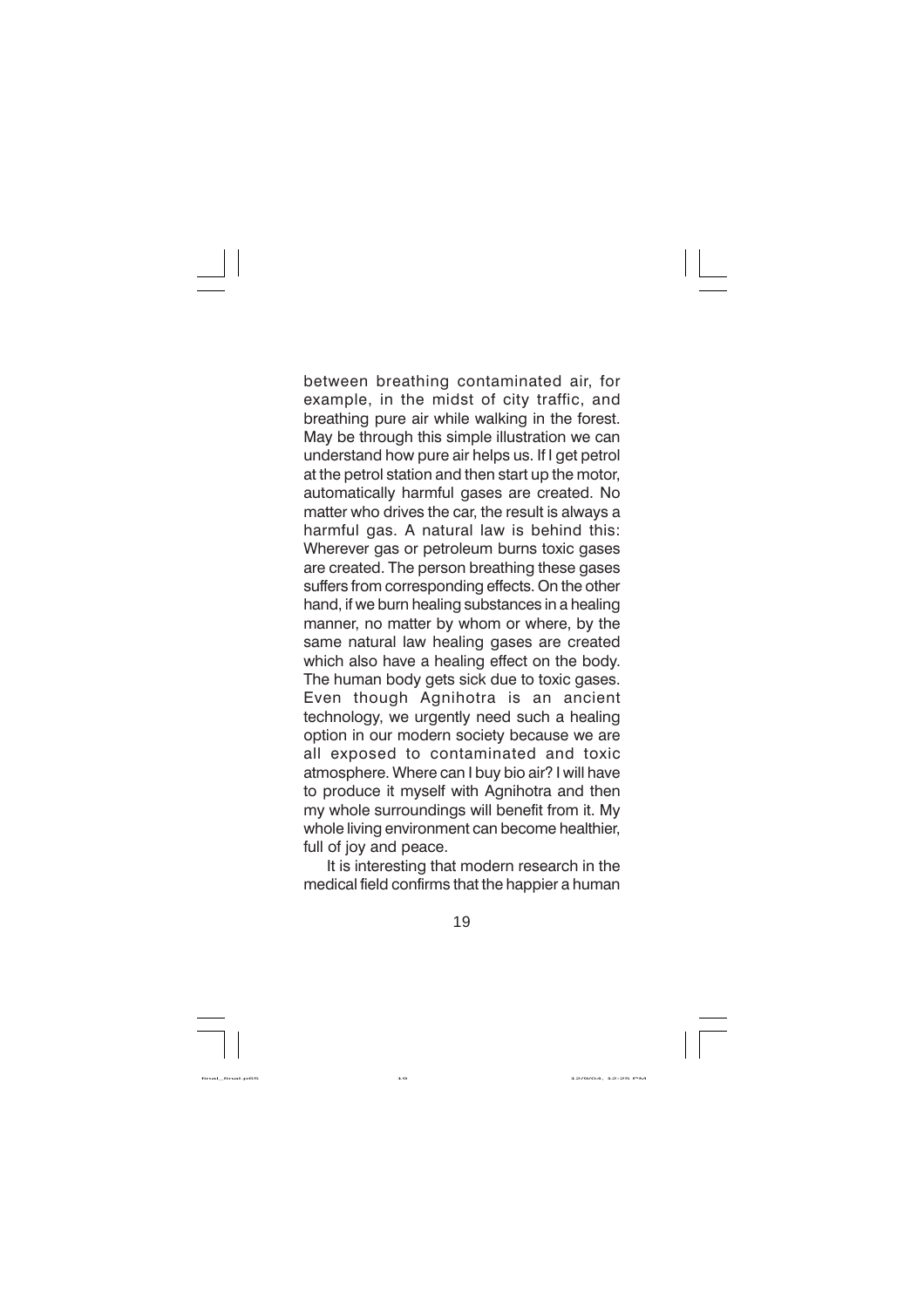between breathing contaminated air, for example, in the midst of city traffic, and breathing pure air while walking in the forest. May be through this simple illustration we can understand how pure air helps us. If I get petrol at the petrol station and then start up the motor, automatically harmful gases are created. No matter who drives the car, the result is always a harmful gas. A natural law is behind this: Wherever gas or petroleum burns toxic gases are created. The person breathing these gases suffers from corresponding effects. On the other hand, if we burn healing substances in a healing manner, no matter by whom or where, by the same natural law healing gases are created which also have a healing effect on the body. The human body gets sick due to toxic gases. Even though Agnihotra is an ancient technology, we urgently need such a healing option in our modern society because we are all exposed to contaminated and toxic atmosphere. Where can I buy bio air? I will have to produce it myself with Agnihotra and then my whole surroundings will benefit from it. My whole living environment can become healthier. full of joy and peace.

It is interesting that modern research in the medical field confirms that the happier a human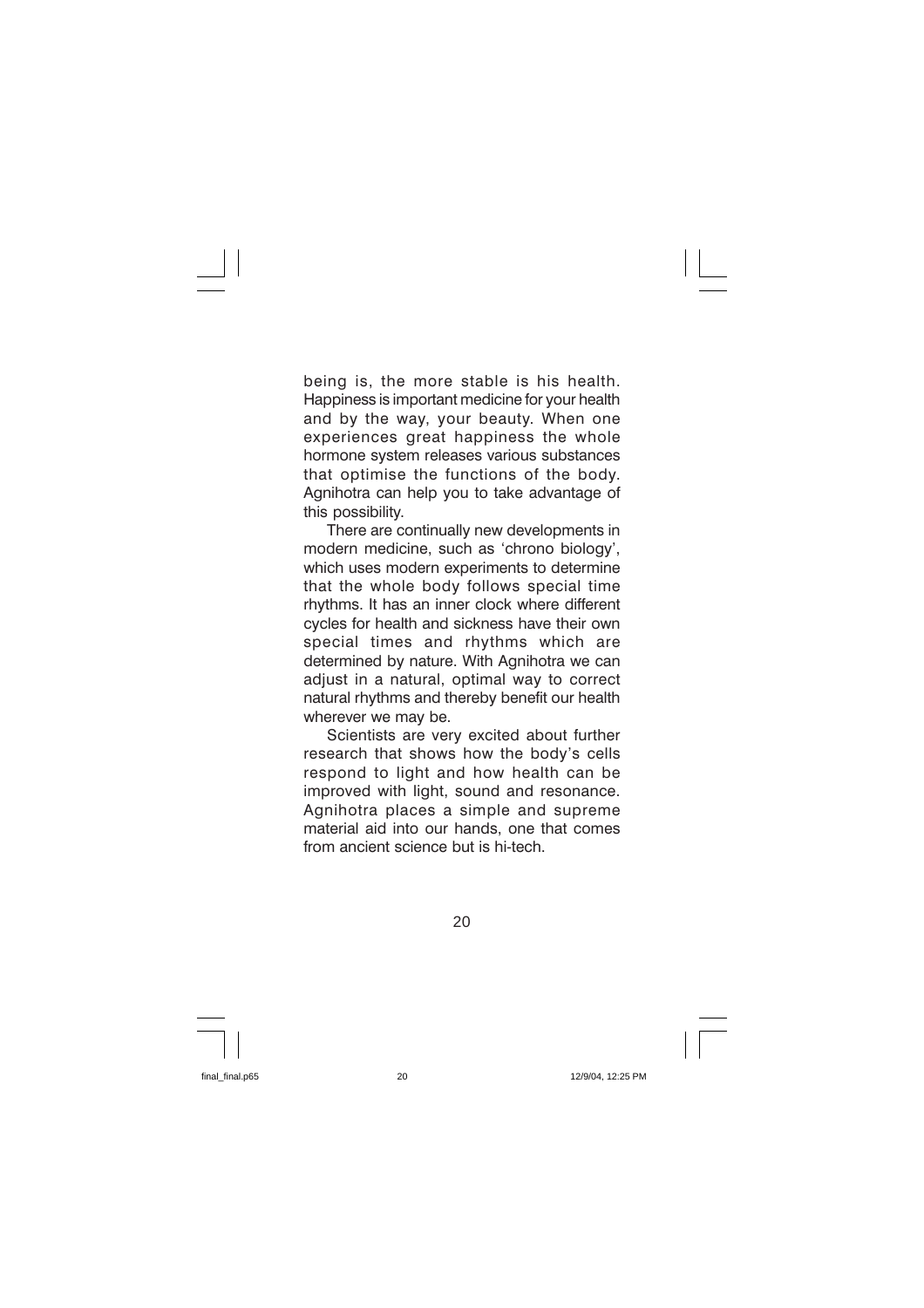being is, the more stable is his health. Happiness is important medicine for your health and by the way, your beauty. When one experiences great happiness the whole hormone system releases various substances that optimise the functions of the body. Agnihotra can help you to take advantage of this possibility.

There are continually new developments in modern medicine, such as 'chrono biology', which uses modern experiments to determine that the whole body follows special time rhythms. It has an inner clock where different cycles for health and sickness have their own special times and rhythms which are determined by nature. With Agnihotra we can adjust in a natural, optimal way to correct natural rhythms and thereby benefit our health wherever we may be.

Scientists are very excited about further research that shows how the body's cells respond to light and how health can be improved with light, sound and resonance. Agnihotra places a simple and supreme material aid into our hands, one that comes from ancient science but is hi-tech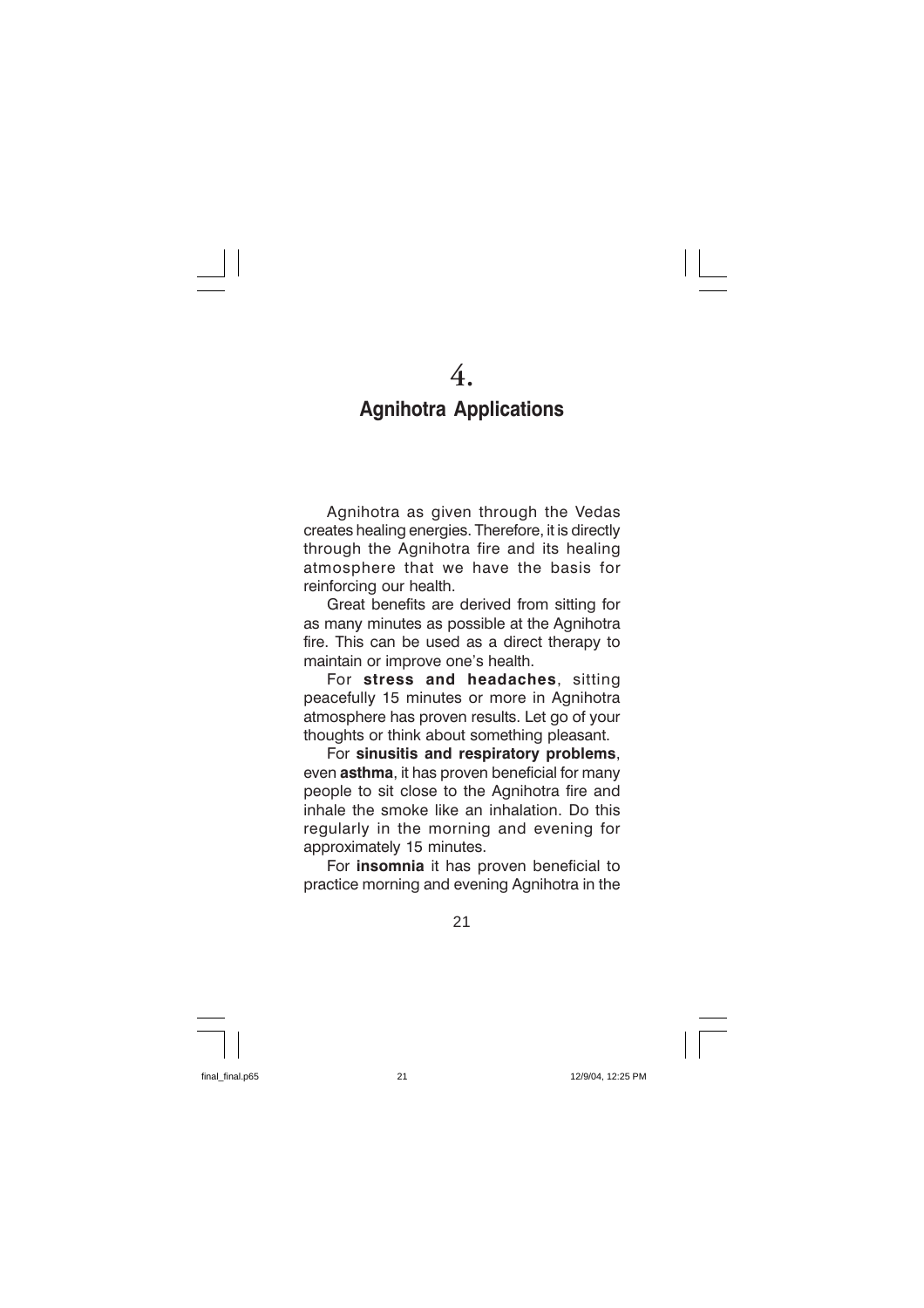# **Agnihotra Applications**

Agnihotra as given through the Vedas creates healing energies. Therefore, it is directly through the Agnihotra fire and its healing atmosphere that we have the basis for reinforcing our health.

Great benefits are derived from sitting for as many minutes as possible at the Agnihotra fire. This can be used as a direct therapy to maintain or improve one's health.

For stress and headaches, sitting peacefully 15 minutes or more in Agnihotra atmosphere has proven results. Let go of your thoughts or think about something pleasant.

For sinusitis and respiratory problems, even asthma. it has proven beneficial for many people to sit close to the Agnihotra fire and inhale the smoke like an inhalation. Do this regularly in the morning and evening for approximately 15 minutes.

For *insomnia* it has proven beneficial to practice morning and evening Agnihotra in the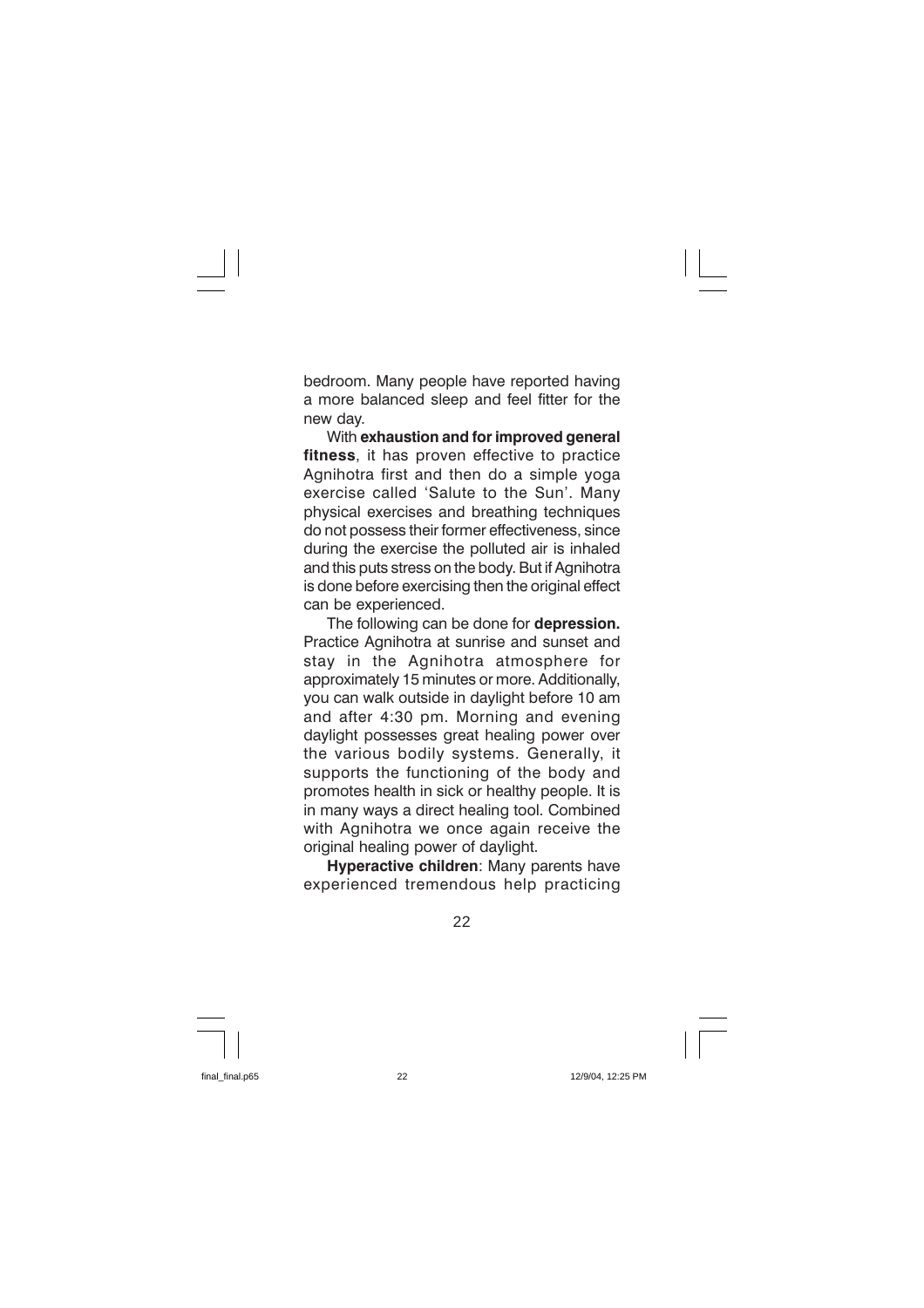bedroom. Many people have reported having a more balanced sleep and feel fitter for the new day.

With exhaustion and for improved general fitness, it has proven effective to practice Agnihotra first and then do a simple yoga exercise called 'Salute to the Sun'. Many physical exercises and breathing techniques do not possess their former effectiveness, since during the exercise the polluted air is inhaled and this puts stress on the body. But if Agnihotra is done before exercising then the original effect can be experienced.

The following can be done for depression. Practice Agnihotra at sunrise and sunset and stay in the Agnihotra atmosphere for approximately 15 minutes or more. Additionally. vou can walk outside in daylight before 10 am and after 4:30 pm. Morning and evening davlight possesses great healing power over the various bodily systems. Generally, it supports the functioning of the body and promotes health in sick or healthy people. It is in many ways a direct healing tool. Combined with Agnihotra we once again receive the original healing power of daylight.

Hyperactive children: Many parents have experienced tremendous help practicing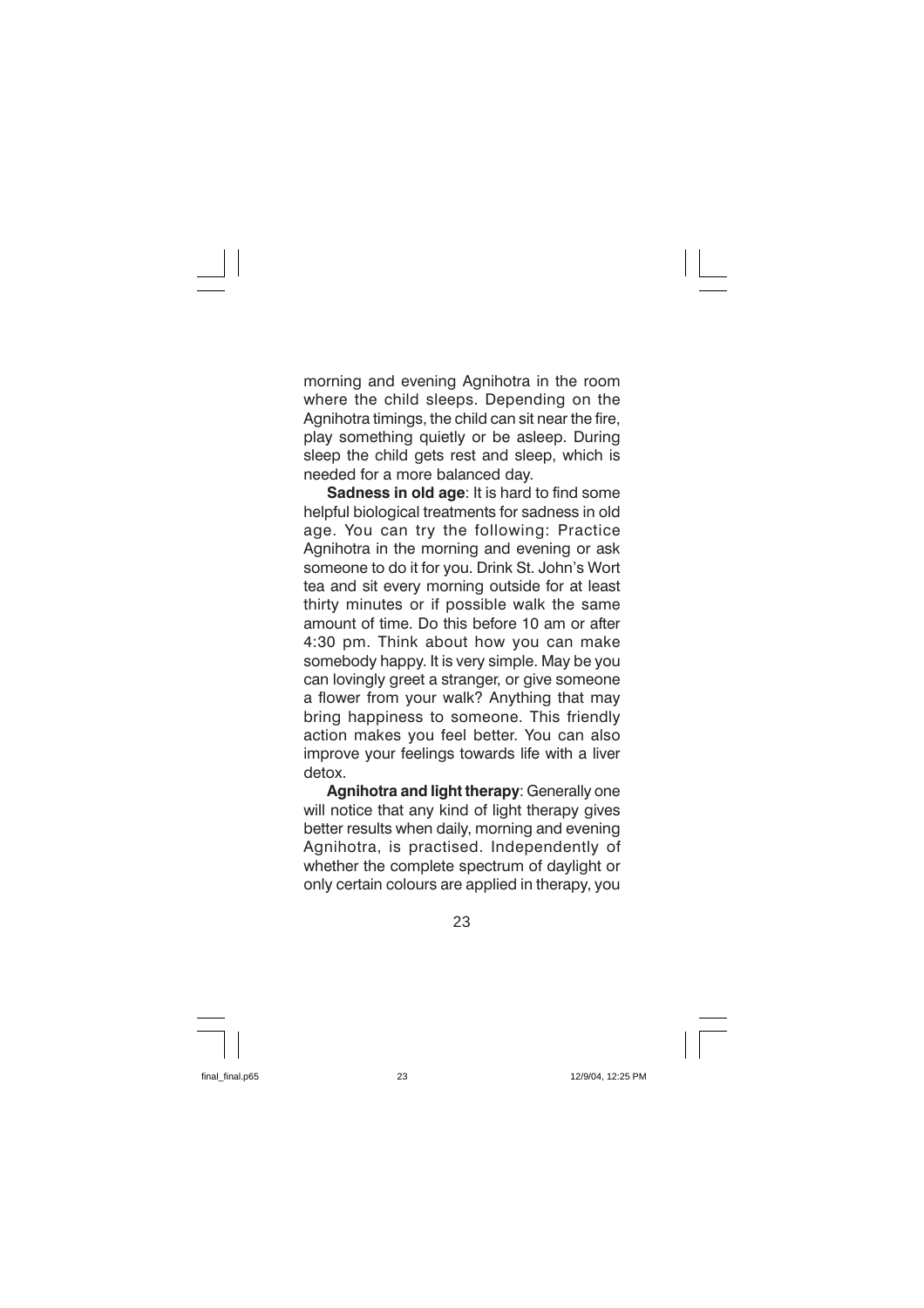morning and evening Agnihotra in the room where the child sleeps. Depending on the Agnihotra timings, the child can sit near the fire, play something quietly or be asleep. During sleep the child gets rest and sleep, which is needed for a more balanced day.

Sadness in old age: It is hard to find some helpful biological treatments for sadness in old age. You can try the following: Practice Agnihotra in the morning and evening or ask someone to do it for you. Drink St. John's Wort tea and sit every morning outside for at least thirty minutes or if possible walk the same amount of time. Do this before 10 am or after 4:30 pm. Think about how you can make somebody happy. It is very simple. May be you can lovingly greet a stranger, or give someone a flower from your walk? Anything that may bring happiness to someone. This friendly action makes you feel better. You can also improve your feelings towards life with a liver detox.

Agnihotra and light therapy: Generally one will notice that any kind of light therapy gives better results when daily, morning and evening Agnihotra, is practised. Independently of whether the complete spectrum of daylight or only certain colours are applied in therapy, you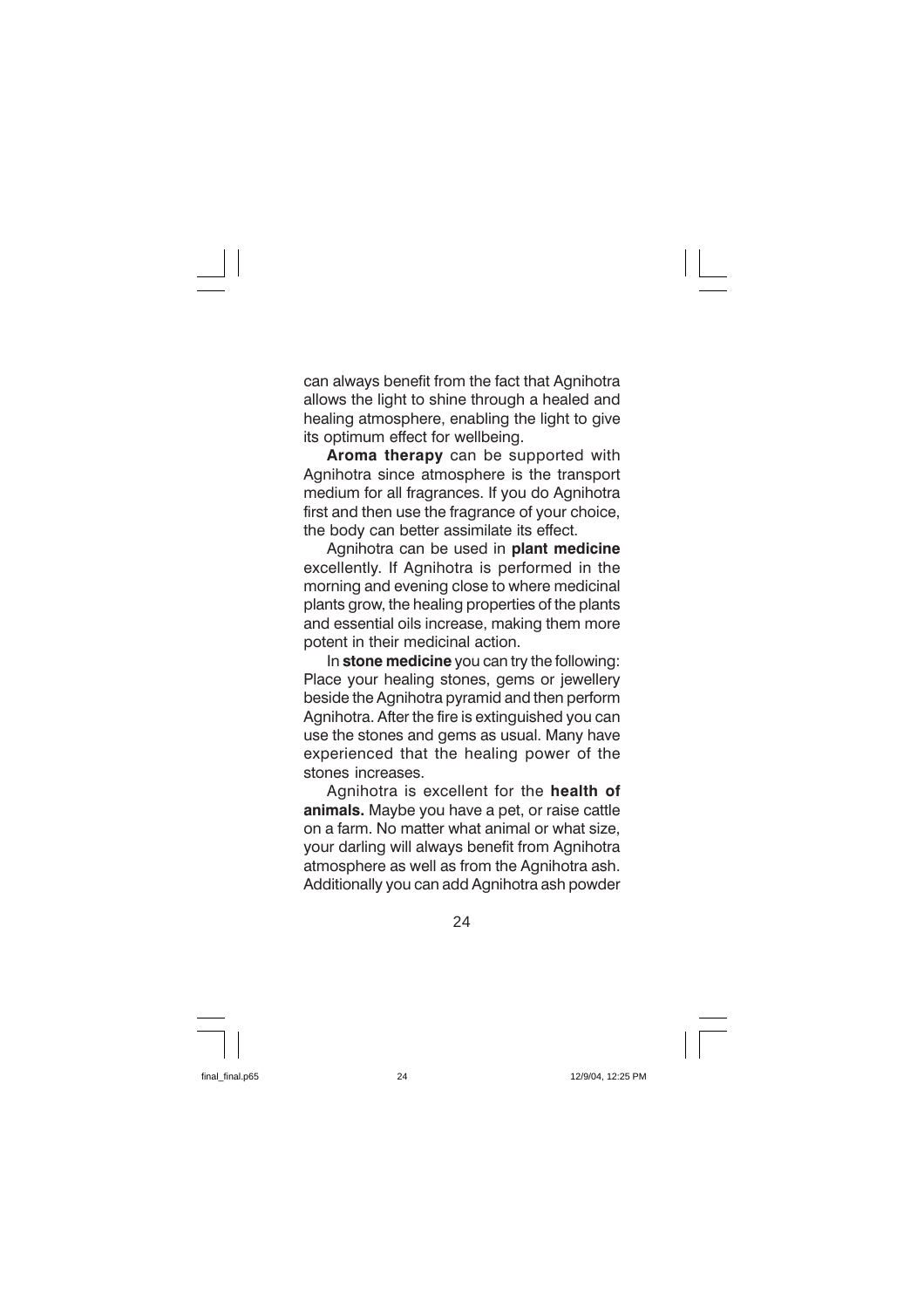can always benefit from the fact that Agnihotra allows the light to shine through a healed and healing atmosphere, enabling the light to give its optimum effect for wellbeing.

Aroma therapy can be supported with Agnihotra since atmosphere is the transport medium for all fragrances. If you do Agnihotra first and then use the fragrance of your choice, the body can better assimilate its effect.

Agnihotra can be used in plant medicine excellently. If Agnihotra is performed in the morning and evening close to where medicinal plants grow, the healing properties of the plants and essential oils increase, making them more potent in their medicinal action.

In stone medicine you can try the following: Place your healing stones, gems or jewellery beside the Agnihotra pyramid and then perform Agnihotra. After the fire is extinguished you can use the stones and gems as usual. Many have experienced that the healing power of the stones increases.

Agnihotra is excellent for the health of animals. Maybe you have a pet, or raise cattle on a farm. No matter what animal or what size. your darling will always benefit from Agnihotra atmosphere as well as from the Agnihotra ash. Additionally you can add Agnihotra ash powder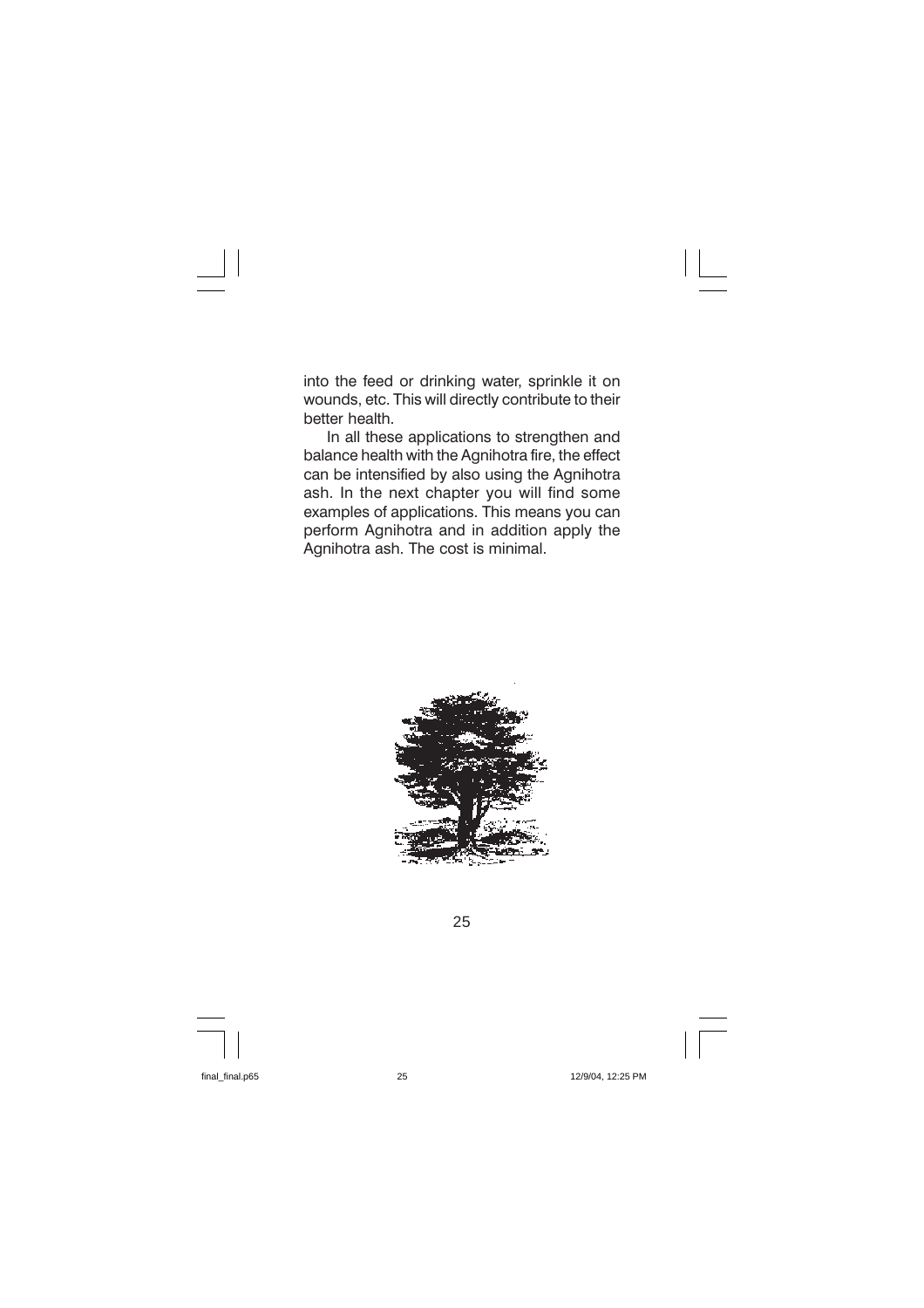into the feed or drinking water, sprinkle it on wounds, etc. This will directly contribute to their better health.

In all these applications to strengthen and balance health with the Agnihotra fire, the effect can be intensified by also using the Agnihotra ash. In the next chapter you will find some examples of applications. This means you can perform Agnihotra and in addition apply the Agnihotra ash. The cost is minimal.

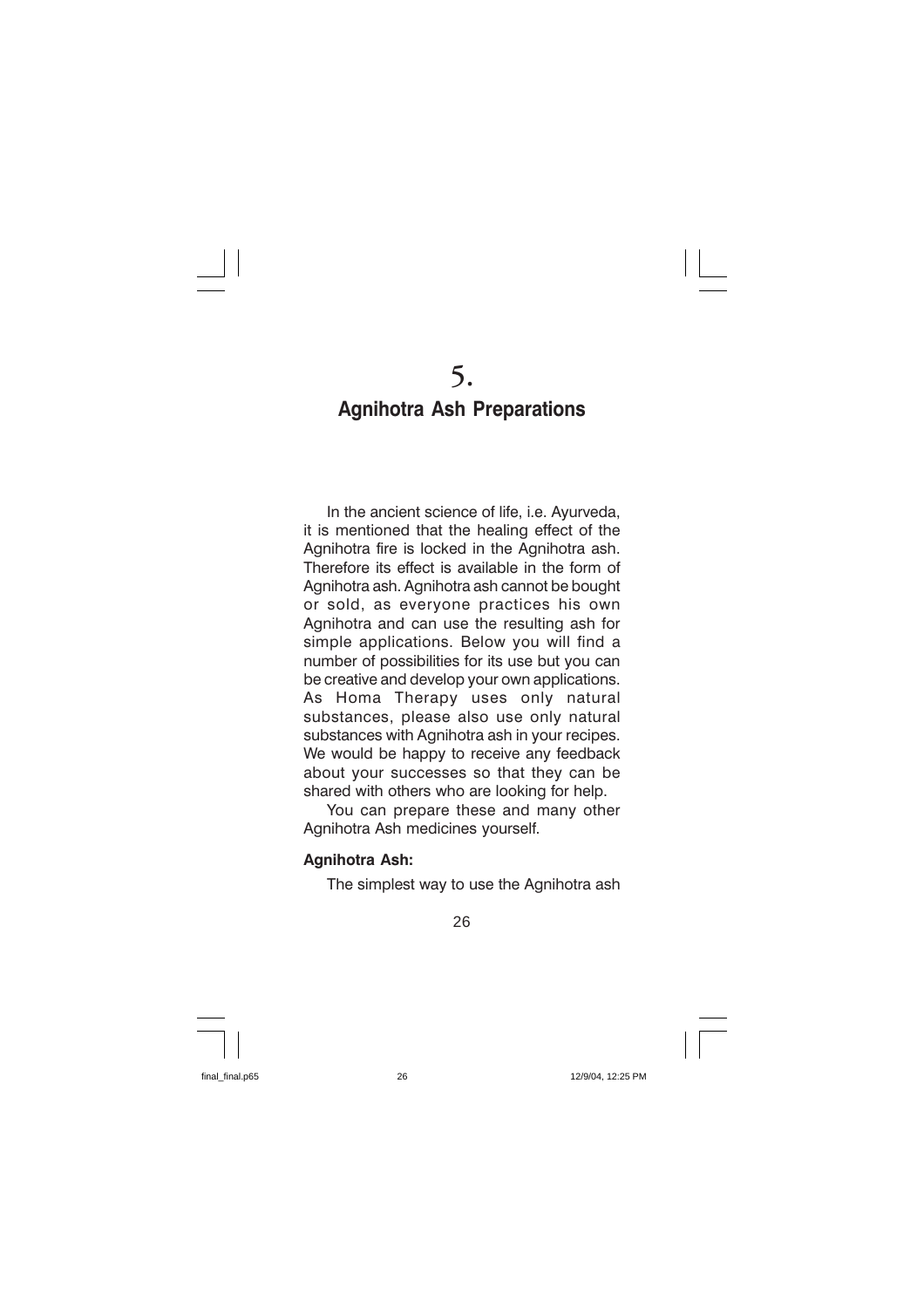### **Agnihotra Ash Preparations**

In the ancient science of life, i.e. Ayurveda, it is mentioned that the healing effect of the Agnihotra fire is locked in the Agnihotra ash. Therefore its effect is available in the form of Agnihotra ash. Agnihotra ash cannot be bought or sold, as everyone practices his own Agnihotra and can use the resulting ash for simple applications. Below you will find a number of possibilities for its use but you can be creative and develop your own applications. Homa Therapy uses only natural As substances, please also use only natural substances with Agnihotra ash in your recipes. We would be happy to receive any feedback about your successes so that they can be shared with others who are looking for help.

You can prepare these and many other Agnihotra Ash medicines vourself.

#### **Agnihotra Ash:**

The simplest way to use the Agnihotra ash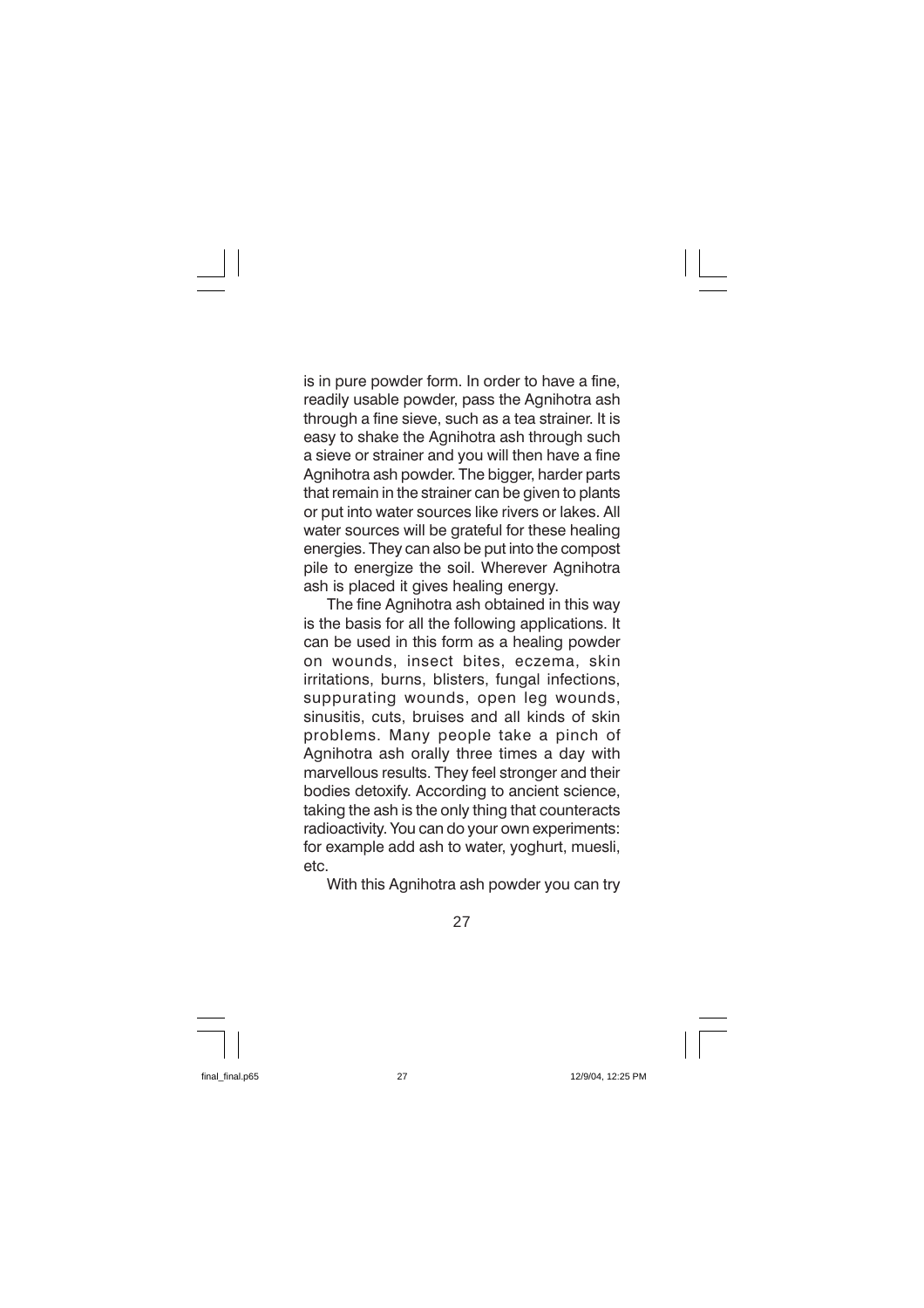is in pure powder form. In order to have a fine, readily usable powder, pass the Agnihotra ash through a fine sieve, such as a tea strainer. It is easy to shake the Agnihotra ash through such a sieve or strainer and you will then have a fine Agnihotra ash powder. The bigger, harder parts that remain in the strainer can be given to plants or put into water sources like rivers or lakes. All water sources will be grateful for these healing energies. They can also be put into the compost pile to energize the soil. Wherever Agnihotra ash is placed it gives healing energy.

The fine Agnihotra ash obtained in this way is the basis for all the following applications. It can be used in this form as a healing powder on wounds, insect bites, eczema, skin irritations, burns, blisters, fungal infections, suppurating wounds, open leg wounds, sinusitis, cuts, bruises and all kinds of skin problems. Many people take a pinch of Agnihotra ash orally three times a day with marvellous results. They feel stronger and their bodies detoxify. According to ancient science, taking the ash is the only thing that counteracts radioactivity. You can do your own experiments: for example add ash to water, yoghurt, muesli,  $etc.$ 

With this Agnihotra ash powder you can try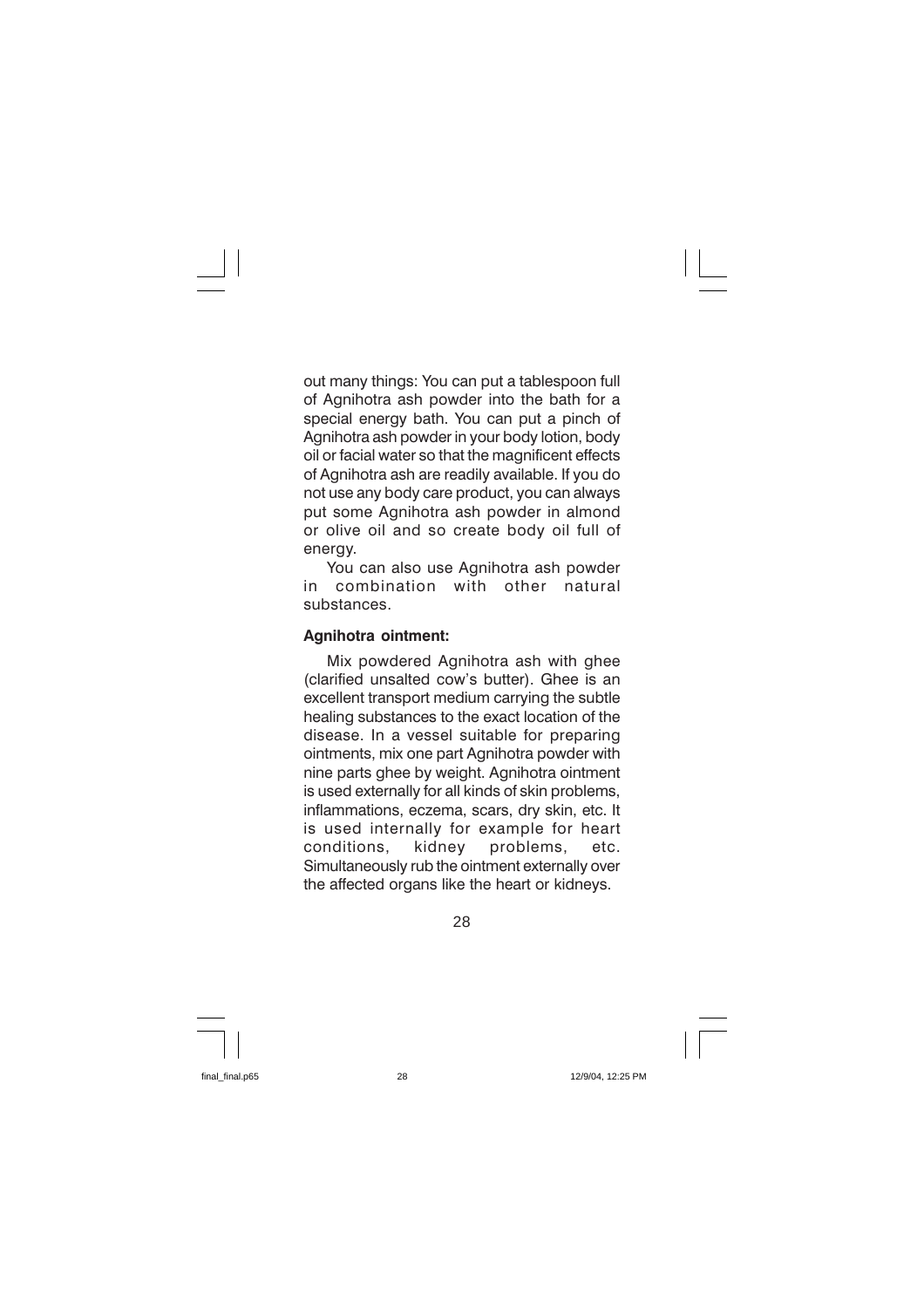out many things: You can put a tablespoon full of Agnihotra ash powder into the bath for a special energy bath. You can put a pinch of Agnihotra ash powder in your body lotion, body oil or facial water so that the magnificent effects of Agnihotra ash are readily available. If you do not use any body care product, you can always put some Agnihotra ash powder in almond or olive oil and so create body oil full of energy.

You can also use Agnihotra ash powder combination with other natural in substances

#### Agnihotra ointment:

Mix powdered Agnihotra ash with ghee (clarified unsalted cow's butter). Ghee is an excellent transport medium carrying the subtle healing substances to the exact location of the disease. In a vessel suitable for preparing ointments, mix one part Agnihotra powder with nine parts ghee by weight. Agnihotra ointment is used externally for all kinds of skin problems. inflammations, eczema, scars, dry skin, etc. It is used internally for example for heart conditions, kidnev problems. etc. Simultaneously rub the ointment externally over the affected organs like the heart or kidneys.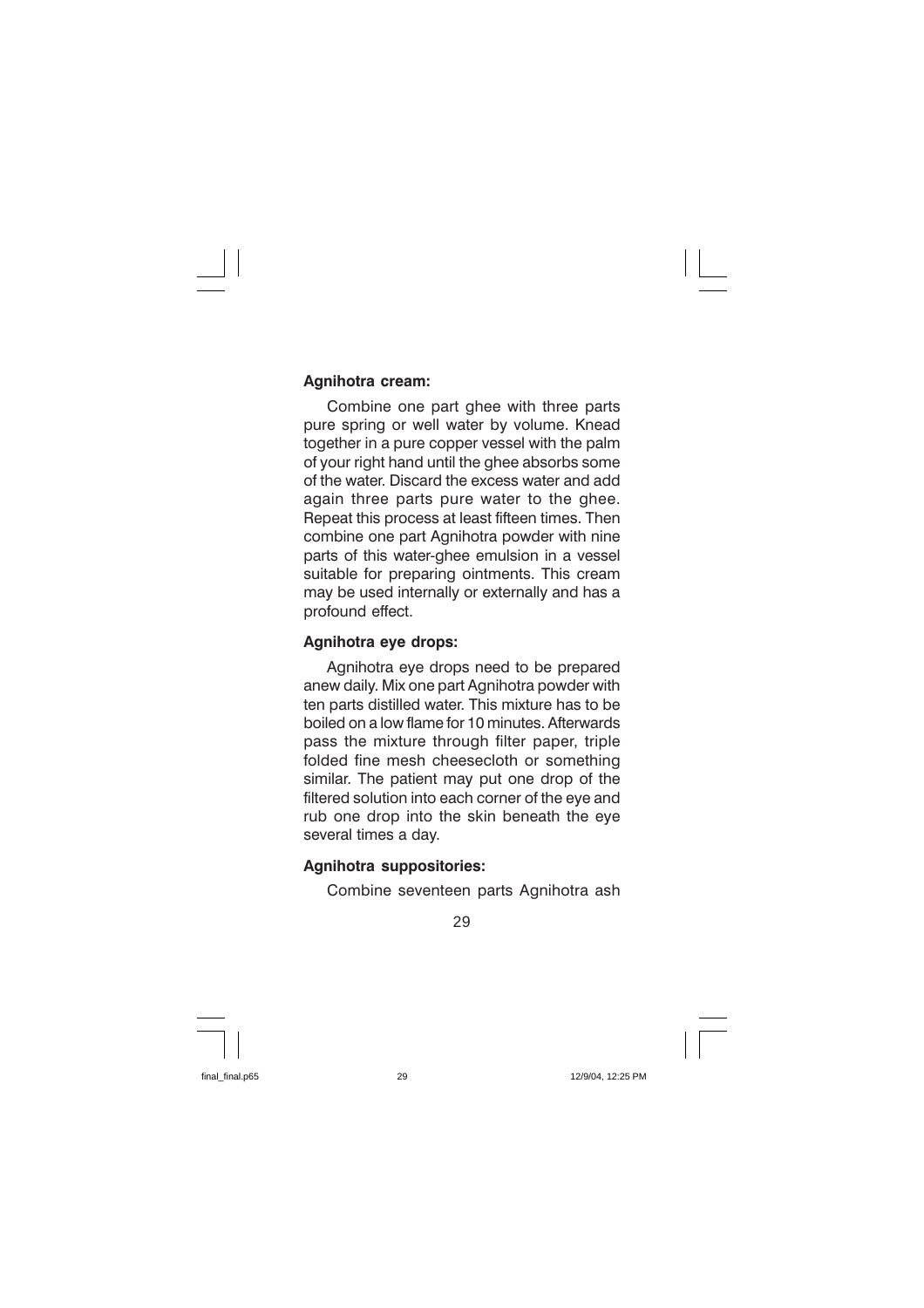#### Agnihotra cream:

Combine one part ghee with three parts pure spring or well water by volume. Knead together in a pure copper vessel with the palm of your right hand until the ghee absorbs some of the water. Discard the excess water and add again three parts pure water to the ghee. Repeat this process at least fifteen times. Then combine one part Agnihotra powder with nine parts of this water-ghee emulsion in a vessel suitable for preparing ointments. This cream may be used internally or externally and has a profound effect.

#### Agnihotra eye drops:

Agnihotra eye drops need to be prepared anew daily. Mix one part Agnihotra powder with ten parts distilled water. This mixture has to be boiled on a low flame for 10 minutes. Afterwards pass the mixture through filter paper, triple folded fine mesh cheesecloth or something similar. The patient may put one drop of the filtered solution into each corner of the eve and rub one drop into the skin beneath the eve several times a day.

#### **Agnihotra suppositories:**

Combine seventeen parts Agnihotra ash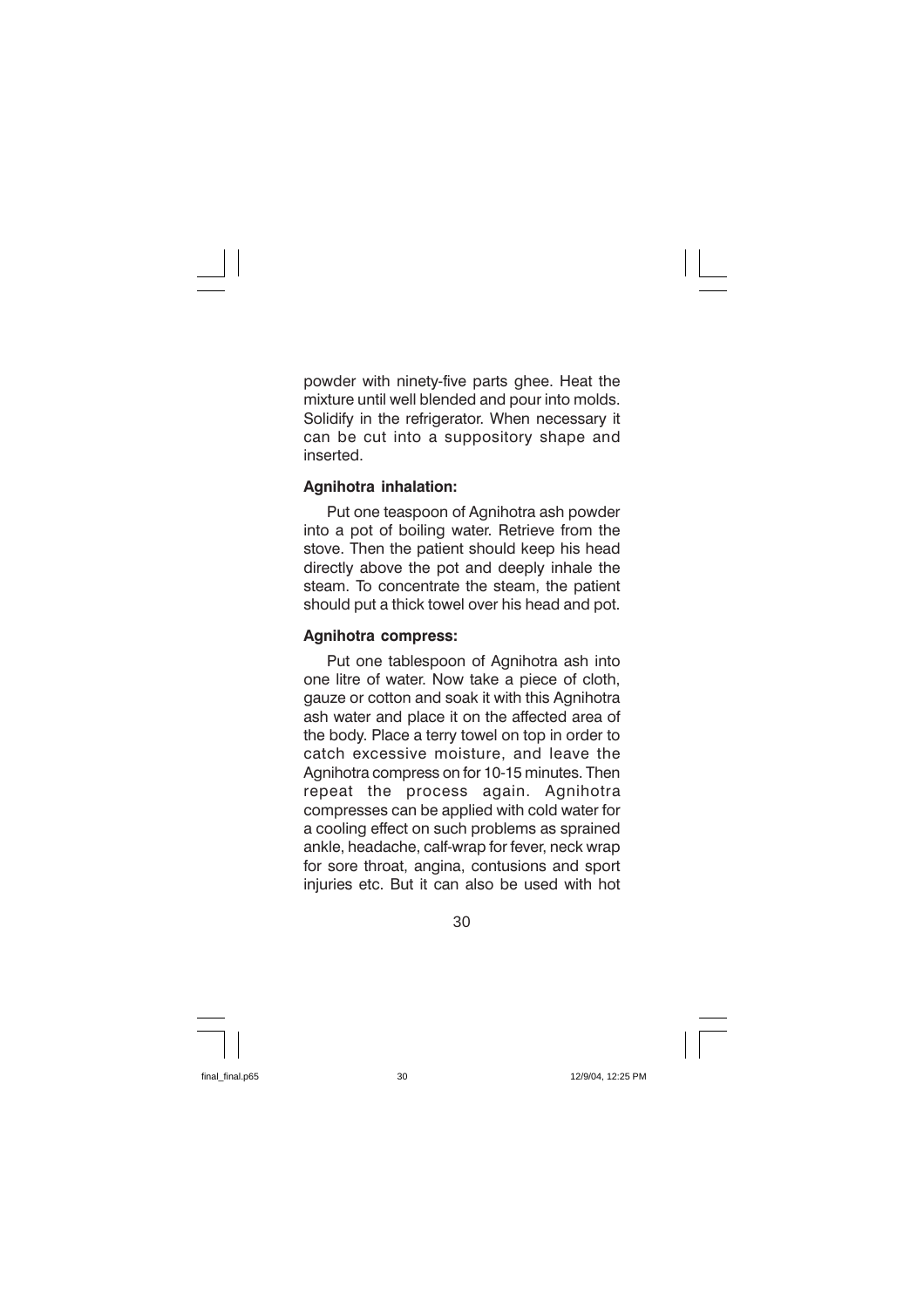powder with ninety-five parts ghee. Heat the mixture until well blended and pour into molds. Solidify in the refrigerator. When necessary it can be cut into a suppository shape and inserted.

#### Agnihotra inhalation:

Put one teaspoon of Agnihotra ash powder into a pot of boiling water. Retrieve from the stove. Then the patient should keep his head directly above the pot and deeply inhale the steam. To concentrate the steam, the patient should put a thick towel over his head and pot.

#### **Agnihotra compress:**

Put one tablespoon of Agnihotra ash into one litre of water. Now take a piece of cloth, gauze or cotton and soak it with this Agnihotra ash water and place it on the affected area of the body. Place a terry towel on top in order to catch excessive moisture, and leave the Agnihotra compress on for 10-15 minutes. Then repeat the process again. Agnihotra compresses can be applied with cold water for a cooling effect on such problems as sprained ankle, headache, calf-wrap for fever, neck wrap for sore throat, angina, contusions and sport injuries etc. But it can also be used with hot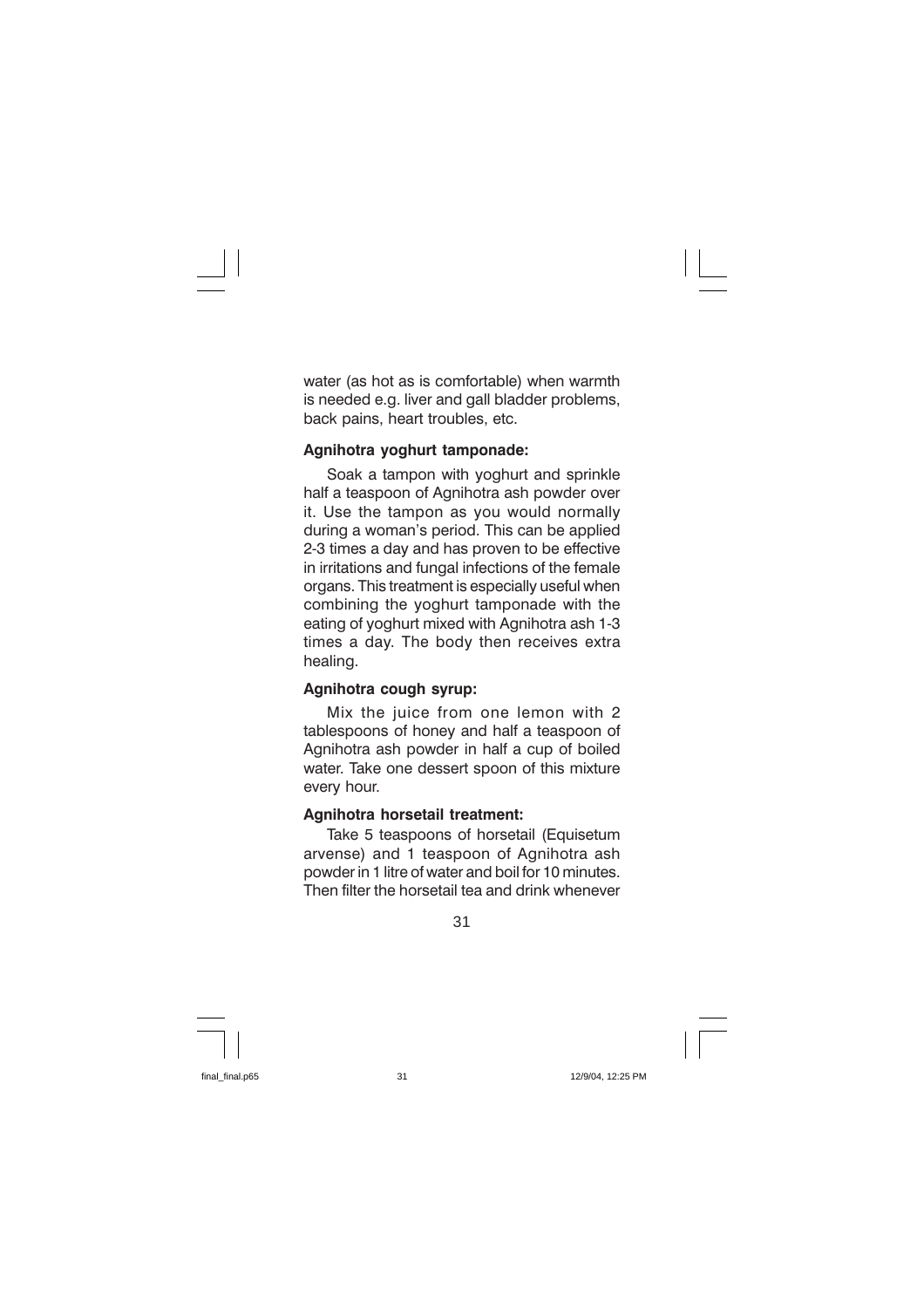water (as hot as is comfortable) when warmth is needed e.g. liver and gall bladder problems, back pains, heart troubles, etc.

#### Agnihotra yoghurt tamponade:

Soak a tampon with yoghurt and sprinkle half a teaspoon of Agnihotra ash powder over it. Use the tampon as you would normally during a woman's period. This can be applied 2-3 times a day and has proven to be effective in irritations and fungal infections of the female organs. This treatment is especially useful when combining the yoghurt tamponade with the eating of yoghurt mixed with Agnihotra ash 1-3 times a day. The body then receives extra healing.

#### Agnihotra cough syrup:

Mix the juice from one lemon with 2 tablespoons of honey and half a teaspoon of Agnihotra ash powder in half a cup of boiled water. Take one dessert spoon of this mixture every hour.

#### Agnihotra horsetail treatment:

Take 5 teaspoons of horsetail (Equisetum arvense) and 1 teaspoon of Agnihotra ash powder in 1 litre of water and boil for 10 minutes. Then filter the horsetail tea and drink whenever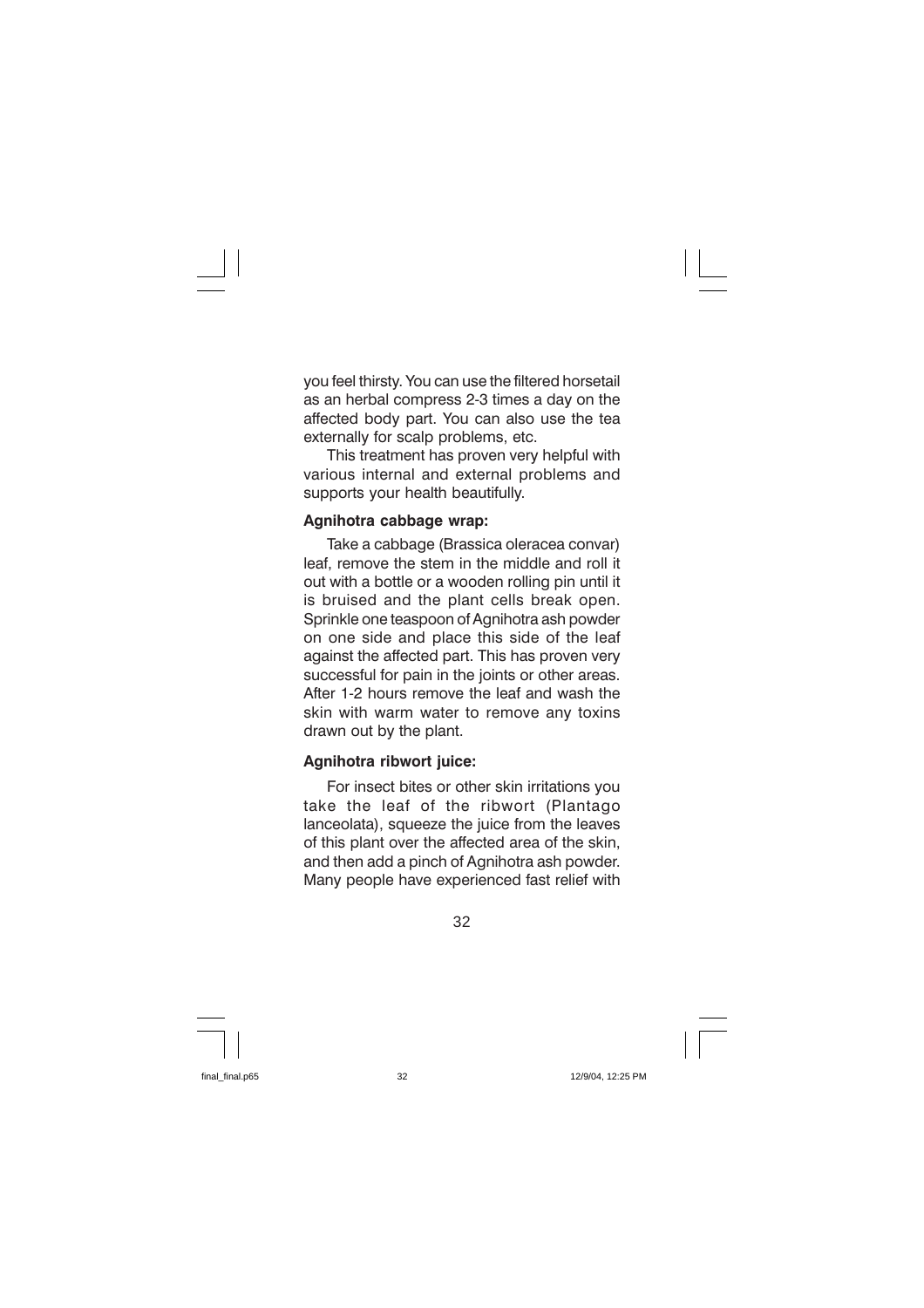you feel thirsty. You can use the filtered horsetail as an herbal compress 2-3 times a day on the affected body part. You can also use the tea externally for scalp problems, etc.

This treatment has proven very helpful with various internal and external problems and supports your health beautifully.

#### Agnihotra cabbage wrap:

Take a cabbage (Brassica oleracea convar) leaf, remove the stem in the middle and roll it out with a bottle or a wooden rolling pin until it is bruised and the plant cells break open. Sprinkle one teaspoon of Agnihotra ash powder on one side and place this side of the leaf against the affected part. This has proven very successful for pain in the joints or other areas. After 1-2 hours remove the leaf and wash the skin with warm water to remove any toxins drawn out by the plant.

#### Agnihotra ribwort juice:

For insect bites or other skin irritations you take the leaf of the ribwort (Plantago lanceolata), squeeze the juice from the leaves of this plant over the affected area of the skin. and then add a pinch of Agnihotra ash powder. Many people have experienced fast relief with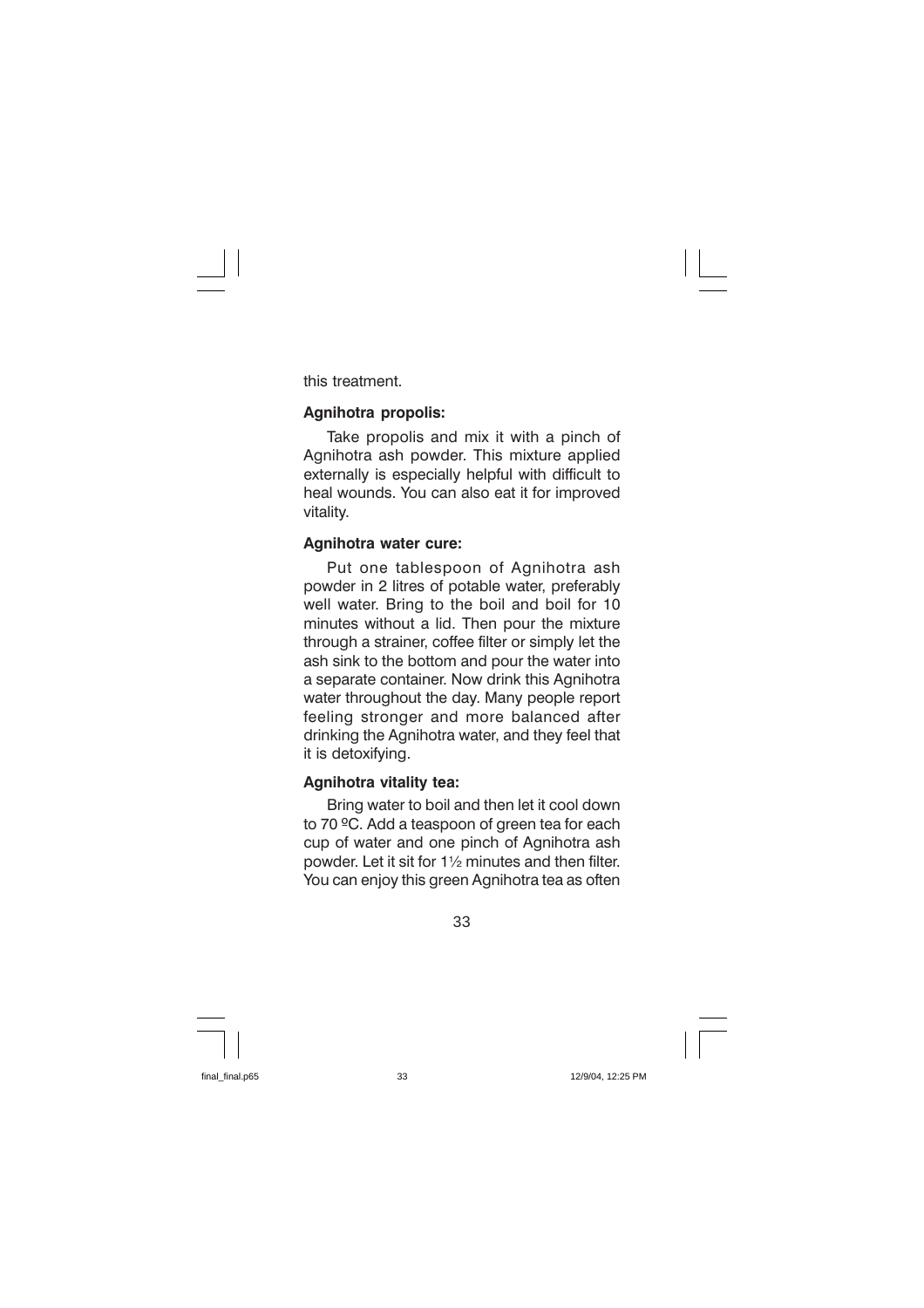this treatment.

#### **Agnihotra propolis:**

Take propolis and mix it with a pinch of Agnihotra ash powder. This mixture applied externally is especially helpful with difficult to heal wounds. You can also eat it for improved vitality.

#### Agnihotra water cure:

Put one tablespoon of Agnihotra ash powder in 2 litres of potable water, preferably well water. Bring to the boil and boil for 10 minutes without a lid. Then pour the mixture through a strainer, coffee filter or simply let the ash sink to the bottom and pour the water into a separate container. Now drink this Agnihotra water throughout the day. Many people report feeling stronger and more balanced after drinking the Agnihotra water, and they feel that it is detoxifvina.

#### Agnihotra vitality tea:

Bring water to boil and then let it cool down to 70 °C. Add a teaspoon of green tea for each cup of water and one pinch of Agnihotra ash powder. Let it sit for 11/2 minutes and then filter. You can enjoy this green Agnihotra tea as often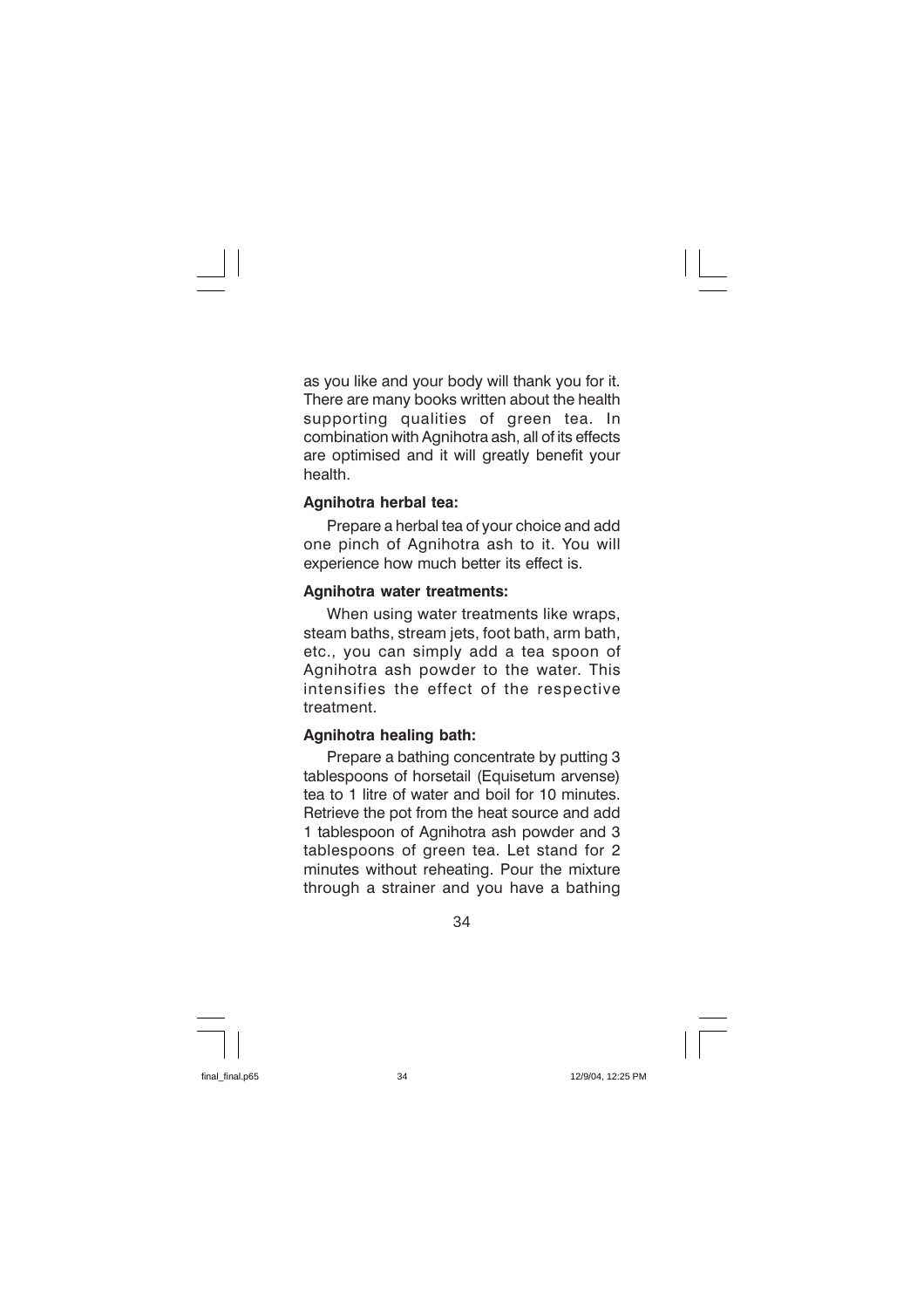as you like and your body will thank you for it. There are many books written about the health supporting qualities of green tea. In. combination with Agnihotra ash, all of its effects are optimised and it will greatly benefit your health

#### Agnihotra herbal tea:

Prepare a herbal tea of your choice and add one pinch of Agnihotra ash to it. You will experience how much better its effect is.

#### **Agnihotra water treatments:**

When using water treatments like wraps, steam baths, stream jets, foot bath, arm bath. etc., you can simply add a tea spoon of Agnihotra ash powder to the water. This intensifies the effect of the respective treatment

#### **Agnihotra healing bath:**

Prepare a bathing concentrate by putting 3 tablespoons of horsetail (Equisetum arvense) tea to 1 litre of water and boil for 10 minutes. Retrieve the pot from the heat source and add 1 tablespoon of Agnihotra ash powder and 3 tablespoons of green tea. Let stand for 2 minutes without reheating. Pour the mixture through a strainer and you have a bathing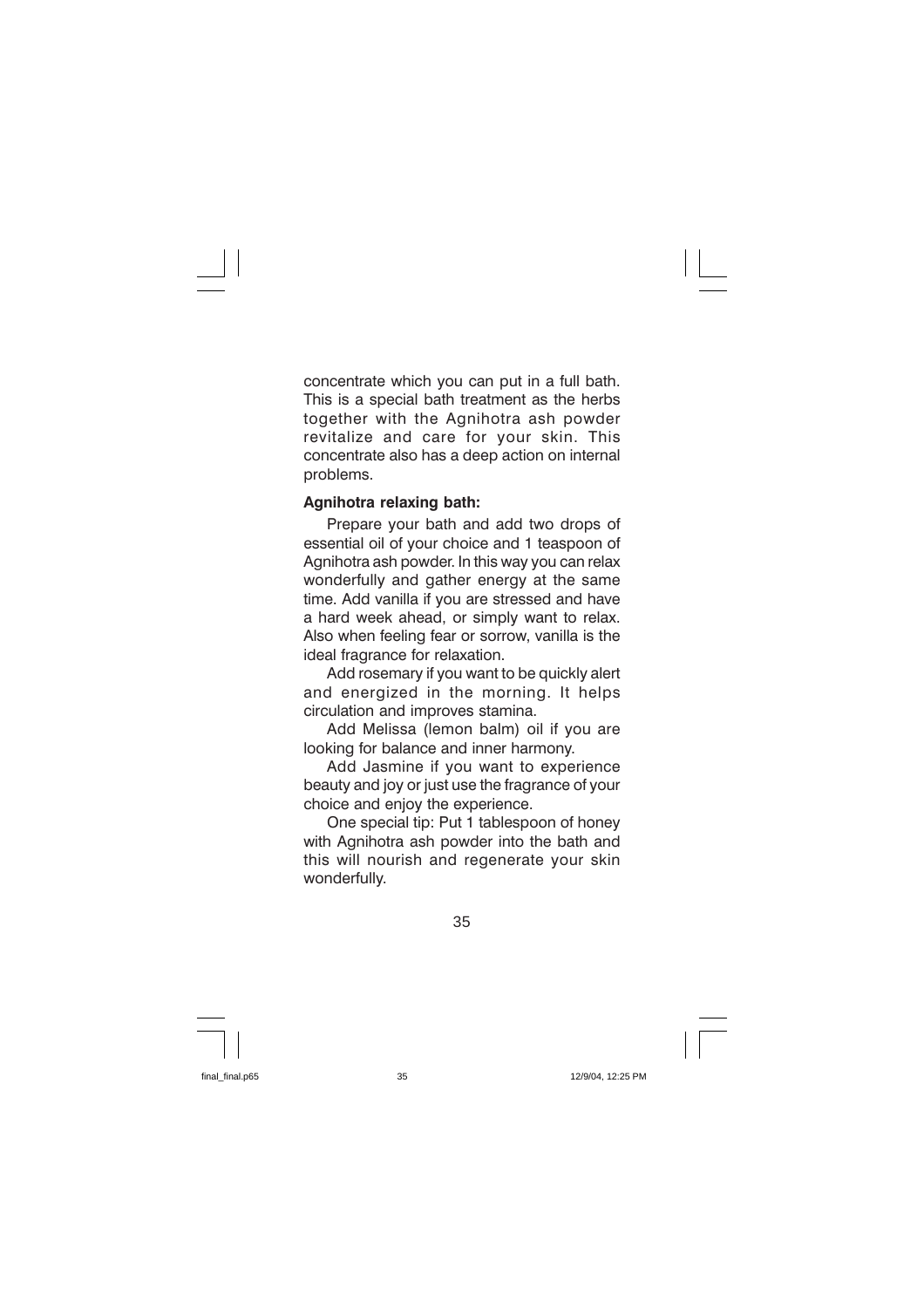concentrate which you can put in a full bath. This is a special bath treatment as the herbs together with the Agnihotra ash powder revitalize and care for your skin. This concentrate also has a deep action on internal problems.

#### Agnihotra relaxing bath:

Prepare your bath and add two drops of essential oil of your choice and 1 teaspoon of Agnihotra ash powder. In this way you can relax wonderfully and gather energy at the same time. Add vanilla if you are stressed and have a hard week ahead, or simply want to relax. Also when feeling fear or sorrow, vanilla is the ideal fragrance for relaxation.

Add rosemary if you want to be quickly alert and energized in the morning. It helps circulation and improves stamina.

Add Melissa (lemon balm) oil if you are looking for balance and inner harmony.

Add Jasmine if you want to experience beauty and joy or just use the fragrance of your choice and enjoy the experience.

One special tip: Put 1 tablespoon of honey with Agnihotra ash powder into the bath and this will nourish and regenerate your skin wonderfully.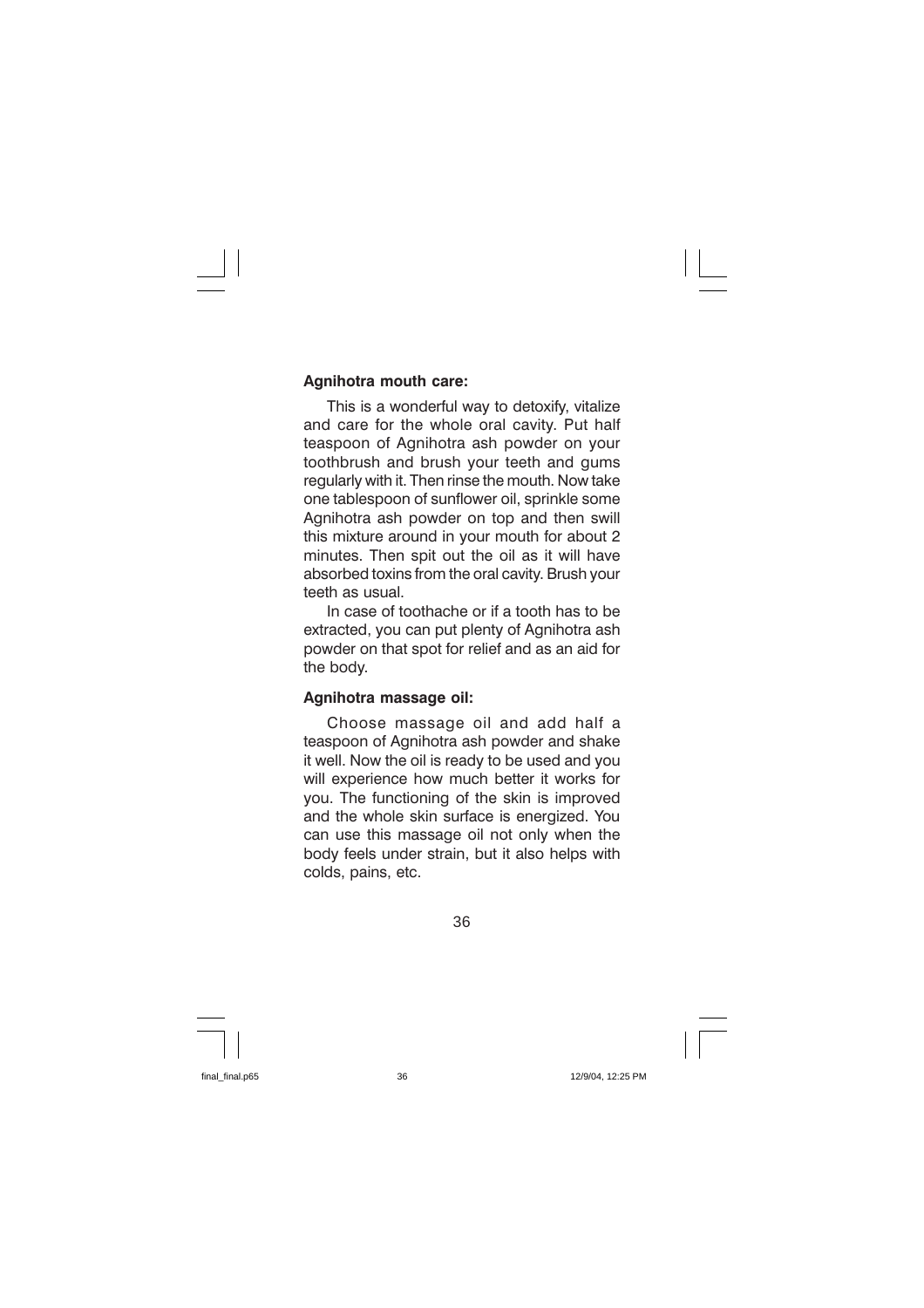#### Agnihotra mouth care:

This is a wonderful way to detoxify, vitalize and care for the whole oral cavity. Put half teaspoon of Agnihotra ash powder on your toothbrush and brush your teeth and gums regularly with it. Then rinse the mouth. Now take one tablespoon of sunflower oil, sprinkle some Agnihotra ash powder on top and then swill this mixture around in your mouth for about 2 minutes. Then spit out the oil as it will have absorbed toxins from the oral cavity. Brush your teeth as usual

In case of toothache or if a tooth has to be extracted, you can put plenty of Agnihotra ash powder on that spot for relief and as an aid for the body.

#### Agnihotra massage oil:

Choose massage oil and add half a teaspoon of Agnihotra ash powder and shake it well. Now the oil is ready to be used and you will experience how much better it works for you. The functioning of the skin is improved and the whole skin surface is energized. You can use this massage oil not only when the body feels under strain, but it also helps with colds, pains, etc.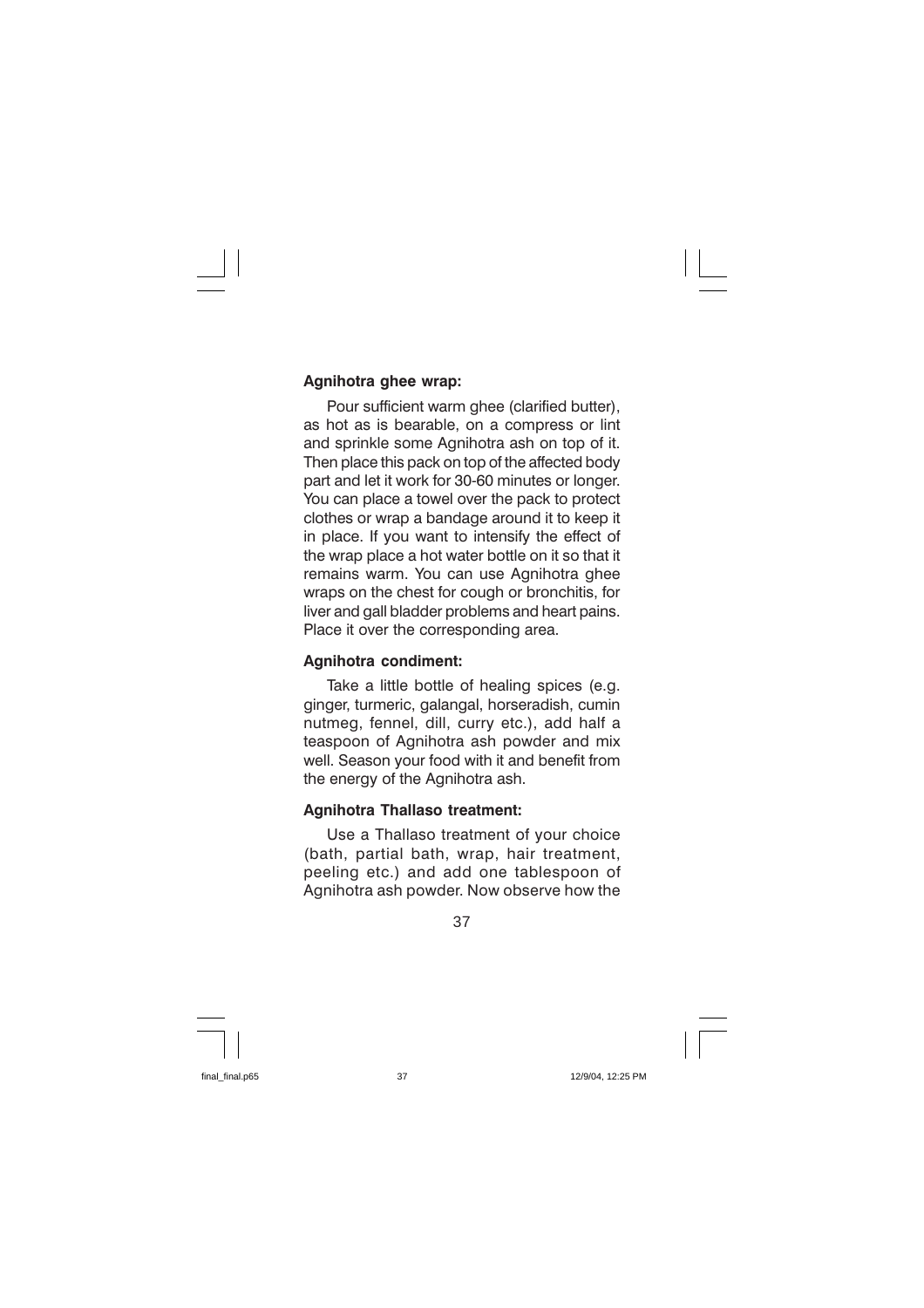#### Agnihotra ghee wrap:

Pour sufficient warm ghee (clarified butter), as hot as is bearable, on a compress or lint and sprinkle some Agnihotra ash on top of it. Then place this pack on top of the affected body part and let it work for 30-60 minutes or longer. You can place a towel over the pack to protect clothes or wrap a bandage around it to keep it in place. If you want to intensify the effect of the wrap place a hot water bottle on it so that it remains warm. You can use Agnihotra ghee wraps on the chest for cough or bronchitis, for liver and gall bladder problems and heart pains. Place it over the corresponding area.

#### **Agnihotra condiment:**

Take a little bottle of healing spices (e.g. ginger, turmeric, galangal, horseradish, cumin nutmeg, fennel, dill, curry etc.), add half a teaspoon of Agnihotra ash powder and mix well. Season your food with it and benefit from the energy of the Agnihotra ash.

#### **Agnihotra Thallaso treatment:**

Use a Thallaso treatment of your choice (bath, partial bath, wrap, hair treatment, peeling etc.) and add one tablespoon of Agnihotra ash powder. Now observe how the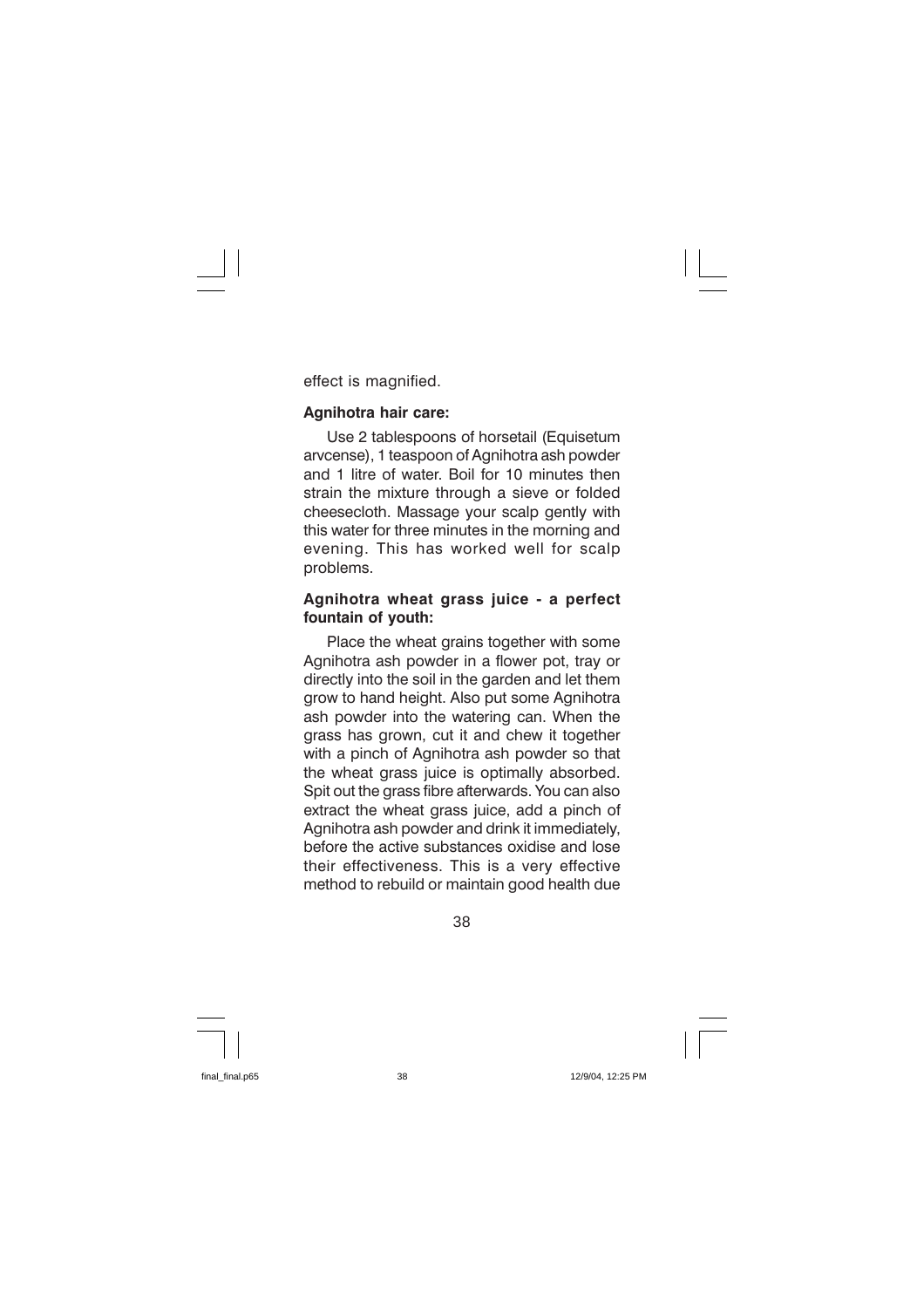effect is magnified.

#### Agnihotra hair care:

Use 2 tablespoons of horsetail (Equisetum arvcense), 1 teaspoon of Agnihotra ash powder and 1 litre of water. Boil for 10 minutes then strain the mixture through a sieve or folded cheesecloth. Massage your scalp gently with this water for three minutes in the morning and evening. This has worked well for scalp problems.

#### Agnihotra wheat grass juice - a perfect fountain of youth:

Place the wheat grains together with some Agnihotra ash powder in a flower pot, tray or directly into the soil in the garden and let them grow to hand height. Also put some Agnihotra ash powder into the watering can. When the grass has grown, cut it and chew it together with a pinch of Agnihotra ash powder so that the wheat grass juice is optimally absorbed. Spit out the grass fibre afterwards. You can also extract the wheat grass juice, add a pinch of Agnihotra ash powder and drink it immediately. before the active substances oxidise and lose their effectiveness. This is a very effective method to rebuild or maintain good health due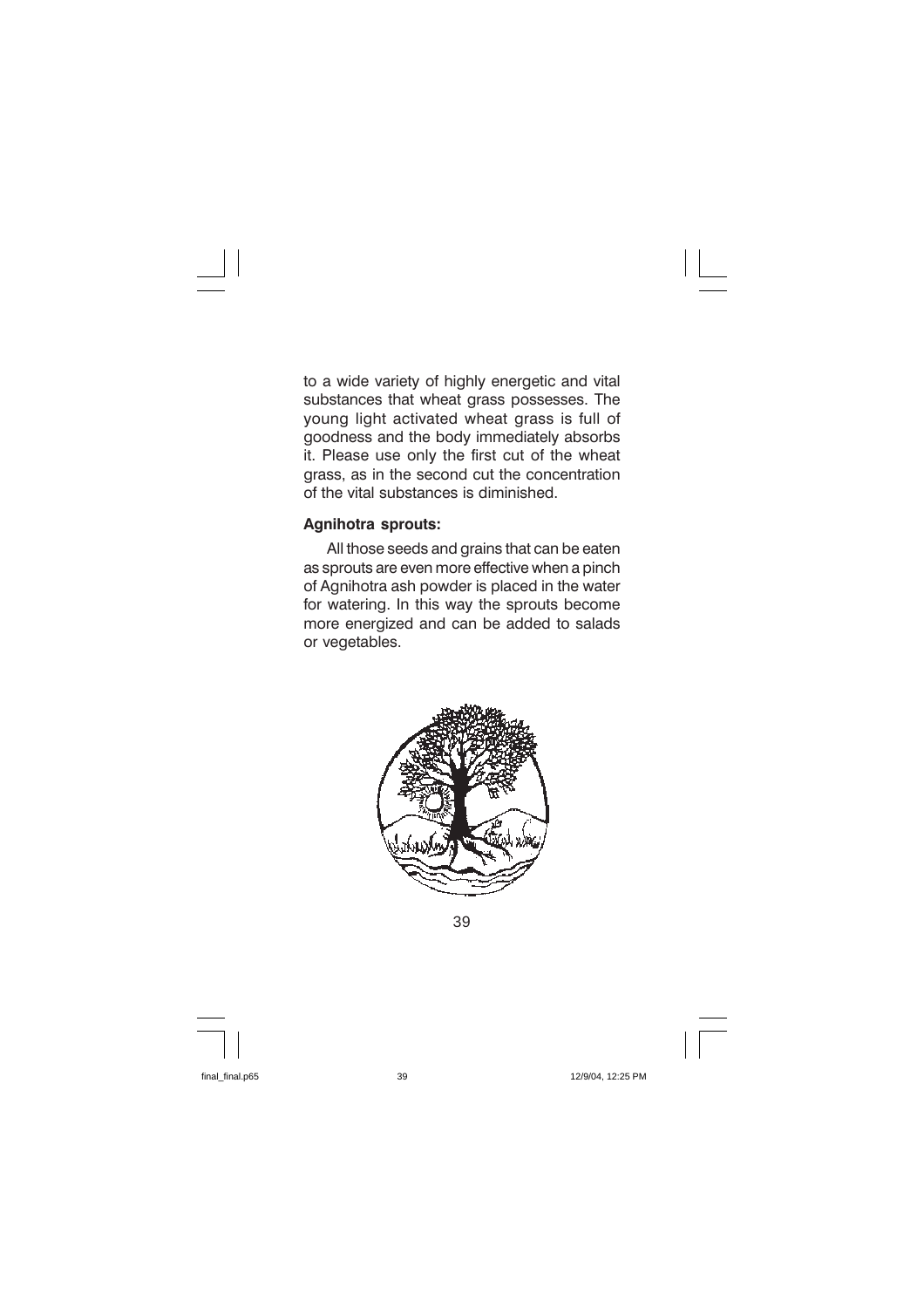to a wide variety of highly energetic and vital substances that wheat grass possesses. The young light activated wheat grass is full of goodness and the body immediately absorbs it. Please use only the first cut of the wheat grass, as in the second cut the concentration of the vital substances is diminished.

#### **Agnihotra sprouts:**

All those seeds and grains that can be eaten as sprouts are even more effective when a pinch of Agnihotra ash powder is placed in the water for watering. In this way the sprouts become more energized and can be added to salads or vegetables.



39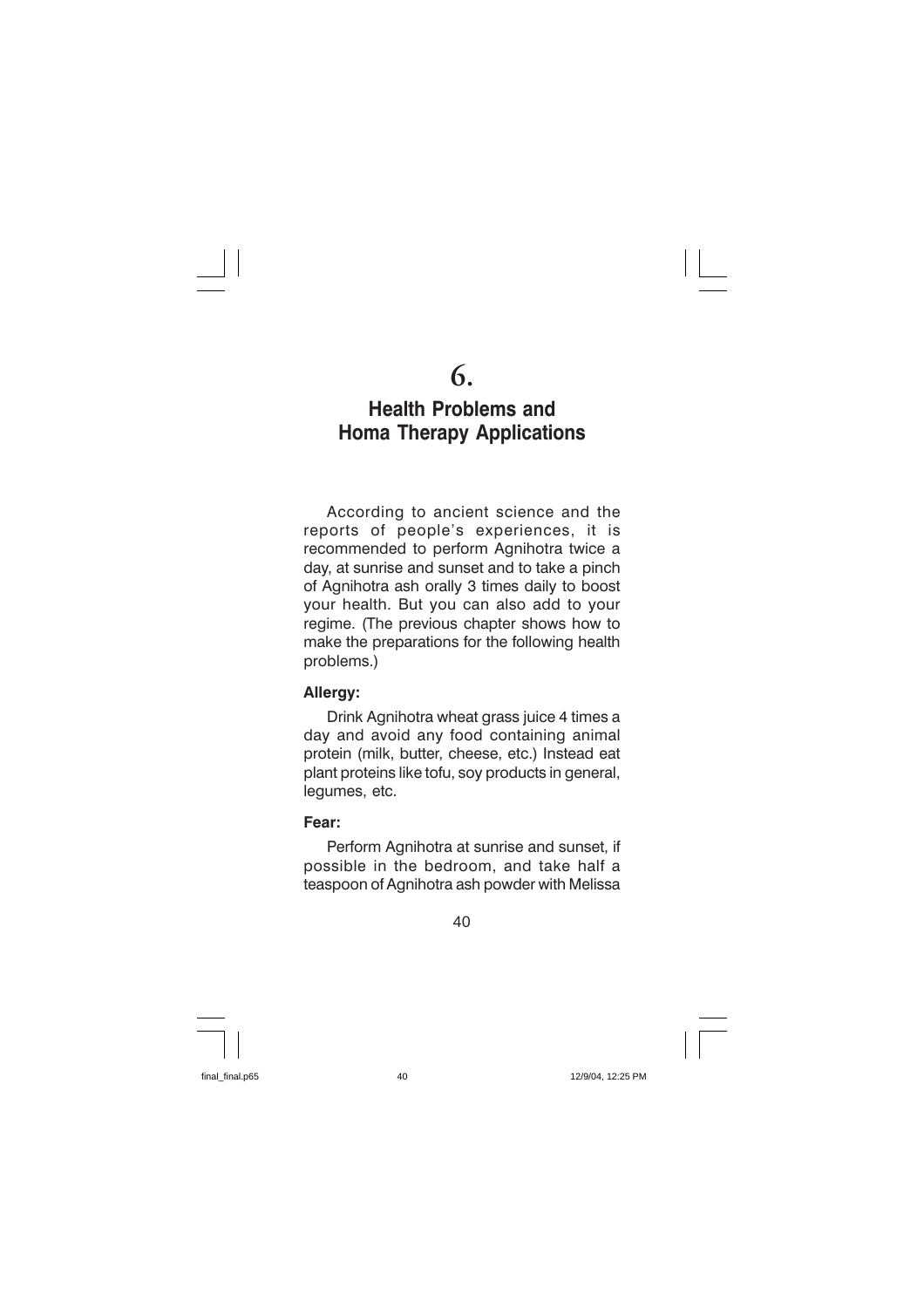### **Health Problems and Homa Therapy Applications**

According to ancient science and the reports of people's experiences, it is recommended to perform Agnihotra twice a day, at sunrise and sunset and to take a pinch of Agnihotra ash orally 3 times daily to boost vour health. But you can also add to your regime. (The previous chapter shows how to make the preparations for the following health problems.)

#### Allergy:

Drink Agnihotra wheat grass juice 4 times a day and avoid any food containing animal protein (milk, butter, cheese, etc.) Instead eat plant proteins like tofu, soy products in general, lequmes, etc.

#### Fear:

Perform Agnihotra at sunrise and sunset, if possible in the bedroom, and take half a teaspoon of Agnihotra ash powder with Melissa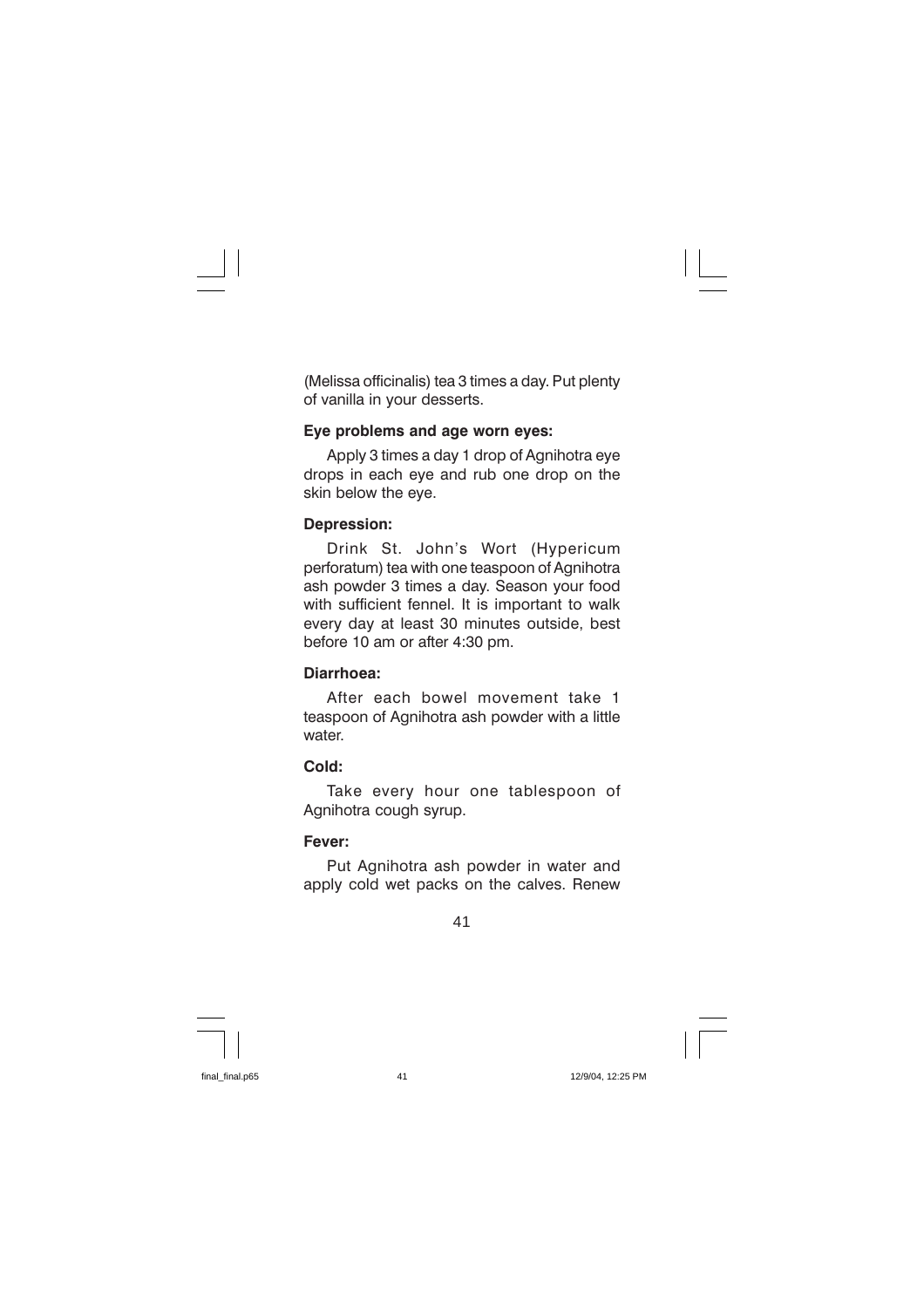(Melissa officinalis) tea 3 times a day. Put plenty of vanilla in your desserts.

#### Eye problems and age worn eyes:

Apply 3 times a day 1 drop of Agnihotra eye drops in each eye and rub one drop on the skin below the eye.

#### **Depression:**

Drink St. John's Wort (Hypericum perforatum) tea with one teaspoon of Agnihotra ash powder 3 times a day. Season your food with sufficient fennel. It is important to walk every day at least 30 minutes outside, best before 10 am or after 4:30 pm.

#### Diarrhoea:

After each bowel movement take 1 teaspoon of Agnihotra ash powder with a little water.

#### Cold:

Take every hour one tablespoon of Agnihotra cough syrup.

#### Fever:

Put Agnihotra ash powder in water and apply cold wet packs on the calves. Renew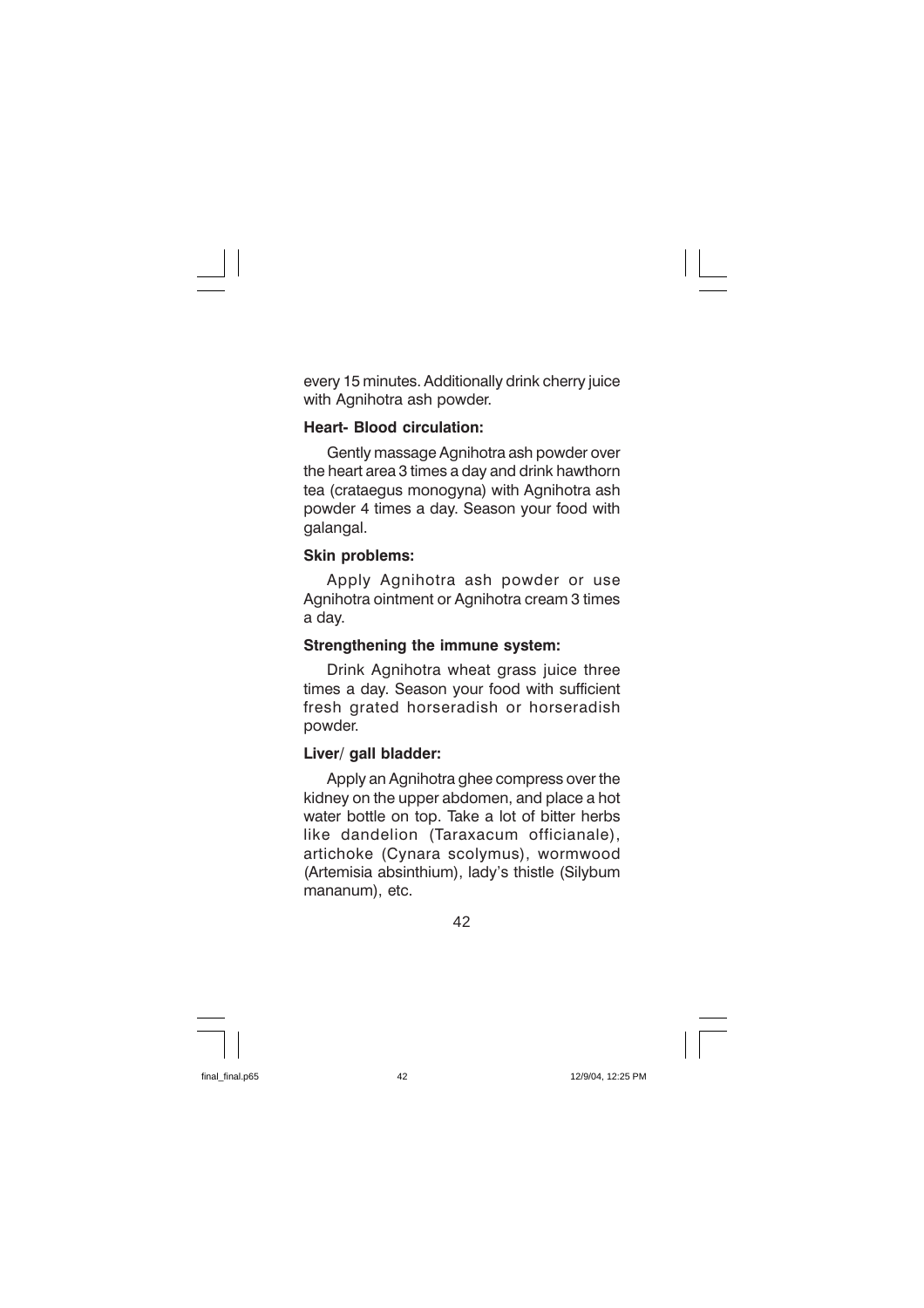every 15 minutes. Additionally drink cherry juice with Agnihotra ash powder.

#### **Heart- Blood circulation:**

Gently massage Agnihotra ash powder over the heart area 3 times a day and drink hawthorn tea (crataegus monogyna) with Agnihotra ash powder 4 times a day. Season your food with galangal.

#### **Skin problems:**

Apply Agnihotra ash powder or use Agnihotra ointment or Agnihotra cream 3 times a day.

#### Strengthening the immune system:

Drink Agnihotra wheat grass juice three times a day. Season your food with sufficient fresh grated horseradish or horseradish powder.

#### Liver/ gall bladder:

Apply an Agnihotra ghee compress over the kidney on the upper abdomen, and place a hot water bottle on top. Take a lot of bitter herbs like dandelion (Taraxacum officianale). artichoke (Cynara scolymus), wormwood (Artemisia absinthium), lady's thistle (Silybum mananum). etc.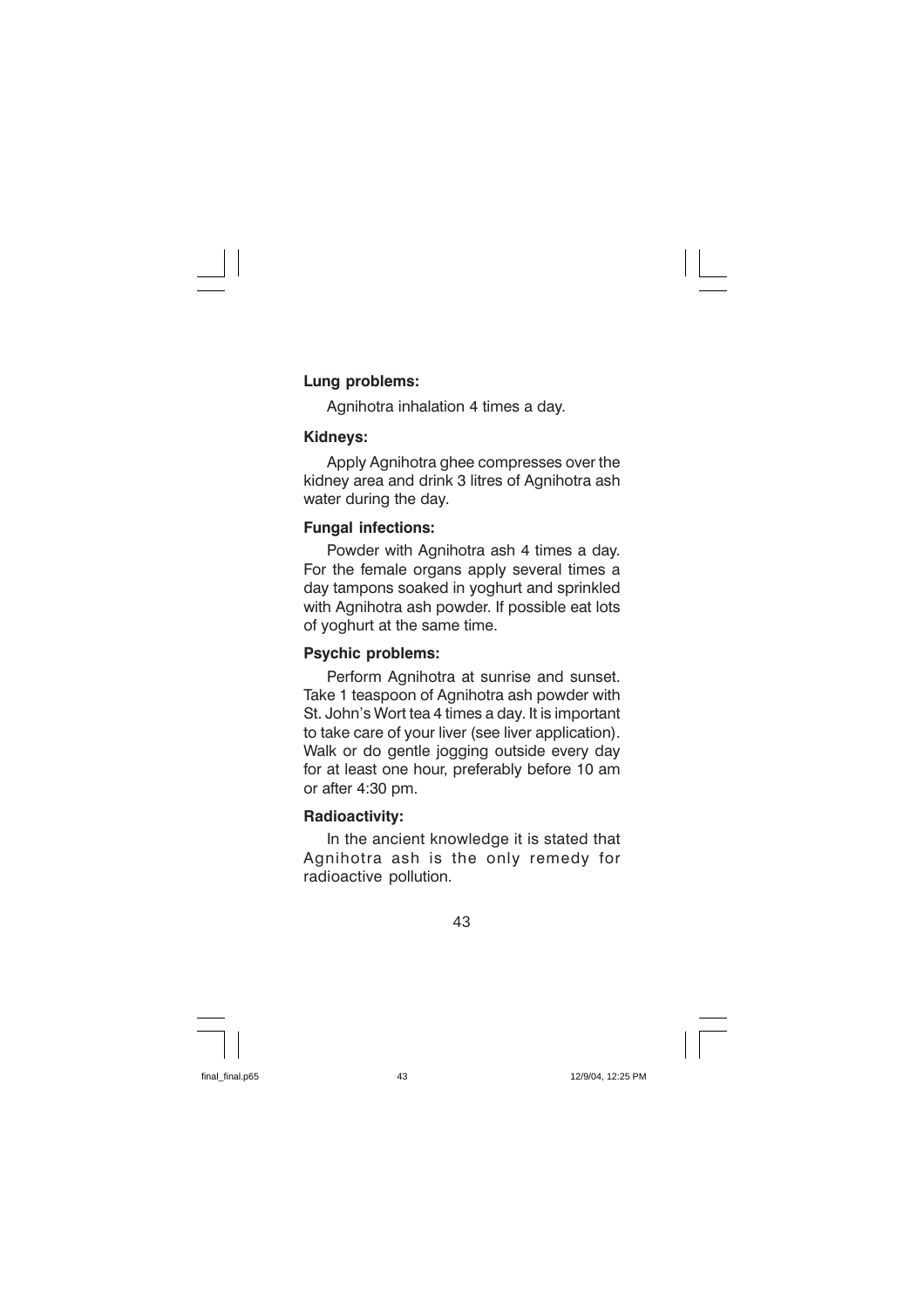#### Lung problems:

Agnihotra inhalation 4 times a day.

#### Kidneys:

Apply Agnihotra ghee compresses over the kidney area and drink 3 litres of Agnihotra ash water during the day.

#### **Fungal infections:**

Powder with Agnihotra ash 4 times a day. For the female organs apply several times a day tampons soaked in yoghurt and sprinkled with Agnihotra ash powder. If possible eat lots of yoghurt at the same time.

#### **Psychic problems:**

Perform Agnihotra at sunrise and sunset. Take 1 teaspoon of Agnihotra ash powder with St. John's Wort tea 4 times a day. It is important to take care of your liver (see liver application). Walk or do gentle jogging outside every day for at least one hour, preferably before 10 am or after 4:30 pm.

#### **Radioactivity:**

In the ancient knowledge it is stated that Agnihotra ash is the only remedy for radioactive pollution.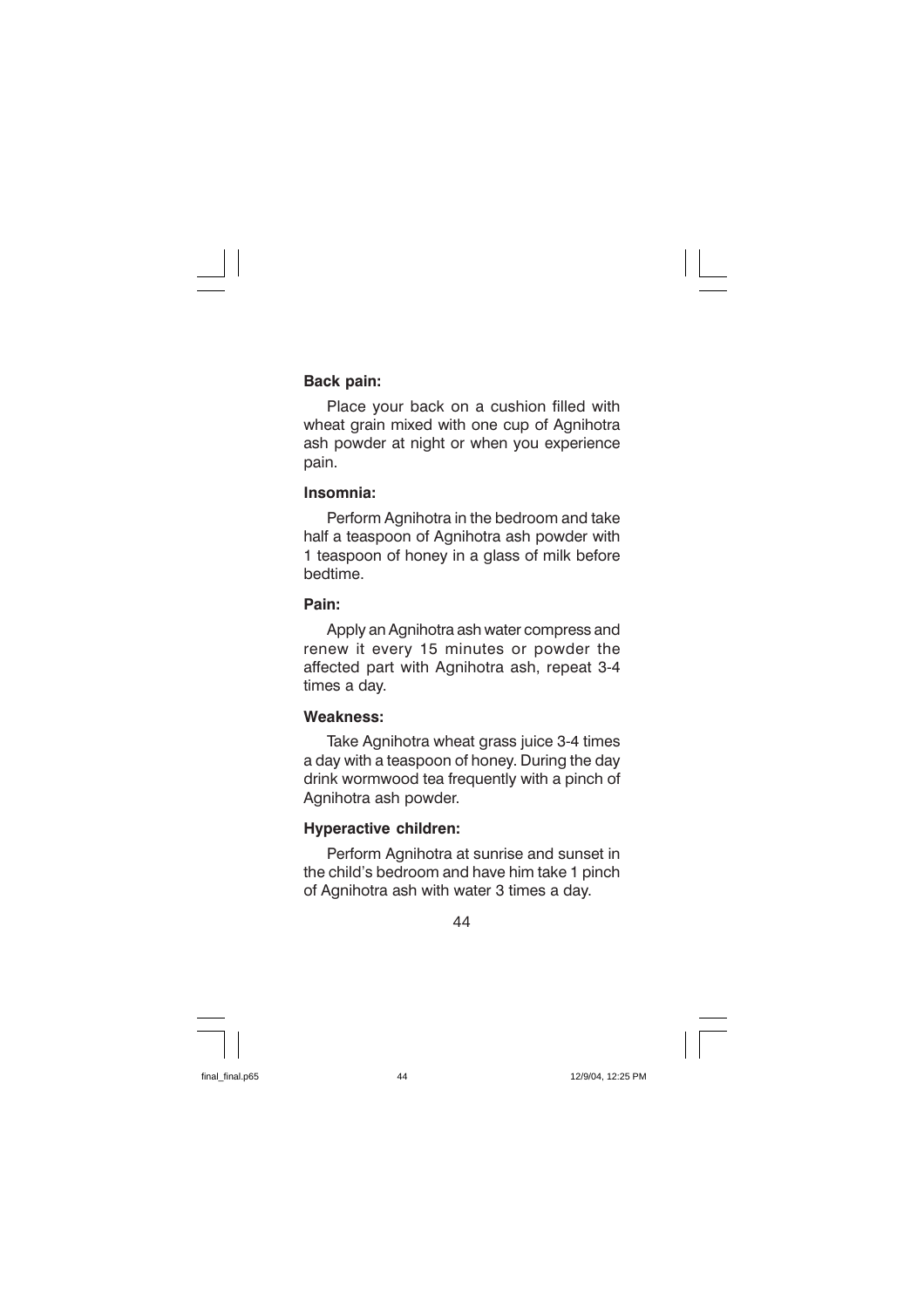#### **Back pain:**

Place your back on a cushion filled with wheat grain mixed with one cup of Agnihotra ash powder at night or when you experience pain.

#### Insomnia:

Perform Agnihotra in the bedroom and take half a teaspoon of Agnihotra ash powder with 1 teaspoon of honey in a glass of milk before hedtime

#### Pain<sup>-</sup>

Apply an Agnihotra ash water compress and renew it every 15 minutes or powder the affected part with Agnihotra ash, repeat 3-4 times a dav.

#### **Weakness:**

Take Agnihotra wheat grass juice 3-4 times a day with a teaspoon of honey. During the day drink wormwood tea frequently with a pinch of Agnihotra ash powder.

#### **Hyperactive children:**

Perform Agnihotra at sunrise and sunset in the child's bedroom and have him take 1 pinch of Agnihotra ash with water 3 times a day.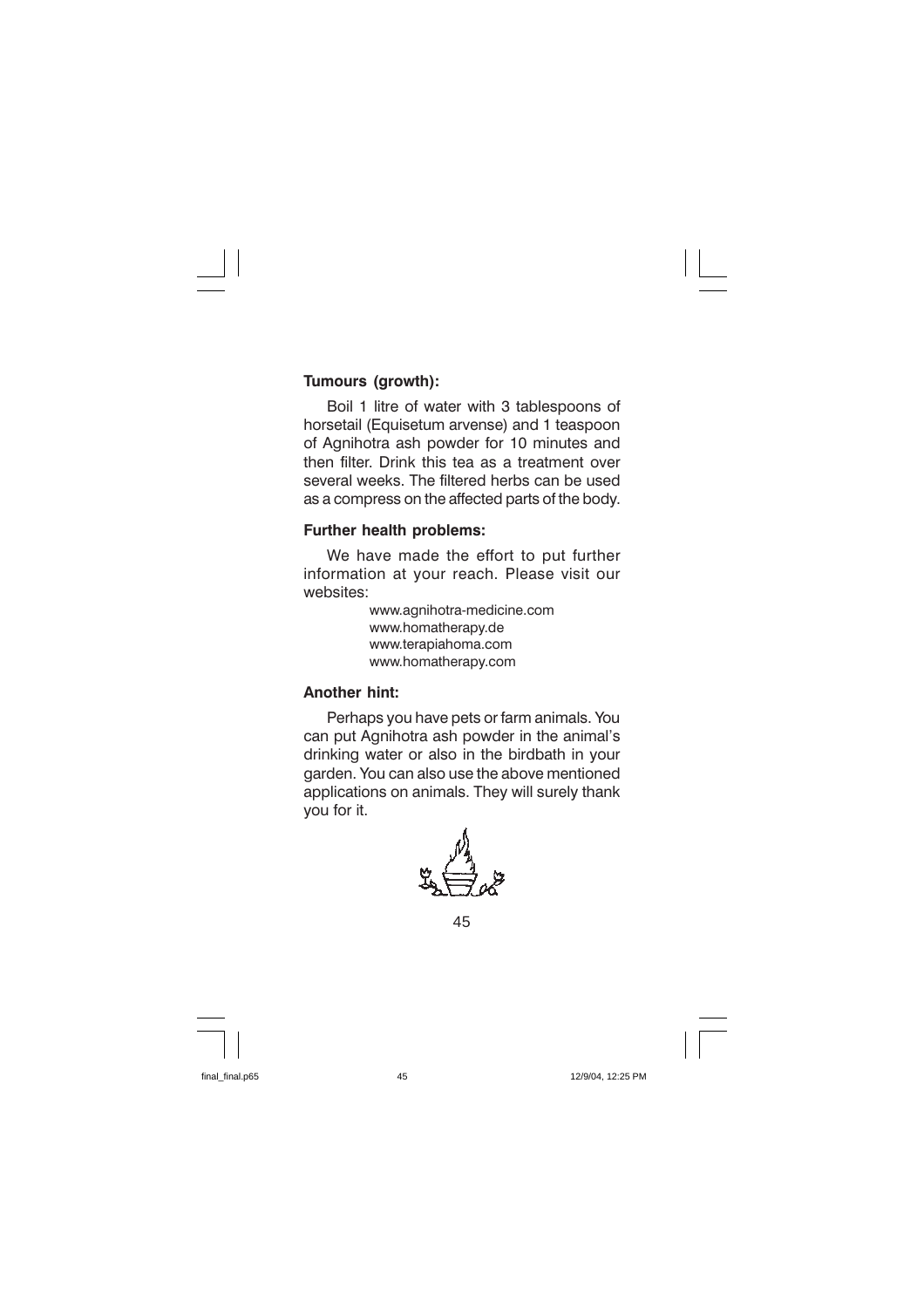#### Tumours (growth):

Boil 1 litre of water with 3 tablespoons of horsetail (Equisetum arvense) and 1 teaspoon of Agnihotra ash powder for 10 minutes and then filter. Drink this tea as a treatment over several weeks. The filtered herbs can be used as a compress on the affected parts of the body.

#### Further health problems:

We have made the effort to put further information at your reach. Please visit our websites:

> www.agnihotra-medicine.com www.homatherapy.de www.terapiahoma.com www.homatherapy.com

#### **Another hint:**

Perhaps you have pets or farm animals. You can put Agnihotra ash powder in the animal's drinking water or also in the birdbath in your garden. You can also use the above mentioned applications on animals. They will surely thank vou for it.

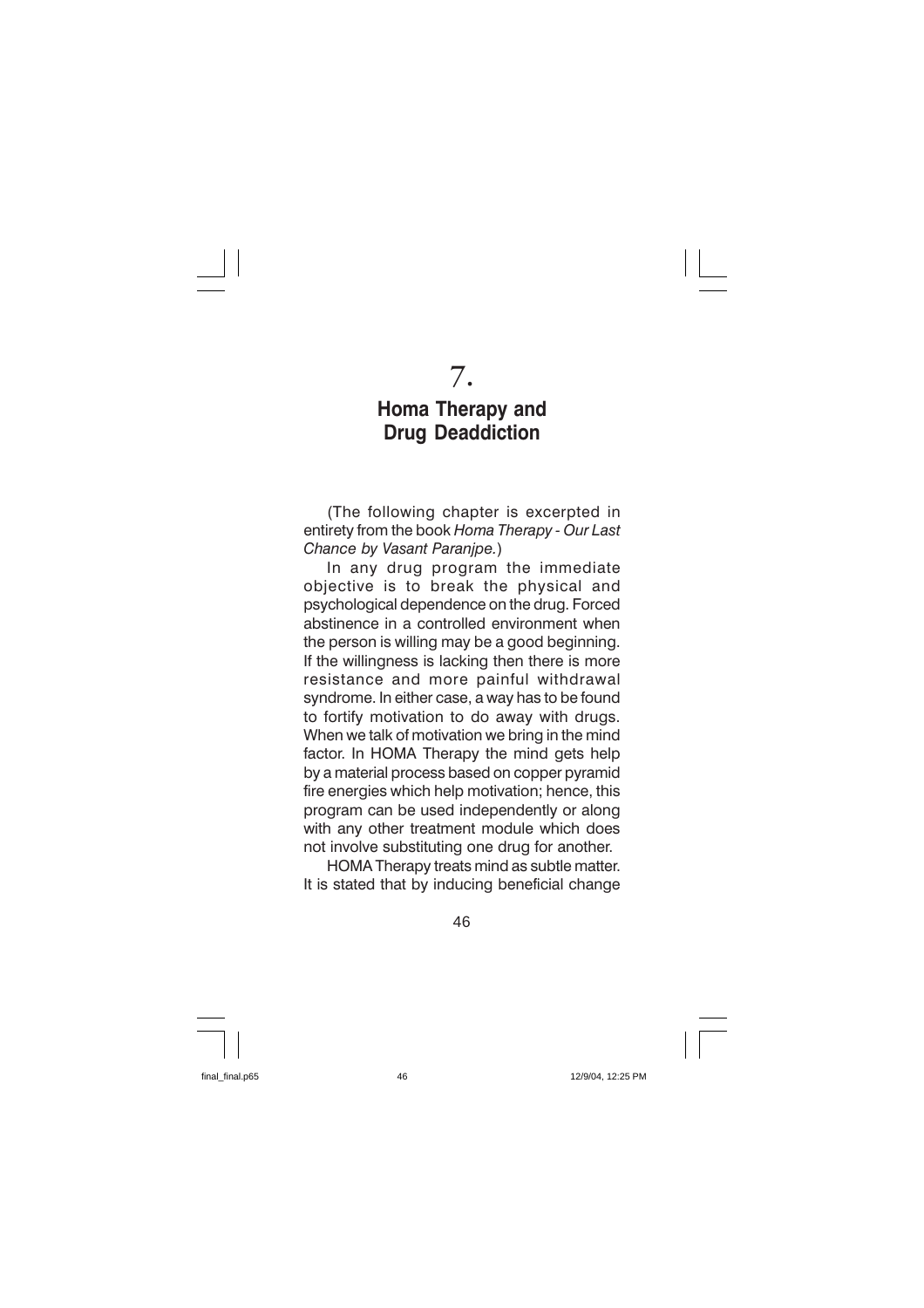## $7.$

### **Homa Therapy and Drug Deaddiction**

(The following chapter is excerpted in entirety from the book Homa Therapy - Our Last Chance by Vasant Paranipe.)

In any drug program the immediate objective is to break the physical and psychological dependence on the drug. Forced abstinence in a controlled environment when the person is willing may be a good beginning. If the willingness is lacking then there is more resistance and more painful withdrawal syndrome. In either case, a way has to be found to fortify motivation to do away with drugs. When we talk of motivation we bring in the mind factor. In HOMA Therapy the mind gets help by a material process based on copper pyramid fire energies which help motivation; hence, this program can be used independently or along with any other treatment module which does not involve substituting one drug for another.

HOMA Therapy treats mind as subtle matter. It is stated that by inducing beneficial change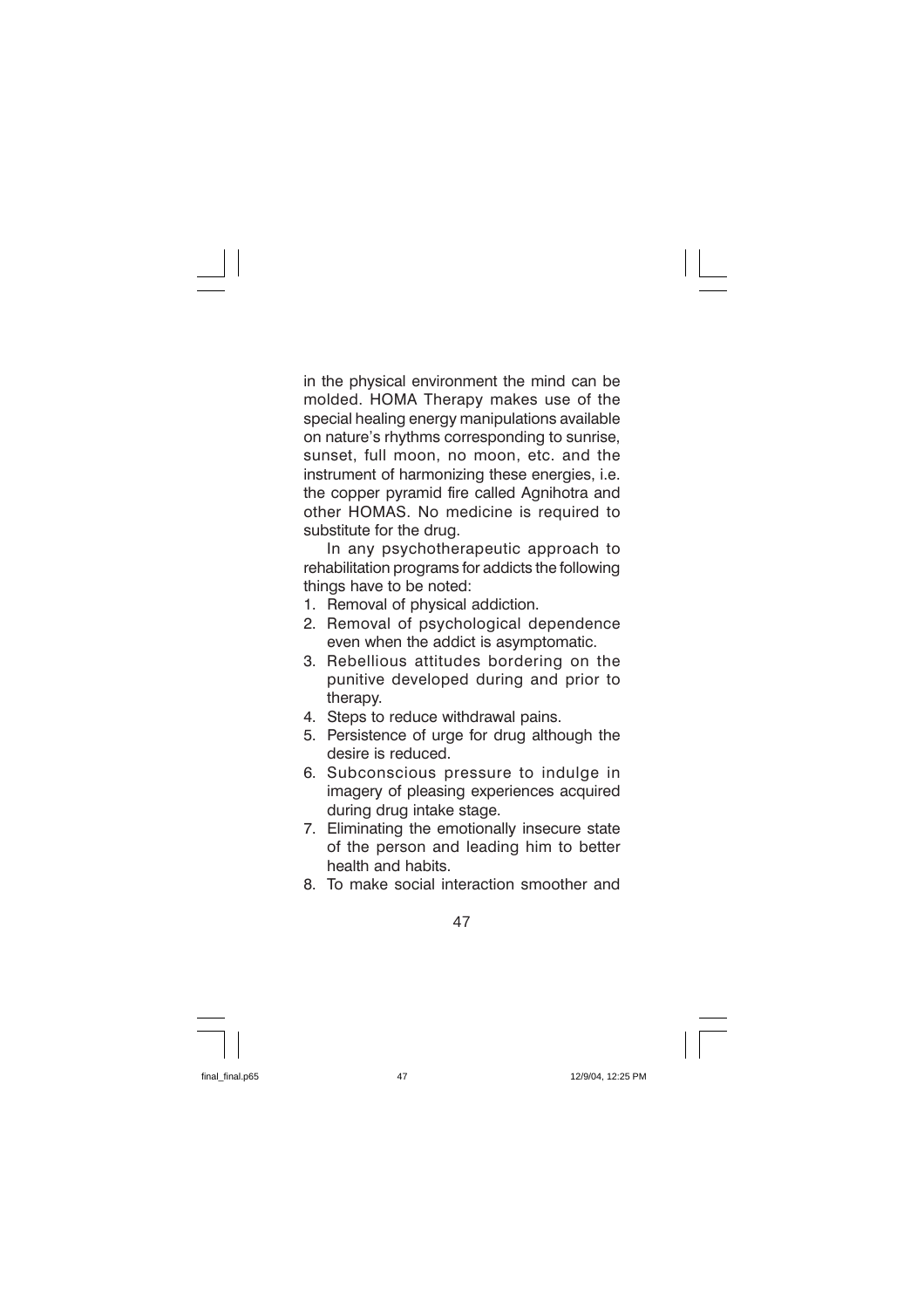in the physical environment the mind can be molded. HOMA Therapy makes use of the special healing energy manipulations available on nature's rhythms corresponding to sunrise, sunset, full moon, no moon, etc. and the instrument of harmonizing these energies, i.e. the copper pyramid fire called Agnihotra and other HOMAS. No medicine is required to substitute for the drug.

In any psychotherapeutic approach to rehabilitation programs for addicts the following things have to be noted:

- 1. Removal of physical addiction.
- 2. Removal of psychological dependence even when the addict is asymptomatic.
- 3. Rebellious attitudes bordering on the punitive developed during and prior to therapy.
- 4. Steps to reduce withdrawal pains.
- 5. Persistence of urge for drug although the desire is reduced
- 6. Subconscious pressure to indulge in imagery of pleasing experiences acquired during drug intake stage.
- 7. Eliminating the emotionally insecure state of the person and leading him to better health and habits.
- 8. To make social interaction smoother and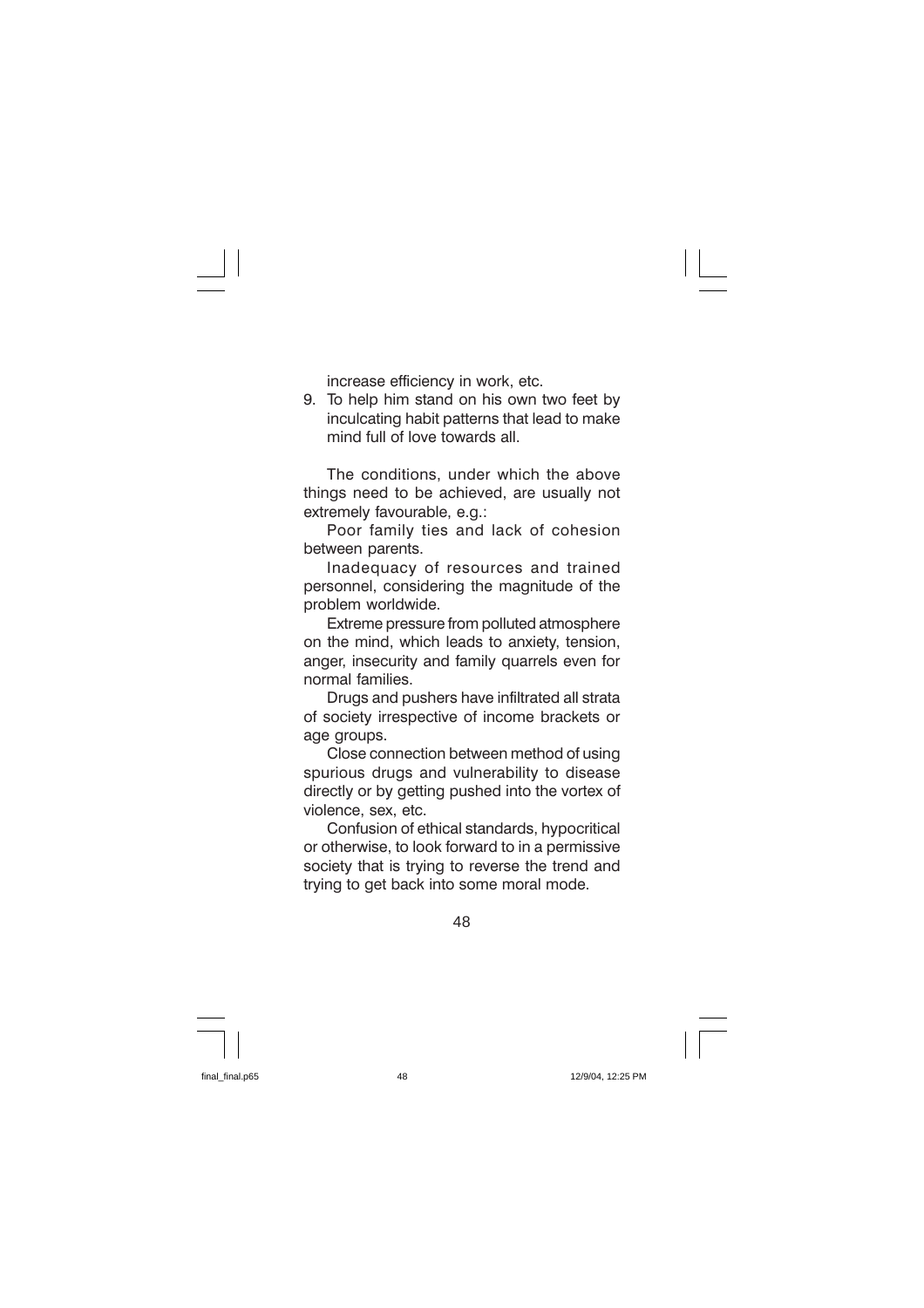increase efficiency in work, etc.

9. To help him stand on his own two feet by inculcating habit patterns that lead to make mind full of love towards all.

The conditions, under which the above things need to be achieved, are usually not extremely favourable, e.g.:

Poor family ties and lack of cohesion between parents.

Inadequacy of resources and trained personnel, considering the magnitude of the problem worldwide.

Extreme pressure from polluted atmosphere on the mind, which leads to anxiety, tension, anger, insecurity and family quarrels even for normal families.

Drugs and pushers have infiltrated all strata of society irrespective of income brackets or age groups.

Close connection between method of using spurious drugs and vulnerability to disease directly or by getting pushed into the vortex of violence, sex, etc.

Confusion of ethical standards, hypocritical or otherwise, to look forward to in a permissive society that is trying to reverse the trend and trying to get back into some moral mode.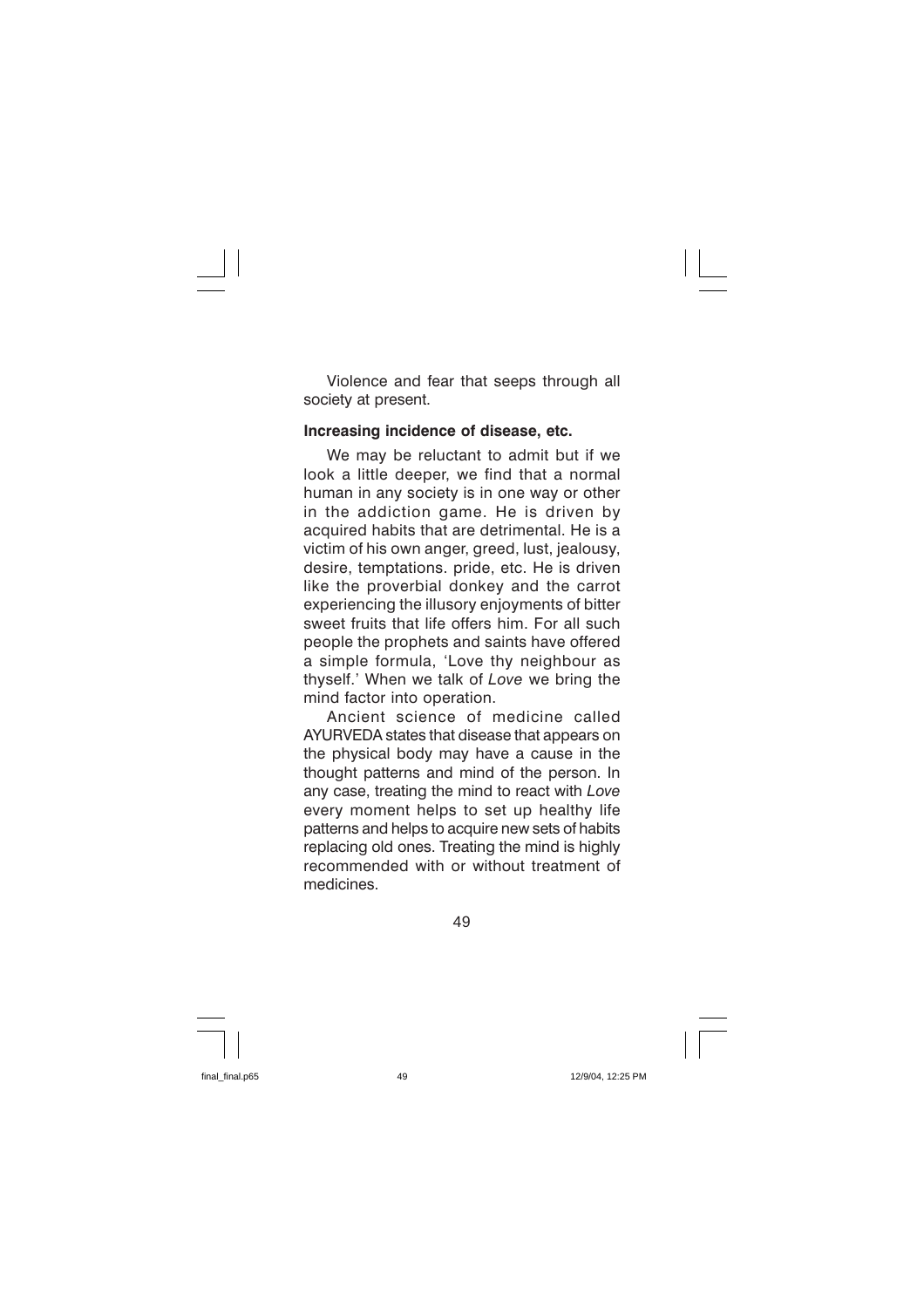Violence and fear that seeps through all society at present.

#### Increasing incidence of disease, etc.

We may be reluctant to admit but if we look a little deeper, we find that a normal human in any society is in one way or other in the addiction game. He is driven by acquired habits that are detrimental. He is a victim of his own anger, greed, lust, jealousy, desire, temptations. pride, etc. He is driven like the proverbial donkey and the carrot experiencing the illusory enjoyments of bitter sweet fruits that life offers him. For all such people the prophets and saints have offered a simple formula, 'Love thy neighbour as thvself.' When we talk of Love we bring the mind factor into operation.

Ancient science of medicine called AYURVEDA states that disease that appears on the physical body may have a cause in the thought patterns and mind of the person. In any case, treating the mind to react with Love every moment helps to set up healthy life patterns and helps to acquire new sets of habits replacing old ones. Treating the mind is highly recommended with or without treatment of medicines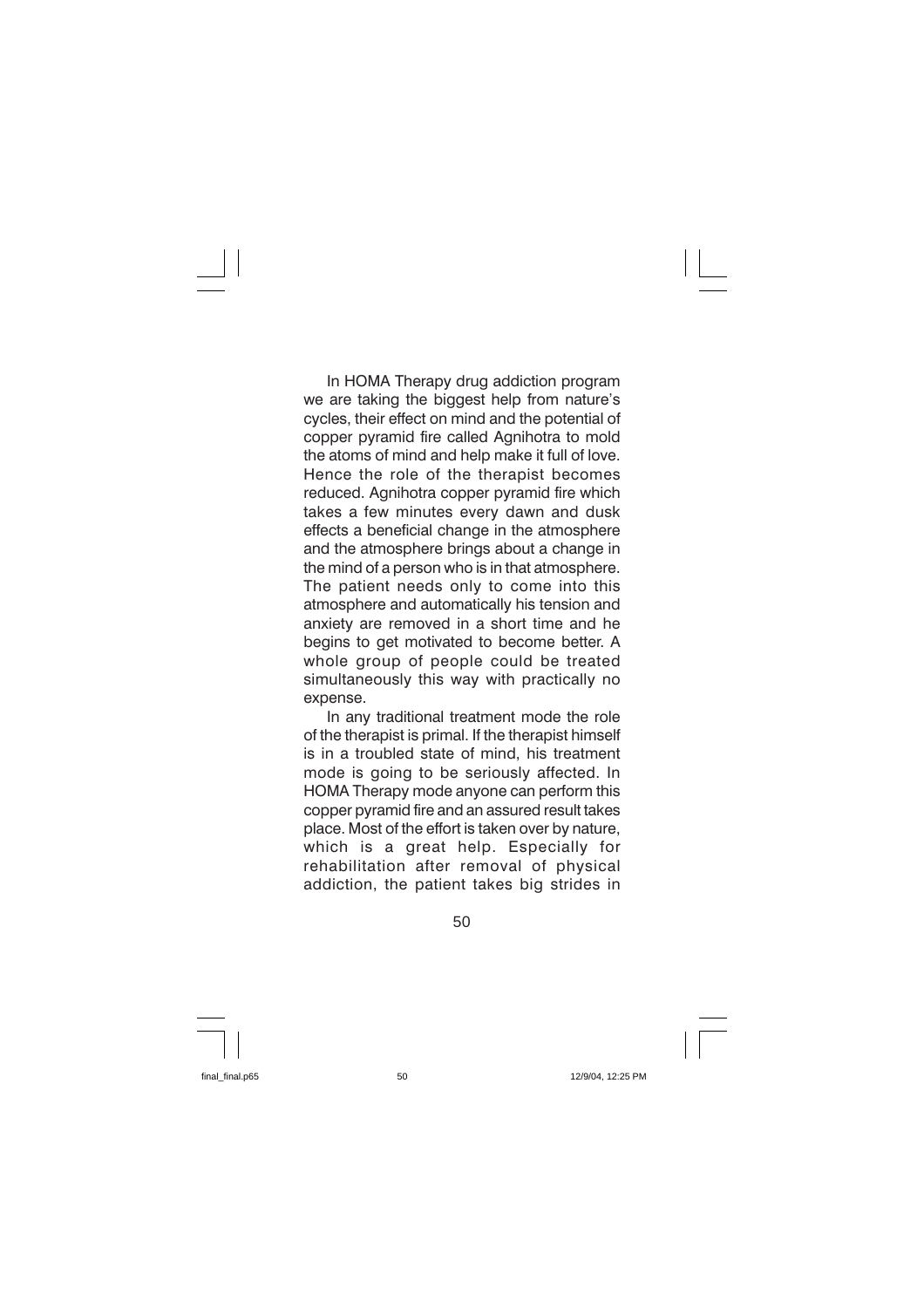In HOMA Therapy drug addiction program we are taking the biggest help from nature's cycles, their effect on mind and the potential of copper pyramid fire called Agnihotra to mold the atoms of mind and help make it full of love. Hence the role of the therapist becomes reduced. Agnihotra copper pyramid fire which takes a few minutes every dawn and dusk effects a beneficial change in the atmosphere and the atmosphere brings about a change in the mind of a person who is in that atmosphere. The patient needs only to come into this atmosphere and automatically his tension and anxiety are removed in a short time and he begins to get motivated to become better. A whole group of people could be treated simultaneously this way with practically no expense.

In any traditional treatment mode the role of the therapist is primal. If the therapist himself is in a troubled state of mind, his treatment mode is going to be seriously affected. In HOMA Therapy mode anyone can perform this copper pyramid fire and an assured result takes place. Most of the effort is taken over by nature, which is a great help. Especially for rehabilitation after removal of physical addiction, the patient takes big strides in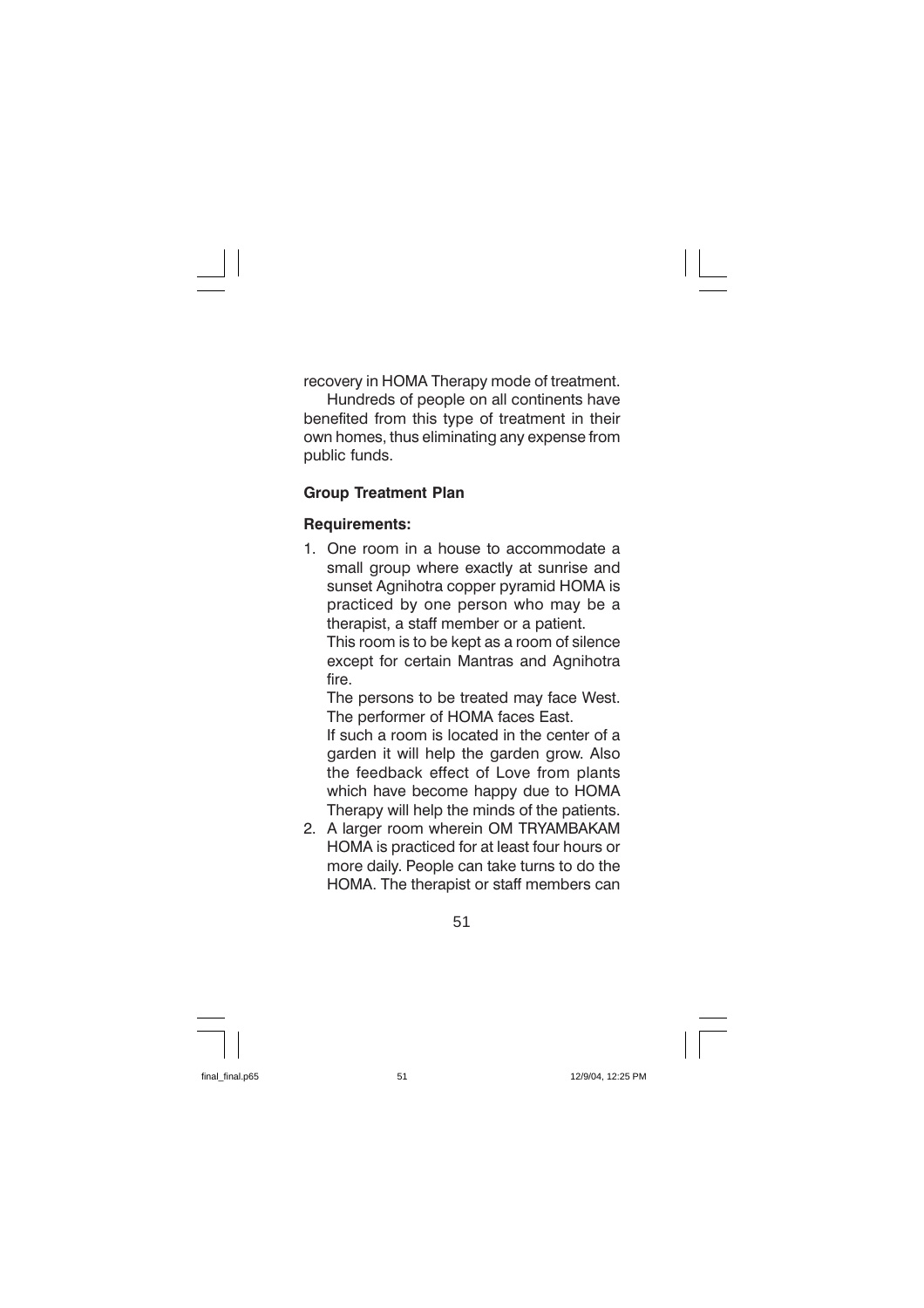recovery in HOMA Therapy mode of treatment.

Hundreds of people on all continents have benefited from this type of treatment in their own homes, thus eliminating any expense from public funds.

#### **Group Treatment Plan**

#### **Requirements:**

1. One room in a house to accommodate a small group where exactly at sunrise and sunset Agnihotra copper pyramid HOMA is practiced by one person who may be a therapist, a staff member or a patient.

This room is to be kept as a room of silence except for certain Mantras and Agnihotra fire.

The persons to be treated may face West. The performer of HOMA faces East.

If such a room is located in the center of a garden it will help the garden grow. Also the feedback effect of Love from plants which have become happy due to HOMA Therapy will help the minds of the patients.

2. A larger room wherein OM TRYAMBAKAM HOMA is practiced for at least four hours or more daily. People can take turns to do the HOMA. The therapist or staff members can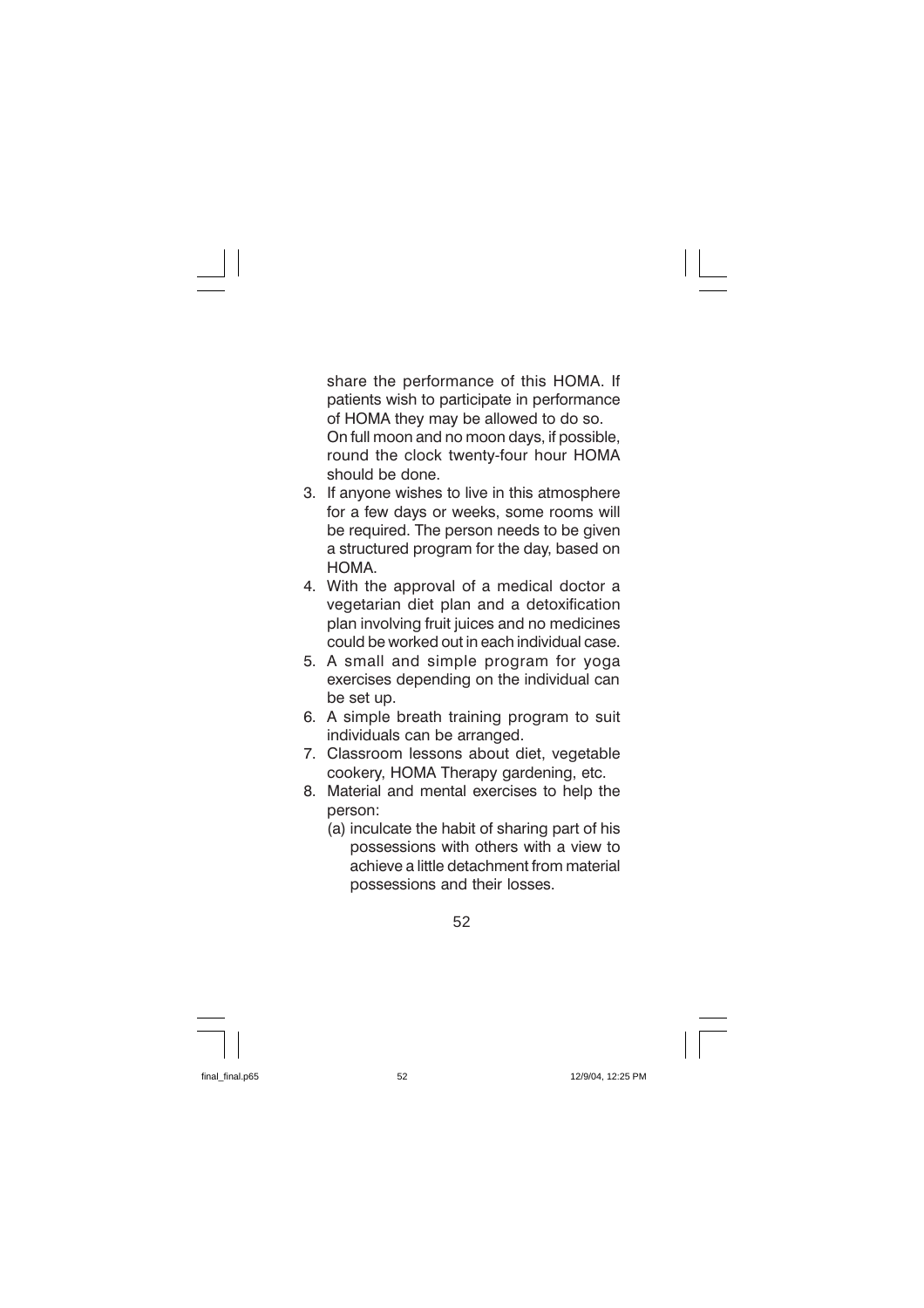share the performance of this HOMA. If patients wish to participate in performance of HOMA they may be allowed to do so. On full moon and no moon days, if possible, round the clock twenty-four hour HOMA should be done.

- 3. If anyone wishes to live in this atmosphere for a few days or weeks, some rooms will be required. The person needs to be given a structured program for the day, based on HOMA
- 4. With the approval of a medical doctor a vegetarian diet plan and a detoxification plan involving fruit juices and no medicines could be worked out in each individual case.
- 5. A small and simple program for yoga exercises depending on the individual can be set up.
- 6. A simple breath training program to suit individuals can be arranged.
- 7. Classroom lessons about diet, vegetable cookery, HOMA Therapy gardening, etc.
- Material and mental exercises to help the 8. person:
	- (a) inculcate the habit of sharing part of his possessions with others with a view to achieve a little detachment from material possessions and their losses.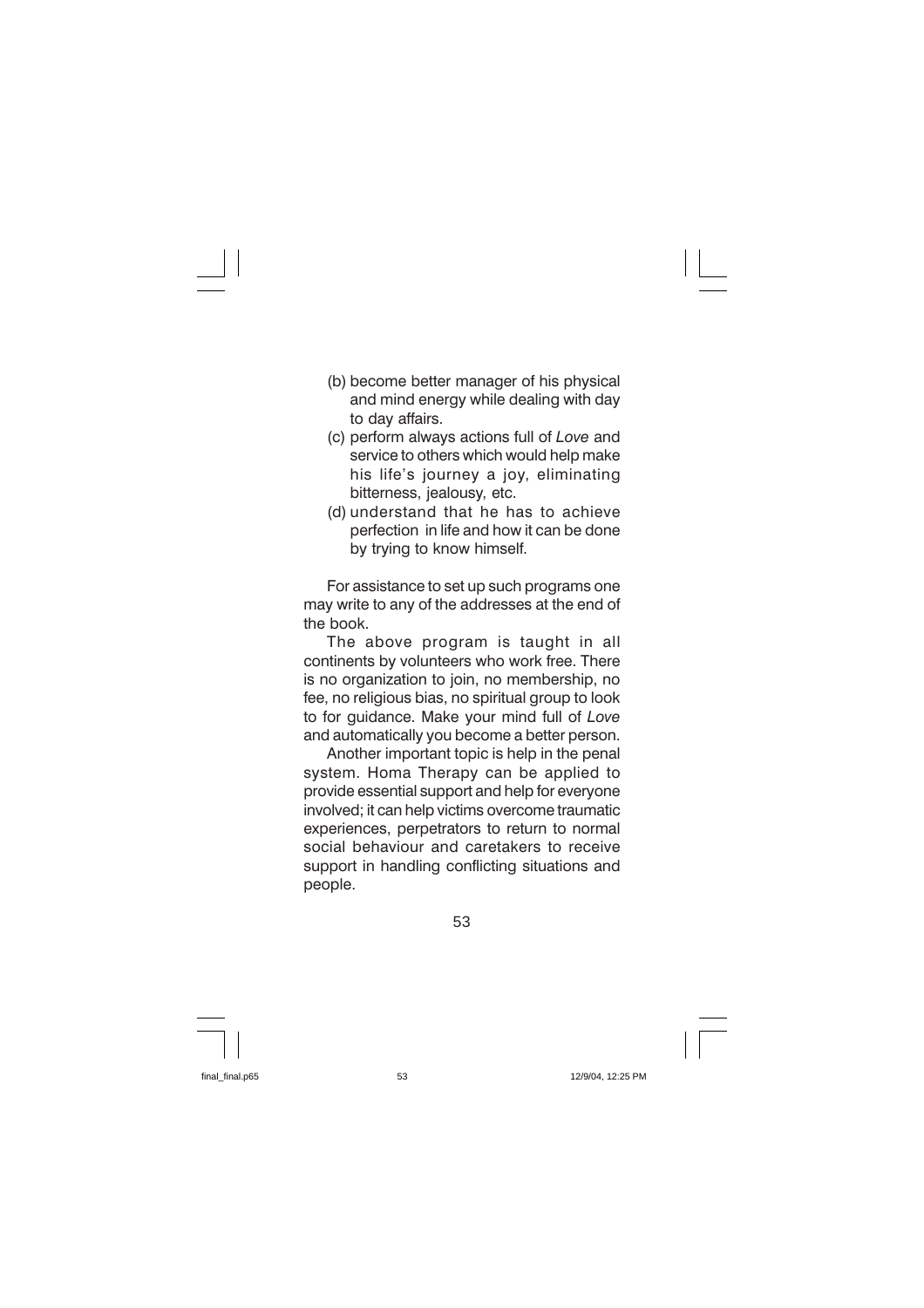- (b) become better manager of his physical and mind energy while dealing with day to day affairs.
- (c) perform always actions full of Love and service to others which would help make his life's journey a joy, eliminating bitterness, jealousy, etc.
- (d) understand that he has to achieve perfection in life and how it can be done by trying to know himself.

For assistance to set up such programs one may write to any of the addresses at the end of the book.

The above program is taught in all continents by volunteers who work free. There is no organization to join, no membership, no fee, no religious bias, no spiritual group to look to for guidance. Make your mind full of Love and automatically you become a better person.

Another important topic is help in the penal system. Homa Therapy can be applied to provide essential support and help for everyone involved: it can help victims overcome traumatic experiences, perpetrators to return to normal social behaviour and caretakers to receive support in handling conflicting situations and people.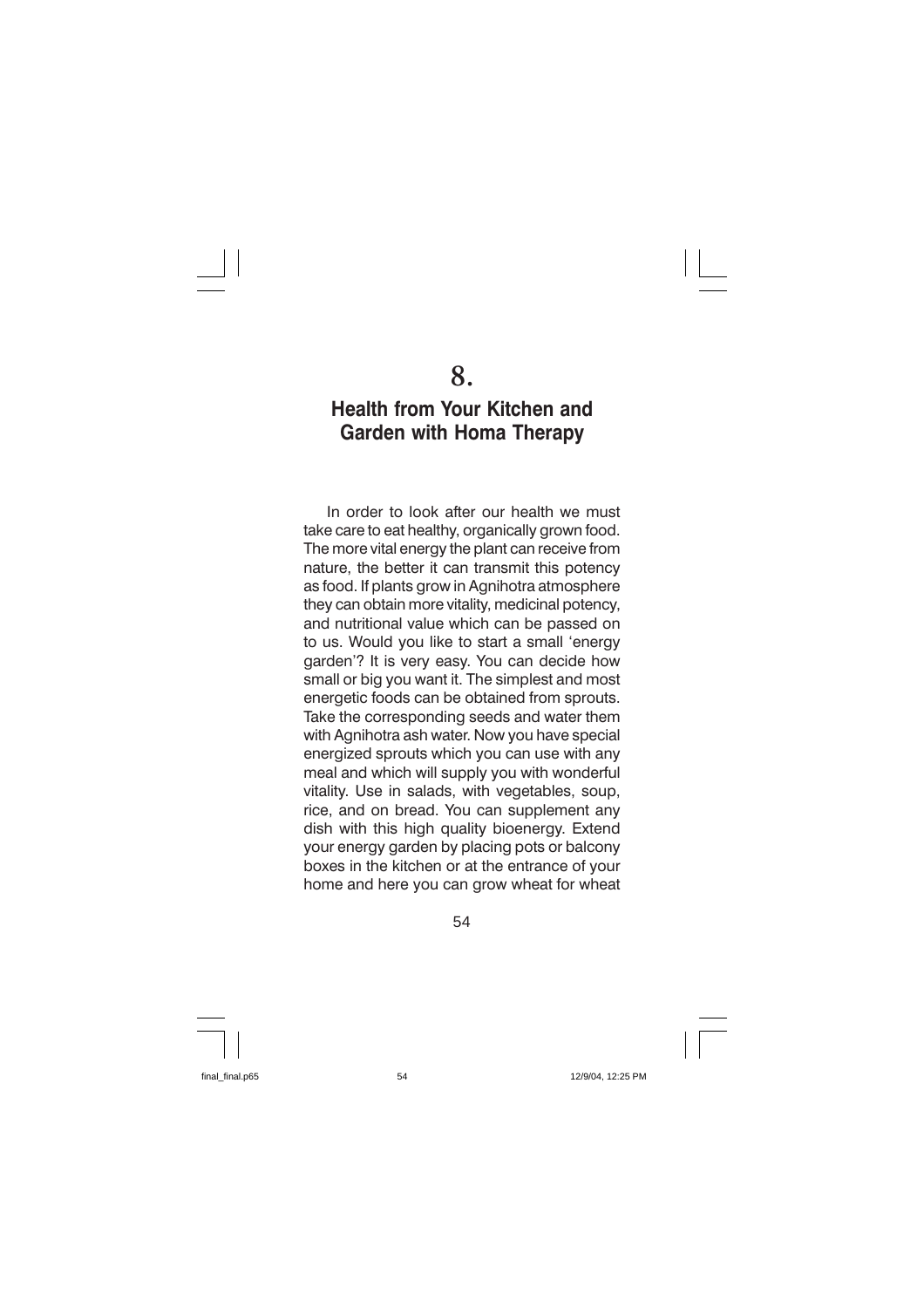### **Health from Your Kitchen and Garden with Homa Therapy**

In order to look after our health we must take care to eat healthy, organically grown food. The more vital energy the plant can receive from nature, the better it can transmit this potency as food. If plants grow in Agnihotra atmosphere they can obtain more vitality, medicinal potency. and nutritional value which can be passed on to us. Would you like to start a small 'energy garden'? It is very easy. You can decide how small or big you want it. The simplest and most energetic foods can be obtained from sprouts. Take the corresponding seeds and water them with Agnihotra ash water. Now you have special energized sprouts which you can use with any meal and which will supply you with wonderful vitality. Use in salads, with vegetables, soup, rice, and on bread. You can supplement any dish with this high quality bioenergy. Extend your energy garden by placing pots or balcony boxes in the kitchen or at the entrance of your home and here you can grow wheat for wheat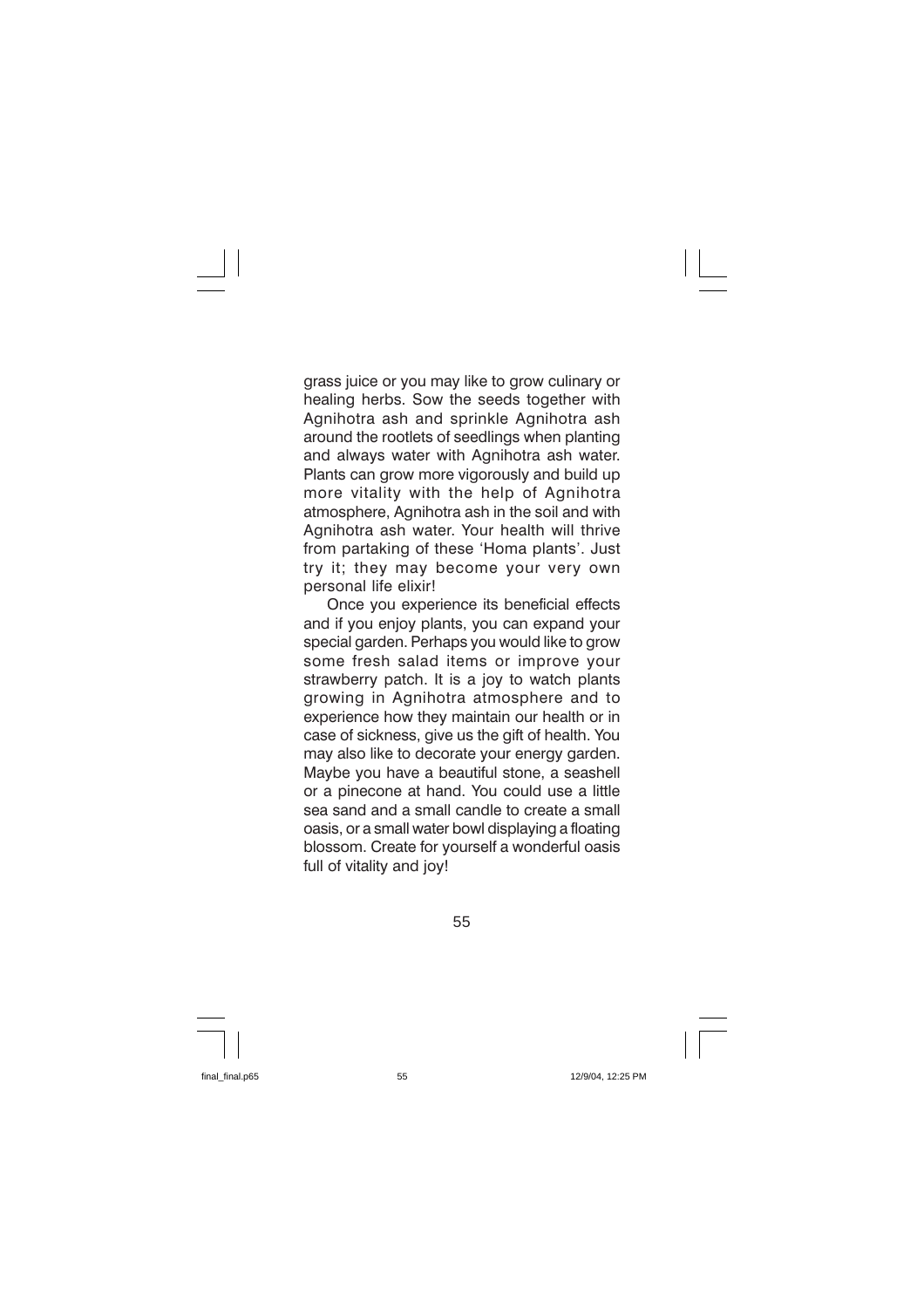grass juice or you may like to grow culinary or healing herbs. Sow the seeds together with Agnihotra ash and sprinkle Agnihotra ash around the rootlets of seedlings when planting and always water with Agnihotra ash water. Plants can grow more vigorously and build up more vitality with the help of Agnihotra atmosphere, Agnihotra ash in the soil and with Agnihotra ash water. Your health will thrive from partaking of these 'Homa plants'. Just try it; they may become your very own personal life elixir!

Once you experience its beneficial effects and if you enjoy plants, you can expand your special garden. Perhaps you would like to grow some fresh salad items or improve your strawberry patch. It is a joy to watch plants growing in Agnihotra atmosphere and to experience how they maintain our health or in case of sickness, give us the gift of health. You may also like to decorate your energy garden. Maybe you have a beautiful stone, a seashell or a pinecone at hand. You could use a little sea sand and a small candle to create a small oasis, or a small water bowl displaying a floating blossom. Create for yourself a wonderful oasis full of vitality and joy!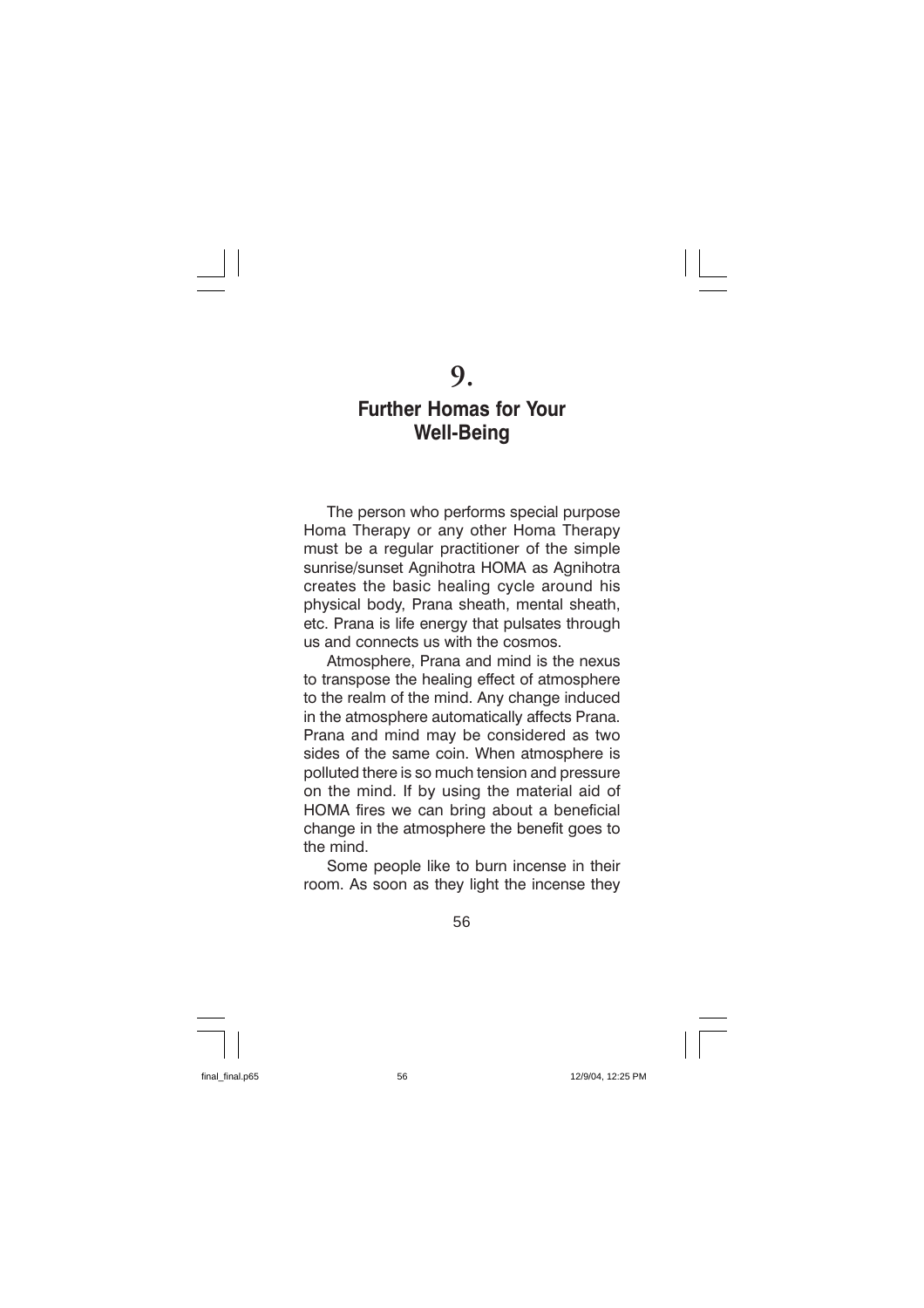# 9.

### **Further Homas for Your Well-Being**

The person who performs special purpose Homa Therapy or any other Homa Therapy must be a regular practitioner of the simple sunrise/sunset Agnihotra HOMA as Agnihotra creates the basic healing cycle around his physical body. Prana sheath, mental sheath. etc. Prana is life energy that pulsates through us and connects us with the cosmos.

Atmosphere. Prana and mind is the nexus to transpose the healing effect of atmosphere to the realm of the mind. Any change induced in the atmosphere automatically affects Prana. Prana and mind may be considered as two sides of the same coin. When atmosphere is polluted there is so much tension and pressure on the mind. If by using the material aid of HOMA fires we can bring about a beneficial change in the atmosphere the benefit goes to the mind

Some people like to burn incense in their room. As soon as they light the incense they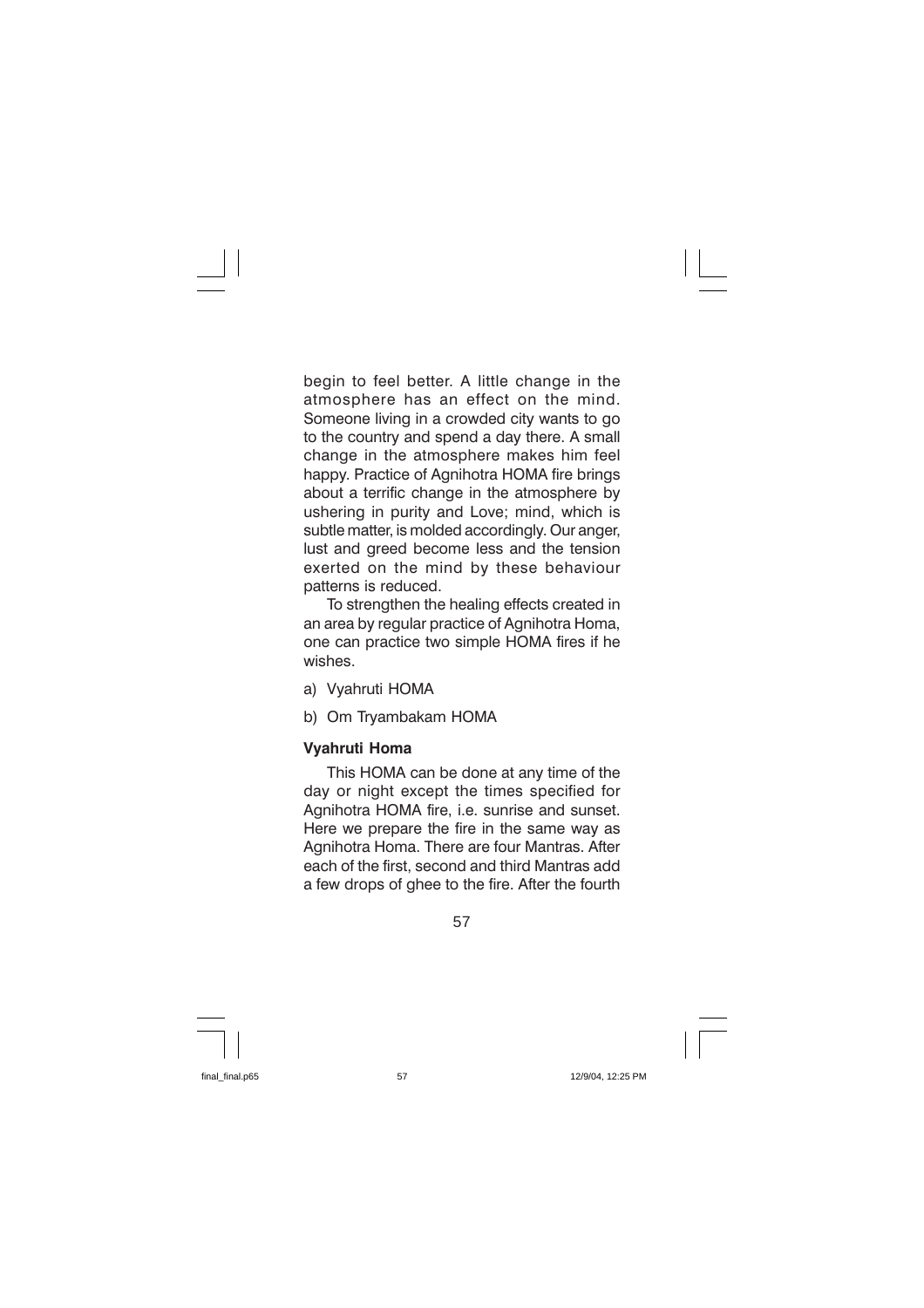begin to feel better. A little change in the atmosphere has an effect on the mind. Someone living in a crowded city wants to go to the country and spend a day there. A small change in the atmosphere makes him feel happy. Practice of Agnihotra HOMA fire brings about a terrific change in the atmosphere by ushering in purity and Love; mind, which is subtle matter, is molded accordingly. Our anger, lust and greed become less and the tension exerted on the mind by these behaviour patterns is reduced.

To strengthen the healing effects created in an area by regular practice of Agnihotra Homa, one can practice two simple HOMA fires if he wishes

- a) Vyahruti HOMA
- b) Om Tryambakam HOMA

#### **Vyahruti Homa**

This HOMA can be done at any time of the day or night except the times specified for Agnihotra HOMA fire, i.e. sunrise and sunset. Here we prepare the fire in the same way as Agnihotra Homa. There are four Mantras, After each of the first, second and third Mantras add a few drops of ghee to the fire. After the fourth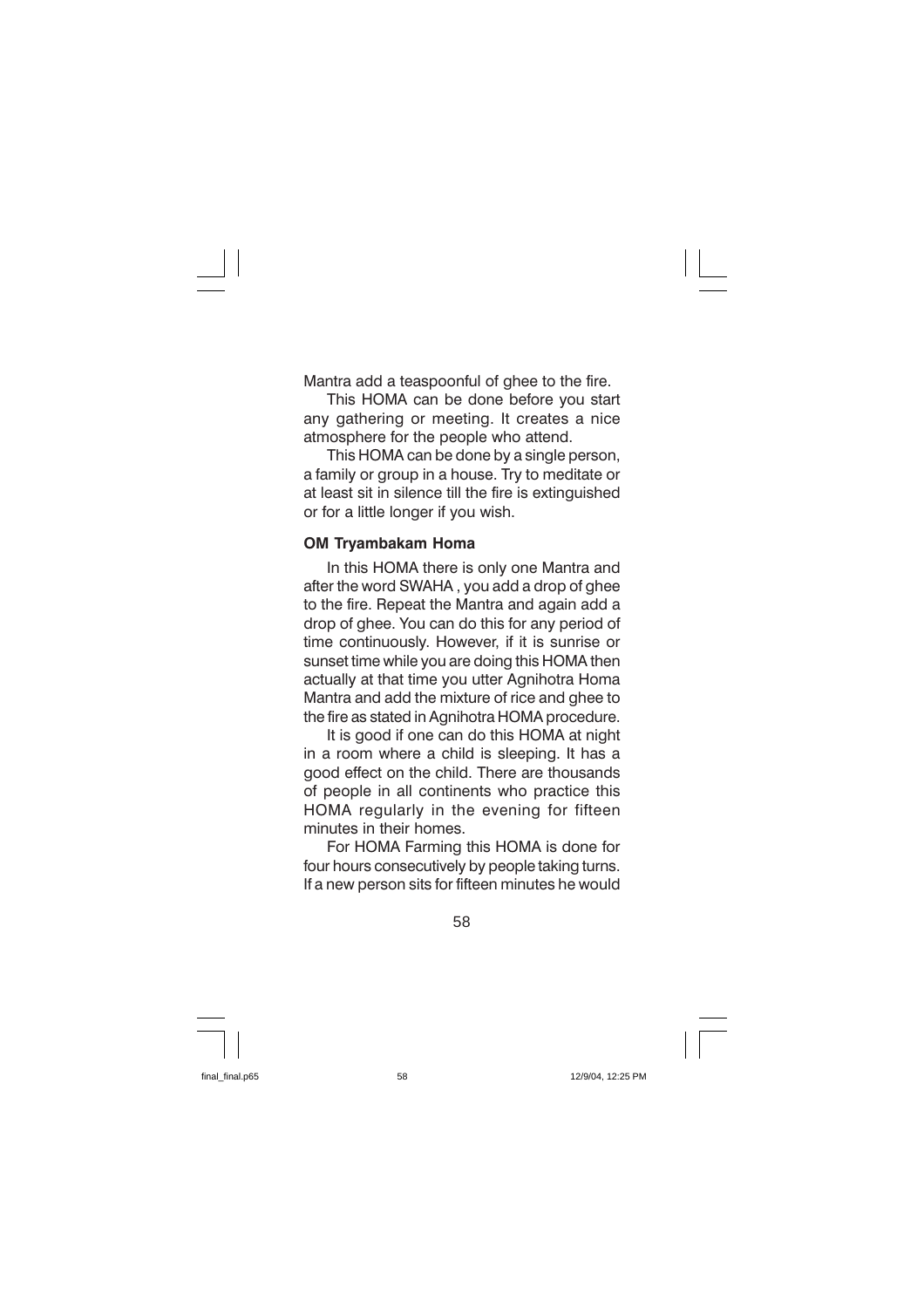Mantra add a teaspoonful of ghee to the fire.

This HOMA can be done before you start any gathering or meeting. It creates a nice atmosphere for the people who attend.

This HOMA can be done by a single person, a family or group in a house. Try to meditate or at least sit in silence till the fire is extinguished or for a little longer if you wish.

#### **OM Trvambakam Homa**

In this HOMA there is only one Mantra and after the word SWAHA, you add a drop of ghee to the fire. Repeat the Mantra and again add a drop of ghee. You can do this for any period of time continuously. However, if it is sunrise or sunset time while you are doing this HOMA then actually at that time you utter Agnihotra Homa Mantra and add the mixture of rice and ghee to the fire as stated in Agnihotra HOMA procedure.

It is good if one can do this HOMA at night in a room where a child is sleeping. It has a good effect on the child. There are thousands of people in all continents who practice this HOMA regularly in the evening for fifteen minutes in their homes.

For HOMA Farming this HOMA is done for four hours consecutively by people taking turns. If a new person sits for fifteen minutes he would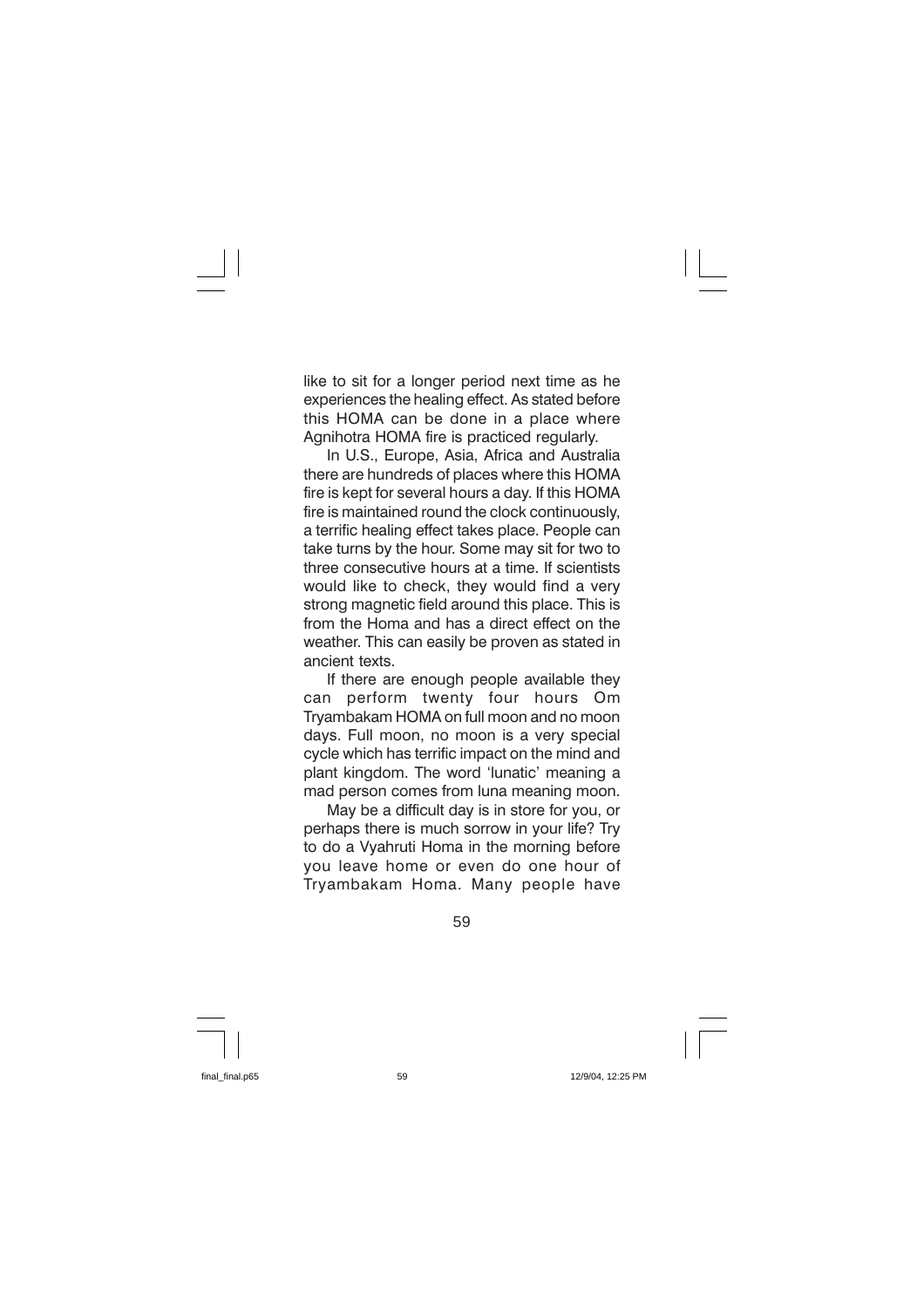like to sit for a longer period next time as he experiences the healing effect. As stated before this HOMA can be done in a place where Agnihotra HOMA fire is practiced regularly.

In U.S., Europe, Asia, Africa and Australia there are hundreds of places where this HOMA fire is kept for several hours a day. If this HOMA fire is maintained round the clock continuously. a terrific healing effect takes place. People can take turns by the hour. Some may sit for two to three consecutive hours at a time. If scientists would like to check, they would find a very strong magnetic field around this place. This is from the Homa and has a direct effect on the weather. This can easily be proven as stated in ancient texts.

If there are enough people available they perform twenty four hours  $Om$ can Tryambakam HOMA on full moon and no moon days. Full moon, no moon is a very special cycle which has terrific impact on the mind and plant kingdom. The word 'lunatic' meaning a mad person comes from luna meaning moon.

May be a difficult day is in store for you, or perhaps there is much sorrow in your life? Try to do a Vyahruti Homa in the morning before you leave home or even do one hour of Tryambakam Homa. Many people have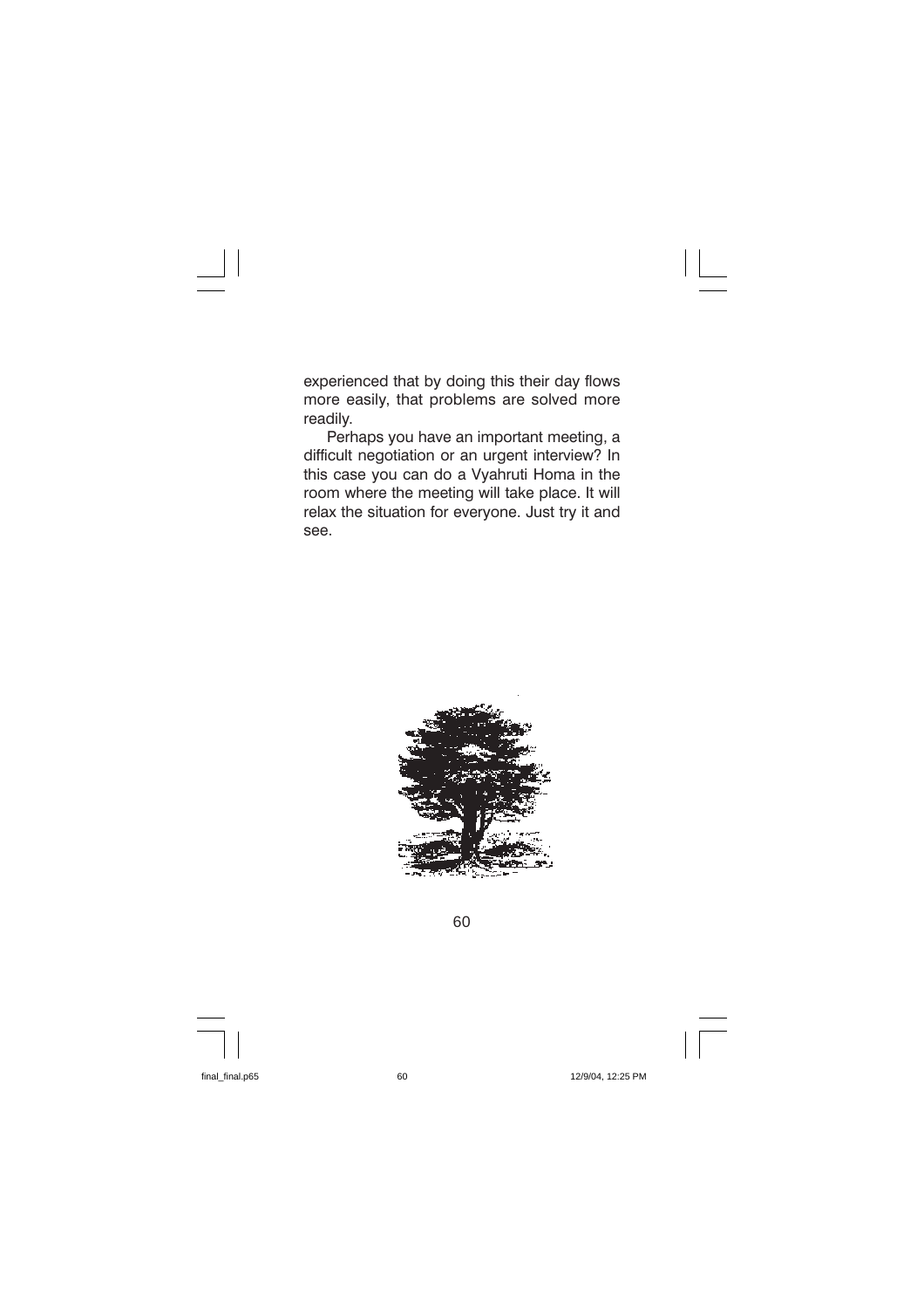experienced that by doing this their day flows more easily, that problems are solved more readily.

Perhaps you have an important meeting, a difficult negotiation or an urgent interview? In this case you can do a Vyahruti Homa in the room where the meeting will take place. It will relax the situation for everyone. Just try it and see.



60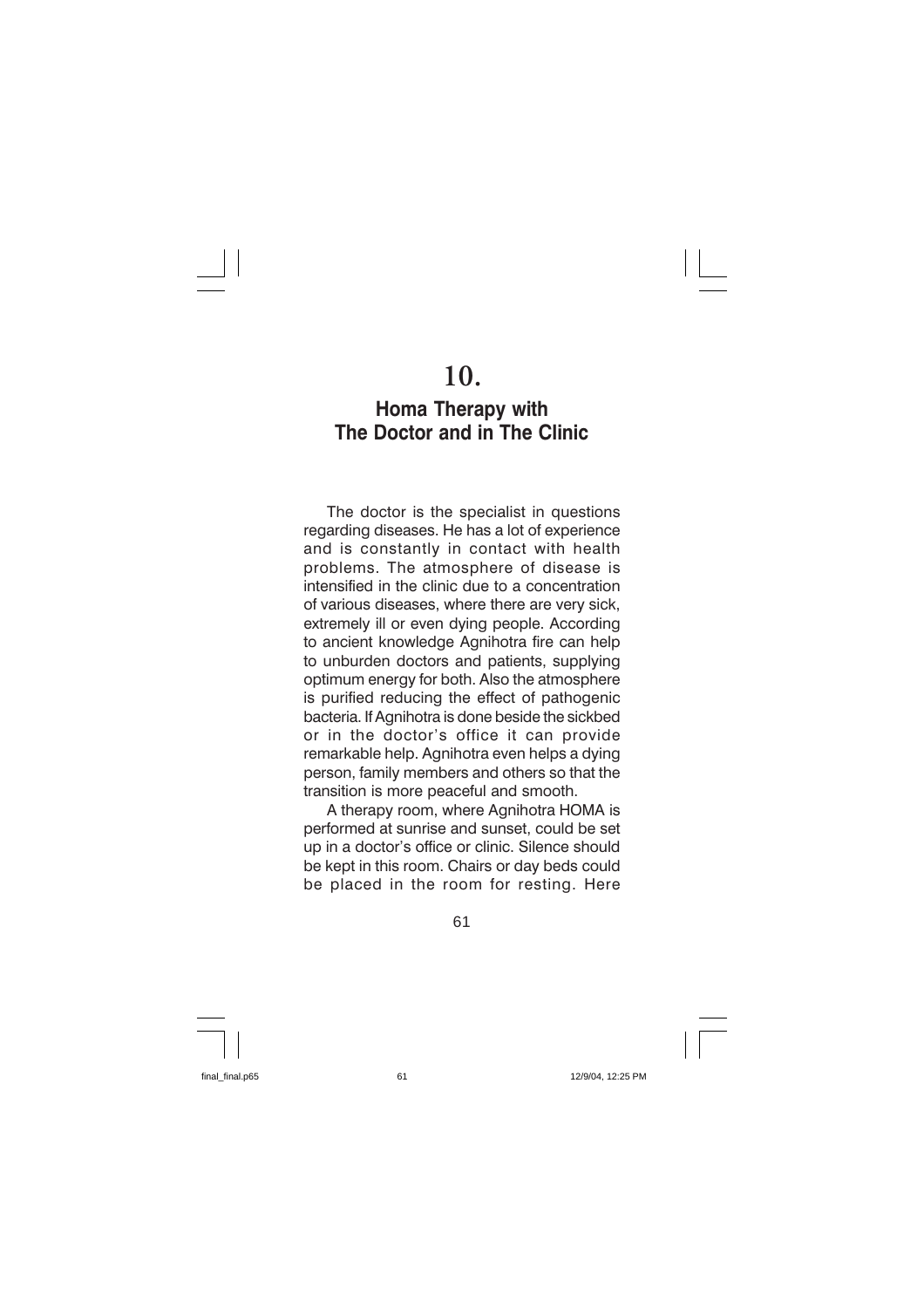# 10.

### **Homa Therapy with** The Doctor and in The Clinic

The doctor is the specialist in questions regarding diseases. He has a lot of experience and is constantly in contact with health problems. The atmosphere of disease is intensified in the clinic due to a concentration of various diseases, where there are very sick. extremely ill or even dying people. According to ancient knowledge Agnihotra fire can help to unburden doctors and patients, supplying optimum energy for both. Also the atmosphere is purified reducing the effect of pathogenic bacteria. If Agnihotra is done beside the sickbed or in the doctor's office it can provide remarkable help. Agnihotra even helps a dying person, family members and others so that the transition is more peaceful and smooth.

A therapy room, where Agnihotra HOMA is performed at sunrise and sunset, could be set up in a doctor's office or clinic. Silence should be kept in this room. Chairs or day beds could be placed in the room for resting. Here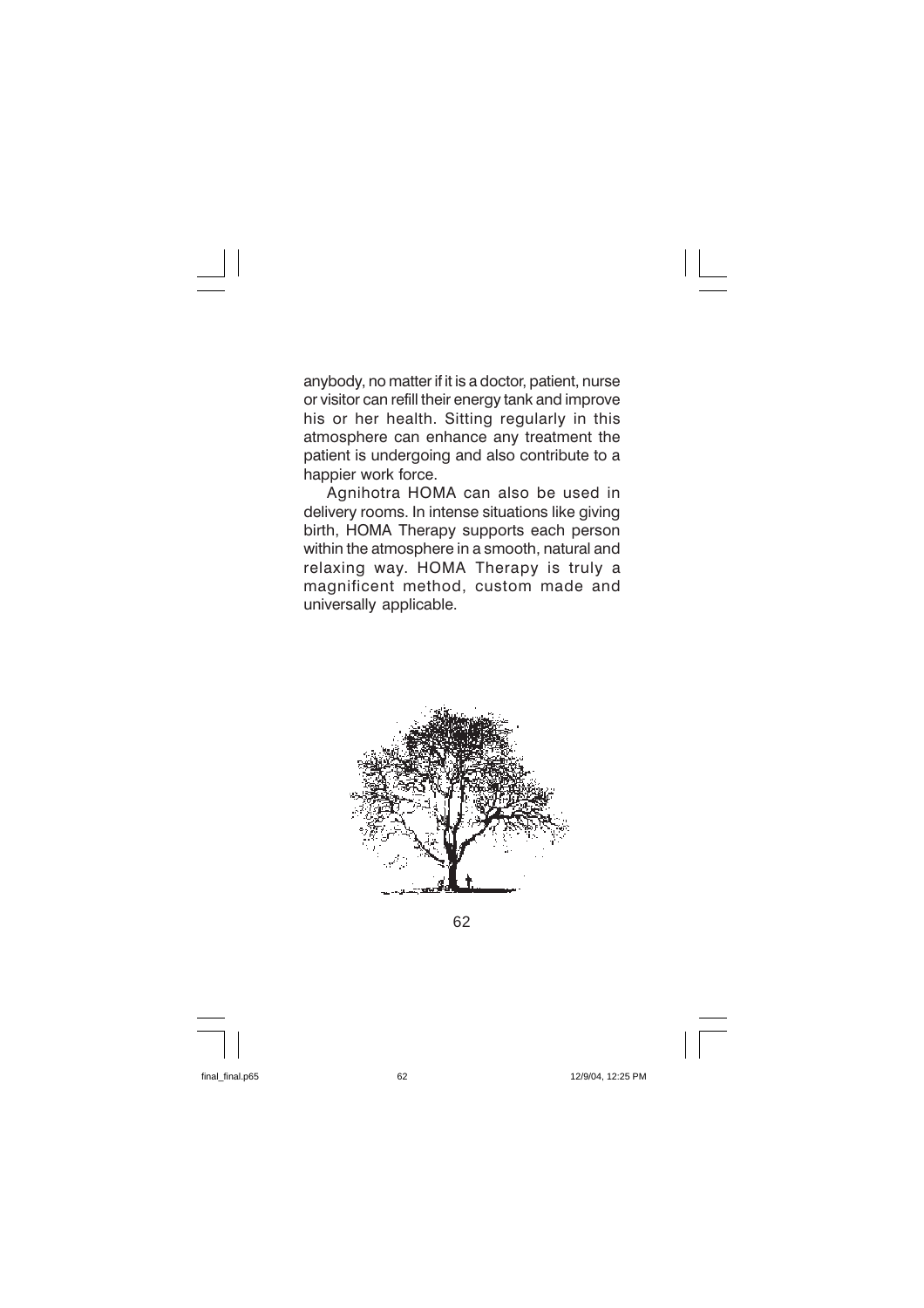anybody, no matter if it is a doctor, patient, nurse or visitor can refill their energy tank and improve his or her health. Sitting regularly in this atmosphere can enhance any treatment the patient is undergoing and also contribute to a happier work force.

Agnihotra HOMA can also be used in delivery rooms. In intense situations like giving birth, HOMA Therapy supports each person within the atmosphere in a smooth, natural and relaxing way. HOMA Therapy is truly a magnificent method, custom made and universally applicable.



62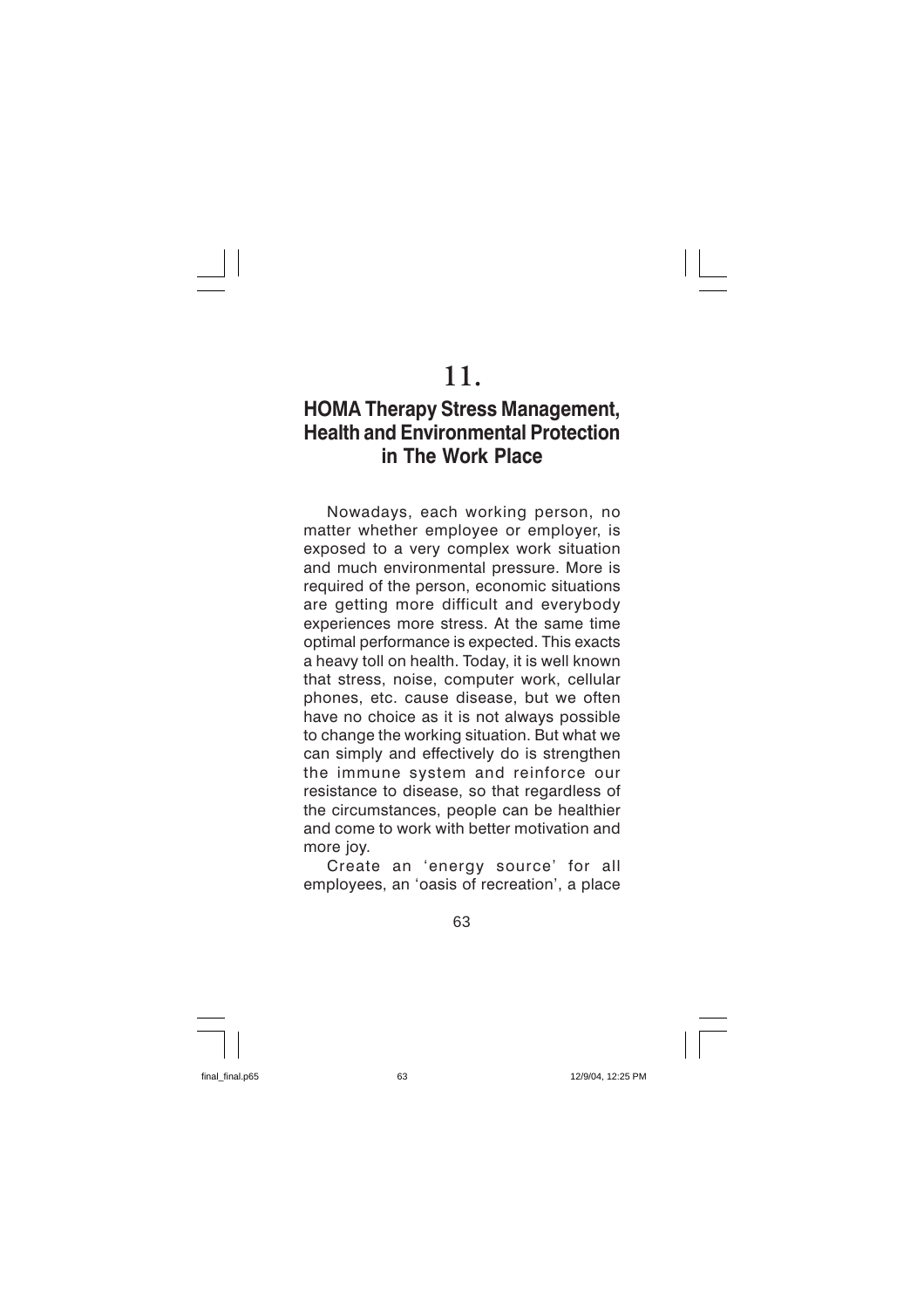# 11.

## **HOMA Therapy Stress Management, Health and Environmental Protection** in The Work Place

Nowadays, each working person, no matter whether employee or employer, is exposed to a very complex work situation and much environmental pressure. More is required of the person, economic situations are getting more difficult and everybody experiences more stress. At the same time optimal performance is expected. This exacts a heavy toll on health. Today, it is well known that stress, noise, computer work, cellular phones, etc. cause disease, but we often have no choice as it is not always possible to change the working situation. But what we can simply and effectively do is strengthen the immune system and reinforce our resistance to disease, so that regardless of the circumstances, people can be healthier and come to work with better motivation and more joy.

Create an 'energy source' for all employees, an 'oasis of recreation', a place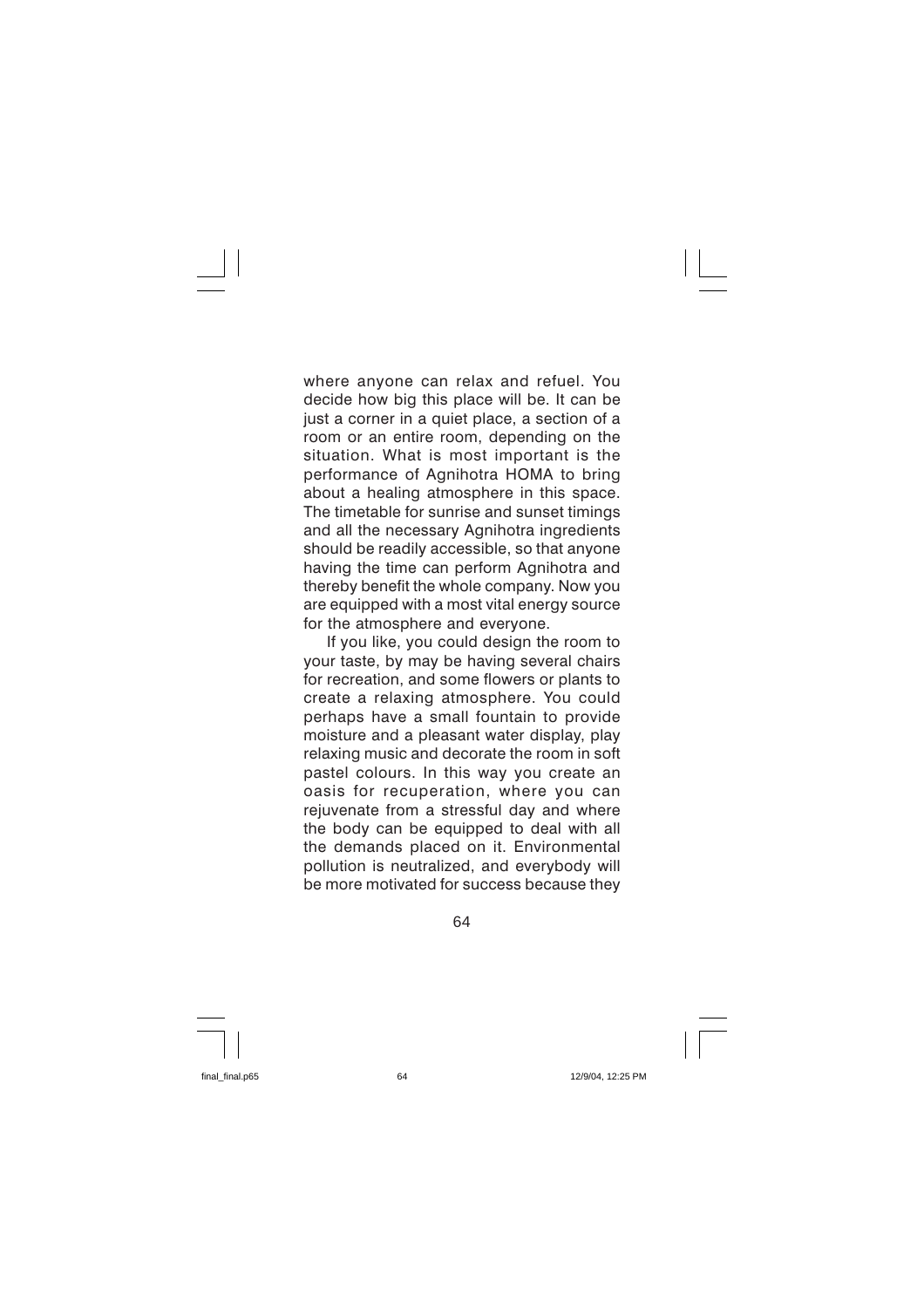where anyone can relax and refuel. You decide how big this place will be. It can be just a corner in a quiet place, a section of a room or an entire room, depending on the situation. What is most important is the performance of Agnihotra HOMA to bring about a healing atmosphere in this space. The timetable for sunrise and sunset timings and all the necessary Agnihotra ingredients should be readily accessible, so that anyone having the time can perform Agnihotra and thereby benefit the whole company. Now you are equipped with a most vital energy source for the atmosphere and everyone.

If you like, you could design the room to your taste, by may be having several chairs for recreation, and some flowers or plants to create a relaxing atmosphere. You could perhaps have a small fountain to provide moisture and a pleasant water display, play relaxing music and decorate the room in soft pastel colours. In this way you create an oasis for recuperation, where you can reiuvenate from a stressful day and where the body can be equipped to deal with all the demands placed on it. Environmental pollution is neutralized, and everybody will be more motivated for success because they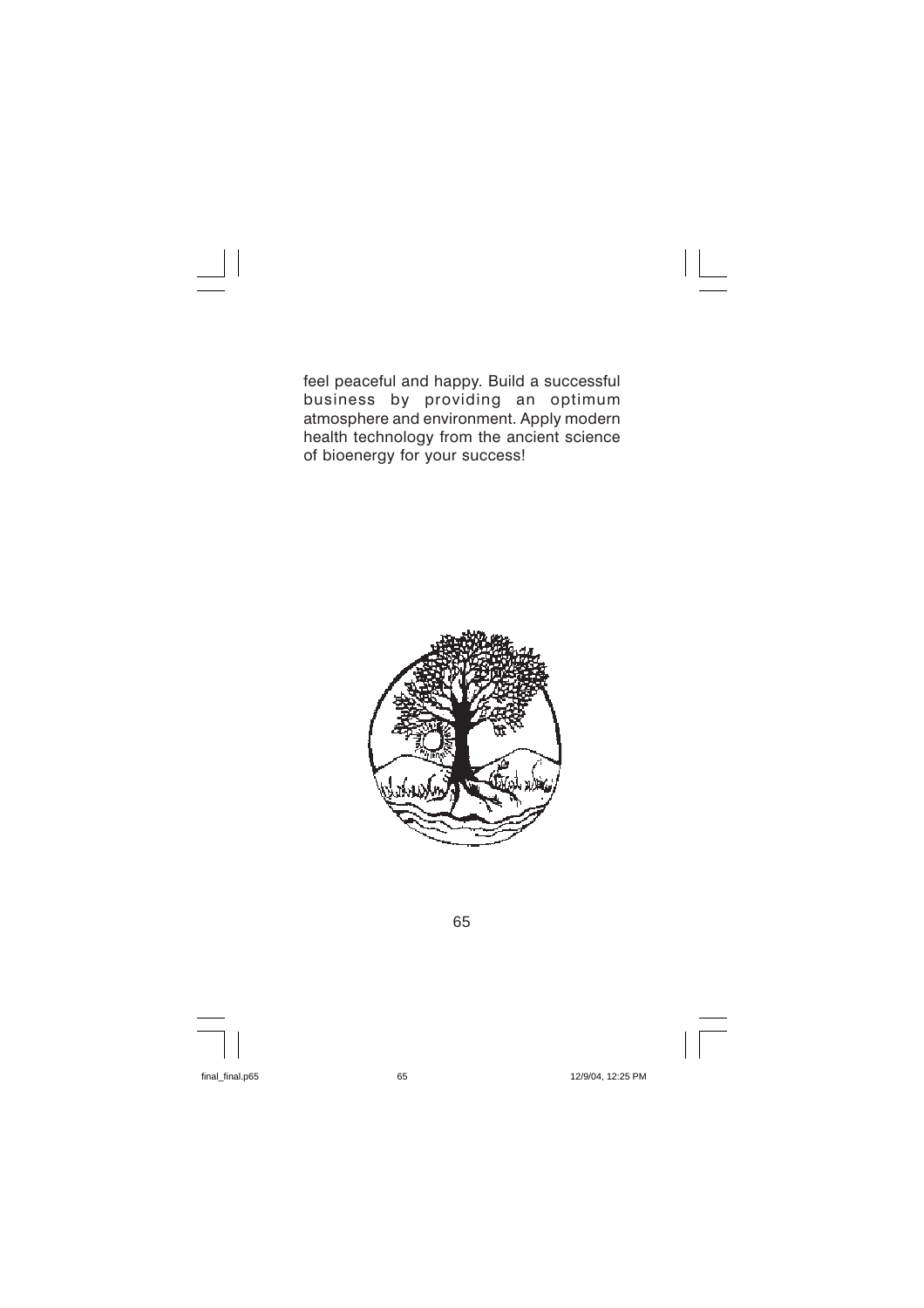feel peaceful and happy. Build a successful business by providing an optimum atmosphere and environment. Apply modern health technology from the ancient science of bioenergy for your success!

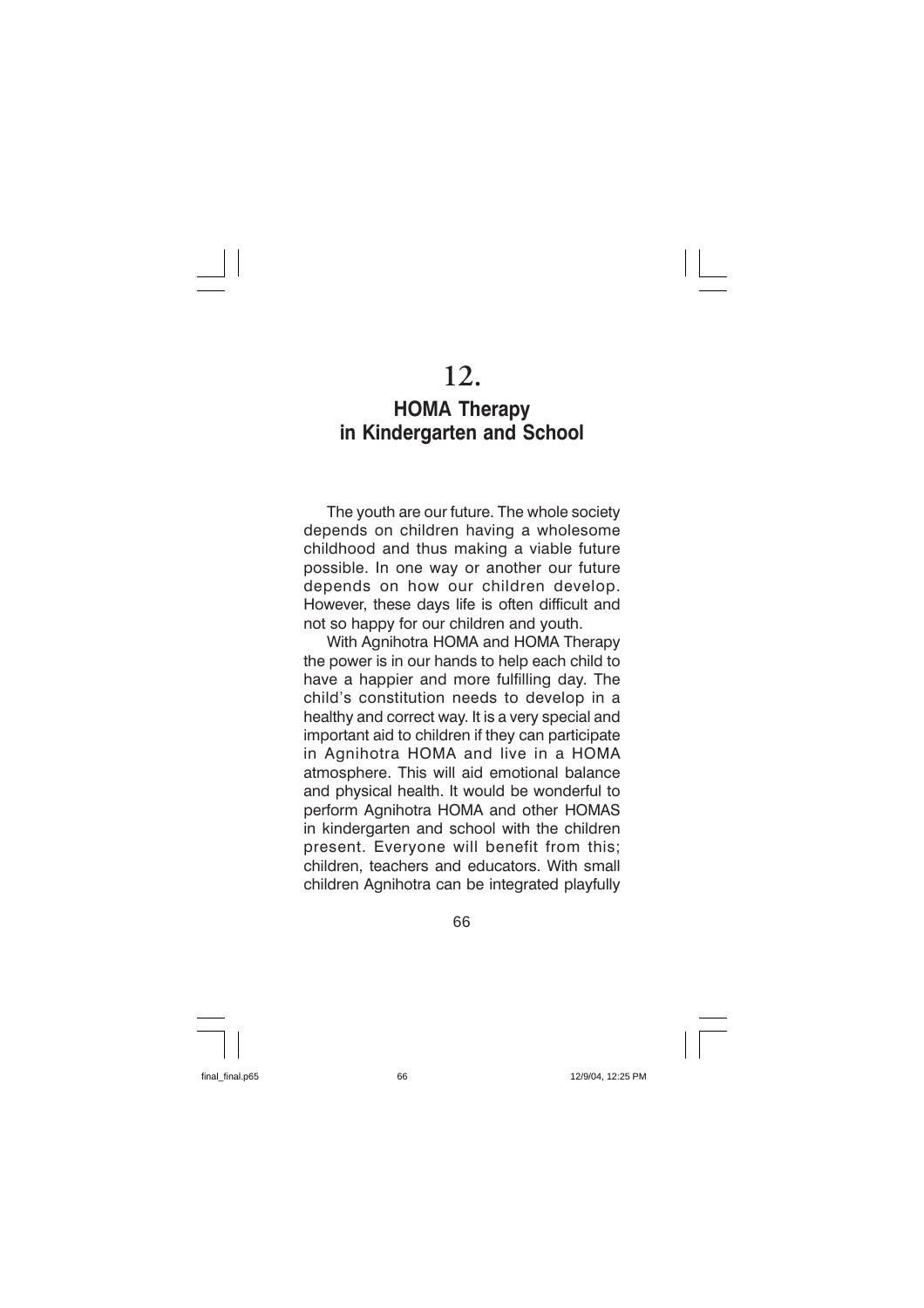# 12.

# **HOMA Therapy** in Kindergarten and School

The youth are our future. The whole society depends on children having a wholesome childhood and thus making a viable future possible. In one way or another our future depends on how our children develop. However, these days life is often difficult and not so happy for our children and youth.

With Agnihotra HOMA and HOMA Therapy the power is in our hands to help each child to have a happier and more fulfilling day. The child's constitution needs to develop in a healthy and correct way. It is a very special and important aid to children if they can participate in Agnihotra HOMA and live in a HOMA atmosphere. This will aid emotional balance and physical health. It would be wonderful to perform Agnihotra HOMA and other HOMAS in kindergarten and school with the children present. Everyone will benefit from this; children, teachers and educators. With small children Agnihotra can be integrated playfully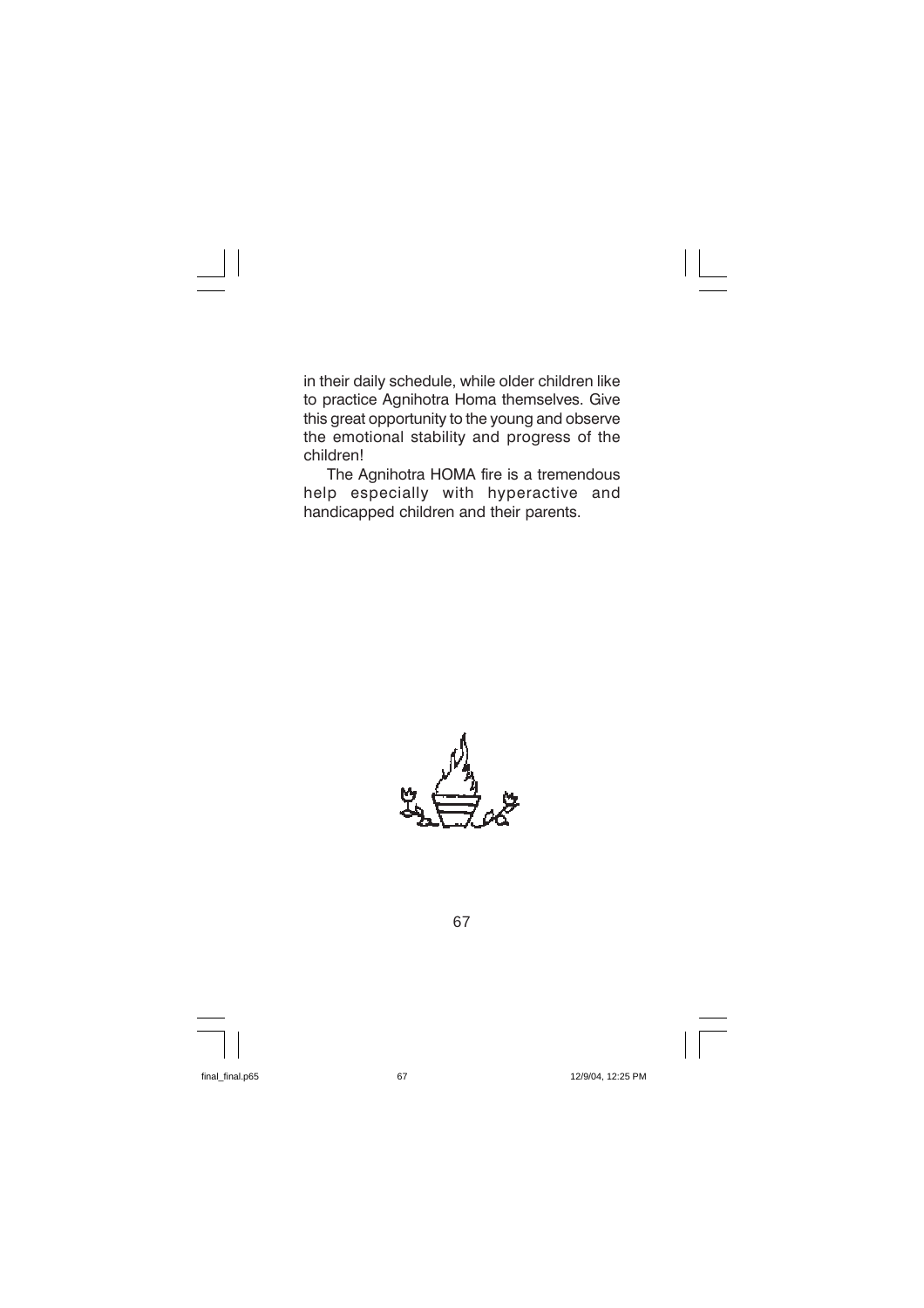in their daily schedule, while older children like to practice Agnihotra Homa themselves. Give this great opportunity to the young and observe the emotional stability and progress of the children!

The Agnihotra HOMA fire is a tremendous help especially with hyperactive and handicapped children and their parents.

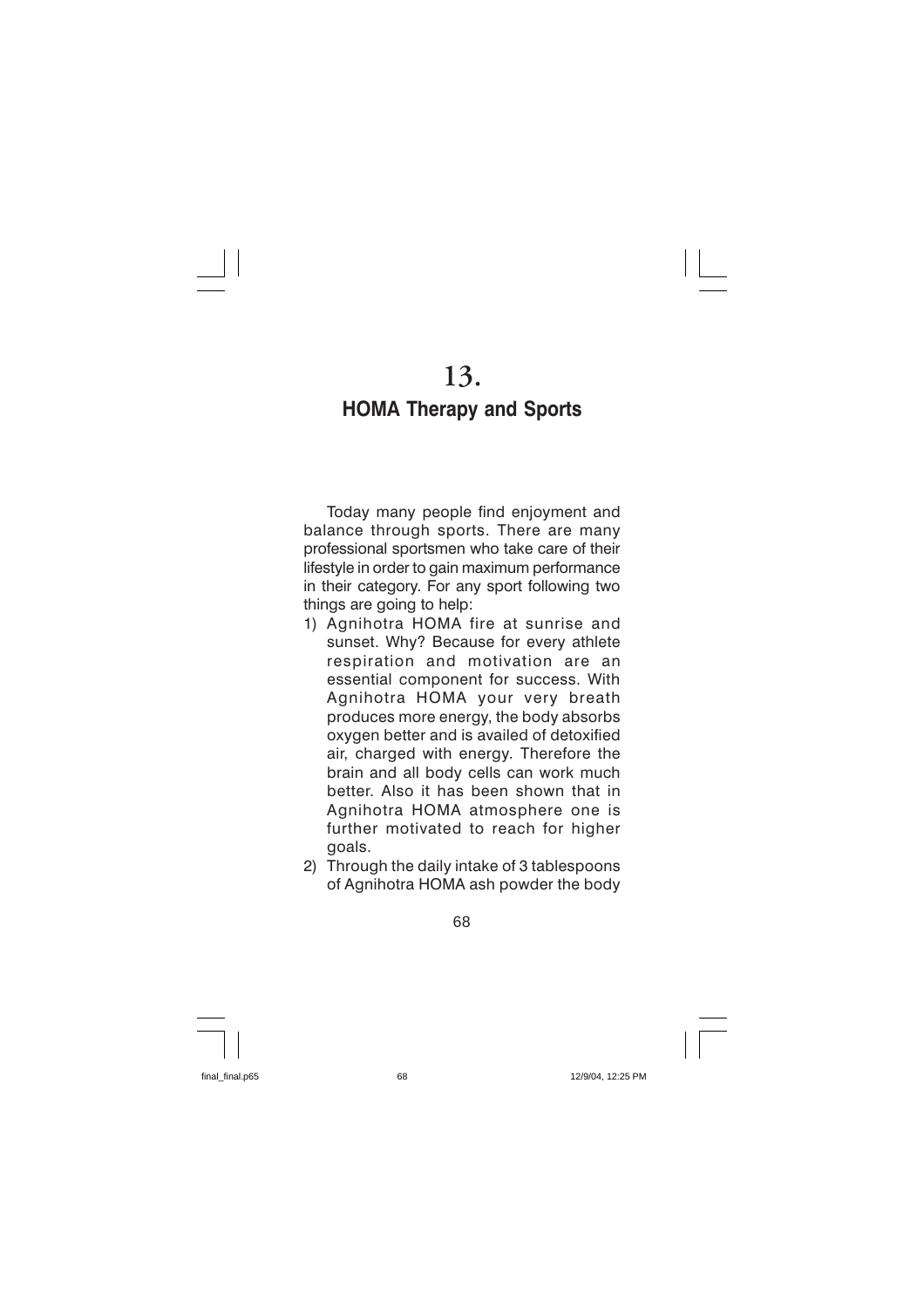## **HOMA Therapy and Sports**

Today many people find enjoyment and balance through sports. There are many professional sportsmen who take care of their lifestyle in order to gain maximum performance in their category. For any sport following two things are going to help:

- 1) Agnihotra HOMA fire at sunrise and sunset. Why? Because for every athlete respiration and motivation are an essential component for success. With Agnihotra HOMA your very breath produces more energy, the body absorbs oxygen better and is availed of detoxified air, charged with energy. Therefore the brain and all body cells can work much better. Also it has been shown that in Agnihotra HOMA atmosphere one is further motivated to reach for higher goals.
- 2) Through the daily intake of 3 tablespoons of Agnihotra HOMA ash powder the body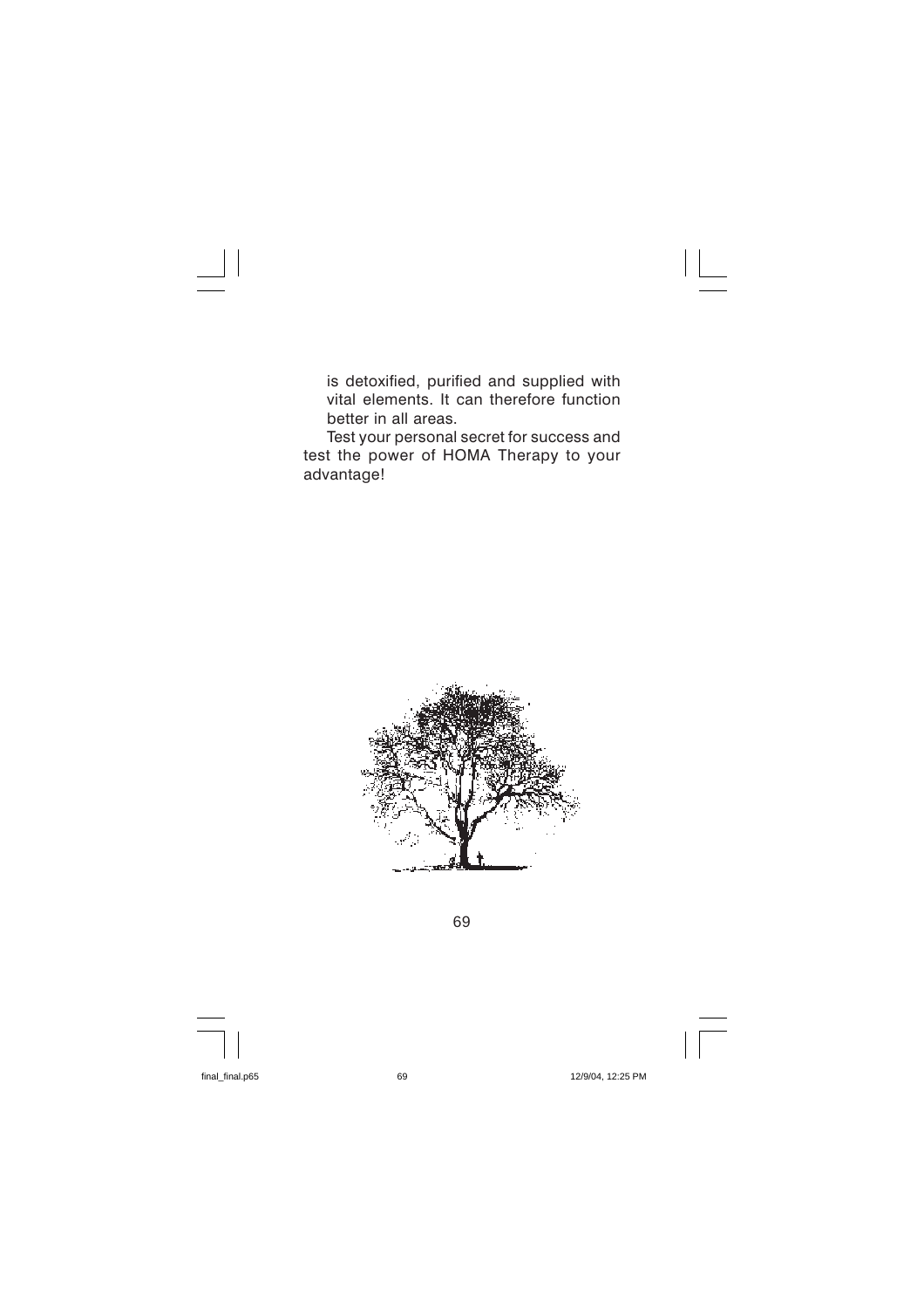is detoxified, purified and supplied with vital elements. It can therefore function better in all areas.

Test your personal secret for success and test the power of HOMA Therapy to your advantage!

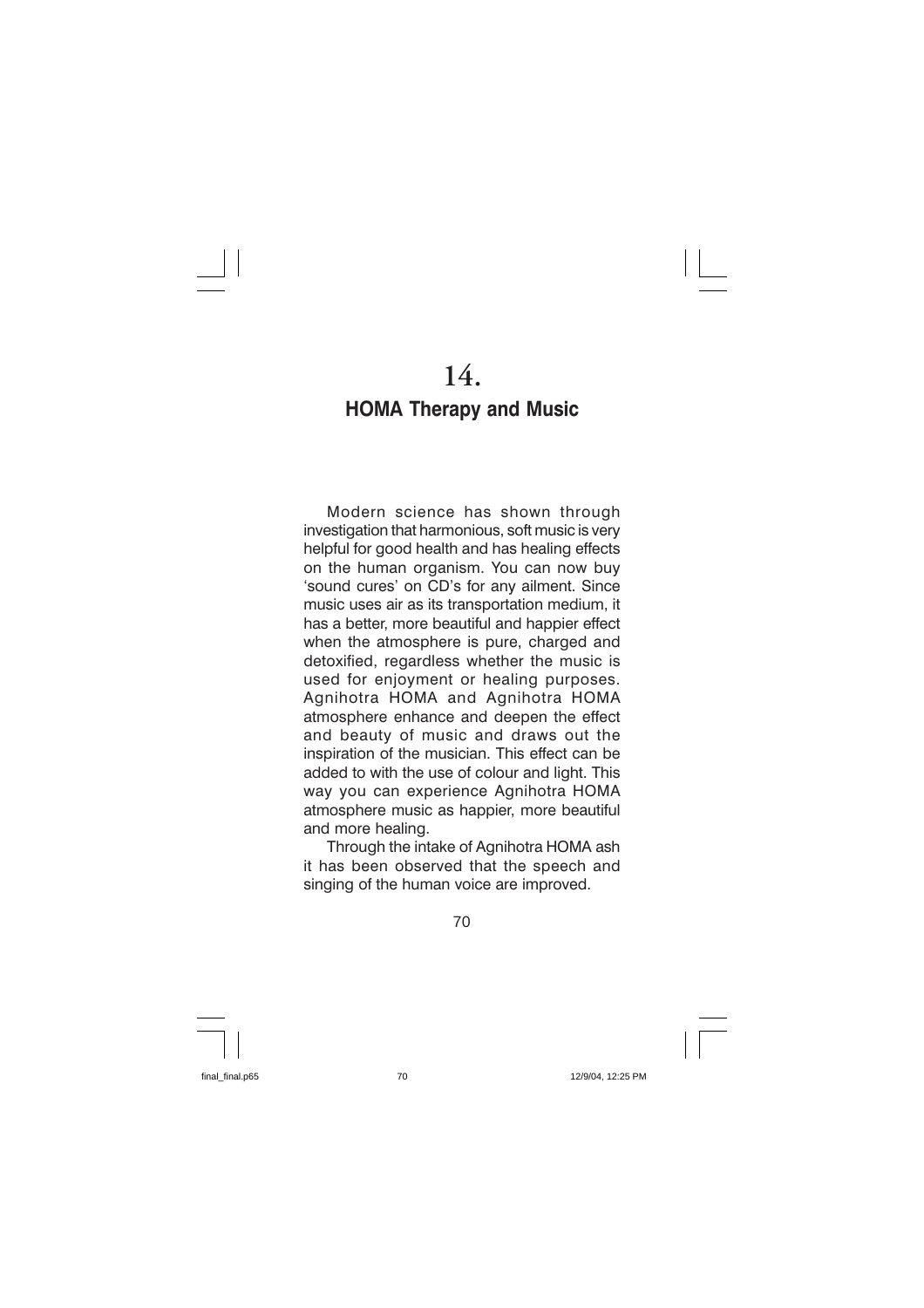## **HOMA Therapy and Music**

Modern science has shown through investigation that harmonious, soft music is very helpful for good health and has healing effects on the human organism. You can now buy 'sound cures' on CD's for any ailment. Since music uses air as its transportation medium, it has a better, more beautiful and happier effect when the atmosphere is pure, charged and detoxified, regardless whether the music is used for enjoyment or healing purposes. Agnihotra HOMA and Agnihotra HOMA atmosphere enhance and deepen the effect and beauty of music and draws out the inspiration of the musician. This effect can be added to with the use of colour and light. This way you can experience Agnihotra HOMA atmosphere music as happier, more beautiful and more healing.

Through the intake of Agnihotra HOMA ash it has been observed that the speech and singing of the human voice are improved.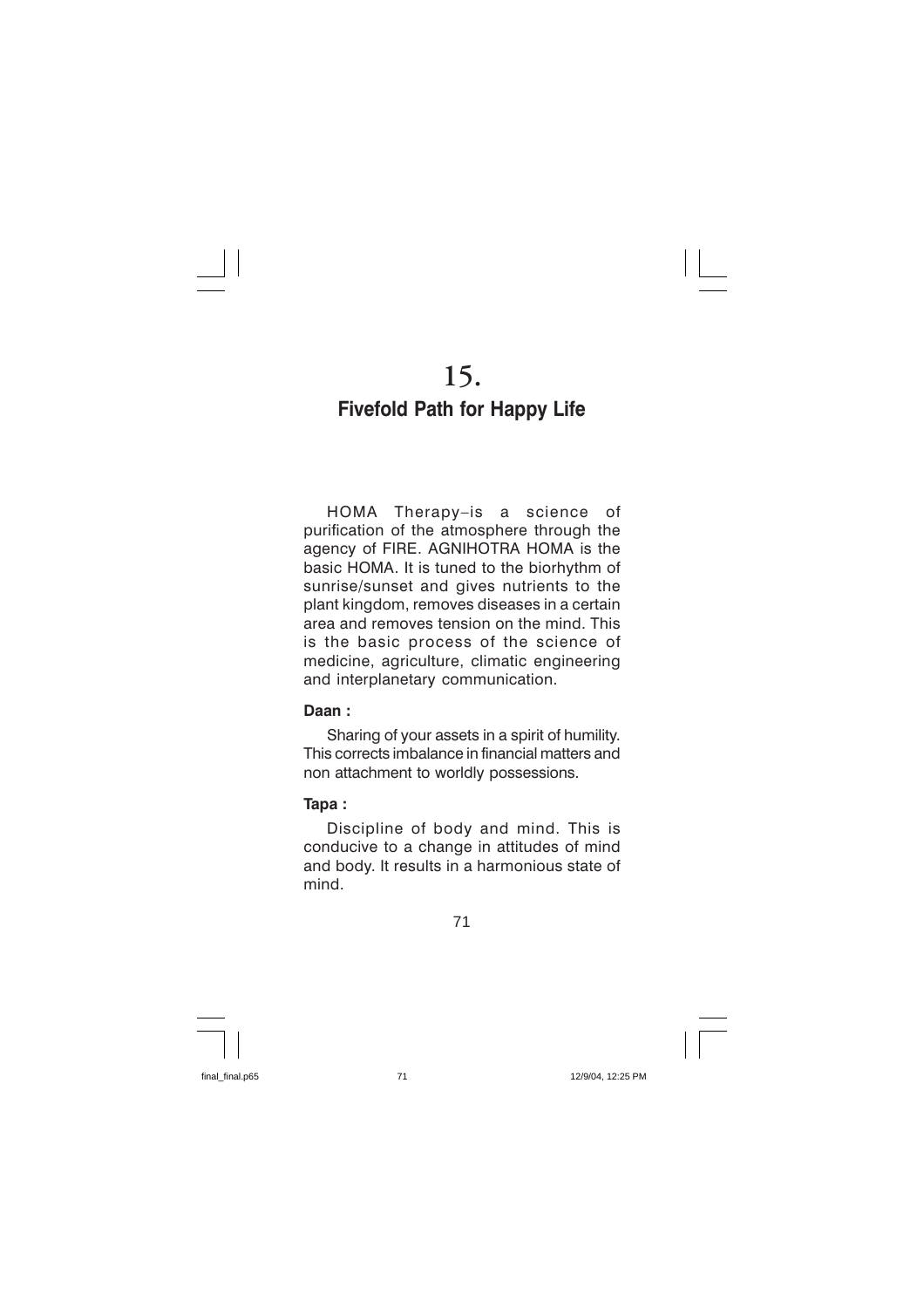15.

# **Fivefold Path for Happy Life**

HOMA Therapy-is a science of purification of the atmosphere through the agency of FIRE. AGNIHOTRA HOMA is the basic HOMA. It is tuned to the biorhythm of sunrise/sunset and gives nutrients to the plant kingdom, removes diseases in a certain area and removes tension on the mind. This is the basic process of the science of medicine, agriculture, climatic engineering and interplanetary communication.

### Daan:

Sharing of your assets in a spirit of humility. This corrects imbalance in financial matters and non attachment to worldly possessions.

## Tapa:

Discipline of body and mind. This is conducive to a change in attitudes of mind and body. It results in a harmonious state of mind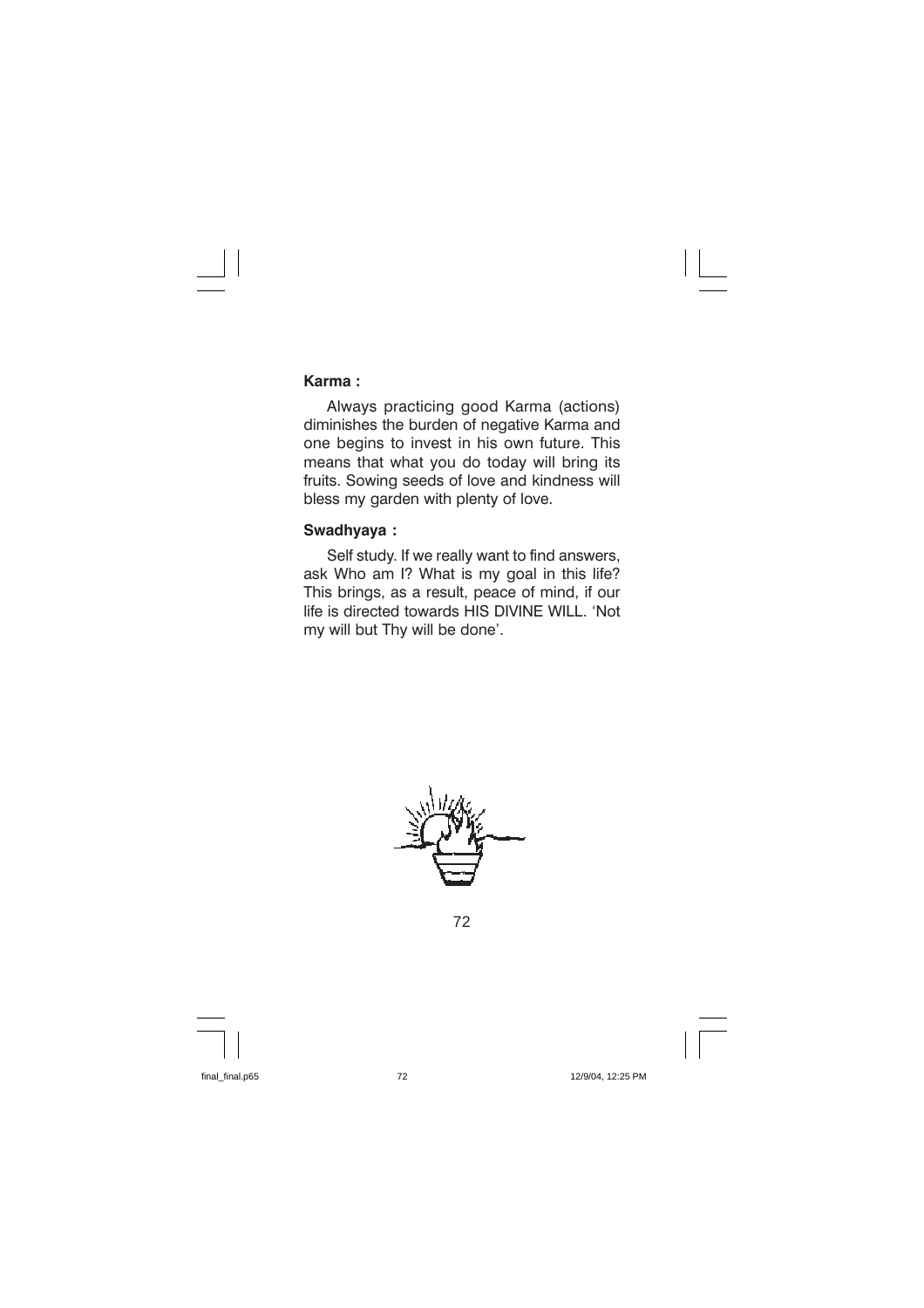#### Karma:

Always practicing good Karma (actions) diminishes the burden of negative Karma and one begins to invest in his own future. This means that what you do today will bring its fruits. Sowing seeds of love and kindness will bless my garden with plenty of love.

## Swadhyaya:

Self study. If we really want to find answers, ask Who am I? What is my goal in this life? This brings, as a result, peace of mind, if our life is directed towards HIS DIVINE WILL. 'Not my will but Thy will be done'.

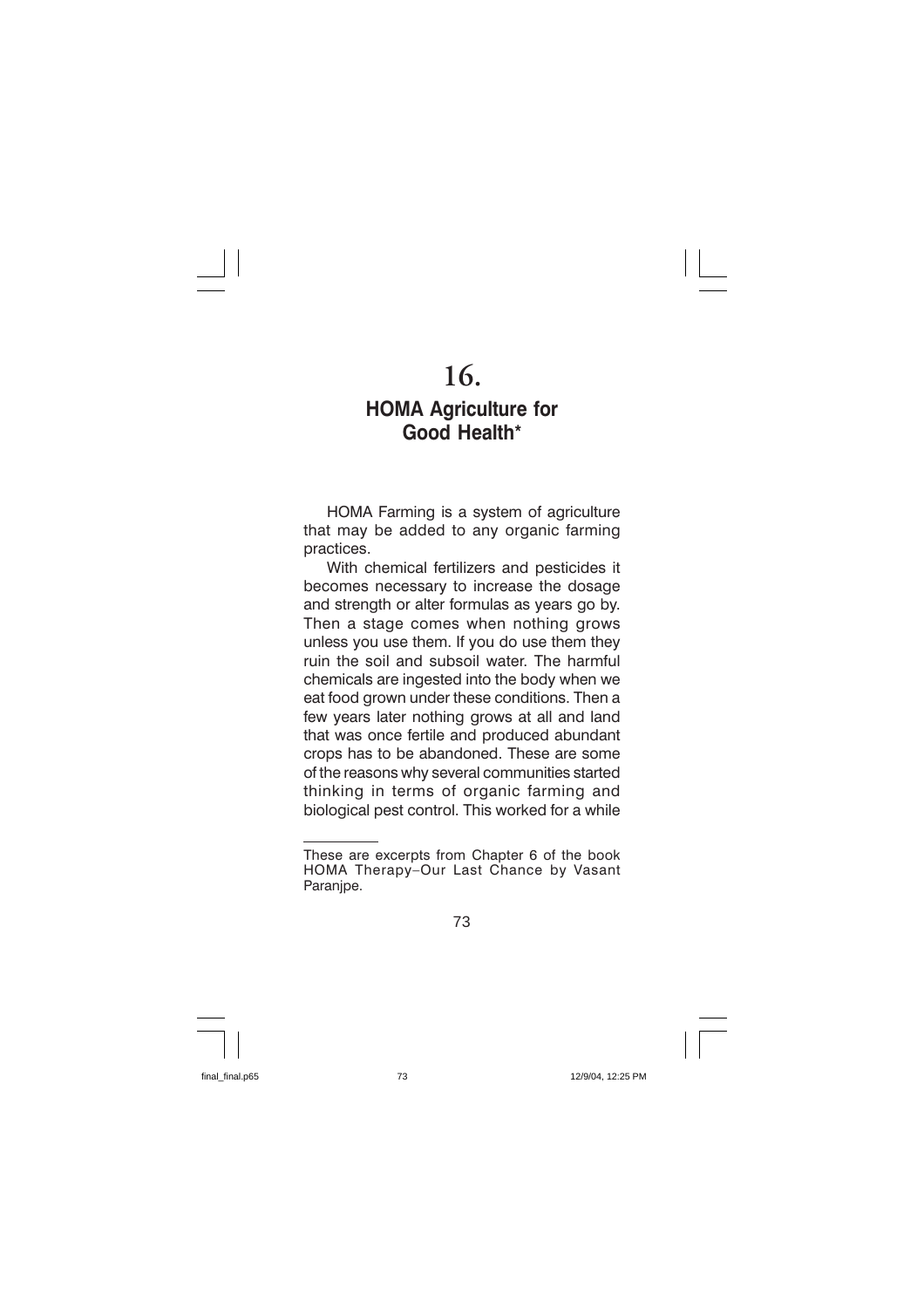# $16.$

## **HOMA Agriculture for** Good Health\*

HOMA Farming is a system of agriculture that may be added to any organic farming practices.

With chemical fertilizers and pesticides it becomes necessary to increase the dosage and strength or alter formulas as years go by. Then a stage comes when nothing grows unless you use them. If you do use them they ruin the soil and subsoil water. The harmful chemicals are ingested into the body when we eat food grown under these conditions. Then a few years later nothing grows at all and land that was once fertile and produced abundant crops has to be abandoned. These are some of the reasons why several communities started thinking in terms of organic farming and biological pest control. This worked for a while

These are excerpts from Chapter 6 of the book HOMA Therapy-Our Last Chance by Vasant Paranipe.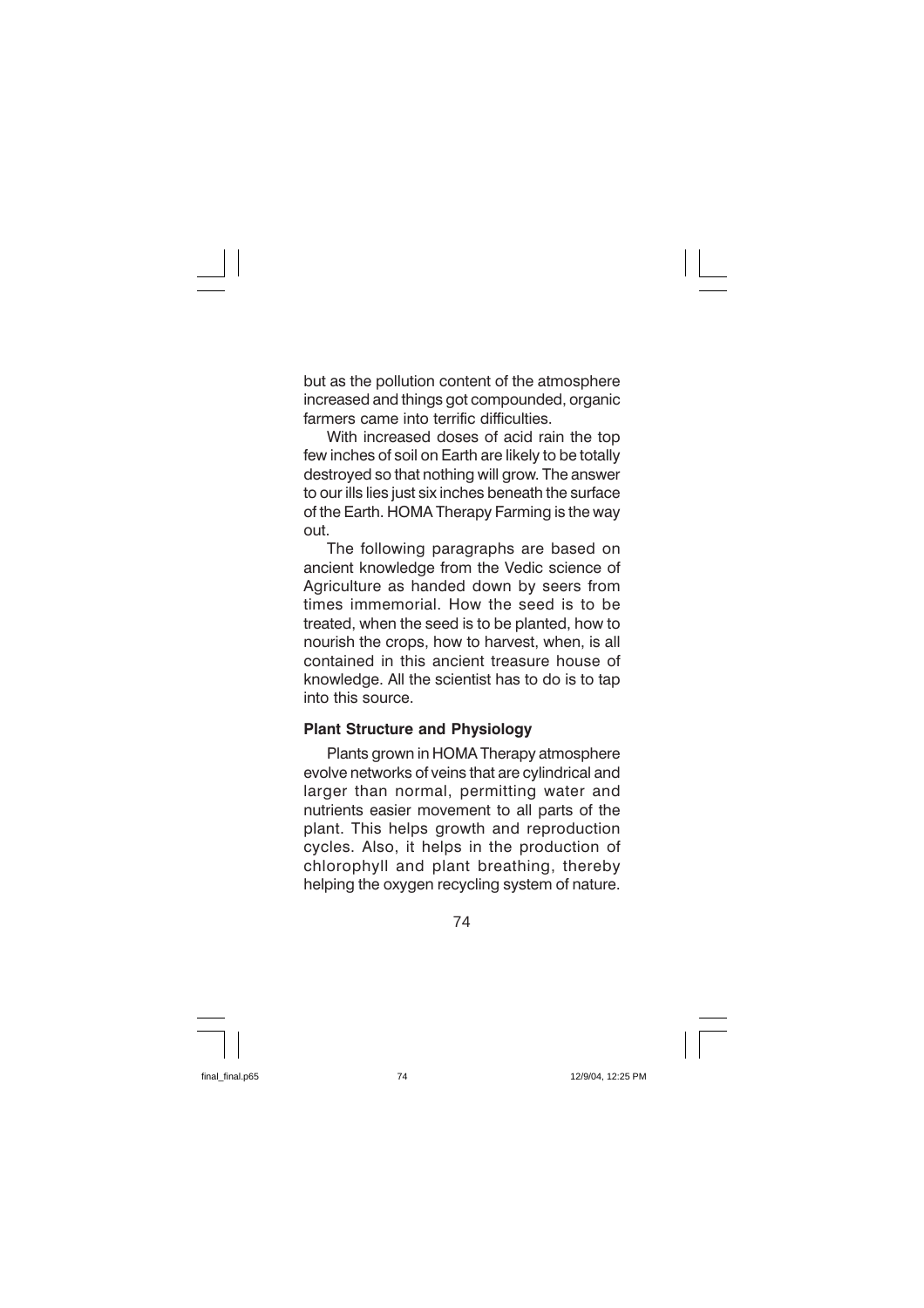but as the pollution content of the atmosphere increased and things got compounded, organic farmers came into terrific difficulties.

With increased doses of acid rain the top few inches of soil on Earth are likely to be totally destroyed so that nothing will grow. The answer to our ills lies just six inches beneath the surface of the Earth. HOMA Therapy Farming is the way out.

The following paragraphs are based on ancient knowledge from the Vedic science of Agriculture as handed down by seers from times immemorial. How the seed is to be treated, when the seed is to be planted, how to nourish the crops, how to harvest, when, is all contained in this ancient treasure house of knowledge. All the scientist has to do is to tap into this source.

### **Plant Structure and Physiology**

Plants grown in HOMA Therapy atmosphere evolve networks of veins that are cylindrical and larger than normal, permitting water and nutrients easier movement to all parts of the plant. This helps growth and reproduction cycles. Also, it helps in the production of chlorophyll and plant breathing, thereby helping the oxygen recycling system of nature.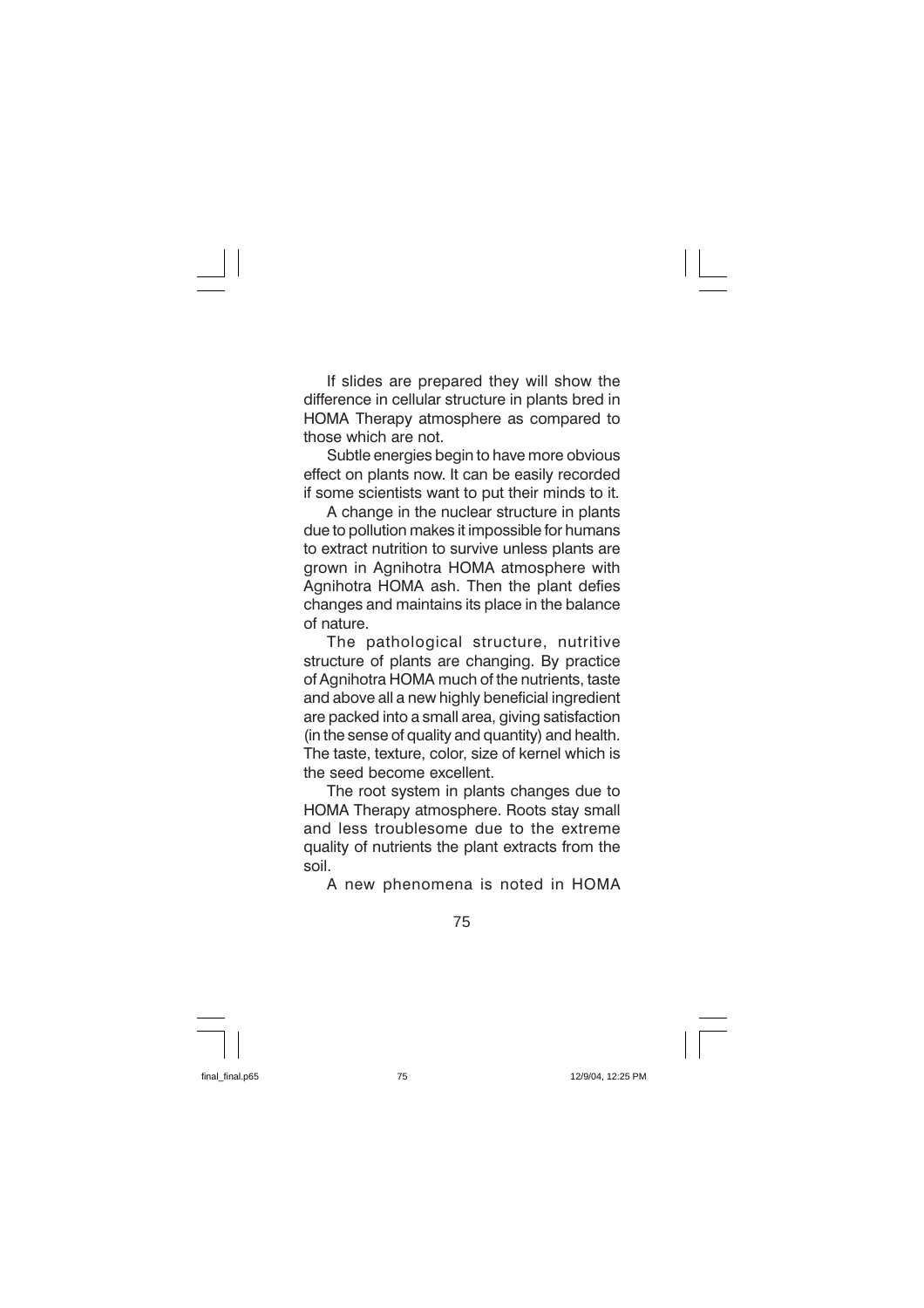If slides are prepared they will show the difference in cellular structure in plants bred in HOMA Therapy atmosphere as compared to those which are not.

Subtle energies begin to have more obvious effect on plants now. It can be easily recorded if some scientists want to put their minds to it.

A change in the nuclear structure in plants due to pollution makes it impossible for humans to extract nutrition to survive unless plants are grown in Agnihotra HOMA atmosphere with Agnihotra HOMA ash. Then the plant defies changes and maintains its place in the balance of nature.

The pathological structure, nutritive structure of plants are changing. By practice of Agnihotra HOMA much of the nutrients, taste and above all a new highly beneficial ingredient are packed into a small area, giving satisfaction (in the sense of quality and quantity) and health. The taste, texture, color, size of kernel which is the seed become excellent.

The root system in plants changes due to HOMA Therapy atmosphere. Roots stay small and less troublesome due to the extreme quality of nutrients the plant extracts from the soil.

A new phenomena is noted in HOMA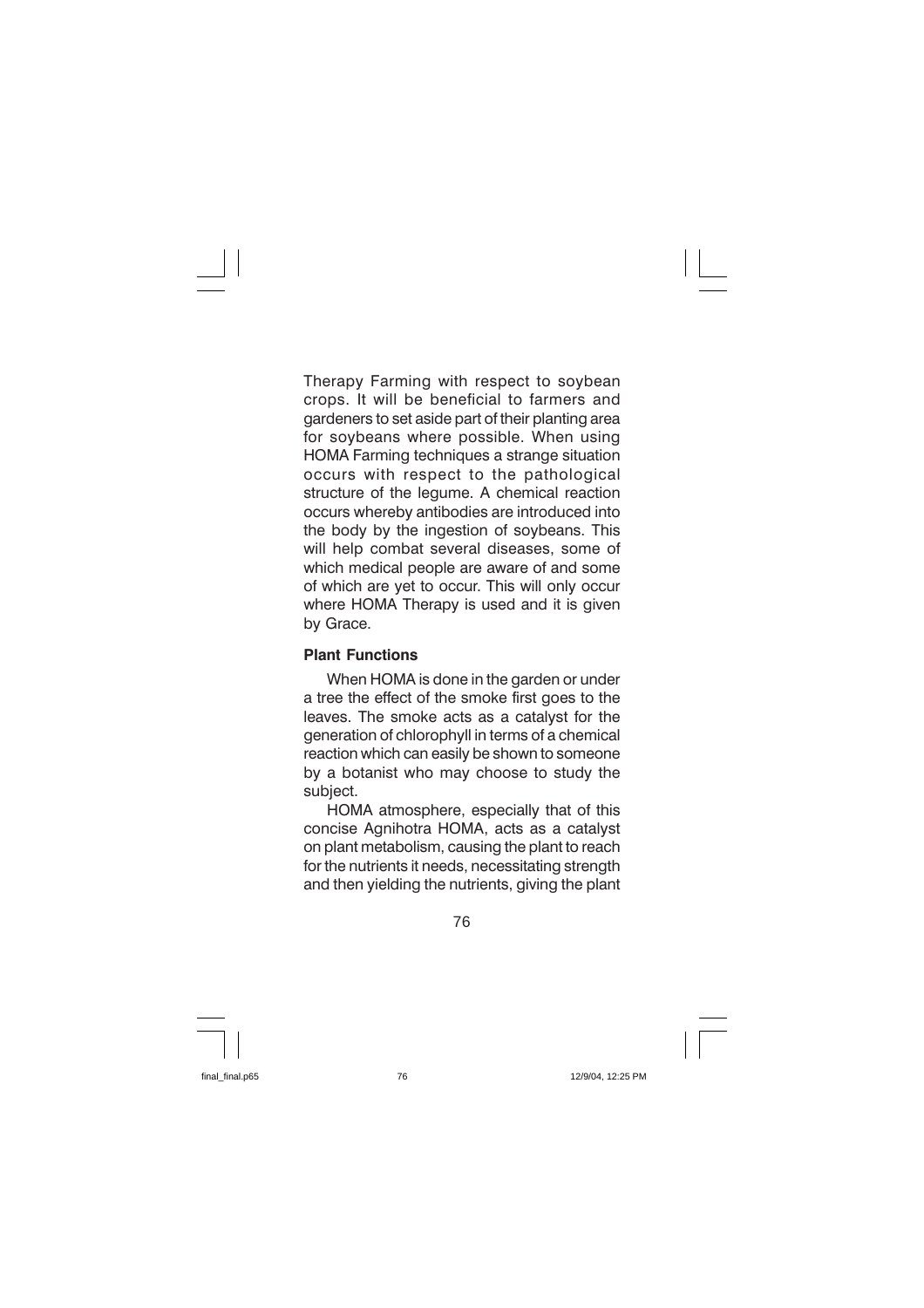Therapy Farming with respect to soybean crops. It will be beneficial to farmers and gardeners to set aside part of their planting area for soybeans where possible. When using HOMA Farming techniques a strange situation occurs with respect to the pathological structure of the legume. A chemical reaction occurs whereby antibodies are introduced into the body by the ingestion of soybeans. This will help combat several diseases, some of which medical people are aware of and some of which are yet to occur. This will only occur where HOMA Therapy is used and it is given by Grace.

## **Plant Functions**

When HOMA is done in the garden or under a tree the effect of the smoke first goes to the leaves. The smoke acts as a catalyst for the generation of chlorophyll in terms of a chemical reaction which can easily be shown to someone by a botanist who may choose to study the subiect.

HOMA atmosphere, especially that of this concise Agnihotra HOMA, acts as a catalyst on plant metabolism, causing the plant to reach for the nutrients it needs, necessitating strength and then yielding the nutrients, giving the plant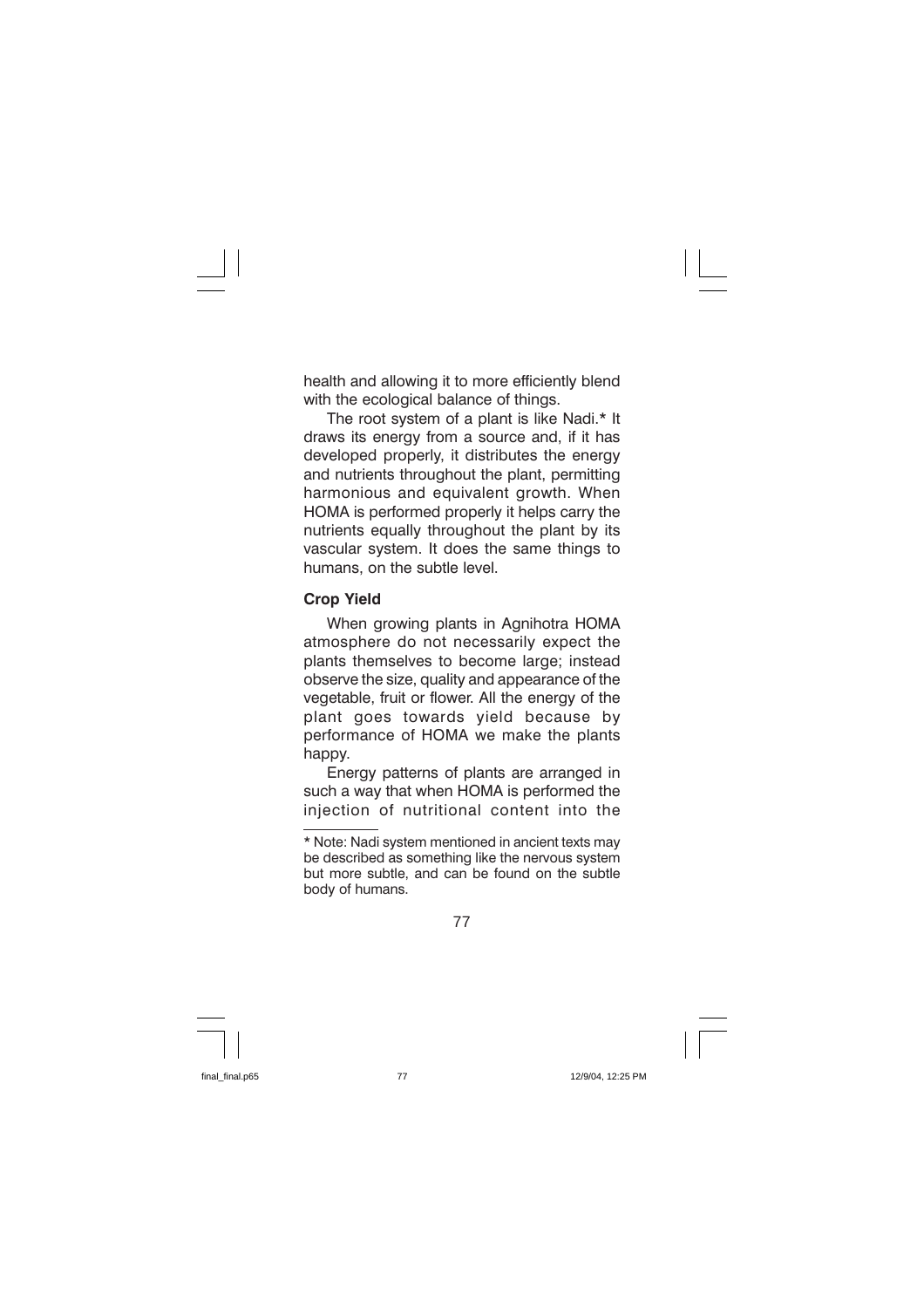health and allowing it to more efficiently blend with the ecological balance of things.

The root system of a plant is like Nadi.\* It draws its energy from a source and, if it has developed properly, it distributes the energy and nutrients throughout the plant, permitting harmonious and equivalent growth. When HOMA is performed properly it helps carry the nutrients equally throughout the plant by its vascular system. It does the same things to humans, on the subtle level.

## **Crop Yield**

When growing plants in Agnihotra HOMA atmosphere do not necessarily expect the plants themselves to become large; instead observe the size, quality and appearance of the vegetable, fruit or flower. All the energy of the plant goes towards yield because by performance of HOMA we make the plants happy.

Energy patterns of plants are arranged in such a way that when HOMA is performed the injection of nutritional content into the

<sup>\*</sup> Note: Nadi system mentioned in ancient texts may be described as something like the nervous system but more subtle, and can be found on the subtle body of humans.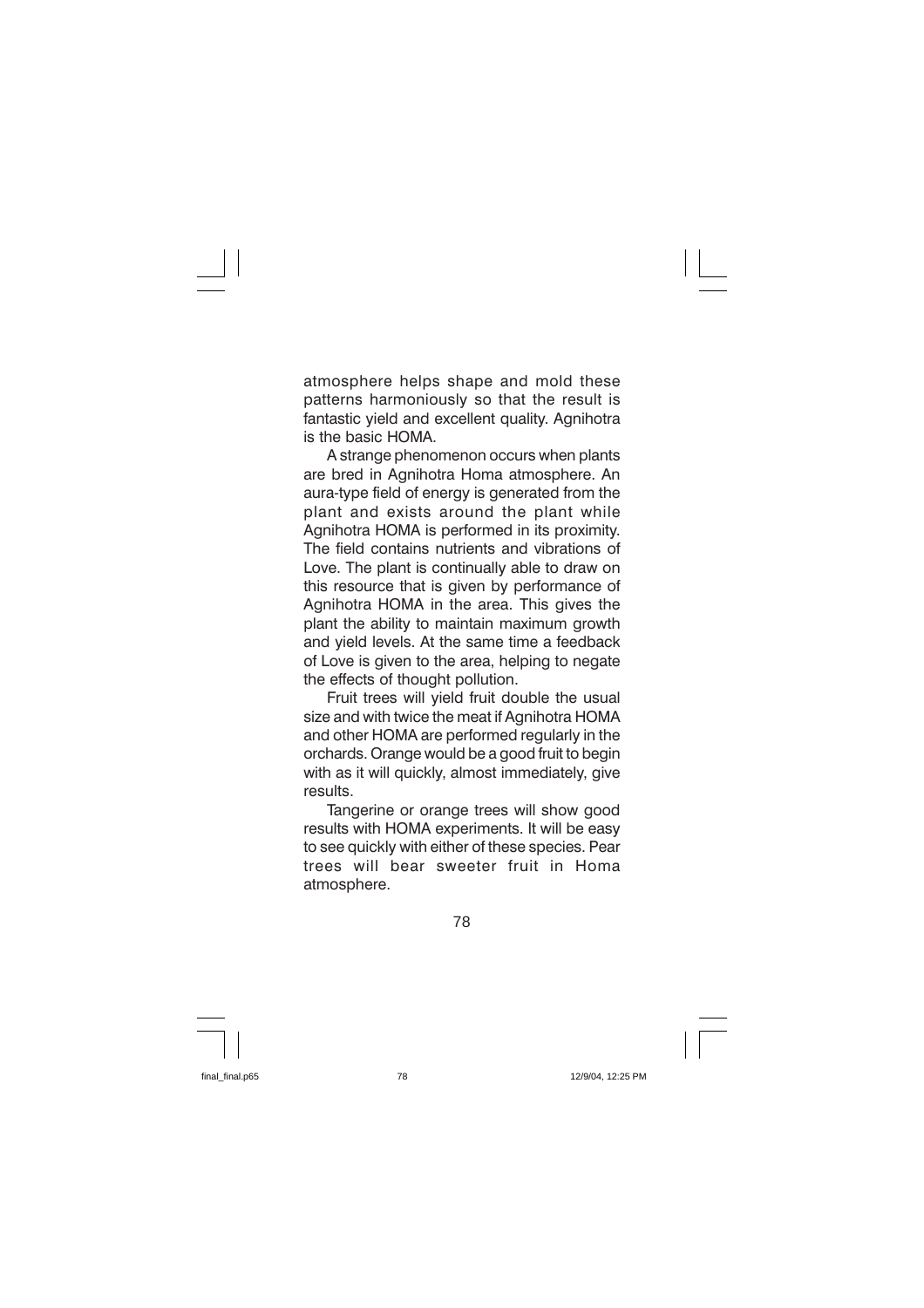atmosphere helps shape and mold these patterns harmoniously so that the result is fantastic vield and excellent quality. Agnihotra is the basic HOMA.

A strange phenomenon occurs when plants are bred in Agnihotra Homa atmosphere. An aura-type field of energy is generated from the plant and exists around the plant while Agnihotra HOMA is performed in its proximity. The field contains nutrients and vibrations of Love. The plant is continually able to draw on this resource that is given by performance of Agnihotra HOMA in the area. This gives the plant the ability to maintain maximum growth and vield levels. At the same time a feedback of Love is given to the area, helping to negate the effects of thought pollution.

Fruit trees will yield fruit double the usual size and with twice the meat if Agnihotra HOMA and other HOMA are performed regularly in the orchards. Orange would be a good fruit to begin with as it will quickly, almost immediately. give results.

Tangerine or orange trees will show good results with HOMA experiments. It will be easy to see quickly with either of these species. Pear trees will bear sweeter fruit in Homa atmosphere.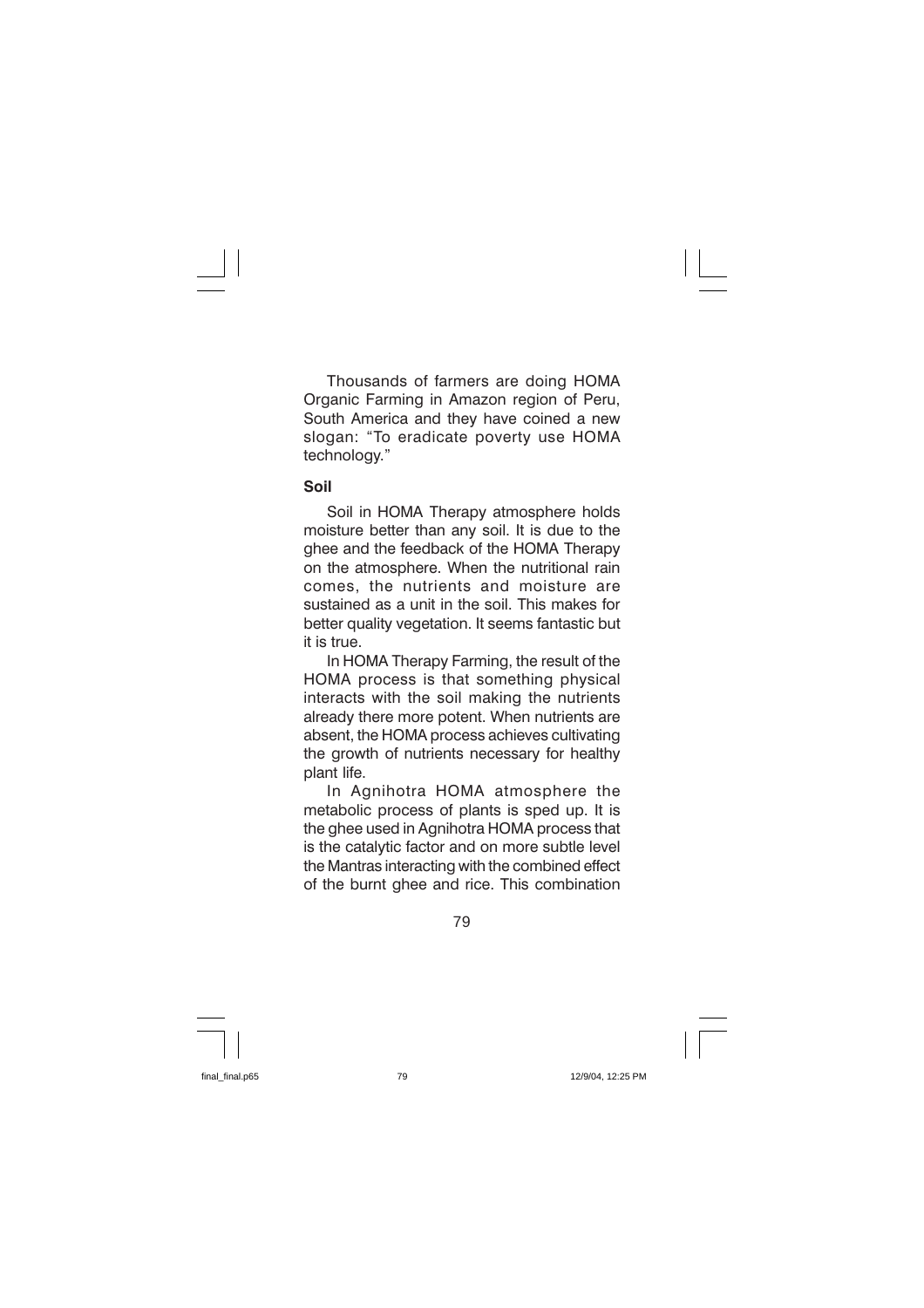Thousands of farmers are doing HOMA Organic Farming in Amazon region of Peru, South America and they have coined a new slogan: "To eradicate poverty use HOMA technology."

### Soil

Soil in HOMA Therapy atmosphere holds moisture better than any soil. It is due to the ghee and the feedback of the HOMA Therapy on the atmosphere. When the nutritional rain comes, the nutrients and moisture are sustained as a unit in the soil. This makes for better quality vegetation. It seems fantastic but it is true.

In HOMA Therapy Farming, the result of the HOMA process is that something physical interacts with the soil making the nutrients already there more potent. When nutrients are absent, the HOMA process achieves cultivating the growth of nutrients necessary for healthy plant life.

In Agnihotra HOMA atmosphere the metabolic process of plants is sped up. It is the ghee used in Agnihotra HOMA process that is the catalytic factor and on more subtle level the Mantras interacting with the combined effect of the burnt ghee and rice. This combination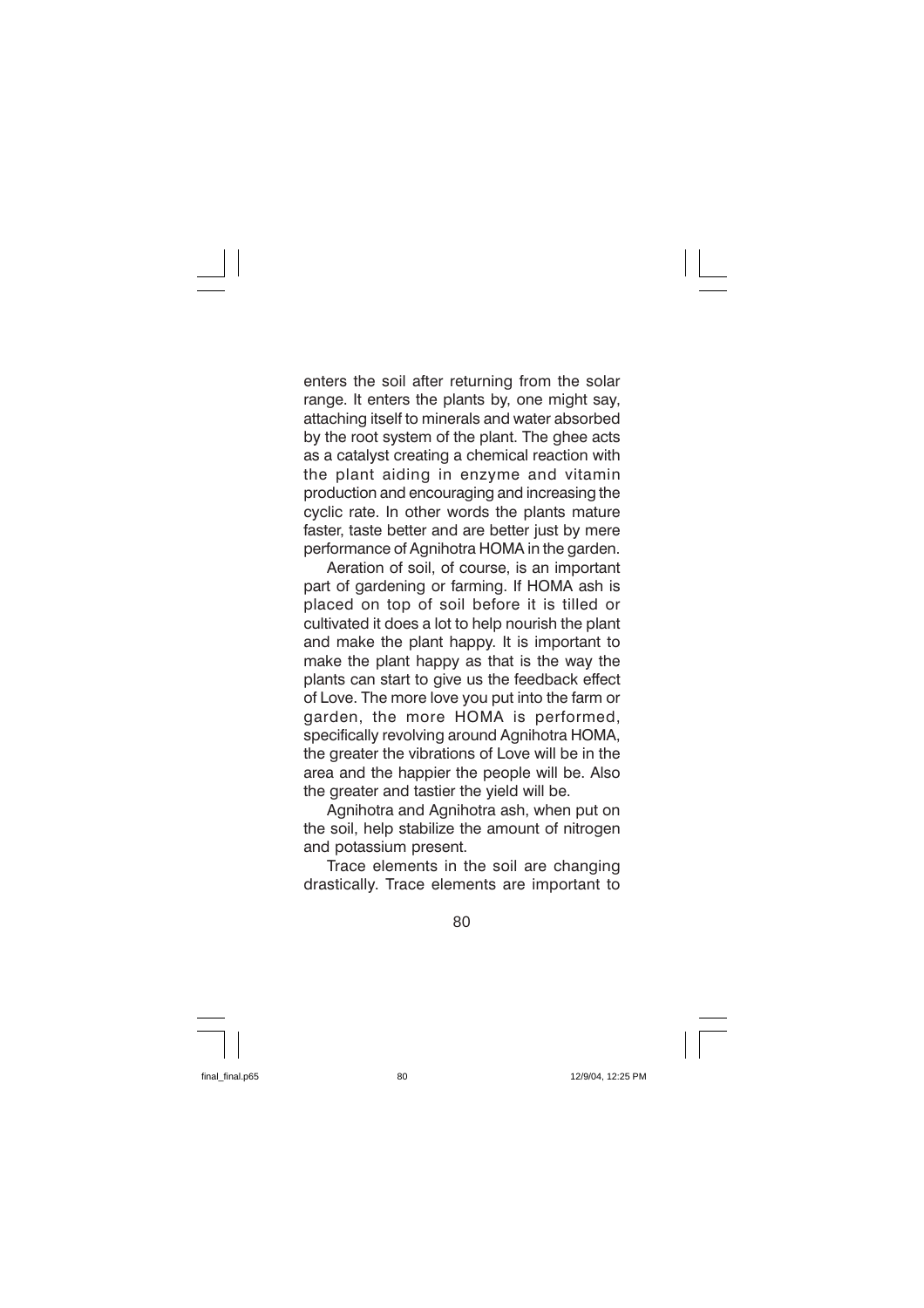enters the soil after returning from the solar range. It enters the plants by, one might say, attaching itself to minerals and water absorbed by the root system of the plant. The ghee acts as a catalyst creating a chemical reaction with the plant aiding in enzyme and vitamin production and encouraging and increasing the cyclic rate. In other words the plants mature faster, taste better and are better just by mere performance of Agnihotra HOMA in the garden.

Aeration of soil, of course, is an important part of gardening or farming. If HOMA ash is placed on top of soil before it is tilled or cultivated it does a lot to help nourish the plant and make the plant happy. It is important to make the plant happy as that is the way the plants can start to give us the feedback effect of Love. The more love you put into the farm or garden, the more HOMA is performed, specifically revolving around Agnihotra HOMA, the greater the vibrations of Love will be in the area and the happier the people will be. Also the greater and tastier the yield will be.

Agnihotra and Agnihotra ash, when put on the soil, help stabilize the amount of nitrogen and potassium present.

Trace elements in the soil are changing drastically. Trace elements are important to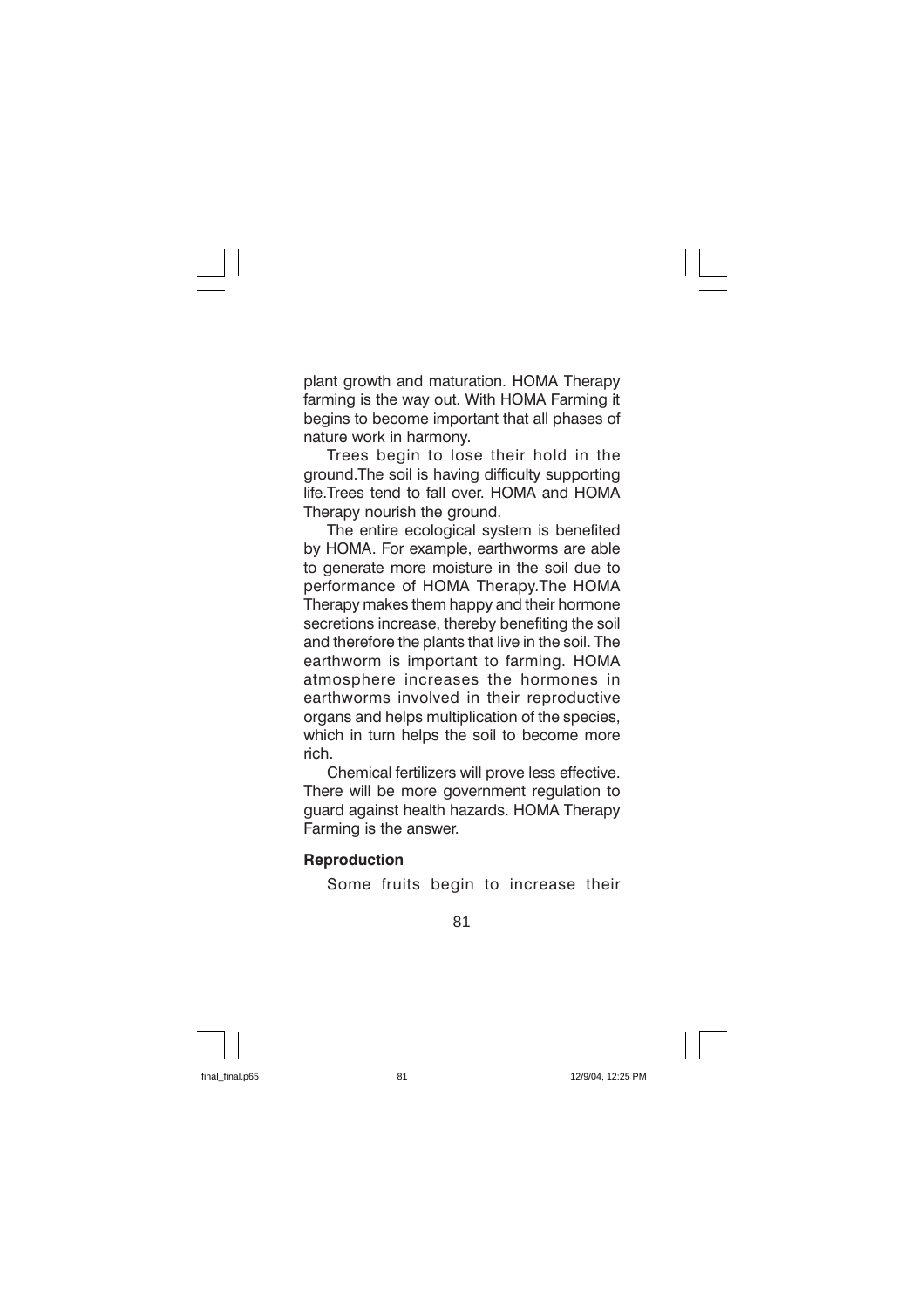plant growth and maturation. HOMA Therapy farming is the way out. With HOMA Farming it begins to become important that all phases of nature work in harmony.

Trees begin to lose their hold in the ground. The soil is having difficulty supporting life. Trees tend to fall over. HOMA and HOMA Therapy nourish the ground.

The entire ecological system is benefited by HOMA. For example, earthworms are able to generate more moisture in the soil due to performance of HOMA Therapy. The HOMA Therapy makes them happy and their hormone secretions increase, thereby benefiting the soil and therefore the plants that live in the soil. The earthworm is important to farming. HOMA atmosphere increases the hormones in earthworms involved in their reproductive organs and helps multiplication of the species, which in turn helps the soil to become more rich

Chemical fertilizers will prove less effective. There will be more government regulation to guard against health hazards. HOMA Therapy Farming is the answer.

### **Reproduction**

Some fruits begin to increase their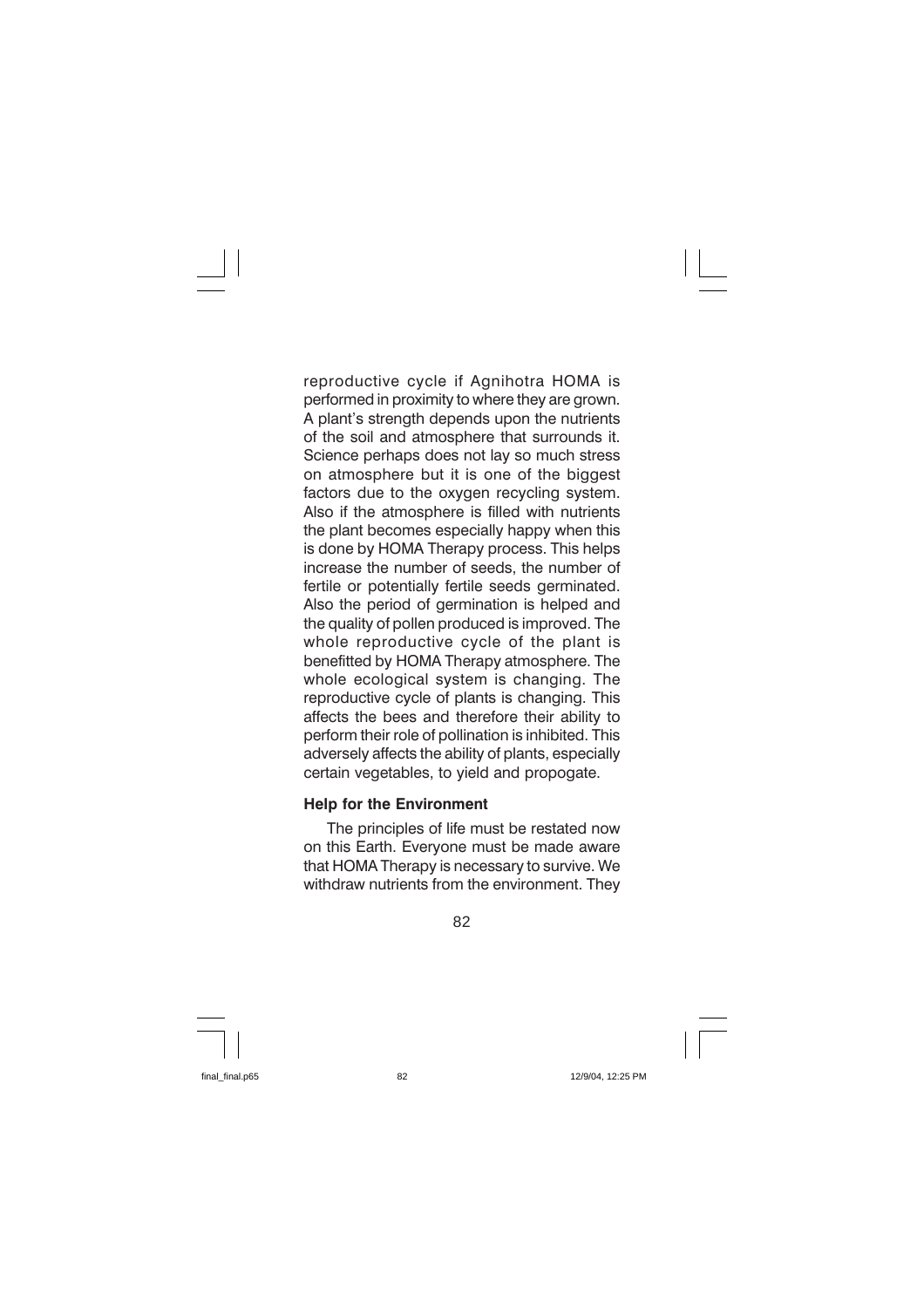reproductive cycle if Agnihotra HOMA is performed in proximity to where they are grown. A plant's strength depends upon the nutrients of the soil and atmosphere that surrounds it. Science perhaps does not lay so much stress on atmosphere but it is one of the biggest factors due to the oxygen recycling system. Also if the atmosphere is filled with nutrients the plant becomes especially happy when this is done by HOMA Therapy process. This helps increase the number of seeds, the number of fertile or potentially fertile seeds germinated. Also the period of germination is helped and the quality of pollen produced is improved. The whole reproductive cycle of the plant is benefitted by HOMA Therapy atmosphere. The whole ecological system is changing. The reproductive cycle of plants is changing. This affects the bees and therefore their ability to perform their role of pollination is inhibited. This adversely affects the ability of plants, especially certain vegetables, to yield and propogate.

### **Help for the Environment**

The principles of life must be restated now on this Earth. Everyone must be made aware that HOMA Therapy is necessary to survive. We withdraw nutrients from the environment. They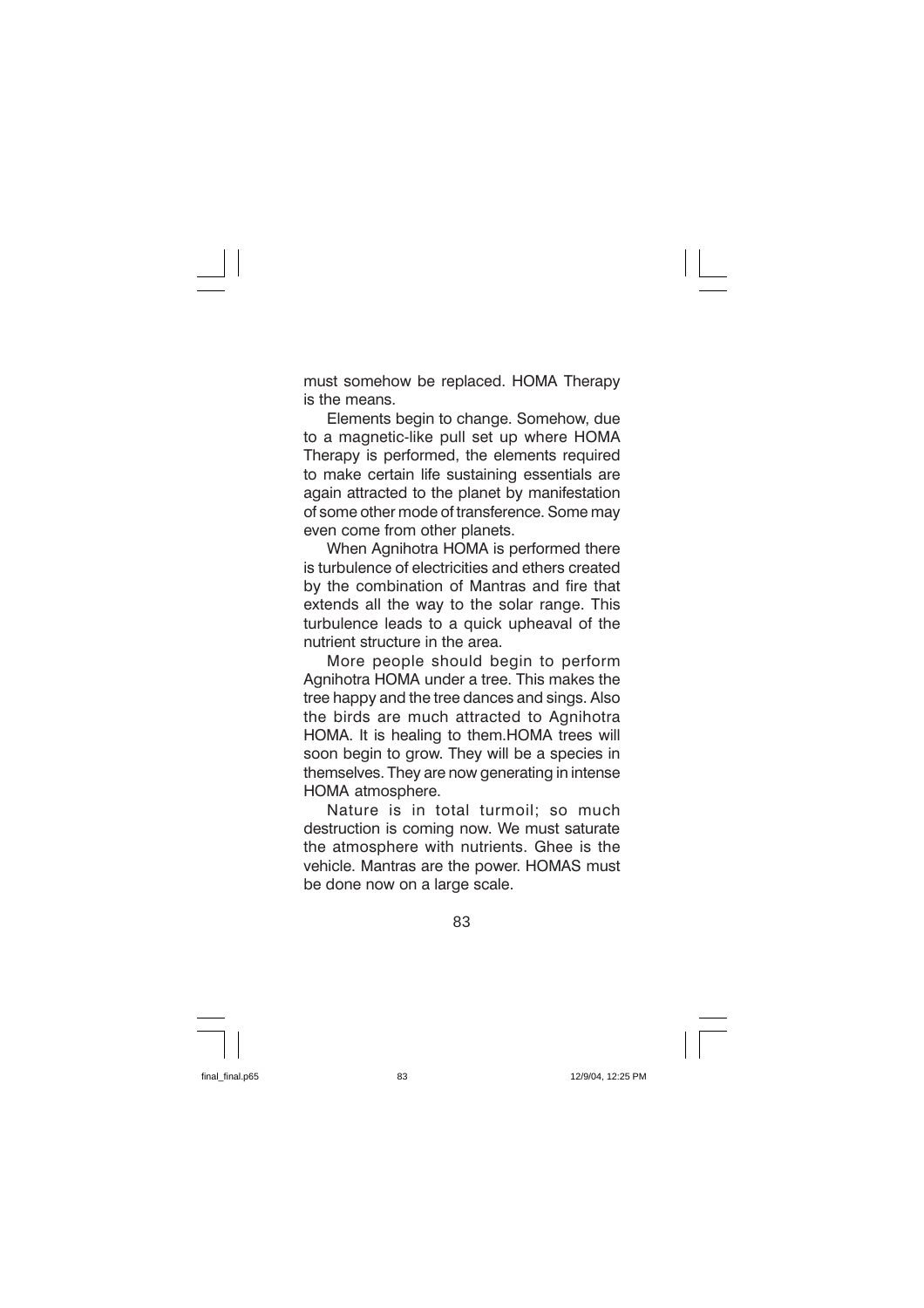must somehow be replaced. HOMA Therapy is the means.

Elements begin to change. Somehow, due to a magnetic-like pull set up where HOMA Therapy is performed, the elements required to make certain life sustaining essentials are again attracted to the planet by manifestation of some other mode of transference. Some may even come from other planets.

When Agnihotra HOMA is performed there is turbulence of electricities and ethers created by the combination of Mantras and fire that extends all the way to the solar range. This turbulence leads to a quick upheaval of the nutrient structure in the area.

More people should begin to perform Agnihotra HOMA under a tree. This makes the tree happy and the tree dances and sings. Also the birds are much attracted to Agnihotra HOMA. It is healing to them.HOMA trees will soon begin to grow. They will be a species in themselves. They are now generating in intense HOMA atmosphere.

Nature is in total turmoil: so much destruction is coming now. We must saturate the atmosphere with nutrients. Ghee is the vehicle. Mantras are the power. HOMAS must be done now on a large scale.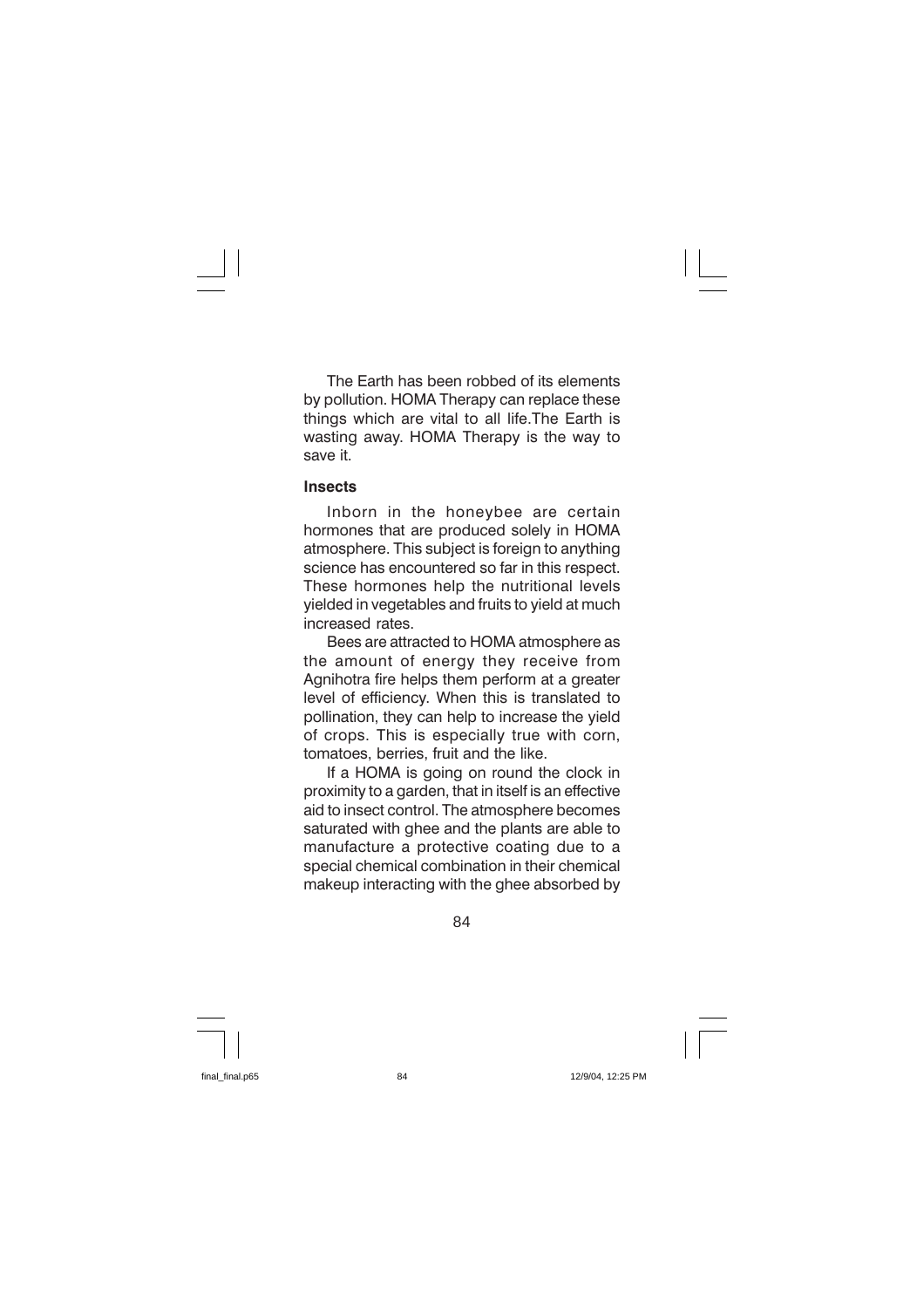The Earth has been robbed of its elements by pollution. HOMA Therapy can replace these things which are vital to all life. The Earth is wasting away. HOMA Therapy is the way to save it.

#### **Insects**

Inborn in the honeybee are certain hormones that are produced solely in HOMA atmosphere. This subject is foreign to anything science has encountered so far in this respect. These hormones help the nutritional levels vielded in vegetables and fruits to vield at much increased rates.

Bees are attracted to HOMA atmosphere as the amount of energy they receive from Agnihotra fire helps them perform at a greater level of efficiency. When this is translated to pollination, they can help to increase the yield of crops. This is especially true with corn, tomatoes, berries, fruit and the like.

If a HOMA is going on round the clock in proximity to a garden, that in itself is an effective aid to insect control. The atmosphere becomes saturated with ghee and the plants are able to manufacture a protective coating due to a special chemical combination in their chemical makeup interacting with the ghee absorbed by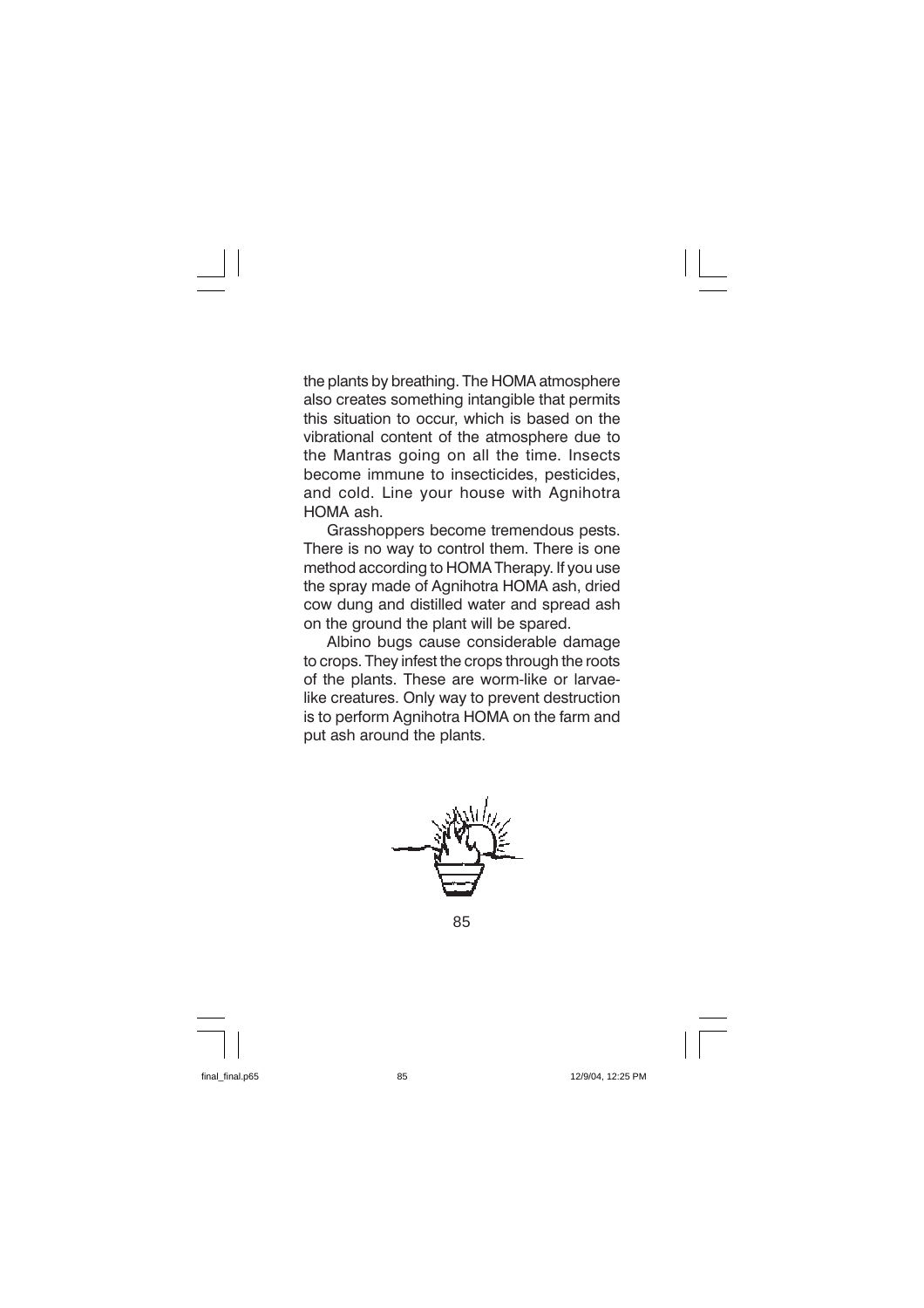the plants by breathing. The HOMA atmosphere also creates something intangible that permits this situation to occur, which is based on the vibrational content of the atmosphere due to the Mantras going on all the time. Insects become immune to insecticides, pesticides, and cold. Line your house with Agnihotra HOMA ash.

Grasshoppers become tremendous pests. There is no way to control them. There is one method according to HOMA Therapy. If you use the spray made of Agnihotra HOMA ash, dried cow dung and distilled water and spread ash on the ground the plant will be spared.

Albino bugs cause considerable damage to crops. They infest the crops through the roots of the plants. These are worm-like or larvaelike creatures. Only way to prevent destruction is to perform Agnihotra HOMA on the farm and put ash around the plants.

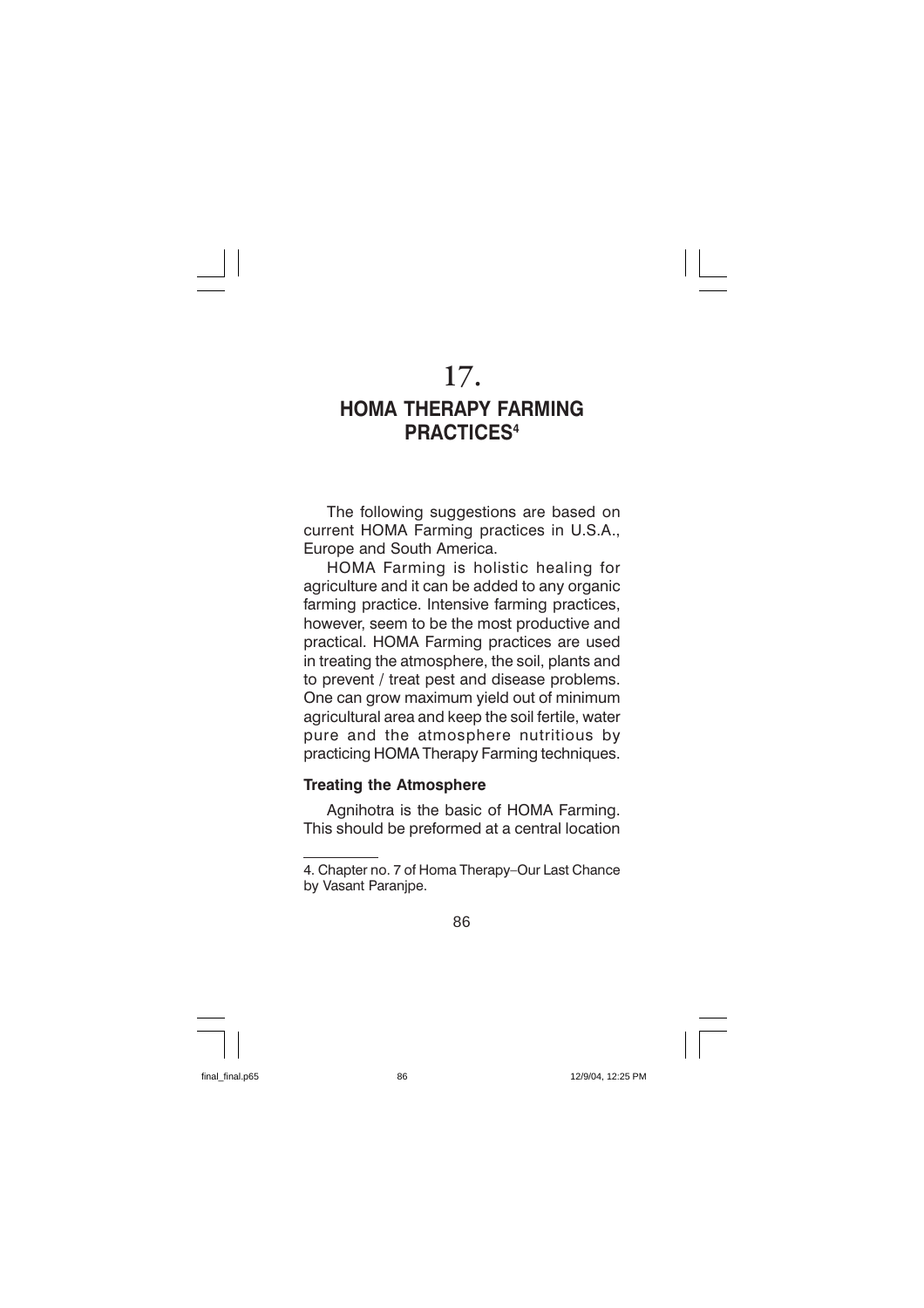# 17.

# **HOMA THERAPY FARMING PRACTICES4**

The following suggestions are based on current HOMA Farming practices in U.S.A., Europe and South America.

HOMA Farming is holistic healing for agriculture and it can be added to any organic farming practice. Intensive farming practices, however, seem to be the most productive and practical. HOMA Farming practices are used in treating the atmosphere, the soil, plants and to prevent / treat pest and disease problems. One can grow maximum yield out of minimum agricultural area and keep the soil fertile, water pure and the atmosphere nutritious by practicing HOMA Therapy Farming techniques.

### **Treating the Atmosphere**

Agnihotra is the basic of HOMA Farming. This should be preformed at a central location

<sup>4.</sup> Chapter no. 7 of Homa Therapy-Our Last Chance by Vasant Paranipe.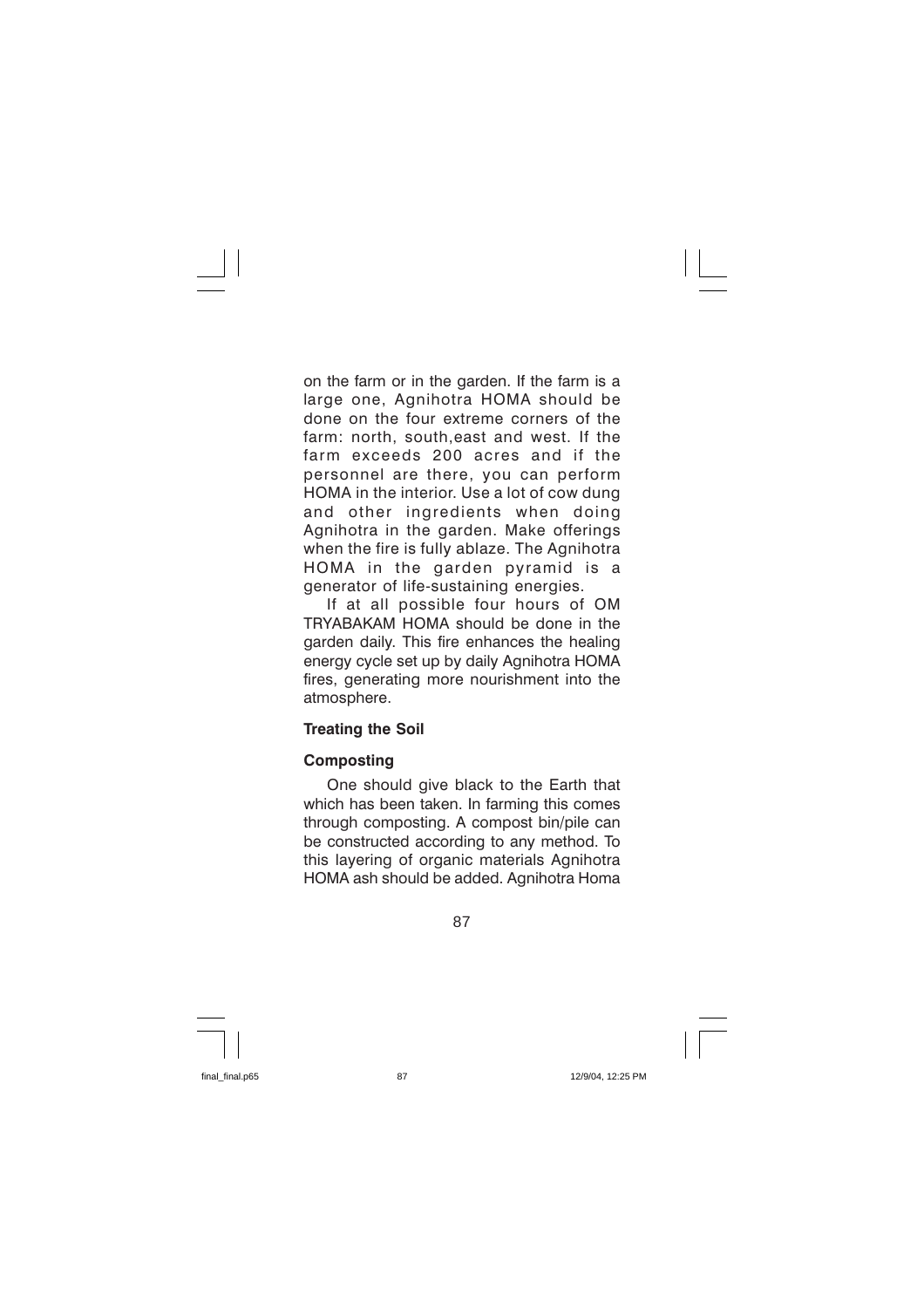on the farm or in the garden. If the farm is a large one, Agnihotra HOMA should be done on the four extreme corners of the farm: north, south, east and west. If the farm exceeds 200 acres and if the personnel are there, you can perform HOMA in the interior. Use a lot of cow dung and other ingredients when doing Agnihotra in the garden. Make offerings when the fire is fully ablaze. The Agnihotra HOMA in the garden pyramid is <sub>a</sub> generator of life-sustaining energies.

If at all possible four hours of OM TRYABAKAM HOMA should be done in the garden daily. This fire enhances the healing energy cycle set up by daily Agnihotra HOMA fires, generating more nourishment into the atmosphere.

## **Treating the Soil**

## **Composting**

One should give black to the Earth that which has been taken. In farming this comes through composting. A compost bin/pile can be constructed according to any method. To this layering of organic materials Agnihotra HOMA ash should be added. Agnihotra Homa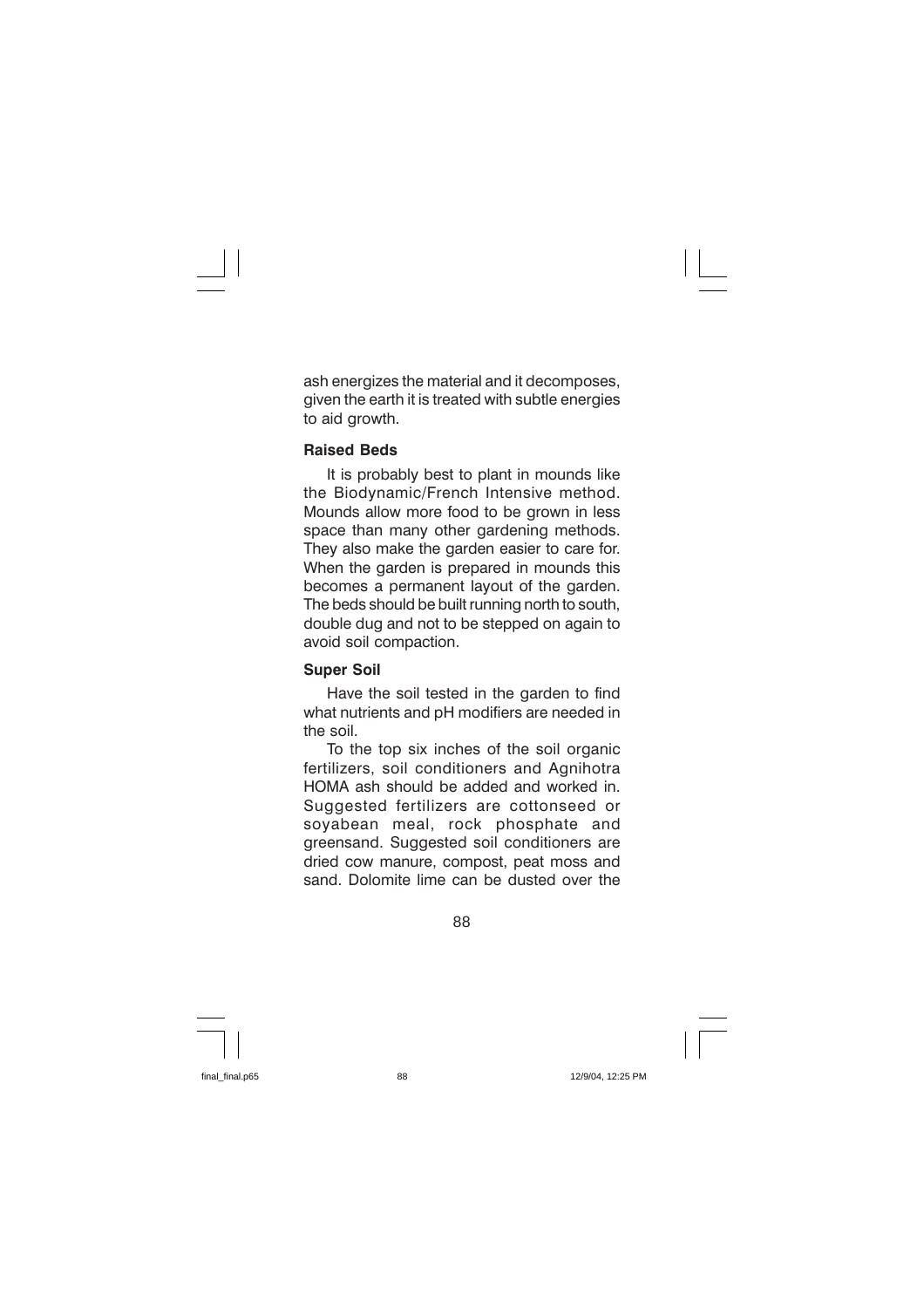ash energizes the material and it decomposes, given the earth it is treated with subtle energies to aid growth.

## **Raised Beds**

It is probably best to plant in mounds like the Biodynamic/French Intensive method. Mounds allow more food to be grown in less space than many other gardening methods. They also make the garden easier to care for. When the garden is prepared in mounds this becomes a permanent layout of the garden. The beds should be built running north to south. double dug and not to be stepped on again to avoid soil compaction.

## **Super Soil**

Have the soil tested in the garden to find what nutrients and pH modifiers are needed in the soil

To the top six inches of the soil organic fertilizers, soil conditioners and Agnihotra HOMA ash should be added and worked in. Suggested fertilizers are cottonseed or soyabean meal, rock phosphate and areensand. Suggested soil conditioners are dried cow manure, compost, peat moss and sand. Dolomite lime can be dusted over the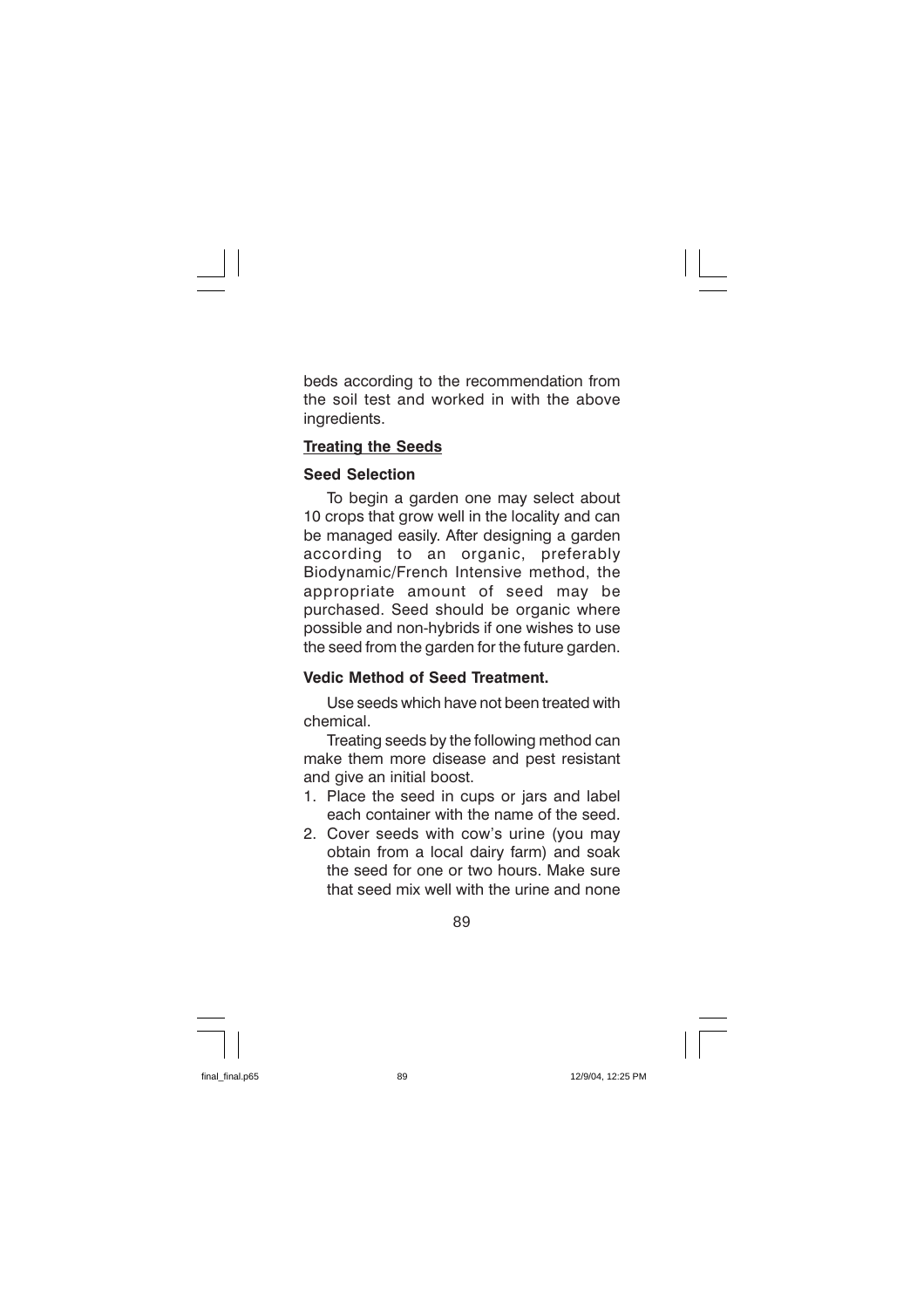beds according to the recommendation from the soil test and worked in with the above ingredients.

## **Treating the Seeds**

## **Seed Selection**

To begin a garden one may select about 10 crops that grow well in the locality and can be managed easily. After designing a garden according to an organic, preferably Biodynamic/French Intensive method, the appropriate amount of seed may be purchased. Seed should be organic where possible and non-hybrids if one wishes to use the seed from the garden for the future garden.

## Vedic Method of Seed Treatment

Use seeds which have not been treated with chemical.

Treating seeds by the following method can make them more disease and pest resistant and give an initial boost.

- 1. Place the seed in cups or jars and label each container with the name of the seed.
- 2. Cover seeds with cow's urine (you may obtain from a local dairy farm) and soak the seed for one or two hours. Make sure that seed mix well with the urine and none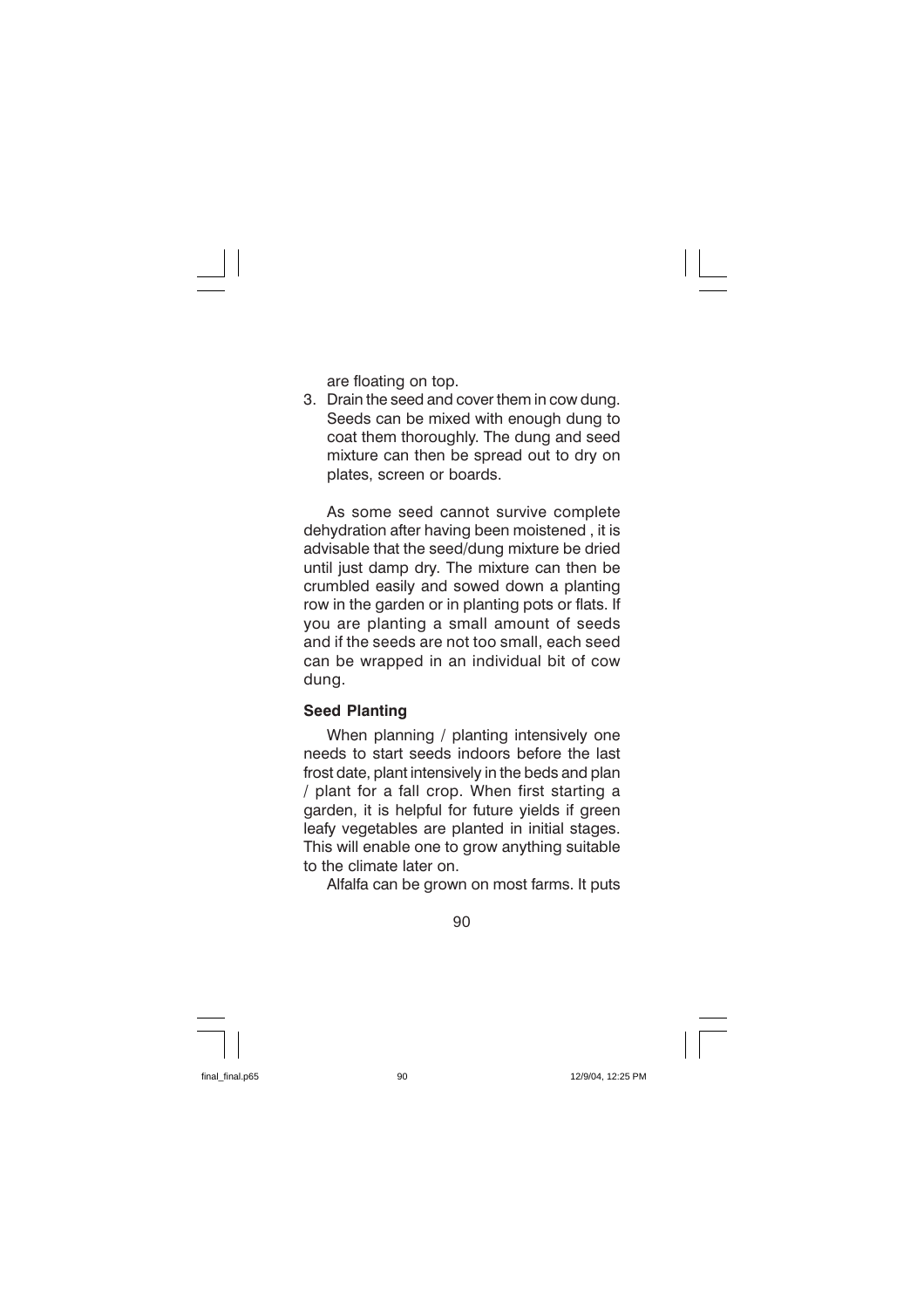are floating on top.

3. Drain the seed and cover them in cow dung. Seeds can be mixed with enough dung to coat them thoroughly. The dung and seed mixture can then be spread out to dry on plates, screen or boards.

As some seed cannot survive complete dehydration after having been moistened, it is advisable that the seed/dung mixture be dried until just damp dry. The mixture can then be crumbled easily and sowed down a planting row in the garden or in planting pots or flats. If you are planting a small amount of seeds and if the seeds are not too small, each seed can be wrapped in an individual bit of cow dung.

## **Seed Planting**

When planning / planting intensively one needs to start seeds indoors before the last frost date, plant intensively in the beds and plan / plant for a fall crop. When first starting a garden, it is helpful for future yields if green leafy vegetables are planted in initial stages. This will enable one to grow anything suitable to the climate later on.

Alfalfa can be grown on most farms. It puts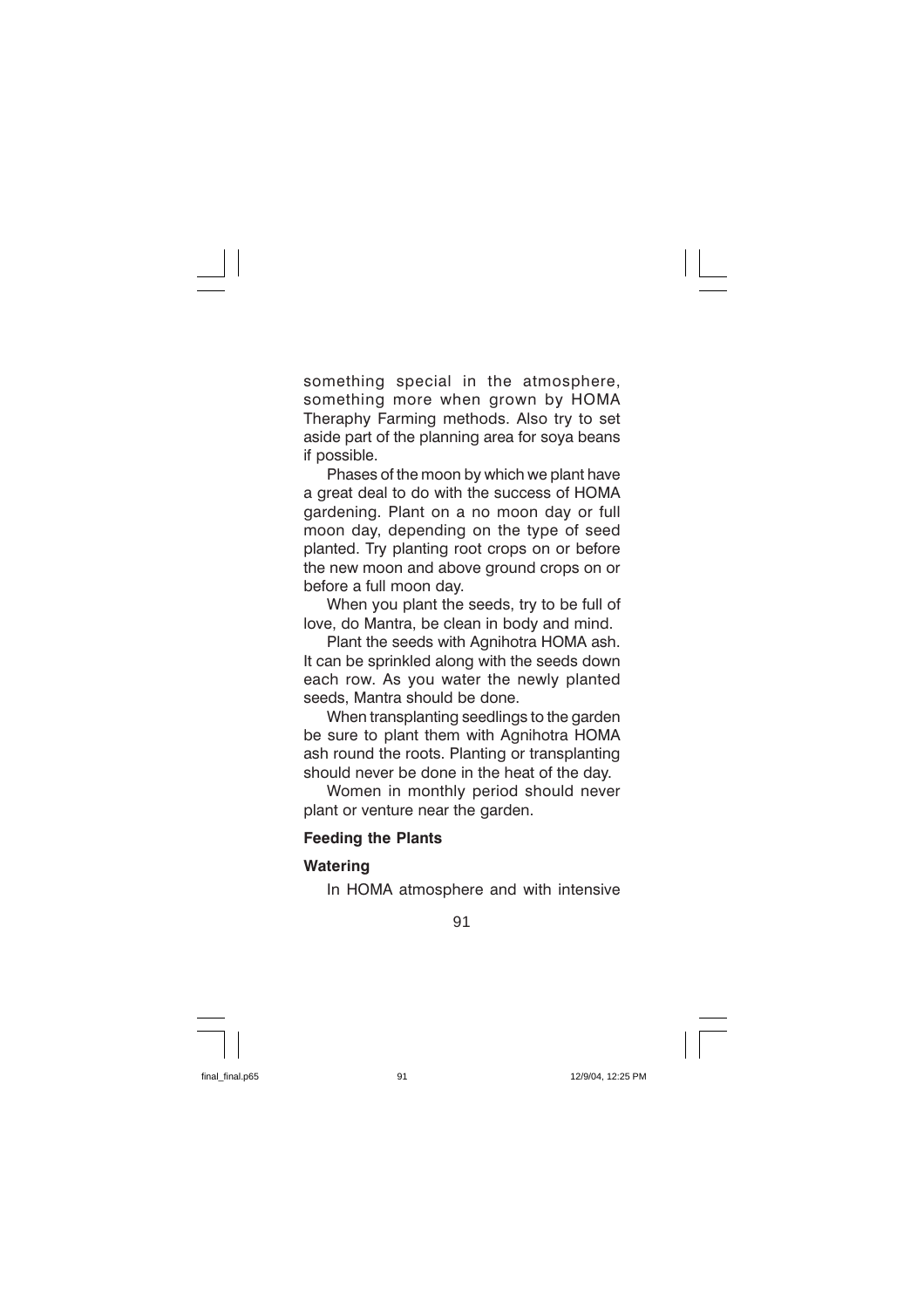something special in the atmosphere, something more when grown by HOMA Theraphy Farming methods. Also try to set aside part of the planning area for soya beans if possible.

Phases of the moon by which we plant have a great deal to do with the success of HOMA gardening. Plant on a no moon day or full moon day, depending on the type of seed planted. Try planting root crops on or before the new moon and above ground crops on or before a full moon day.

When you plant the seeds, try to be full of love, do Mantra, be clean in body and mind.

Plant the seeds with Agnihotra HOMA ash. It can be sprinkled along with the seeds down each row. As you water the newly planted seeds. Mantra should be done.

When transplanting seedlings to the garden be sure to plant them with Agnihotra HOMA ash round the roots. Planting or transplanting should never be done in the heat of the day.

Women in monthly period should never plant or venture near the garden.

### **Feeding the Plants**

## **Watering**

In HOMA atmosphere and with intensive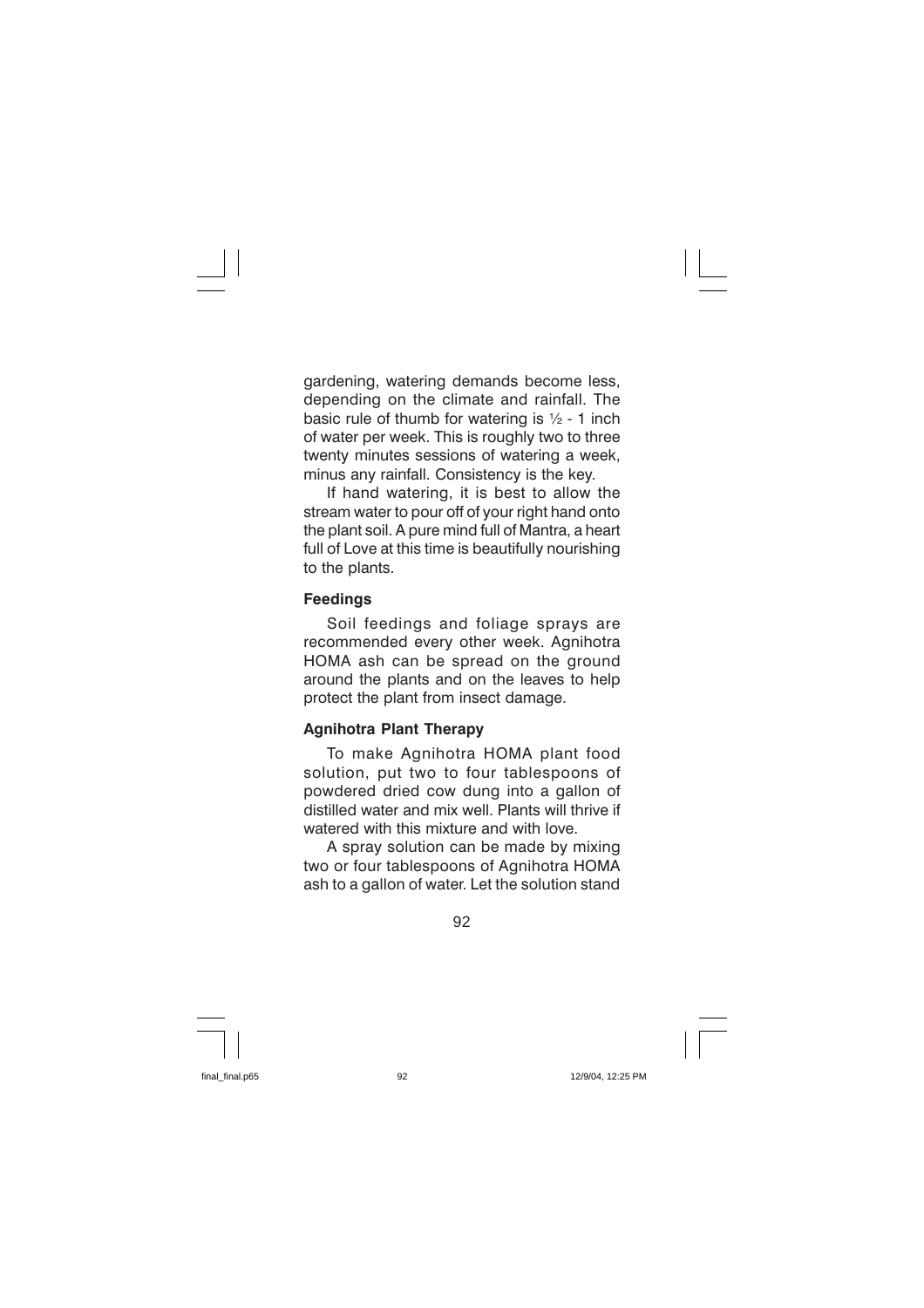gardening, watering demands become less, depending on the climate and rainfall. The basic rule of thumb for watering is  $\frac{1}{2}$  - 1 inch of water per week. This is roughly two to three twenty minutes sessions of watering a week, minus any rainfall. Consistency is the key.

If hand watering, it is best to allow the stream water to pour off of your right hand onto the plant soil. A pure mind full of Mantra, a heart full of Love at this time is beautifully nourishing to the plants.

## **Feedings**

Soil feedings and foliage sprays are recommended every other week. Agnihotra HOMA ash can be spread on the ground around the plants and on the leaves to help protect the plant from insect damage.

## **Agnihotra Plant Therapy**

To make Agnihotra HOMA plant food solution, put two to four tablespoons of powdered dried cow dung into a gallon of distilled water and mix well. Plants will thrive if watered with this mixture and with love.

A spray solution can be made by mixing two or four tablespoons of Agnihotra HOMA ash to a gallon of water. Let the solution stand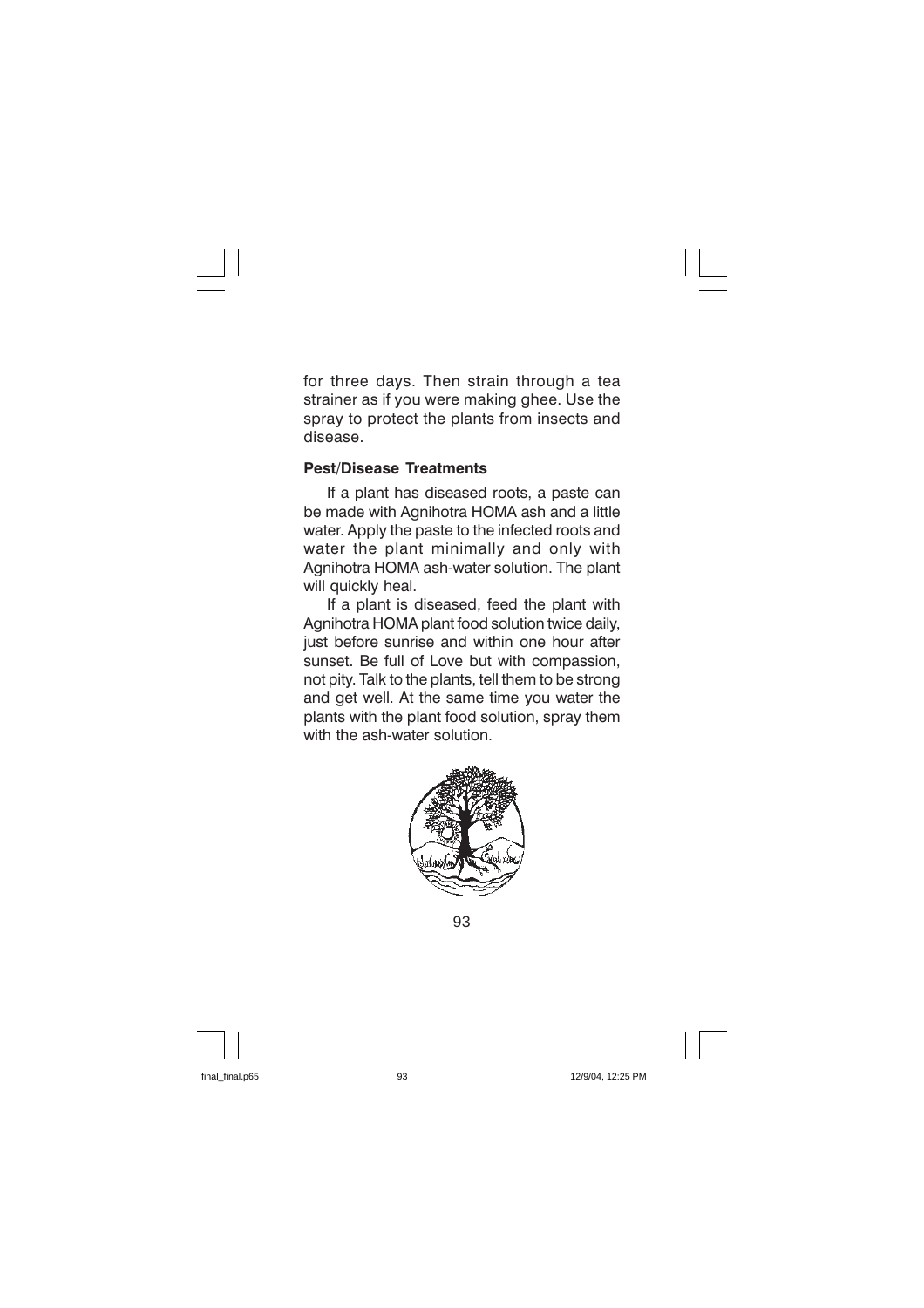for three days. Then strain through a tea strainer as if you were making ghee. Use the spray to protect the plants from insects and disease.

### **Pest/Disease Treatments**

If a plant has diseased roots, a paste can be made with Agnihotra HOMA ash and a little water. Apply the paste to the infected roots and water the plant minimally and only with Agnihotra HOMA ash-water solution. The plant will quickly heal.

If a plant is diseased, feed the plant with Agnihotra HOMA plant food solution twice daily, just before sunrise and within one hour after sunset. Be full of Love but with compassion, not pity. Talk to the plants, tell them to be strong and get well. At the same time you water the plants with the plant food solution, spray them with the ash-water solution.



93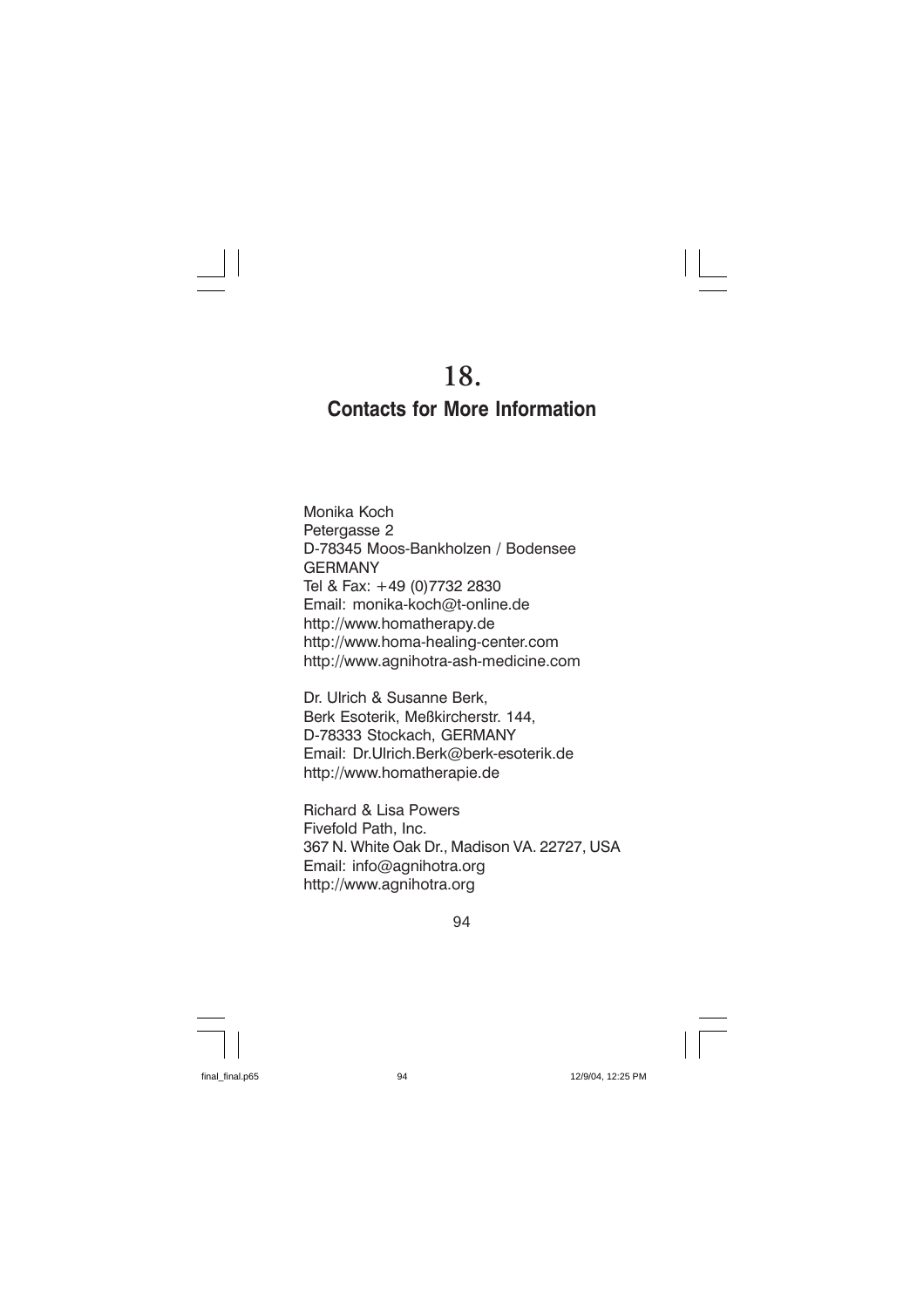# **Contacts for More Information**

Monika Koch Petergasse 2 D-78345 Moos-Bankholzen / Bodensee **GFRMANY** Tel & Fax: +49 (0)7732 2830 Email: monika-koch@t-online.de http://www.homatherapy.de http://www.homa-healing-center.com http://www.agnihotra-ash-medicine.com

Dr. Ulrich & Susanne Berk, Berk Esoterik, Meßkircherstr. 144, D-78333 Stockach, GERMANY Email: Dr.Ulrich.Berk@berk-esoterik.de http://www.homatherapie.de

Richard & Lisa Powers Fivefold Path, Inc. 367 N. White Oak Dr., Madison VA. 22727, USA Email: info@agnihotra.org http://www.agnihotra.org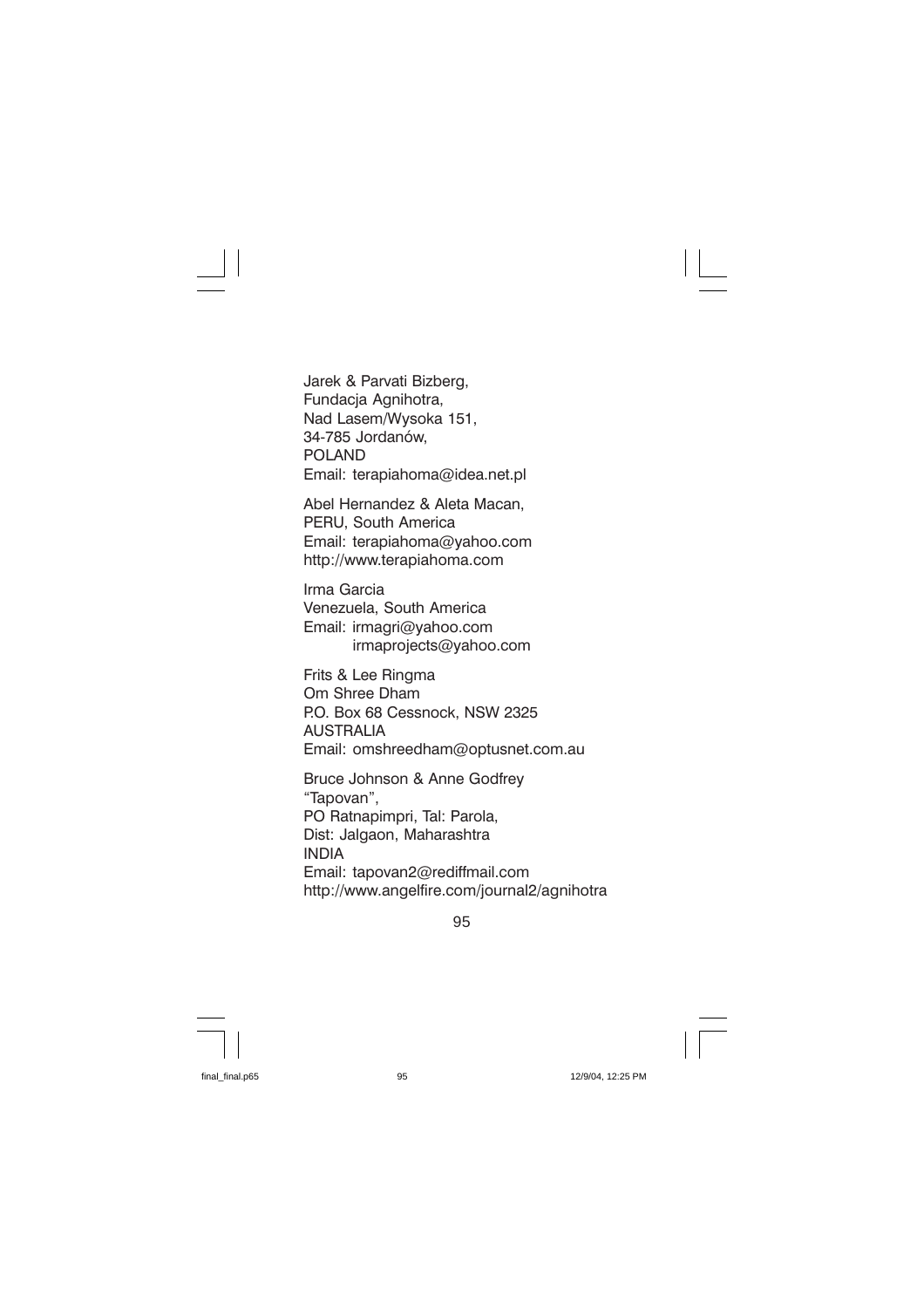Jarek & Parvati Bizberg, Fundacja Agnihotra, Nad Lasem/Wysoka 151, 34-785 Jordanów, **POLAND** Email: terapiahoma@idea.net.pl

Abel Hernandez & Aleta Macan. PERU. South America Email: terapiahoma@yahoo.com http://www.terapiahoma.com

Irma Garcia Venezuela, South America Email: irmagri@yahoo.com irmaprojects@yahoo.com

Frits & Lee Ringma Om Shree Dham P.O. Box 68 Cessnock, NSW 2325 ALISTRALIA Email: omshreedham@optusnet.com.au

Bruce Johnson & Anne Godfrey "Tapovan". PO Ratnapimpri, Tal: Parola, Dist: Jalgaon, Maharashtra **INDIA** Email: tapovan2@rediffmail.com http://www.angelfire.com/journal2/agnihotra